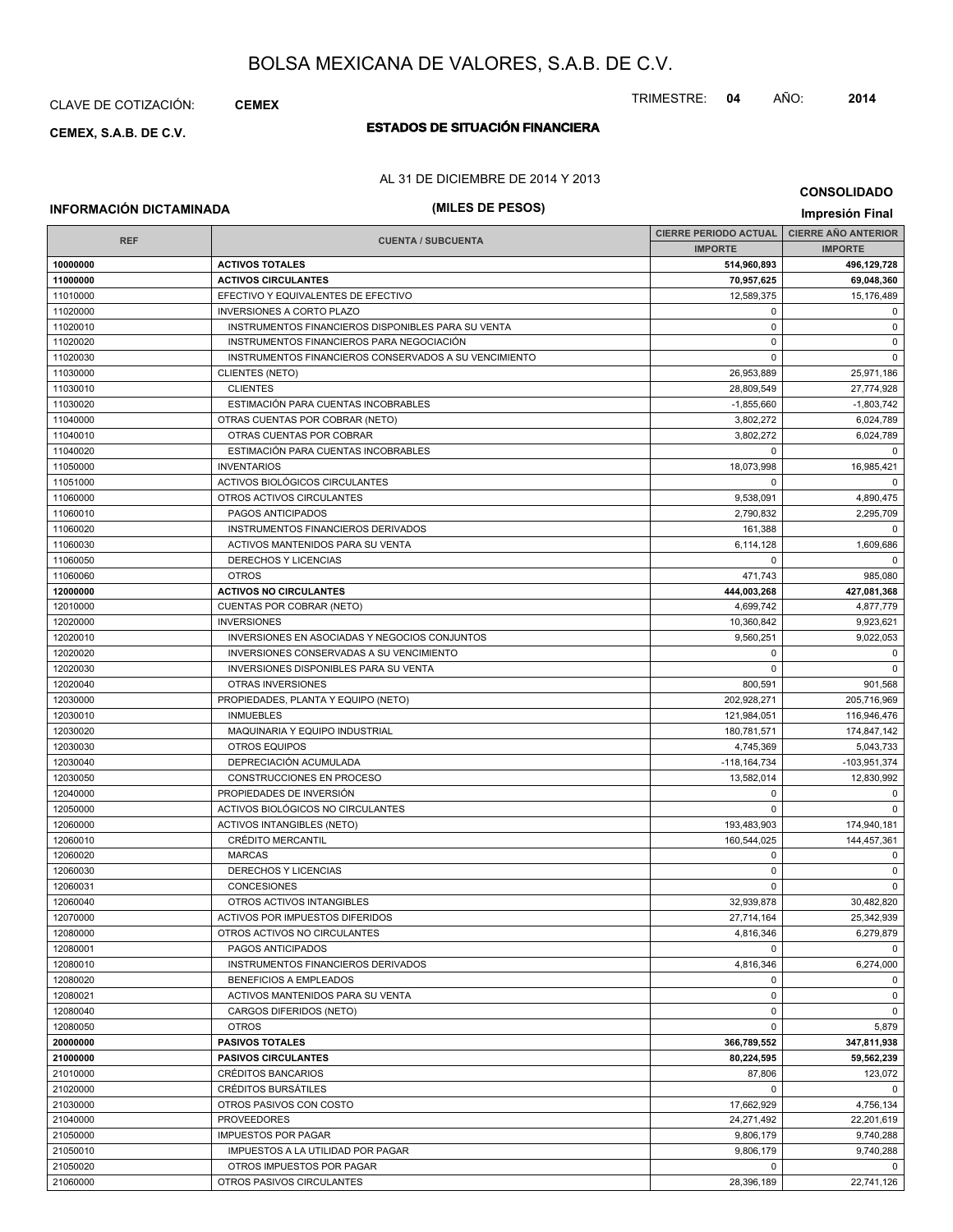# CLAVE DE COTIZACIÓN: **CEMEX**

# **ESTADOS DE SITUACIÓN FINANCIERA CEMEX, S.A.B. DE C.V.**

## AL 31 DE DICIEMBRE DE 2014 Y 2013

# **INFORMACIÓN DICTAMINADA (MILES DE PESOS) Impresión Final**

|            |                                                              | CIERRE PERIODO ACTUAL   CIERRE AÑO ANTERIOR |                          |
|------------|--------------------------------------------------------------|---------------------------------------------|--------------------------|
| <b>REF</b> | <b>CUENTA / SUBCUENTA</b>                                    | <b>IMPORTE</b>                              | <b>IMPORTE</b>           |
| 10000000   | <b>ACTIVOS TOTALES</b>                                       | 514,960,893                                 | 496,129,728              |
| 11000000   | <b>ACTIVOS CIRCULANTES</b>                                   | 70,957,625                                  | 69,048,360               |
| 11010000   | EFECTIVO Y EQUIVALENTES DE EFECTIVO                          | 12,589,375                                  | 15,176,489               |
| 11020000   | <b>INVERSIONES A CORTO PLAZO</b>                             | 0                                           | $\mathbf 0$              |
| 11020010   | INSTRUMENTOS FINANCIEROS DISPONIBLES PARA SU VENTA           | $\mathbf 0$                                 | 0                        |
| 11020020   | INSTRUMENTOS FINANCIEROS PARA NEGOCIACIÓN                    | $\Omega$                                    | $\mathbf 0$              |
| 11020030   | INSTRUMENTOS FINANCIEROS CONSERVADOS A SU VENCIMIENTO        | 0                                           | $\mathbf 0$              |
| 11030000   | <b>CLIENTES (NETO)</b>                                       | 26,953,889                                  | 25,971,186               |
| 11030010   | <b>CLIENTES</b>                                              | 28,809,549                                  | 27,774,928               |
| 11030020   | ESTIMACIÓN PARA CUENTAS INCOBRABLES                          | $-1,855,660$                                | $-1,803,742$             |
| 11040000   | OTRAS CUENTAS POR COBRAR (NETO)                              | 3,802,272                                   | 6,024,789                |
| 11040010   | OTRAS CUENTAS POR COBRAR                                     | 3,802,272                                   | 6,024,789                |
| 11040020   | ESTIMACIÓN PARA CUENTAS INCOBRABLES                          | 0                                           | $\mathbf 0$              |
| 11050000   | <b>INVENTARIOS</b>                                           | 18,073,998                                  | 16,985,421               |
| 11051000   | ACTIVOS BIOLÓGICOS CIRCULANTES                               | 0                                           | $\mathbf 0$              |
| 11060000   | OTROS ACTIVOS CIRCULANTES                                    | 9,538,091                                   | 4,890,475                |
| 11060010   | PAGOS ANTICIPADOS                                            | 2,790,832                                   | 2,295,709                |
| 11060020   | INSTRUMENTOS FINANCIEROS DERIVADOS                           | 161.388                                     | 0                        |
| 11060030   | ACTIVOS MANTENIDOS PARA SU VENTA                             | 6,114,128                                   | 1,609,686                |
| 11060050   | DERECHOS Y LICENCIAS                                         | $\Omega$                                    | $\overline{0}$           |
| 11060060   | <b>OTROS</b>                                                 | 471,743                                     | 985,080                  |
| 12000000   | <b>ACTIVOS NO CIRCULANTES</b>                                | 444,003,268                                 | 427,081,368              |
| 12010000   | CUENTAS POR COBRAR (NETO)                                    | 4,699,742                                   | 4,877,779                |
| 12020000   | <b>INVERSIONES</b>                                           | 10,360,842                                  | 9,923,621                |
| 12020010   | INVERSIONES EN ASOCIADAS Y NEGOCIOS CONJUNTOS                | 9,560,251                                   | 9,022,053                |
| 12020020   | INVERSIONES CONSERVADAS A SU VENCIMIENTO                     | $\Omega$                                    | 0                        |
| 12020030   | INVERSIONES DISPONIBLES PARA SU VENTA                        | $\mathbf 0$                                 | $\mathbf 0$              |
| 12020040   | OTRAS INVERSIONES                                            | 800,591                                     | 901,568                  |
| 12030000   | PROPIEDADES, PLANTA Y EQUIPO (NETO)                          | 202,928,271                                 | 205,716,969              |
| 12030010   | <b>INMUEBLES</b>                                             | 121,984,051                                 | 116,946,476              |
| 12030020   | MAQUINARIA Y EQUIPO INDUSTRIAL                               | 180,781,571                                 | 174,847,142              |
| 12030030   | OTROS EQUIPOS                                                | 4,745,369                                   | 5,043,733                |
| 12030040   | DEPRECIACIÓN ACUMULADA                                       | $-118, 164, 734$                            | $-103,951,374$           |
| 12030050   | CONSTRUCCIONES EN PROCESO                                    | 13,582,014                                  | 12,830,992               |
| 12040000   | PROPIEDADES DE INVERSIÓN                                     | 0                                           | 0                        |
| 12050000   | ACTIVOS BIOLÓGICOS NO CIRCULANTES                            | $\mathbf 0$                                 | $\mathbf 0$              |
| 12060000   | <b>ACTIVOS INTANGIBLES (NETO)</b>                            | 193,483,903                                 | 174,940,181              |
| 12060010   | <b>CRÉDITO MERCANTIL</b>                                     | 160,544,025                                 |                          |
| 12060020   | <b>MARCAS</b>                                                | $\mathbf 0$                                 | 144,457,361              |
| 12060030   | DERECHOS Y LICENCIAS                                         | 0                                           | 0<br>0                   |
| 12060031   | <b>CONCESIONES</b>                                           | $\Omega$                                    | $\mathbf 0$              |
| 12060040   |                                                              | 32,939,878                                  | 30.482.820               |
| 12070000   | OTROS ACTIVOS INTANGIBLES<br>ACTIVOS POR IMPUESTOS DIFERIDOS | 27,714,164                                  |                          |
| 12080000   |                                                              |                                             | 25,342,939               |
| 12080001   | OTROS ACTIVOS NO CIRCULANTES                                 | 4,816,346<br>$\Omega$                       | 6,279,879                |
| 12080010   | PAGOS ANTICIPADOS<br>INSTRUMENTOS FINANCIEROS DERIVADOS      | 4,816,346                                   | $\mathbf 0$<br>6,274,000 |
| 12080020   |                                                              | 0                                           |                          |
|            | BENEFICIOS A EMPLEADOS                                       | $\mathbf 0$                                 | 0                        |
| 12080021   | ACTIVOS MANTENIDOS PARA SU VENTA                             |                                             | 0                        |
| 12080040   | CARGOS DIFERIDOS (NETO)                                      | $\mathbf 0$                                 | 0                        |
| 12080050   | <b>OTROS</b>                                                 | $\mathbf 0$                                 | 5,879                    |
| 20000000   | <b>PASIVOS TOTALES</b>                                       | 366,789,552                                 | 347,811,938              |
| 21000000   | <b>PASIVOS CIRCULANTES</b>                                   | 80,224,595                                  | 59,562,239               |
| 21010000   | CRÉDITOS BANCARIOS                                           | 87,806                                      | 123,072                  |
| 21020000   | CRÉDITOS BURSÁTILES                                          | $\mathbf 0$                                 | 0                        |
| 21030000   | OTROS PASIVOS CON COSTO                                      | 17,662,929                                  | 4,756,134                |
| 21040000   | <b>PROVEEDORES</b>                                           | 24,271,492                                  | 22,201,619               |
| 21050000   | <b>IMPUESTOS POR PAGAR</b>                                   | 9,806,179                                   | 9,740,288                |
| 21050010   | IMPUESTOS A LA UTILIDAD POR PAGAR                            | 9,806,179                                   | 9,740,288                |
| 21050020   | OTROS IMPUESTOS POR PAGAR                                    | 0                                           | $\mathbf 0$              |
| 21060000   | OTROS PASIVOS CIRCULANTES                                    | 28,396,189                                  | 22,741,126               |

TRIMESTRE: **04** AÑO: **2014**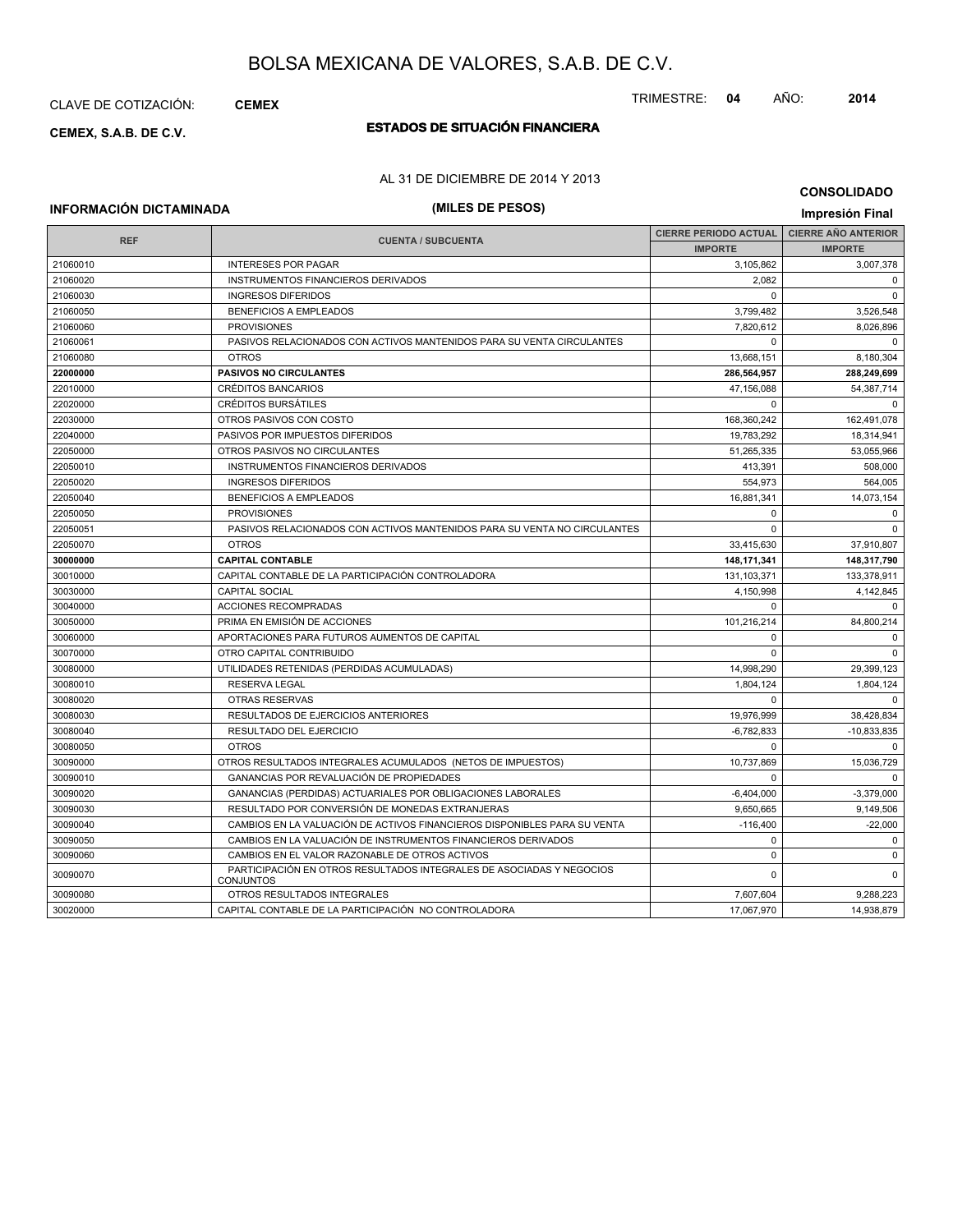# CLAVE DE COTIZACIÓN: **CEMEX**

# **ESTADOS DE SITUACIÓN FINANCIERA CEMEX, S.A.B. DE C.V.**

## AL 31 DE DICIEMBRE DE 2014 Y 2013

# **INFORMACIÓN DICTAMINADA (MILES DE PESOS) Impresión Final**

| <b>CONSOLIDADO</b> |  |
|--------------------|--|
|--------------------|--|

|            |                                                                                          | <b>CIERRE PERIODO ACTUAL</b> | <b>CIERRE AÑO ANTERIOR</b> |
|------------|------------------------------------------------------------------------------------------|------------------------------|----------------------------|
| <b>REF</b> | <b>CUENTA / SUBCUENTA</b>                                                                | <b>IMPORTE</b>               | <b>IMPORTE</b>             |
| 21060010   | <b>INTERESES POR PAGAR</b>                                                               | 3,105,862                    | 3,007,378                  |
| 21060020   | INSTRUMENTOS FINANCIEROS DERIVADOS                                                       | 2,082                        | $\mathbf 0$                |
| 21060030   | <b>INGRESOS DIFERIDOS</b>                                                                | <sup>0</sup>                 | $\Omega$                   |
| 21060050   | <b>BENEFICIOS A EMPLEADOS</b>                                                            | 3,799,482                    | 3,526,548                  |
| 21060060   | <b>PROVISIONES</b>                                                                       | 7,820,612                    | 8,026,896                  |
| 21060061   | PASIVOS RELACIONADOS CON ACTIVOS MANTENIDOS PARA SU VENTA CIRCULANTES                    | $\Omega$                     | $\Omega$                   |
| 21060080   | <b>OTROS</b>                                                                             | 13,668,151                   | 8,180,304                  |
| 22000000   | <b>PASIVOS NO CIRCULANTES</b>                                                            | 286,564,957                  | 288.249.699                |
| 22010000   | <b>CRÉDITOS BANCARIOS</b>                                                                | 47,156,088                   | 54,387,714                 |
| 22020000   | <b>CRÉDITOS BURSÁTILES</b>                                                               | $\Omega$                     | $\Omega$                   |
| 22030000   | OTROS PASIVOS CON COSTO                                                                  | 168,360,242                  | 162,491,078                |
| 22040000   | PASIVOS POR IMPUESTOS DIFERIDOS                                                          | 19,783,292                   | 18,314,941                 |
| 22050000   | OTROS PASIVOS NO CIRCULANTES                                                             | 51,265,335                   | 53,055,966                 |
| 22050010   | INSTRUMENTOS FINANCIEROS DERIVADOS                                                       | 413.391                      | 508,000                    |
| 22050020   | <b>INGRESOS DIFERIDOS</b>                                                                | 554.973                      | 564,005                    |
| 22050040   | <b>BENEFICIOS A EMPLEADOS</b>                                                            | 16,881,341                   | 14,073,154                 |
| 22050050   | <b>PROVISIONES</b>                                                                       | $\Omega$                     | $\mathbf 0$                |
| 22050051   | PASIVOS RELACIONADOS CON ACTIVOS MANTENIDOS PARA SU VENTA NO CIRCULANTES                 | 0                            | $\Omega$                   |
| 22050070   | <b>OTROS</b>                                                                             | 33,415,630                   | 37,910,807                 |
| 30000000   | <b>CAPITAL CONTABLE</b>                                                                  | 148,171,341                  | 148,317,790                |
| 30010000   | CAPITAL CONTABLE DE LA PARTICIPACIÓN CONTROLADORA                                        | 131,103,371                  | 133,378,911                |
| 30030000   | <b>CAPITAL SOCIAL</b>                                                                    | 4,150,998                    | 4,142,845                  |
| 30040000   | ACCIONES RECOMPRADAS                                                                     | $\Omega$                     | $\Omega$                   |
| 30050000   | PRIMA EN EMISIÓN DE ACCIONES                                                             | 101,216,214                  | 84,800,214                 |
| 30060000   | APORTACIONES PARA FUTUROS AUMENTOS DE CAPITAL                                            | $\Omega$                     | $\mathbf 0$                |
| 30070000   | OTRO CAPITAL CONTRIBUIDO                                                                 | $\Omega$                     | $\mathbf 0$                |
| 30080000   | UTILIDADES RETENIDAS (PERDIDAS ACUMULADAS)                                               | 14,998,290                   | 29,399,123                 |
| 30080010   | <b>RESERVA LEGAL</b>                                                                     | 1.804.124                    | 1.804.124                  |
| 30080020   | <b>OTRAS RESERVAS</b>                                                                    | $\Omega$                     | $\Omega$                   |
| 30080030   | RESULTADOS DE EJERCICIOS ANTERIORES                                                      | 19,976,999                   | 38,428,834                 |
| 30080040   | <b>RESULTADO DEL EJERCICIO</b>                                                           | $-6,782,833$                 | $-10,833,835$              |
| 30080050   | <b>OTROS</b>                                                                             | $\Omega$                     | $\Omega$                   |
| 30090000   | OTROS RESULTADOS INTEGRALES ACUMULADOS (NETOS DE IMPUESTOS)                              | 10,737,869                   | 15,036,729                 |
| 30090010   | <b>GANANCIAS POR REVALUACIÓN DE PROPIEDADES</b>                                          |                              | $\mathbf 0$                |
| 30090020   | GANANCIAS (PERDIDAS) ACTUARIALES POR OBLIGACIONES LABORALES                              | $-6,404,000$                 | $-3,379,000$               |
| 30090030   | RESULTADO POR CONVERSIÓN DE MONEDAS EXTRANJERAS                                          | 9,650,665                    | 9,149,506                  |
| 30090040   | CAMBIOS EN LA VALUACIÓN DE ACTIVOS FINANCIEROS DISPONIBLES PARA SU VENTA                 | $-116,400$                   | $-22.000$                  |
| 30090050   | CAMBIOS EN LA VALUACIÓN DE INSTRUMENTOS FINANCIEROS DERIVADOS                            | $\Omega$                     | $\mathbf 0$                |
| 30090060   | CAMBIOS EN EL VALOR RAZONABLE DE OTROS ACTIVOS                                           | 0                            | $\overline{0}$             |
| 30090070   | PARTICIPACIÓN EN OTROS RESULTADOS INTEGRALES DE ASOCIADAS Y NEGOCIOS<br><b>CONJUNTOS</b> | $\Omega$                     | $\Omega$                   |
| 30090080   | OTROS RESULTADOS INTEGRALES                                                              | 7,607,604                    | 9,288,223                  |
| 30020000   | CAPITAL CONTABLE DE LA PARTICIPACIÓN NO CONTROLADORA                                     | 17,067,970                   | 14,938,879                 |

### TRIMESTRE: **04** AÑO: **2014**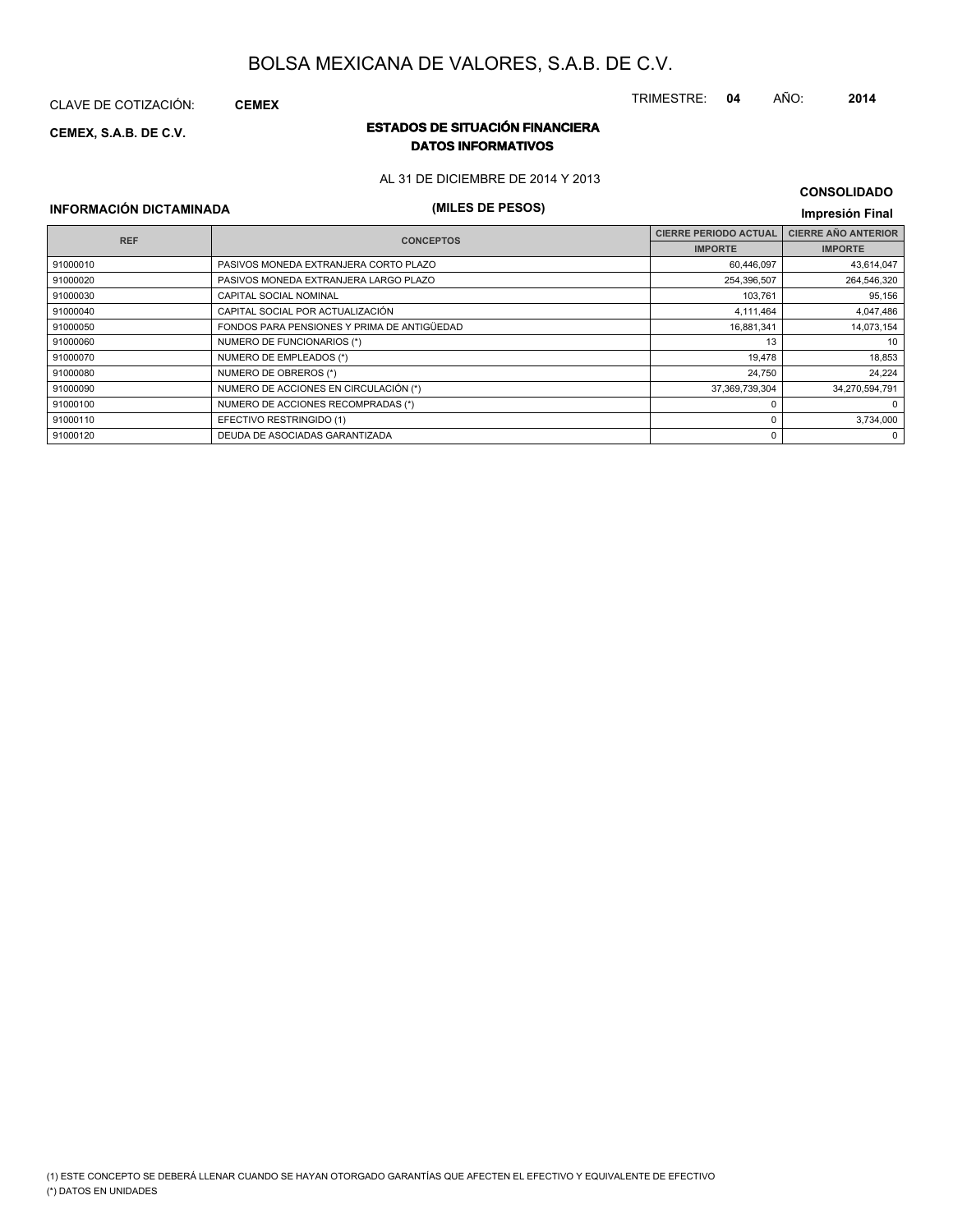CLAVE DE COTIZACIÓN: **CEMEX**

# TRIMESTRE: **04** AÑO: **2014**

# **ESTADOS DE SITUACIÓN FINANCIERA CEMEX, S.A.B. DE C.V. DATOS INFORMATIVOS**

### AL 31 DE DICIEMBRE DE 2014 Y 2013

# **INFORMACIÓN DICTAMINADA (MILES DE PESOS) Impresión Final**

# **CONSOLIDADO**

| <b>CIERRE AÑO ANTERIOR</b> |
|----------------------------|
|                            |
| <b>IMPORTE</b>             |
| 43,614,047                 |
| 264,546,320                |
| 95,156                     |
| 4,047,486                  |
| 14,073,154                 |
| 10                         |
| 18,853                     |
| 24,224                     |
| 34,270,594,791             |
| $\Omega$                   |
| 3,734,000                  |
| $\Omega$                   |
|                            |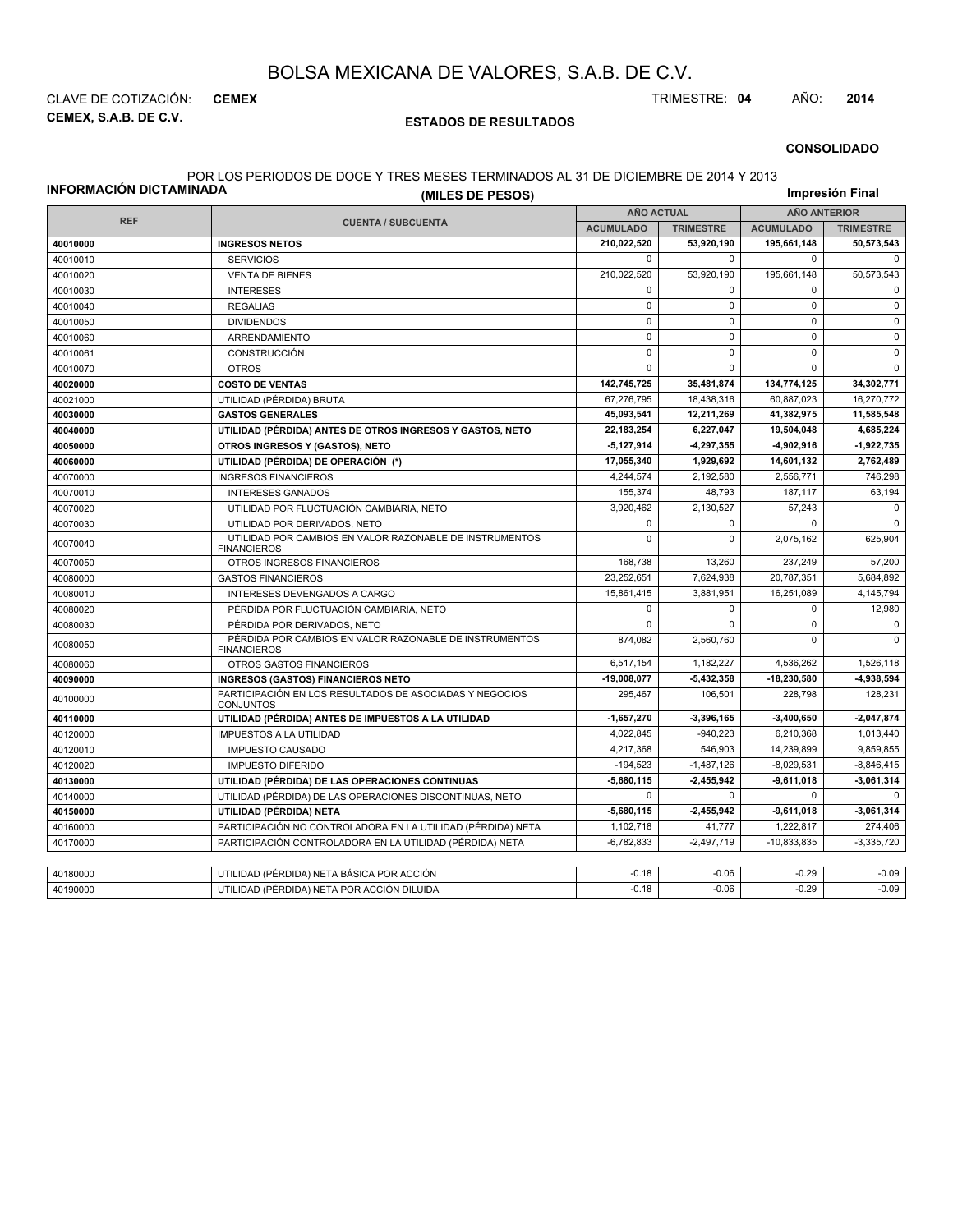**CEMEX, S.A.B. DE C.V.** CLAVE DE COTIZACIÓN: **CEMEX** TRIMESTRE: **04** AÑO: **2014**

### **ESTADOS DE RESULTADOS**

#### **CONSOLIDADO**

#### POR LOS PERIODOS DE DOCE Y TRES MESES TERMINADOS AL 31 DE DICIEMBRE DE 2014 Y 2013

|                                | . |
|--------------------------------|---|
| <b>INFORMACIÓN DICTAMINADA</b> |   |
|                                |   |
|                                |   |
|                                |   |

**(MILES DE PESOS)**

**Impresión Final**

|            | ושובבט טב דבטטטן                                                              |                   |                  |                     |                  |  |
|------------|-------------------------------------------------------------------------------|-------------------|------------------|---------------------|------------------|--|
|            |                                                                               | <b>AÑO ACTUAL</b> |                  | <b>AÑO ANTERIOR</b> |                  |  |
| <b>REF</b> | <b>CUENTA / SUBCUENTA</b>                                                     | <b>ACUMULADO</b>  | <b>TRIMESTRE</b> | <b>ACUMULADO</b>    | <b>TRIMESTRE</b> |  |
| 40010000   | <b>INGRESOS NETOS</b>                                                         | 210,022,520       | 53,920,190       | 195,661,148         | 50,573,543       |  |
| 40010010   | <b>SERVICIOS</b>                                                              | $\mathbf 0$       | $\mathbf 0$      | $\mathbf 0$         | $\mathbf 0$      |  |
| 40010020   | <b>VENTA DE BIENES</b>                                                        | 210,022,520       | 53,920,190       | 195,661,148         | 50,573,543       |  |
| 40010030   | <b>INTERESES</b>                                                              | $\mathbf 0$       | $\mathbf 0$      | $\Omega$            | $\mathbf 0$      |  |
| 40010040   | <b>REGALIAS</b>                                                               | $\mathbf 0$       | $\mathbf 0$      | $\mathbf 0$         | $\mathbf 0$      |  |
| 40010050   | <b>DIVIDENDOS</b>                                                             | $\pmb{0}$         | $\mathbf 0$      | 0                   | $\mathbf 0$      |  |
| 40010060   | ARRENDAMIENTO                                                                 | $\mathbf 0$       | $\mathbf 0$      | $\Omega$            | $\mathbf 0$      |  |
| 40010061   | <b>CONSTRUCCIÓN</b>                                                           | $\mathbf 0$       | $\mathbf 0$      | 0                   | $\mathbf 0$      |  |
| 40010070   | <b>OTROS</b>                                                                  | $\mathbf 0$       | $\mathbf 0$      | 0                   | $\Omega$         |  |
| 40020000   | <b>COSTO DE VENTAS</b>                                                        | 142,745,725       | 35,481,874       | 134,774,125         | 34,302,771       |  |
| 40021000   | UTILIDAD (PÉRDIDA) BRUTA                                                      | 67,276,795        | 18,438,316       | 60,887,023          | 16,270,772       |  |
| 40030000   | <b>GASTOS GENERALES</b>                                                       | 45,093,541        | 12,211,269       | 41,382,975          | 11,585,548       |  |
| 40040000   | UTILIDAD (PÉRDIDA) ANTES DE OTROS INGRESOS Y GASTOS, NETO                     | 22,183,254        | 6,227,047        | 19,504,048          | 4,685,224        |  |
| 40050000   | OTROS INGRESOS Y (GASTOS), NETO                                               | $-5,127,914$      | 4,297,355        | -4,902,916          | $-1,922,735$     |  |
| 40060000   | UTILIDAD (PÉRDIDA) DE OPERACIÓN (*)                                           | 17,055,340        | 1,929,692        | 14,601,132          | 2,762,489        |  |
| 40070000   | <b>INGRESOS FINANCIEROS</b>                                                   | 4,244,574         | 2,192,580        | 2,556,771           | 746,298          |  |
| 40070010   | <b>INTERESES GANADOS</b>                                                      | 155,374           | 48,793           | 187,117             | 63,194           |  |
| 40070020   | UTILIDAD POR FLUCTUACIÓN CAMBIARIA, NETO                                      | 3,920,462         | 2,130,527        | 57,243              | $\Omega$         |  |
| 40070030   | UTILIDAD POR DERIVADOS, NETO                                                  | $\mathbf 0$       | $\mathbf 0$      | $\Omega$            | $\Omega$         |  |
| 40070040   | UTILIDAD POR CAMBIOS EN VALOR RAZONABLE DE INSTRUMENTOS<br><b>FINANCIEROS</b> | $\mathbf 0$       | $\Omega$         | 2,075,162           | 625,904          |  |
| 40070050   | OTROS INGRESOS FINANCIEROS                                                    | 168,738           | 13,260           | 237,249             | 57,200           |  |
| 40080000   | <b>GASTOS FINANCIEROS</b>                                                     | 23,252,651        | 7,624,938        | 20,787,351          | 5,684,892        |  |
| 40080010   | INTERESES DEVENGADOS A CARGO                                                  | 15,861,415        | 3,881,951        | 16,251,089          | 4,145,794        |  |
| 40080020   | PÉRDIDA POR FLUCTUACIÓN CAMBIARIA, NETO                                       | $\mathbf 0$       | $\mathbf 0$      | $\mathbf 0$         | 12,980           |  |
| 40080030   | PÉRDIDA POR DERIVADOS, NETO                                                   | $\Omega$          | $\Omega$         | $\mathbf 0$         | $\mathbf 0$      |  |
| 40080050   | PÉRDIDA POR CAMBIOS EN VALOR RAZONABLE DE INSTRUMENTOS<br><b>FINANCIEROS</b>  | 874,082           | 2,560,760        | $\Omega$            | $\Omega$         |  |
| 40080060   | OTROS GASTOS FINANCIEROS                                                      | 6,517,154         | 1,182,227        | 4,536,262           | 1,526,118        |  |
| 40090000   | <b>INGRESOS (GASTOS) FINANCIEROS NETO</b>                                     | $-19,008,077$     | $-5,432,358$     | $-18,230,580$       | -4,938,594       |  |
| 40100000   | PARTICIPACIÓN EN LOS RESULTADOS DE ASOCIADAS Y NEGOCIOS<br><b>CONJUNTOS</b>   | 295,467           | 106,501          | 228,798             | 128,231          |  |
| 40110000   | UTILIDAD (PÉRDIDA) ANTES DE IMPUESTOS A LA UTILIDAD                           | $-1,657,270$      | -3,396,165       | $-3,400,650$        | 2,047,874        |  |
| 40120000   | <b>IMPUESTOS A LA UTILIDAD</b>                                                | 4,022,845         | $-940,223$       | 6,210,368           | 1,013,440        |  |
| 40120010   | <b>IMPUESTO CAUSADO</b>                                                       | 4,217,368         | 546,903          | 14,239,899          | 9,859,855        |  |
| 40120020   | <b>IMPUESTO DIFERIDO</b>                                                      | $-194,523$        | $-1,487,126$     | $-8,029,531$        | $-8,846,415$     |  |
| 40130000   | UTILIDAD (PÉRDIDA) DE LAS OPERACIONES CONTINUAS                               | $-5,680,115$      | $-2,455,942$     | 9,611,018           | -3,061,314       |  |
| 40140000   | UTILIDAD (PÉRDIDA) DE LAS OPERACIONES DISCONTINUAS, NETO                      | $\mathbf 0$       | 0                | $\mathbf 0$         | $\mathbf 0$      |  |
| 40150000   | UTILIDAD (PÉRDIDA) NETA                                                       | $-5,680,115$      | $-2,455,942$     | $-9,611,018$        | $-3,061,314$     |  |
| 40160000   | PARTICIPACIÓN NO CONTROLADORA EN LA UTILIDAD (PÉRDIDA) NETA                   | 1,102,718         | 41,777           | 1,222,817           | 274,406          |  |
| 40170000   | PARTICIPACIÓN CONTROLADORA EN LA UTILIDAD (PÉRDIDA) NETA                      | $-6,782,833$      | $-2,497,719$     | $-10,833,835$       | $-3,335,720$     |  |
|            |                                                                               |                   |                  |                     |                  |  |
| 40180000   | UTILIDAD (PÉRDIDA) NETA BÁSICA POR ACCIÓN                                     | $-0.18$           | $-0.06$          | $-0.29$             | $-0.09$          |  |
| 40190000   | UTILIDAD (PÉRDIDA) NETA POR ACCIÓN DILUIDA                                    | $-0.18$           | $-0.06$          | $-0.29$             | $-0.09$          |  |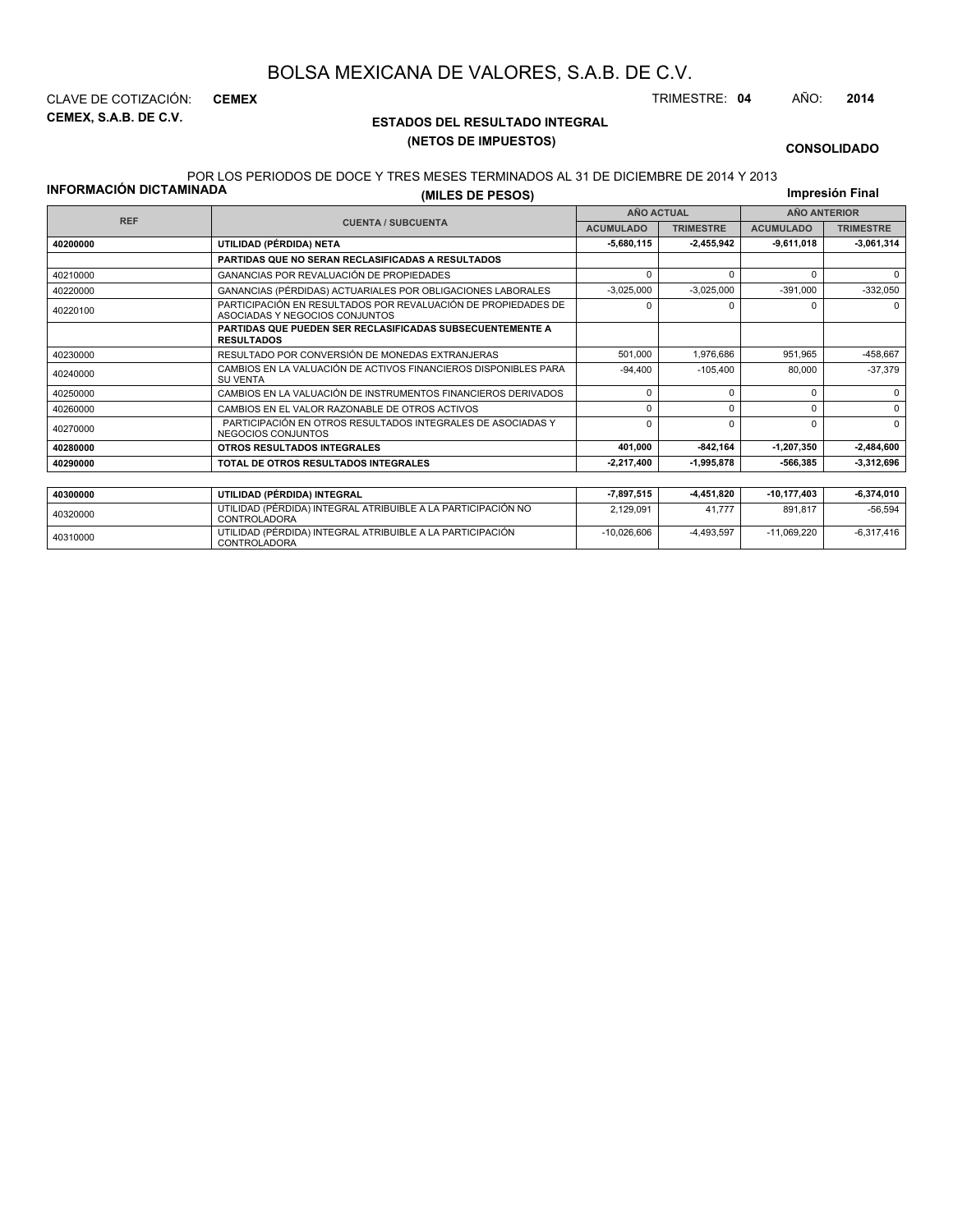**CEMEX, S.A.B. DE C.V.** CLAVE DE COTIZACIÓN: **CEMEX** TRIMESTRE: **04** AÑO: **2014**

### **ESTADOS DEL RESULTADO INTEGRAL (NETOS DE IMPUESTOS)**

### **CONSOLIDADO**

### POR LOS PERIODOS DE DOCE Y TRES MESES TERMINADOS AL 31 DE DICIEMBRE DE 2014 Y 2013 **(MILES DE PESOS)**

**INFORMACIÓN DICTAMINADA**

<sup>40310000</sup> UTILIDAD (PÉRDIDA) INTEGRAL ATRIBUIBLE A LA PARTICIPACIÓN CONTROLADORA

**Impresión Final**

 $-10,026,606$   $-4,493,597$   $-11,069,220$   $-6,317,416$ 

| <b>REF</b> |                                                                                                 |                  | <b>AÑO ACTUAL</b> | <b>AÑO ANTERIOR</b> |                  |  |
|------------|-------------------------------------------------------------------------------------------------|------------------|-------------------|---------------------|------------------|--|
|            | <b>CUENTA / SUBCUENTA</b>                                                                       | <b>ACUMULADO</b> | <b>TRIMESTRE</b>  | <b>ACUMULADO</b>    | <b>TRIMESTRE</b> |  |
| 40200000   | UTILIDAD (PÉRDIDA) NETA                                                                         | $-5,680,115$     | 2,455,942         | $-9,611,018$        | $-3,061,314$     |  |
|            | PARTIDAS QUE NO SERAN RECLASIFICADAS A RESULTADOS                                               |                  |                   |                     |                  |  |
| 40210000   | GANANCIAS POR REVALUACIÓN DE PROPIEDADES                                                        | $\Omega$         | $\Omega$          | 0                   | $\Omega$         |  |
| 40220000   | GANANCIAS (PÉRDIDAS) ACTUARIALES POR OBLIGACIONES LABORALES                                     | $-3,025,000$     | $-3,025,000$      | $-391,000$          | $-332,050$       |  |
| 40220100   | PARTICIPACIÓN EN RESULTADOS POR REVALUACIÓN DE PROPIEDADES DE<br>ASOCIADAS Y NEGOCIOS CONJUNTOS | 0                | 0                 |                     | $\Omega$         |  |
|            | <b>PARTIDAS QUE PUEDEN SER RECLASIFICADAS SUBSECUENTEMENTE A</b><br><b>RESULTADOS</b>           |                  |                   |                     |                  |  |
| 40230000   | RESULTADO POR CONVERSIÓN DE MONEDAS EXTRANJERAS                                                 | 501,000          | 1,976,686         | 951,965             | $-458,667$       |  |
| 40240000   | CAMBIOS EN LA VALUACIÓN DE ACTIVOS FINANCIEROS DISPONIBLES PARA<br><b>SU VENTA</b>              | $-94,400$        | $-105,400$        | 80,000              | $-37,379$        |  |
| 40250000   | CAMBIOS EN LA VALUACIÓN DE INSTRUMENTOS FINANCIEROS DERIVADOS                                   | $\Omega$         | $\Omega$          | $\Omega$            | 0                |  |
| 40260000   | CAMBIOS EN EL VALOR RAZONABLE DE OTROS ACTIVOS                                                  | $\Omega$         | $\Omega$          | O                   | $\mathbf 0$      |  |
| 40270000   | PARTICIPACIÓN EN OTROS RESULTADOS INTEGRALES DE ASOCIADAS Y<br>NEGOCIOS CONJUNTOS               | $\Omega$         | $\Omega$          | 0                   | $\Omega$         |  |
| 40280000   | OTROS RESULTADOS INTEGRALES                                                                     | 401,000          | $-842,164$        | -1,207,350          | $-2,484,600$     |  |
| 40290000   | TOTAL DE OTROS RESULTADOS INTEGRALES                                                            | $-2,217,400$     | 1,995,878         | -566,385            | $-3,312,696$     |  |
|            |                                                                                                 |                  |                   |                     |                  |  |
| 40300000   | UTILIDAD (PÉRDIDA) INTEGRAL                                                                     | $-7,897,515$     | -4,451,820        | $-10, 177, 403$     | $-6,374,010$     |  |
| 40320000   | UTILIDAD (PÉRDIDA) INTEGRAL ATRIBUIBLE A LA PARTICIPACIÓN NO<br><b>CONTROLADORA</b>             | 2,129,091        | 41.777            | 891,817             | $-56,594$        |  |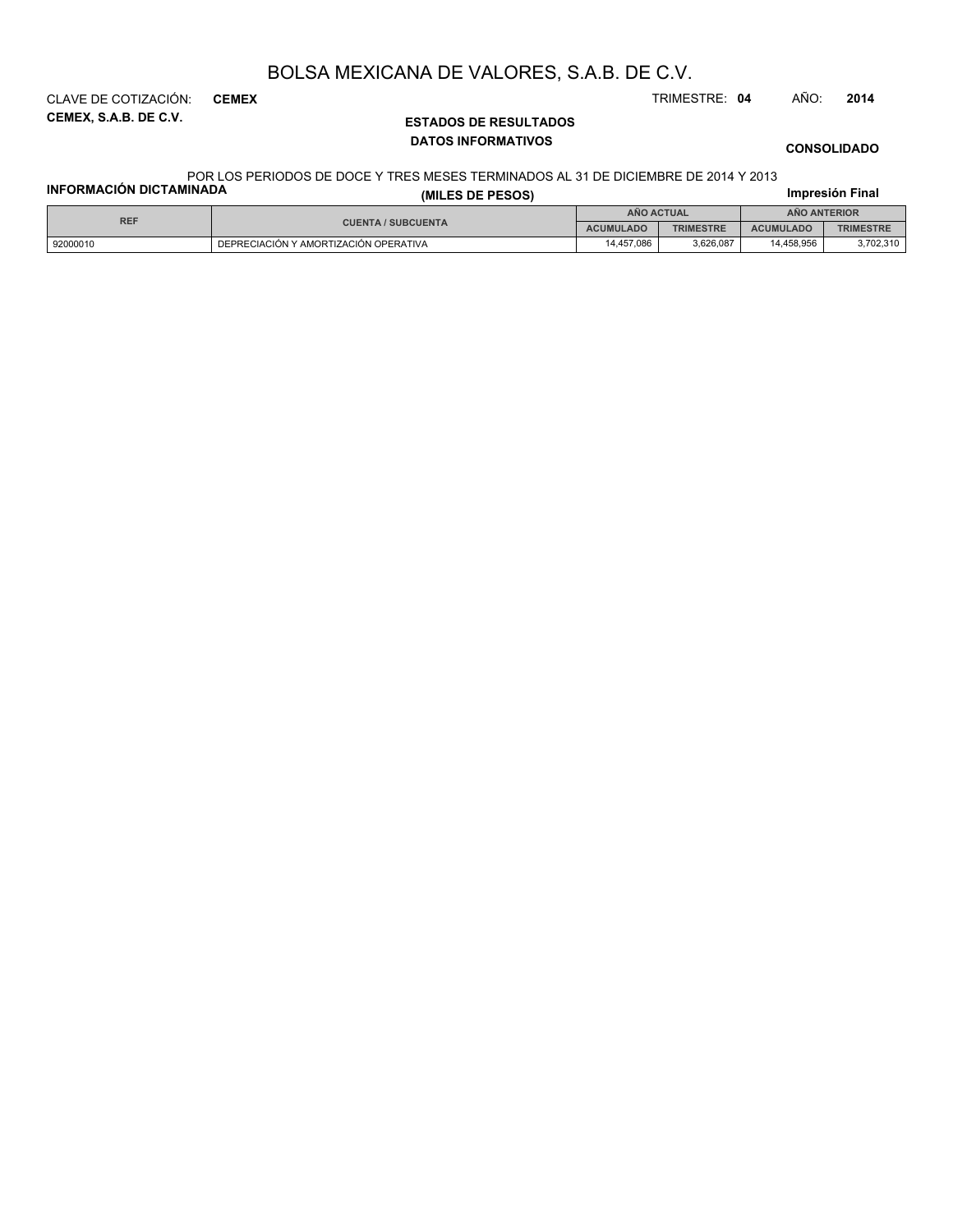**CEMEX, S.A.B. DE C.V.** CLAVE DE COTIZACIÓN: **CEMEX** TRIMESTRE: **04** AÑO: **2014**

# **ESTADOS DE RESULTADOS DATOS INFORMATIVOS**

# **CONSOLIDADO**

#### **INFORMACIÓN DICTAMINADA** POR LOS PERIODOS DE DOCE Y TRES MESES TERMINADOS AL 31 DE DICIEMBRE DE 2014 Y 2013

| <b>INFORMACIÓN DICTAMINADA</b> | (MILES DE PESOS)                      |                  |                  |                     | Impresión Final  |  |
|--------------------------------|---------------------------------------|------------------|------------------|---------------------|------------------|--|
| <b>REF</b>                     |                                       | ANO ACTUAL       |                  | <b>ANO ANTERIOR</b> |                  |  |
|                                | <b>CUENTA / SUBCUENTA</b>             | <b>ACUMULADO</b> | <b>TRIMESTRE</b> | <b>ACUMULADO</b>    | <b>TRIMESTRE</b> |  |
| 92000010                       | DEPRECIACIÓN Y AMORTIZACIÓN OPERATIVA | 14.457.086       | 3.626.087        | 14.458.956          | 3,702,310        |  |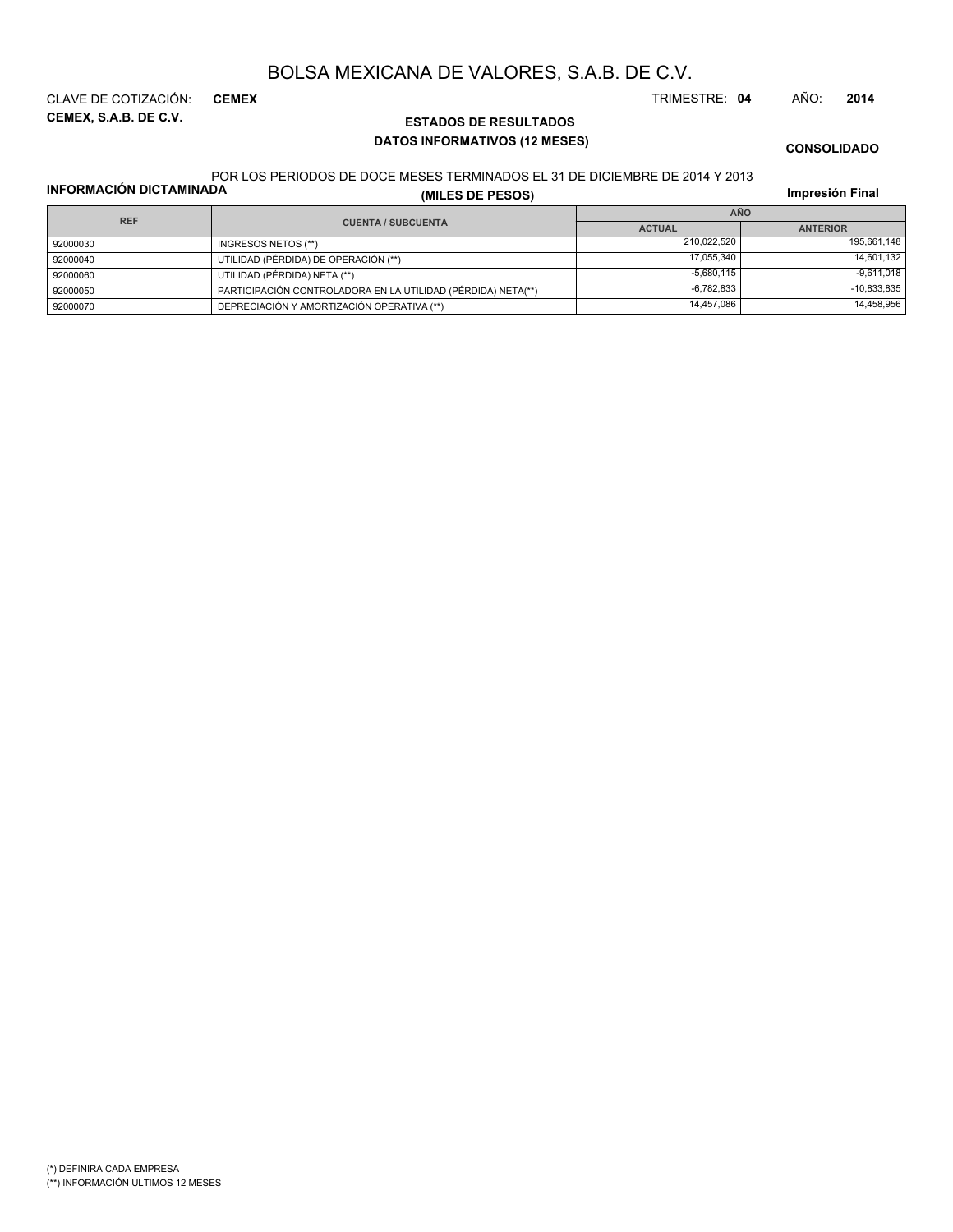**CEMEX, S.A.B. DE C.V.** CLAVE DE COTIZACIÓN: **CEMEX** TRIMESTRE: **04** AÑO: **2014**

# **ESTADOS DE RESULTADOS DATOS INFORMATIVOS (12 MESES)**

**CONSOLIDADO**

### POR LOS PERIODOS DE DOCE MESES TERMINADOS EL 31 DE DICIEMBRE DE 2014 Y 2013

**INFORMACIÓN DICTAMINADA**

**(MILES DE PESOS)**

**Impresión Final**

| <b>REF</b> |                                                              | <b>AÑO</b>    |                 |  |  |  |  |
|------------|--------------------------------------------------------------|---------------|-----------------|--|--|--|--|
|            | <b>CUENTA / SUBCUENTA</b>                                    | <b>ACTUAL</b> | <b>ANTERIOR</b> |  |  |  |  |
| 92000030   | INGRESOS NETOS (**)                                          | 210.022.520   | 195.661.148     |  |  |  |  |
| 92000040   | UTILIDAD (PÉRDIDA) DE OPERACIÓN (**)                         | 17.055.340    | 14.601.132      |  |  |  |  |
| 92000060   | UTILIDAD (PÉRDIDA) NETA (**)                                 | $-5.680.115$  | $-9,611,018$    |  |  |  |  |
| 92000050   | PARTICIPACIÓN CONTROLADORA EN LA UTILIDAD (PÉRDIDA) NETA(**) | $-6,782,833$  | $-10,833,835$   |  |  |  |  |
| 92000070   | DEPRECIACIÓN Y AMORTIZACIÓN OPERATIVA (**)                   | 14,457,086    | 14,458,956      |  |  |  |  |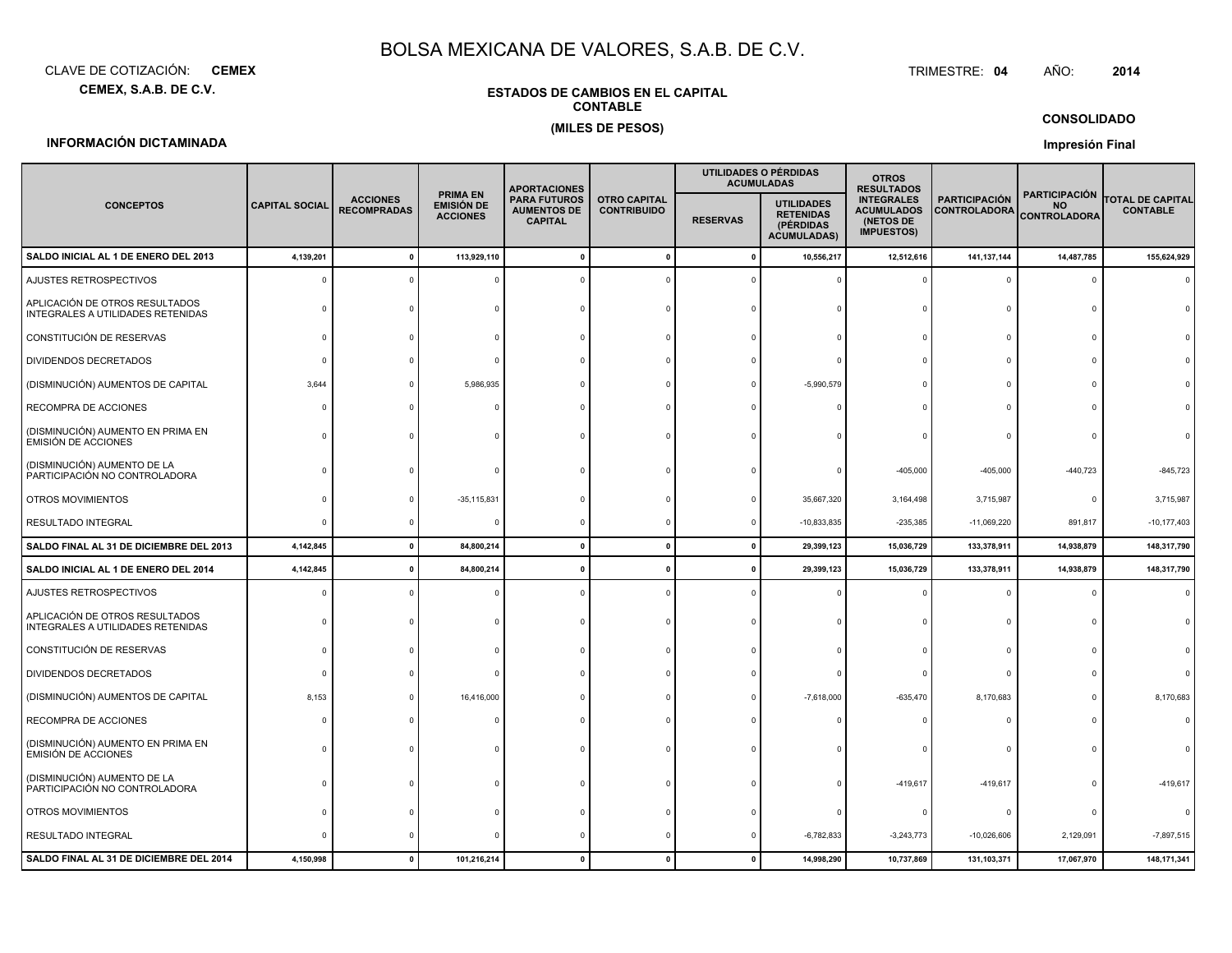**CEMEX, S.A.B. DE C.V.**CLAVE DE COTIZACIÓN:**CEMEX**: **CEMEX** TRIMESTRE:

### **ESTADOS DE CAMBIOS EN EL CAPITALCONTABLE(MILES DE PESOS)**

#### TRIMESTRE: 04 AÑO: **<sup>2014</sup>**

### **CONSOLIDADO**

#### **Impresión Final**

# **INFORMACIÓN DICTAMINADA**

|                                                                     |                       |                                       |                                                         | <b>APORTACIONES</b>                                         |                                           |                 | UTILIDADES O PÉRDIDAS<br><b>ACUMULADAS</b>                               | <b>OTROS</b><br><b>RESULTADOS</b>                                        |                                      |                                                          |                                            |
|---------------------------------------------------------------------|-----------------------|---------------------------------------|---------------------------------------------------------|-------------------------------------------------------------|-------------------------------------------|-----------------|--------------------------------------------------------------------------|--------------------------------------------------------------------------|--------------------------------------|----------------------------------------------------------|--------------------------------------------|
| <b>CONCEPTOS</b>                                                    | <b>CAPITAL SOCIAL</b> | <b>ACCIONES</b><br><b>RECOMPRADAS</b> | <b>PRIMA EN</b><br><b>EMISIÓN DE</b><br><b>ACCIONES</b> | <b>PARA FUTUROS</b><br><b>AUMENTOS DE</b><br><b>CAPITAL</b> | <b>OTRO CAPITAL</b><br><b>CONTRIBUIDO</b> | <b>RESERVAS</b> | <b>UTILIDADES</b><br><b>RETENIDAS</b><br>(PÉRDIDAS<br><b>ACUMULADAS)</b> | <b>INTEGRALES</b><br><b>ACUMULADOS</b><br>(NETOS DE<br><b>IMPUESTOS)</b> | <b>PARTICIPACIÓN</b><br>CONTROLADORA | <b>PARTICIPACIÓN</b><br><b>NO</b><br><b>CONTROLADORA</b> | <b>TOTAL DE CAPITAL</b><br><b>CONTABLE</b> |
| SALDO INICIAL AL 1 DE ENERO DEL 2013                                | 4,139,201             | $\mathbf{0}$                          | 113,929,110                                             |                                                             |                                           | $\mathbf{0}$    | 10,556,217                                                               | 12,512,616                                                               | 141, 137, 144                        | 14,487,785                                               | 155,624,929                                |
| AJUSTES RETROSPECTIVOS                                              |                       |                                       |                                                         |                                                             |                                           |                 |                                                                          |                                                                          |                                      |                                                          |                                            |
| APLICACIÓN DE OTROS RESULTADOS<br>INTEGRALES A UTILIDADES RETENIDAS |                       |                                       |                                                         |                                                             |                                           |                 |                                                                          |                                                                          |                                      |                                                          |                                            |
| CONSTITUCIÓN DE RESERVAS                                            |                       |                                       |                                                         |                                                             |                                           |                 |                                                                          |                                                                          |                                      |                                                          |                                            |
| DIVIDENDOS DECRETADOS                                               |                       |                                       |                                                         |                                                             |                                           |                 |                                                                          |                                                                          |                                      |                                                          |                                            |
| (DISMINUCIÓN) AUMENTOS DE CAPITAL                                   | 3,644                 |                                       | 5,986,935                                               |                                                             |                                           |                 | $-5,990,579$                                                             |                                                                          |                                      |                                                          |                                            |
| RECOMPRA DE ACCIONES                                                |                       |                                       |                                                         |                                                             |                                           |                 |                                                                          |                                                                          |                                      |                                                          |                                            |
| (DISMINUCIÓN) AUMENTO EN PRIMA EN<br>EMISIÓN DE ACCIONES            |                       |                                       |                                                         |                                                             |                                           |                 |                                                                          |                                                                          |                                      |                                                          |                                            |
| (DISMINUCIÓN) AUMENTO DE LA<br>PARTICIPACIÓN NO CONTROLADORA        |                       |                                       |                                                         |                                                             |                                           |                 |                                                                          | $-405,000$                                                               | $-405,000$                           | $-440,723$                                               | $-845,723$                                 |
| OTROS MOVIMIENTOS                                                   |                       |                                       | $-35,115,831$                                           |                                                             |                                           |                 | 35,667,320                                                               | 3,164,498                                                                | 3,715,987                            | $\mathbf 0$                                              | 3,715,987                                  |
| RESULTADO INTEGRAL                                                  | $\Omega$              |                                       | $\Omega$                                                |                                                             |                                           | $\Omega$        | $-10,833,835$                                                            | $-235,385$                                                               | $-11,069,220$                        | 891,817                                                  | $-10, 177, 403$                            |
| SALDO FINAL AL 31 DE DICIEMBRE DEL 2013                             | 4,142,845             | $\Omega$                              | 84,800,214                                              |                                                             |                                           | $\mathbf{0}$    | 29,399,123                                                               | 15,036,729                                                               | 133,378,911                          | 14,938,879                                               | 148,317,790                                |
| SALDO INICIAL AL 1 DE ENERO DEL 2014                                | 4,142,845             |                                       | 84,800,214                                              |                                                             |                                           |                 | 29,399,123                                                               | 15,036,729                                                               | 133,378,911                          | 14,938,879                                               | 148,317,790                                |
| AJUSTES RETROSPECTIVOS                                              |                       |                                       |                                                         |                                                             |                                           |                 |                                                                          |                                                                          |                                      |                                                          |                                            |
| APLICACIÓN DE OTROS RESULTADOS<br>INTEGRALES A UTILIDADES RETENIDAS |                       |                                       |                                                         |                                                             |                                           |                 |                                                                          |                                                                          |                                      |                                                          |                                            |
| CONSTITUCIÓN DE RESERVAS                                            |                       |                                       |                                                         |                                                             |                                           |                 |                                                                          |                                                                          |                                      |                                                          |                                            |
| DIVIDENDOS DECRETADOS                                               |                       |                                       |                                                         |                                                             |                                           |                 |                                                                          |                                                                          |                                      |                                                          |                                            |
| (DISMINUCIÓN) AUMENTOS DE CAPITAL                                   | 8,153                 |                                       | 16,416,000                                              |                                                             |                                           |                 | $-7,618,000$                                                             | $-635,470$                                                               | 8,170,683                            |                                                          | 8,170,683                                  |
| RECOMPRA DE ACCIONES                                                |                       |                                       |                                                         |                                                             |                                           |                 |                                                                          |                                                                          |                                      |                                                          |                                            |
| (DISMINUCIÓN) AUMENTO EN PRIMA EN<br>EMISIÓN DE ACCIONES            |                       |                                       |                                                         |                                                             |                                           |                 |                                                                          |                                                                          |                                      |                                                          |                                            |
| (DISMINUCIÓN) AUMENTO DE LA<br>PARTICIPACIÓN NO CONTROLADORA        |                       |                                       |                                                         |                                                             |                                           |                 |                                                                          | $-419,617$                                                               | $-419,617$                           |                                                          | $-419,617$                                 |
| OTROS MOVIMIENTOS                                                   |                       |                                       |                                                         |                                                             |                                           |                 |                                                                          |                                                                          |                                      |                                                          |                                            |
| RESULTADO INTEGRAL                                                  |                       |                                       |                                                         |                                                             |                                           |                 | $-6,782,833$                                                             | $-3,243,773$                                                             | $-10,026,606$                        | 2,129,091                                                | $-7,897,515$                               |
| SALDO FINAL AL 31 DE DICIEMBRE DEL 2014                             | 4,150,998             | $\pmb{0}$                             | 101,216,214                                             | $\mathbf{0}$                                                | $\mathbf{0}$                              | $\mathbf{0}$    | 14,998,290                                                               | 10,737,869                                                               | 131,103,371                          | 17,067,970                                               | 148, 171, 341                              |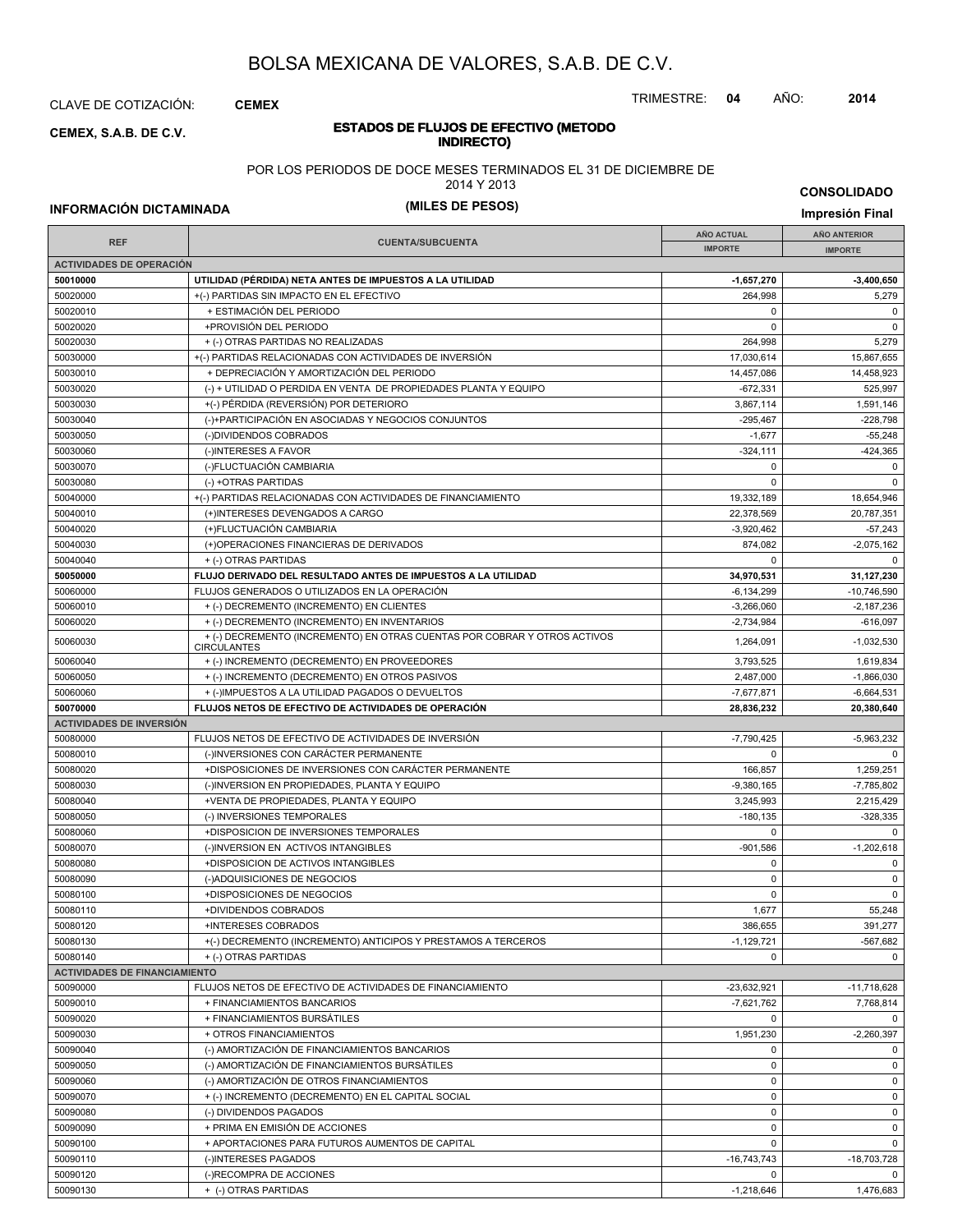CLAVE DE COTIZACIÓN: **CEMEX**

**INDIRECTO) CEMEX, S.A.B. DE C.V.**

# **ESTADOS DE FLUJOS DE EFECTIVO (METODO**

POR LOS PERIODOS DE DOCE MESES TERMINADOS EL 31 DE DICIEMBRE DE

2014 Y 2013

**INFORMACIÓN DICTAMINADA (MILES DE PESOS) Impresión Final**

**CONSOLIDADO**

| <b>REF</b>                           | <b>CUENTA/SUBCUENTA</b>                                                             | <b>AÑO ACTUAL</b>            | <b>AÑO ANTERIOR</b>         |
|--------------------------------------|-------------------------------------------------------------------------------------|------------------------------|-----------------------------|
|                                      |                                                                                     | <b>IMPORTE</b>               | <b>IMPORTE</b>              |
| <b>ACTIVIDADES DE OPERACIÓN</b>      |                                                                                     |                              |                             |
| 50010000                             | UTILIDAD (PÉRDIDA) NETA ANTES DE IMPUESTOS A LA UTILIDAD                            | $-1,657,270$                 | $-3,400,650$                |
| 50020000<br>50020010                 | +(-) PARTIDAS SIN IMPACTO EN EL EFECTIVO<br>+ ESTIMACIÓN DEL PERIODO                | 264,998<br>$\mathbf 0$       | 5,279<br>$\mathbf 0$        |
|                                      |                                                                                     |                              | $\mathbf 0$                 |
| 50020020                             | +PROVISIÓN DEL PERIODO<br>+ (-) OTRAS PARTIDAS NO REALIZADAS                        | 0                            |                             |
| 50020030<br>50030000                 | +(-) PARTIDAS RELACIONADAS CON ACTIVIDADES DE INVERSIÓN                             | 264,998<br>17,030,614        | 5,279<br>15,867,655         |
| 50030010                             | + DEPRECIACIÓN Y AMORTIZACIÓN DEL PERIODO                                           |                              | 14,458,923                  |
| 50030020                             | (-) + UTILIDAD O PERDIDA EN VENTA DE PROPIEDADES PLANTA Y EQUIPO                    | 14,457,086<br>$-672,331$     | 525,997                     |
| 50030030                             | +(-) PÉRDIDA (REVERSIÓN) POR DETERIORO                                              | 3.867.114                    | 1,591,146                   |
| 50030040                             | (-)+PARTICIPACIÓN EN ASOCIADAS Y NEGOCIOS CONJUNTOS                                 | $-295,467$                   | $-228.798$                  |
| 50030050                             | (-)DIVIDENDOS COBRADOS                                                              | $-1,677$                     | $-55,248$                   |
| 50030060                             | (-)INTERESES A FAVOR                                                                | $-324,111$                   | $-424,365$                  |
| 50030070                             | (-)FLUCTUACIÓN CAMBIARIA                                                            | 0                            | 0                           |
|                                      |                                                                                     | $\mathbf 0$                  | $\Omega$                    |
| 50030080<br>50040000                 | (-) +OTRAS PARTIDAS<br>+(-) PARTIDAS RELACIONADAS CON ACTIVIDADES DE FINANCIAMIENTO | 19,332,189                   | 18,654,946                  |
| 50040010                             |                                                                                     | 22,378,569                   | 20,787,351                  |
| 50040020                             | (+)INTERESES DEVENGADOS A CARGO                                                     |                              |                             |
| 50040030                             | (+)FLUCTUACIÓN CAMBIARIA<br>(+)OPERACIONES FINANCIERAS DE DERIVADOS                 | $-3,920,462$<br>874,082      | $-57,243$<br>$-2,075,162$   |
| 50040040                             | + (-) OTRAS PARTIDAS                                                                | $\Omega$                     | $\Omega$                    |
| 50050000                             | FLUJO DERIVADO DEL RESULTADO ANTES DE IMPUESTOS A LA UTILIDAD                       |                              |                             |
| 50060000                             | FLUJOS GENERADOS O UTILIZADOS EN LA OPERACIÓN                                       | 34,970,531<br>$-6, 134, 299$ | 31,127,230<br>$-10,746,590$ |
| 50060010                             | + (-) DECREMENTO (INCREMENTO) EN CLIENTES                                           |                              | $-2,187,236$                |
| 50060020                             | + (-) DECREMENTO (INCREMENTO) EN INVENTARIOS                                        | $-3,266,060$<br>$-2,734,984$ | $-616,097$                  |
|                                      | + (-) DECREMENTO (INCREMENTO) EN OTRAS CUENTAS POR COBRAR Y OTROS ACTIVOS           |                              |                             |
| 50060030                             | <b>CIRCULANTES</b>                                                                  | 1,264,091                    | $-1,032,530$                |
| 50060040                             | + (-) INCREMENTO (DECREMENTO) EN PROVEEDORES                                        | 3,793,525                    | 1,619,834                   |
| 50060050                             | + (-) INCREMENTO (DECREMENTO) EN OTROS PASIVOS                                      | 2,487,000                    | $-1,866,030$                |
| 50060060                             | + (-)IMPUESTOS A LA UTILIDAD PAGADOS O DEVUELTOS                                    | $-7,677,871$                 | $-6,664,531$                |
| 50070000                             | FLUJOS NETOS DE EFECTIVO DE ACTIVIDADES DE OPERACIÓN                                | 28,836,232                   | 20,380,640                  |
| <b>ACTIVIDADES DE INVERSIÓN</b>      |                                                                                     |                              |                             |
| 50080000                             | FLUJOS NETOS DE EFECTIVO DE ACTIVIDADES DE INVERSIÓN                                | $-7,790,425$                 | $-5,963,232$                |
| 50080010                             | (-)INVERSIONES CON CARÁCTER PERMANENTE                                              | $\Omega$                     | $\Omega$                    |
| 50080020                             | +DISPOSICIONES DE INVERSIONES CON CARÁCTER PERMANENTE                               | 166,857                      | 1,259,251                   |
| 50080030                             | (-)INVERSION EN PROPIEDADES, PLANTA Y EQUIPO                                        | $-9,380,165$                 | $-7,785,802$                |
| 50080040                             | +VENTA DE PROPIEDADES, PLANTA Y EQUIPO                                              | 3,245,993                    | 2,215,429                   |
| 50080050                             | (-) INVERSIONES TEMPORALES                                                          | $-180, 135$                  | $-328,335$                  |
| 50080060                             | +DISPOSICION DE INVERSIONES TEMPORALES                                              | $\mathbf 0$                  | $\mathbf 0$                 |
| 50080070                             | (-)INVERSION EN ACTIVOS INTANGIBLES                                                 | $-901,586$                   | $-1,202,618$                |
| 50080080                             | +DISPOSICION DE ACTIVOS INTANGIBLES                                                 | $\mathbf 0$                  | $\mathbf 0$                 |
| 50080090                             | (-)ADQUISICIONES DE NEGOCIOS                                                        | $\mathbf 0$                  | $\mathbf 0$                 |
| 50080100                             | +DISPOSICIONES DE NEGOCIOS                                                          | $\mathbf 0$                  | $\mathbf 0$                 |
| 50080110                             | +DIVIDENDOS COBRADOS                                                                | 1,677                        | 55,248                      |
| 50080120                             | +INTERESES COBRADOS                                                                 | 386,655                      | 391,277                     |
| 50080130                             | +(-) DECREMENTO (INCREMENTO) ANTICIPOS Y PRESTAMOS A TERCEROS                       | $-1,129,721$                 | $-567,682$                  |
| 50080140                             | + (-) OTRAS PARTIDAS                                                                | $\Omega$                     | $\Omega$                    |
| <b>ACTIVIDADES DE FINANCIAMIENTO</b> |                                                                                     |                              |                             |
| 50090000                             | FLUJOS NETOS DE EFECTIVO DE ACTIVIDADES DE FINANCIAMIENTO                           | $-23,632,921$                | $-11,718,628$               |
| 50090010                             | + FINANCIAMIENTOS BANCARIOS                                                         | $-7,621,762$                 | 7,768,814                   |
| 50090020                             | + FINANCIAMIENTOS BURSÁTILES                                                        | $\mathbf 0$                  | $\Omega$                    |
| 50090030                             | + OTROS FINANCIAMIENTOS                                                             | 1,951,230                    | $-2,260,397$                |
| 50090040                             | (-) AMORTIZACIÓN DE FINANCIAMIENTOS BANCARIOS                                       | $\mathbf 0$                  | $\mathbf 0$                 |
| 50090050                             | (-) AMORTIZACIÓN DE FINANCIAMIENTOS BURSÁTILES                                      | $\mathbf 0$                  | $\mathbf 0$                 |
| 50090060                             | (-) AMORTIZACIÓN DE OTROS FINANCIAMIENTOS                                           | $\mathbf 0$                  | $\mathbf 0$                 |
| 50090070                             | + (-) INCREMENTO (DECREMENTO) EN EL CAPITAL SOCIAL                                  | $\mathbf 0$                  | $\mathbf 0$                 |
| 50090080                             | (-) DIVIDENDOS PAGADOS                                                              | 0                            | $\mathbf 0$                 |
| 50090090                             | + PRIMA EN EMISIÓN DE ACCIONES                                                      | $\mathbf 0$                  | $\mathbf 0$                 |
| 50090100                             | + APORTACIONES PARA FUTUROS AUMENTOS DE CAPITAL                                     | $\mathbf 0$                  | $\mathbf 0$                 |
| 50090110                             | (-)INTERESES PAGADOS                                                                | $-16,743,743$                | $-18,703,728$               |
| 50090120                             | (-)RECOMPRA DE ACCIONES                                                             | 0                            | $\Omega$                    |
| 50090130                             | + (-) OTRAS PARTIDAS                                                                | $-1,218,646$                 | 1,476,683                   |

TRIMESTRE: **04** AÑO: **2014**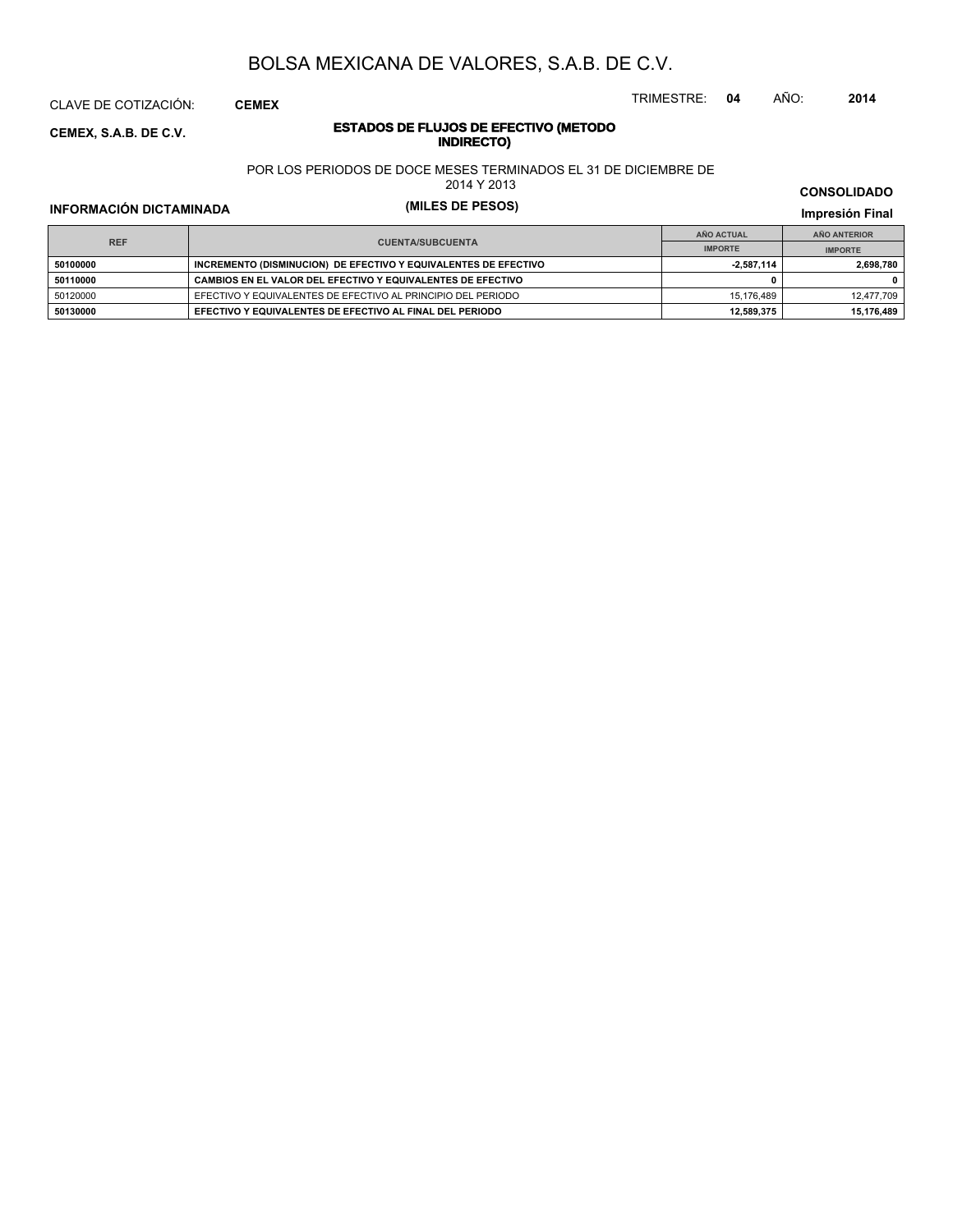CLAVE DE COTIZACIÓN: **CEMEX**

**INDIRECTO) CEMEX, S.A.B. DE C.V.**

# **ESTADOS DE FLUJOS DE EFECTIVO (METODO**

POR LOS PERIODOS DE DOCE MESES TERMINADOS EL 31 DE DICIEMBRE DE

2014 Y 2013

**INFORMACIÓN DICTAMINADA (MILES DE PESOS) Impresión Final**

**IMPRESIÓN FINAL EN EN ENCLORED EN EL ENCLORED EN EL ENCLORED EN EL ENCLORED EN EL ENCLORED EN EL ENCLORED EN EL ENCLORED EN EL ENCLORED EN EL ENCLORED EN EL ENCLORED EN EL ENCLORED EN EL ENCLORED EN EL ENCLORED EN EL ENCL AÑO ACTUAL IMPORTE IMPORTE REF AÑO ANTERIOR IMPORTE INCREMENTO (DISMINUCION) DE EFECTIVO Y EQUIVALENTES DE EFECTIVO 1999 12,587,114** 2,698,780 **50110000 CAMBIOS EN EL VALOR DEL EFECTIVO Y EQUIVALENTES DE EFECTIVO 0 0** 50120000 EFECTIVO Y EQUIVALENTES DE EFECTIVO AL PRINCIPIO DEL PERIODO 16 15,176,489 15,176,489 12,477,709 12,477,709 **50130000 EFECTIVO Y EQUIVALENTES DE EFECTIVO AL FINAL DEL PERIODO 12,589,375 15,176,489**

# **CONSOLIDADO**

TRIMESTRE: **04** AÑO: **2014**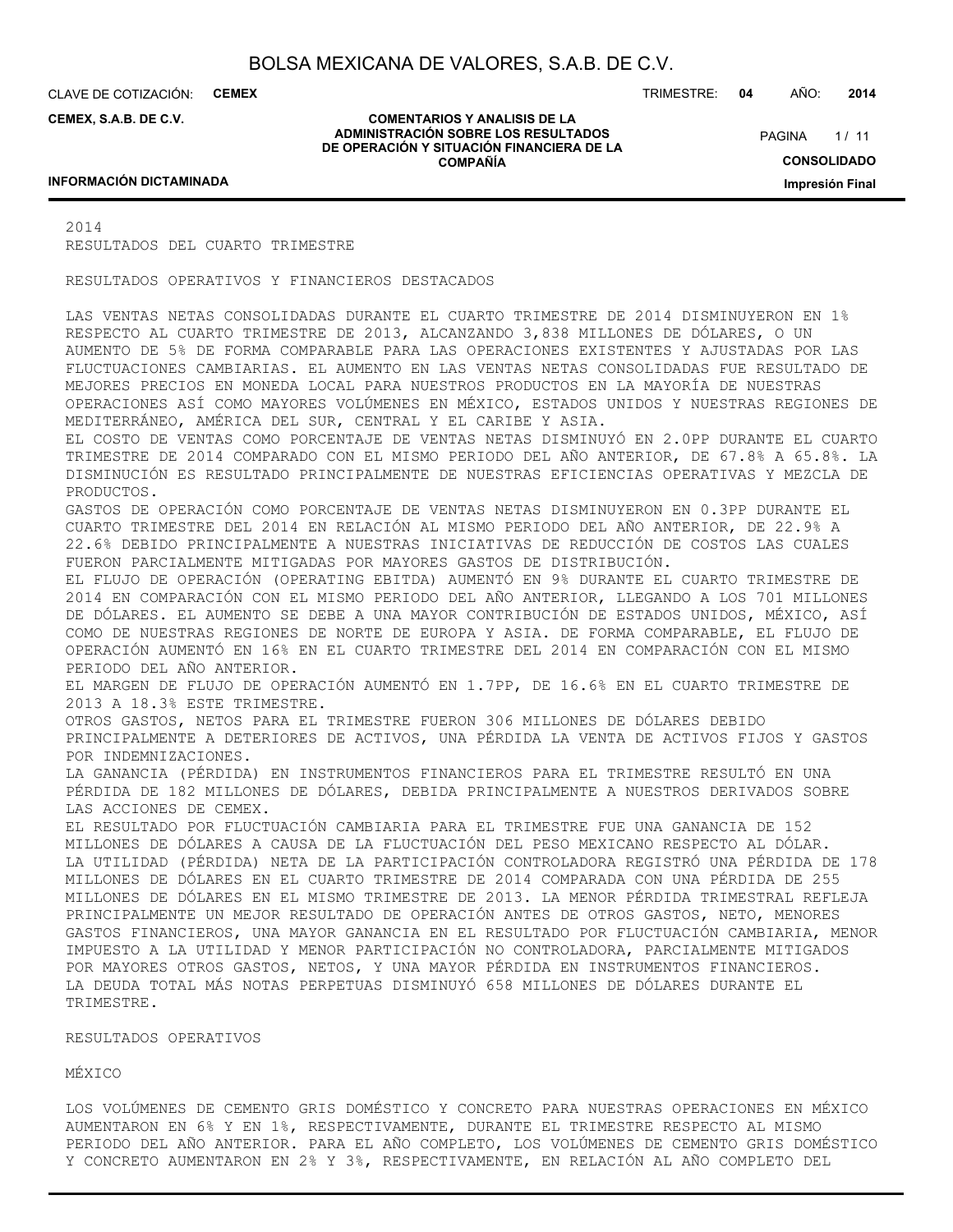**COMENTARIOS Y ANALISIS DE LA ADMINISTRACIÓN SOBRE LOS RESULTADOS DE OPERACIÓN Y SITUACIÓN FINANCIERA DE LA COMPAÑÍA**

CLAVE DE COTIZACIÓN: **CEMEX**

**CEMEX, S.A.B. DE C.V.**

TRIMESTRE: **04** AÑO: **2014**

 $1/11$ **CONSOLIDADO PAGINA** 

## **Impresión Final**

**INFORMACIÓN DICTAMINADA**

2014 RESULTADOS DEL CUARTO TRIMESTRE

RESULTADOS OPERATIVOS Y FINANCIEROS DESTACADOS

LAS VENTAS NETAS CONSOLIDADAS DURANTE EL CUARTO TRIMESTRE DE 2014 DISMINUYERON EN 1% RESPECTO AL CUARTO TRIMESTRE DE 2013, ALCANZANDO 3,838 MILLONES DE DÓLARES, O UN AUMENTO DE 5% DE FORMA COMPARABLE PARA LAS OPERACIONES EXISTENTES Y AJUSTADAS POR LAS FLUCTUACIONES CAMBIARIAS. EL AUMENTO EN LAS VENTAS NETAS CONSOLIDADAS FUE RESULTADO DE MEJORES PRECIOS EN MONEDA LOCAL PARA NUESTROS PRODUCTOS EN LA MAYORÍA DE NUESTRAS OPERACIONES ASÍ COMO MAYORES VOLÚMENES EN MÉXICO, ESTADOS UNIDOS Y NUESTRAS REGIONES DE MEDITERRÁNEO, AMÉRICA DEL SUR, CENTRAL Y EL CARIBE Y ASIA.

EL COSTO DE VENTAS COMO PORCENTAJE DE VENTAS NETAS DISMINUYÓ EN 2.0PP DURANTE EL CUARTO TRIMESTRE DE 2014 COMPARADO CON EL MISMO PERIODO DEL AÑO ANTERIOR, DE 67.8% A 65.8%. LA DISMINUCIÓN ES RESULTADO PRINCIPALMENTE DE NUESTRAS EFICIENCIAS OPERATIVAS Y MEZCLA DE PRODUCTOS.

GASTOS DE OPERACIÓN COMO PORCENTAJE DE VENTAS NETAS DISMINUYERON EN 0.3PP DURANTE EL CUARTO TRIMESTRE DEL 2014 EN RELACIÓN AL MISMO PERIODO DEL AÑO ANTERIOR, DE 22.9% A 22.6% DEBIDO PRINCIPALMENTE A NUESTRAS INICIATIVAS DE REDUCCIÓN DE COSTOS LAS CUALES FUERON PARCIALMENTE MITIGADAS POR MAYORES GASTOS DE DISTRIBUCIÓN.

EL FLUJO DE OPERACIÓN (OPERATING EBITDA) AUMENTÓ EN 9% DURANTE EL CUARTO TRIMESTRE DE 2014 EN COMPARACIÓN CON EL MISMO PERIODO DEL AÑO ANTERIOR, LLEGANDO A LOS 701 MILLONES DE DÓLARES. EL AUMENTO SE DEBE A UNA MAYOR CONTRIBUCIÓN DE ESTADOS UNIDOS, MÉXICO, ASÍ COMO DE NUESTRAS REGIONES DE NORTE DE EUROPA Y ASIA. DE FORMA COMPARABLE, EL FLUJO DE OPERACIÓN AUMENTÓ EN 16% EN EL CUARTO TRIMESTRE DEL 2014 EN COMPARACIÓN CON EL MISMO PERIODO DEL AÑO ANTERIOR.

EL MARGEN DE FLUJO DE OPERACIÓN AUMENTÓ EN 1.7PP, DE 16.6% EN EL CUARTO TRIMESTRE DE 2013 A 18.3% ESTE TRIMESTRE.

OTROS GASTOS, NETOS PARA EL TRIMESTRE FUERON 306 MILLONES DE DÓLARES DEBIDO PRINCIPALMENTE A DETERIORES DE ACTIVOS, UNA PÉRDIDA LA VENTA DE ACTIVOS FIJOS Y GASTOS POR INDEMNIZACIONES.

LA GANANCIA (PÉRDIDA) EN INSTRUMENTOS FINANCIEROS PARA EL TRIMESTRE RESULTÓ EN UNA PÉRDIDA DE 182 MILLONES DE DÓLARES, DEBIDA PRINCIPALMENTE A NUESTROS DERIVADOS SOBRE LAS ACCIONES DE CEMEX.

EL RESULTADO POR FLUCTUACIÓN CAMBIARIA PARA EL TRIMESTRE FUE UNA GANANCIA DE 152 MILLONES DE DÓLARES A CAUSA DE LA FLUCTUACIÓN DEL PESO MEXICANO RESPECTO AL DÓLAR. LA UTILIDAD (PÉRDIDA) NETA DE LA PARTICIPACIÓN CONTROLADORA REGISTRÓ UNA PÉRDIDA DE 178 MILLONES DE DÓLARES EN EL CUARTO TRIMESTRE DE 2014 COMPARADA CON UNA PÉRDIDA DE 255 MILLONES DE DÓLARES EN EL MISMO TRIMESTRE DE 2013. LA MENOR PÉRDIDA TRIMESTRAL REFLEJA PRINCIPALMENTE UN MEJOR RESULTADO DE OPERACIÓN ANTES DE OTROS GASTOS, NETO, MENORES GASTOS FINANCIEROS, UNA MAYOR GANANCIA EN EL RESULTADO POR FLUCTUACIÓN CAMBIARIA, MENOR IMPUESTO A LA UTILIDAD Y MENOR PARTICIPACIÓN NO CONTROLADORA, PARCIALMENTE MITIGADOS POR MAYORES OTROS GASTOS, NETOS, Y UNA MAYOR PÉRDIDA EN INSTRUMENTOS FINANCIEROS. LA DEUDA TOTAL MÁS NOTAS PERPETUAS DISMINUYÓ 658 MILLONES DE DÓLARES DURANTE EL TRIMESTRE.

#### RESULTADOS OPERATIVOS

MÉXICO

LOS VOLÚMENES DE CEMENTO GRIS DOMÉSTICO Y CONCRETO PARA NUESTRAS OPERACIONES EN MÉXICO AUMENTARON EN 6% Y EN 1%, RESPECTIVAMENTE, DURANTE EL TRIMESTRE RESPECTO AL MISMO PERIODO DEL AÑO ANTERIOR. PARA EL AÑO COMPLETO, LOS VOLÚMENES DE CEMENTO GRIS DOMÉSTICO Y CONCRETO AUMENTARON EN 2% Y 3%, RESPECTIVAMENTE, EN RELACIÓN AL AÑO COMPLETO DEL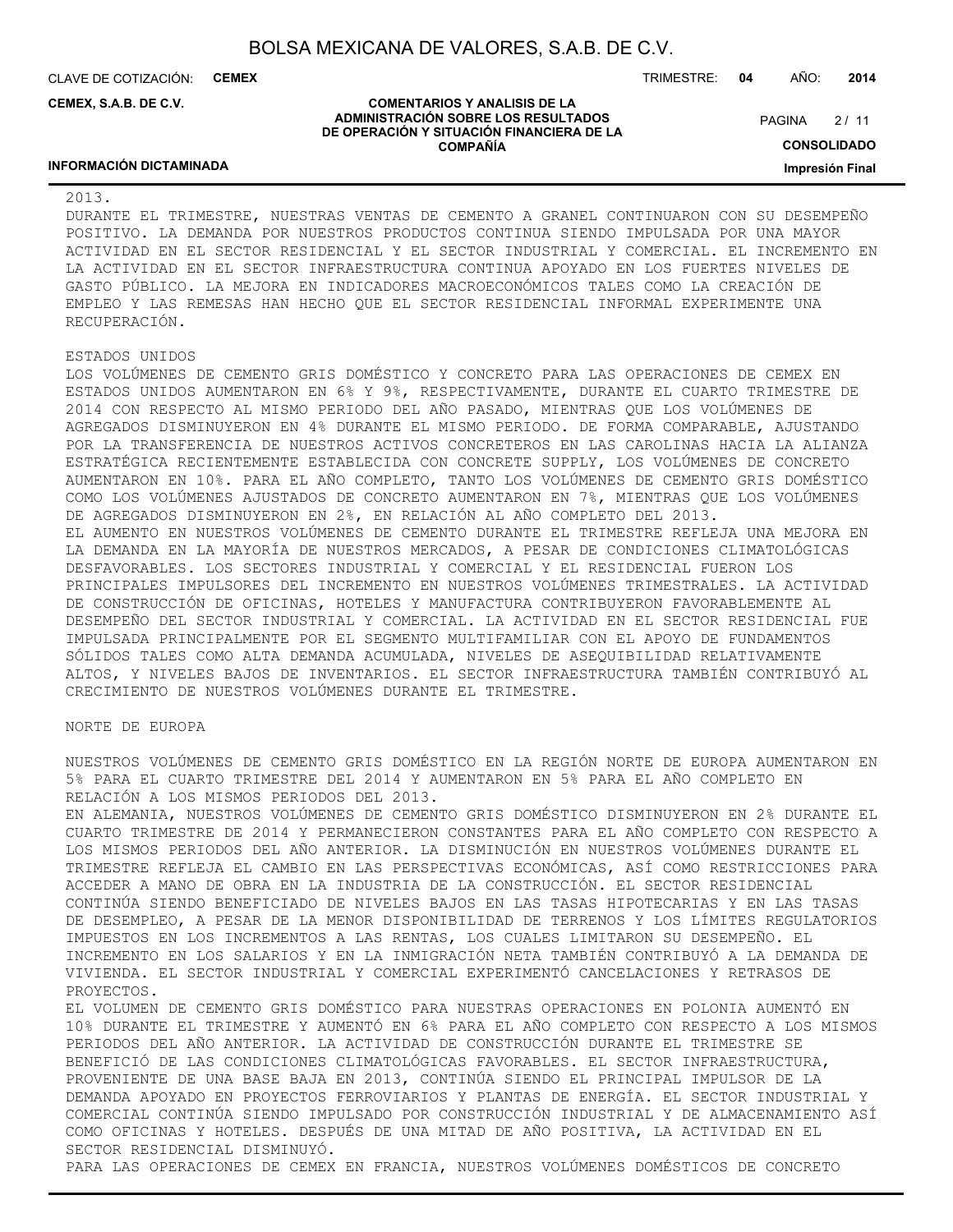CLAVE DE COTIZACIÓN: **CEMEX**

**CEMEX, S.A.B. DE C.V.**

TRIMESTRE: **04** AÑO: **2014**

#### **COMENTARIOS Y ANALISIS DE LA ADMINISTRACIÓN SOBRE LOS RESULTADOS DE OPERACIÓN Y SITUACIÓN FINANCIERA DE LA COMPAÑÍA**

 $2/11$ **PAGINA** 

**CONSOLIDADO**

**Impresión Final**

### **INFORMACIÓN DICTAMINADA**

2013.

DURANTE EL TRIMESTRE, NUESTRAS VENTAS DE CEMENTO A GRANEL CONTINUARON CON SU DESEMPEÑO POSITIVO. LA DEMANDA POR NUESTROS PRODUCTOS CONTINUA SIENDO IMPULSADA POR UNA MAYOR ACTIVIDAD EN EL SECTOR RESIDENCIAL Y EL SECTOR INDUSTRIAL Y COMERCIAL. EL INCREMENTO EN LA ACTIVIDAD EN EL SECTOR INFRAESTRUCTURA CONTINUA APOYADO EN LOS FUERTES NIVELES DE GASTO PÚBLICO. LA MEJORA EN INDICADORES MACROECONÓMICOS TALES COMO LA CREACIÓN DE EMPLEO Y LAS REMESAS HAN HECHO QUE EL SECTOR RESIDENCIAL INFORMAL EXPERIMENTE UNA RECUPERACIÓN.

#### ESTADOS UNIDOS

LOS VOLÚMENES DE CEMENTO GRIS DOMÉSTICO Y CONCRETO PARA LAS OPERACIONES DE CEMEX EN ESTADOS UNIDOS AUMENTARON EN 6% Y 9%, RESPECTIVAMENTE, DURANTE EL CUARTO TRIMESTRE DE 2014 CON RESPECTO AL MISMO PERIODO DEL AÑO PASADO, MIENTRAS QUE LOS VOLÚMENES DE AGREGADOS DISMINUYERON EN 4% DURANTE EL MISMO PERIODO. DE FORMA COMPARABLE, AJUSTANDO POR LA TRANSFERENCIA DE NUESTROS ACTIVOS CONCRETEROS EN LAS CAROLINAS HACIA LA ALIANZA ESTRATÉGICA RECIENTEMENTE ESTABLECIDA CON CONCRETE SUPPLY, LOS VOLÚMENES DE CONCRETO AUMENTARON EN 10%. PARA EL AÑO COMPLETO, TANTO LOS VOLÚMENES DE CEMENTO GRIS DOMÉSTICO COMO LOS VOLÚMENES AJUSTADOS DE CONCRETO AUMENTARON EN 7%, MIENTRAS QUE LOS VOLÚMENES DE AGREGADOS DISMINUYERON EN 2%, EN RELACIÓN AL AÑO COMPLETO DEL 2013. EL AUMENTO EN NUESTROS VOLÚMENES DE CEMENTO DURANTE EL TRIMESTRE REFLEJA UNA MEJORA EN LA DEMANDA EN LA MAYORÍA DE NUESTROS MERCADOS, A PESAR DE CONDICIONES CLIMATOLÓGICAS DESFAVORABLES. LOS SECTORES INDUSTRIAL Y COMERCIAL Y EL RESIDENCIAL FUERON LOS PRINCIPALES IMPULSORES DEL INCREMENTO EN NUESTROS VOLÚMENES TRIMESTRALES. LA ACTIVIDAD DE CONSTRUCCIÓN DE OFICINAS, HOTELES Y MANUFACTURA CONTRIBUYERON FAVORABLEMENTE AL DESEMPEÑO DEL SECTOR INDUSTRIAL Y COMERCIAL. LA ACTIVIDAD EN EL SECTOR RESIDENCIAL FUE IMPULSADA PRINCIPALMENTE POR EL SEGMENTO MULTIFAMILIAR CON EL APOYO DE FUNDAMENTOS SÓLIDOS TALES COMO ALTA DEMANDA ACUMULADA, NIVELES DE ASEQUIBILIDAD RELATIVAMENTE ALTOS, Y NIVELES BAJOS DE INVENTARIOS. EL SECTOR INFRAESTRUCTURA TAMBIÉN CONTRIBUYÓ AL CRECIMIENTO DE NUESTROS VOLÚMENES DURANTE EL TRIMESTRE.

### NORTE DE EUROPA

NUESTROS VOLÚMENES DE CEMENTO GRIS DOMÉSTICO EN LA REGIÓN NORTE DE EUROPA AUMENTARON EN 5% PARA EL CUARTO TRIMESTRE DEL 2014 Y AUMENTARON EN 5% PARA EL AÑO COMPLETO EN RELACIÓN A LOS MISMOS PERIODOS DEL 2013.

EN ALEMANIA, NUESTROS VOLÚMENES DE CEMENTO GRIS DOMÉSTICO DISMINUYERON EN 2% DURANTE EL CUARTO TRIMESTRE DE 2014 Y PERMANECIERON CONSTANTES PARA EL AÑO COMPLETO CON RESPECTO A LOS MISMOS PERIODOS DEL AÑO ANTERIOR. LA DISMINUCIÓN EN NUESTROS VOLÚMENES DURANTE EL TRIMESTRE REFLEJA EL CAMBIO EN LAS PERSPECTIVAS ECONÓMICAS, ASÍ COMO RESTRICCIONES PARA ACCEDER A MANO DE OBRA EN LA INDUSTRIA DE LA CONSTRUCCIÓN. EL SECTOR RESIDENCIAL CONTINÚA SIENDO BENEFICIADO DE NIVELES BAJOS EN LAS TASAS HIPOTECARIAS Y EN LAS TASAS DE DESEMPLEO, A PESAR DE LA MENOR DISPONIBILIDAD DE TERRENOS Y LOS LÍMITES REGULATORIOS IMPUESTOS EN LOS INCREMENTOS A LAS RENTAS, LOS CUALES LIMITARON SU DESEMPEÑO. EL INCREMENTO EN LOS SALARIOS Y EN LA INMIGRACIÓN NETA TAMBIÉN CONTRIBUYÓ A LA DEMANDA DE VIVIENDA. EL SECTOR INDUSTRIAL Y COMERCIAL EXPERIMENTÓ CANCELACIONES Y RETRASOS DE PROYECTOS.

EL VOLUMEN DE CEMENTO GRIS DOMÉSTICO PARA NUESTRAS OPERACIONES EN POLONIA AUMENTÓ EN 10% DURANTE EL TRIMESTRE Y AUMENTÓ EN 6% PARA EL AÑO COMPLETO CON RESPECTO A LOS MISMOS PERIODOS DEL AÑO ANTERIOR. LA ACTIVIDAD DE CONSTRUCCIÓN DURANTE EL TRIMESTRE SE BENEFICIÓ DE LAS CONDICIONES CLIMATOLÓGICAS FAVORABLES. EL SECTOR INFRAESTRUCTURA, PROVENIENTE DE UNA BASE BAJA EN 2013, CONTINÚA SIENDO EL PRINCIPAL IMPULSOR DE LA DEMANDA APOYADO EN PROYECTOS FERROVIARIOS Y PLANTAS DE ENERGÍA. EL SECTOR INDUSTRIAL Y COMERCIAL CONTINÚA SIENDO IMPULSADO POR CONSTRUCCIÓN INDUSTRIAL Y DE ALMACENAMIENTO ASÍ COMO OFICINAS Y HOTELES. DESPUÉS DE UNA MITAD DE AÑO POSITIVA, LA ACTIVIDAD EN EL SECTOR RESIDENCIAL DISMINUYÓ.

PARA LAS OPERACIONES DE CEMEX EN FRANCIA, NUESTROS VOLÚMENES DOMÉSTICOS DE CONCRETO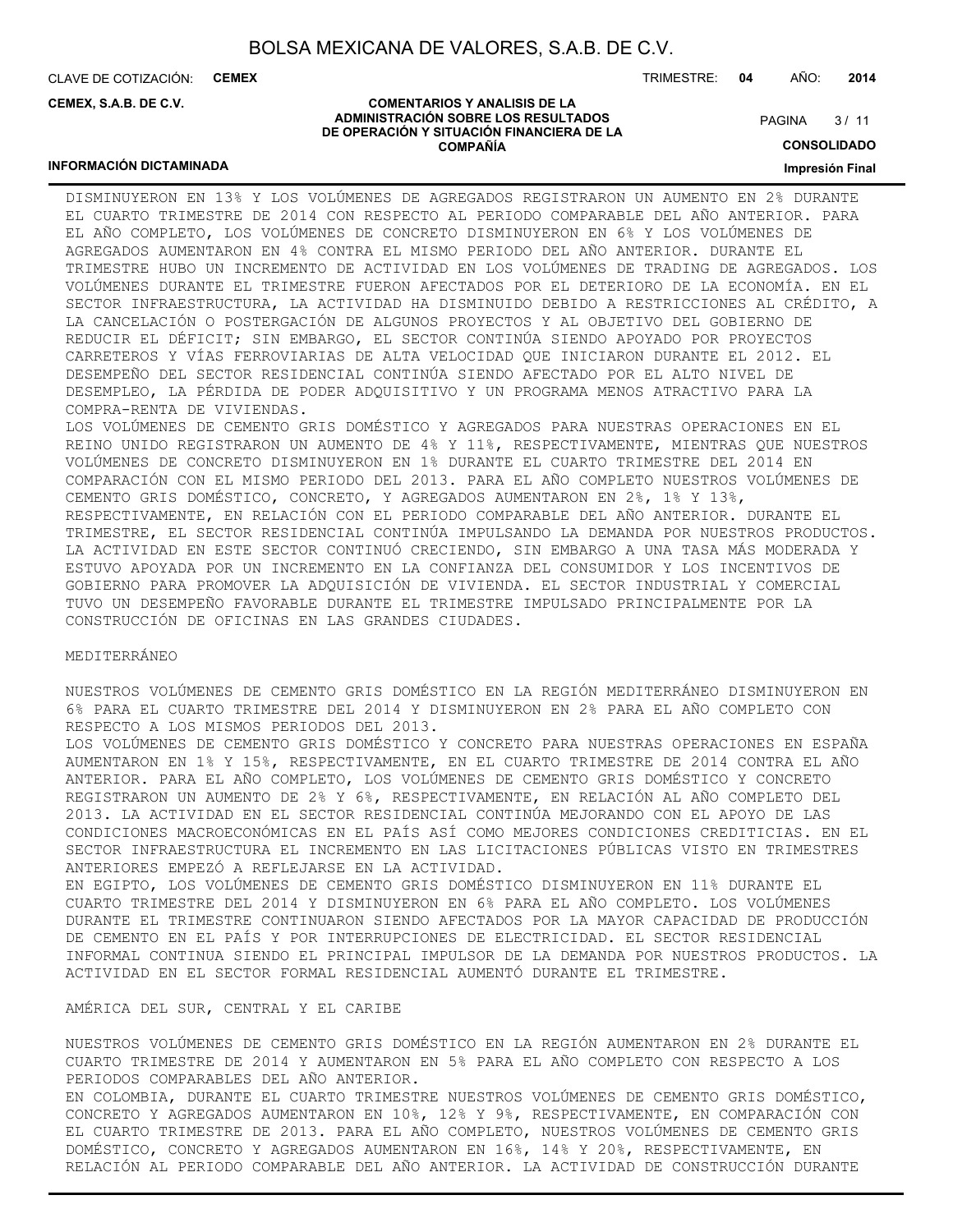CLAVE DE COTIZACIÓN: **CEMEX**

**INFORMACIÓN DICTAMINADA**

**CEMEX, S.A.B. DE C.V.**

#### **COMENTARIOS Y ANALISIS DE LA ADMINISTRACIÓN SOBRE LOS RESULTADOS DE OPERACIÓN Y SITUACIÓN FINANCIERA DE LA COMPAÑÍA**

 $3/11$ **PAGINA** 

**CONSOLIDADO**

#### **Impresión Final**

DISMINUYERON EN 13% Y LOS VOLÚMENES DE AGREGADOS REGISTRARON UN AUMENTO EN 2% DURANTE EL CUARTO TRIMESTRE DE 2014 CON RESPECTO AL PERIODO COMPARABLE DEL AÑO ANTERIOR. PARA EL AÑO COMPLETO, LOS VOLÚMENES DE CONCRETO DISMINUYERON EN 6% Y LOS VOLÚMENES DE AGREGADOS AUMENTARON EN 4% CONTRA EL MISMO PERIODO DEL AÑO ANTERIOR. DURANTE EL TRIMESTRE HUBO UN INCREMENTO DE ACTIVIDAD EN LOS VOLÚMENES DE TRADING DE AGREGADOS. LOS VOLÚMENES DURANTE EL TRIMESTRE FUERON AFECTADOS POR EL DETERIORO DE LA ECONOMÍA. EN EL SECTOR INFRAESTRUCTURA, LA ACTIVIDAD HA DISMINUIDO DEBIDO A RESTRICCIONES AL CRÉDITO, A LA CANCELACIÓN O POSTERGACIÓN DE ALGUNOS PROYECTOS Y AL OBJETIVO DEL GOBIERNO DE REDUCIR EL DÉFICIT; SIN EMBARGO, EL SECTOR CONTINÚA SIENDO APOYADO POR PROYECTOS CARRETEROS Y VÍAS FERROVIARIAS DE ALTA VELOCIDAD QUE INICIARON DURANTE EL 2012. EL DESEMPEÑO DEL SECTOR RESIDENCIAL CONTINÚA SIENDO AFECTADO POR EL ALTO NIVEL DE DESEMPLEO, LA PÉRDIDA DE PODER ADQUISITIVO Y UN PROGRAMA MENOS ATRACTIVO PARA LA COMPRA-RENTA DE VIVIENDAS. LOS VOLÚMENES DE CEMENTO GRIS DOMÉSTICO Y AGREGADOS PARA NUESTRAS OPERACIONES EN EL REINO UNIDO REGISTRARON UN AUMENTO DE 4% Y 11%, RESPECTIVAMENTE, MIENTRAS QUE NUESTROS

VOLÚMENES DE CONCRETO DISMINUYERON EN 1% DURANTE EL CUARTO TRIMESTRE DEL 2014 EN COMPARACIÓN CON EL MISMO PERIODO DEL 2013. PARA EL AÑO COMPLETO NUESTROS VOLÚMENES DE CEMENTO GRIS DOMÉSTICO, CONCRETO, Y AGREGADOS AUMENTARON EN 2%, 1% Y 13%, RESPECTIVAMENTE, EN RELACIÓN CON EL PERIODO COMPARABLE DEL AÑO ANTERIOR. DURANTE EL TRIMESTRE, EL SECTOR RESIDENCIAL CONTINÚA IMPULSANDO LA DEMANDA POR NUESTROS PRODUCTOS. LA ACTIVIDAD EN ESTE SECTOR CONTINUÓ CRECIENDO, SIN EMBARGO A UNA TASA MÁS MODERADA Y ESTUVO APOYADA POR UN INCREMENTO EN LA CONFIANZA DEL CONSUMIDOR Y LOS INCENTIVOS DE GOBIERNO PARA PROMOVER LA ADQUISICIÓN DE VIVIENDA. EL SECTOR INDUSTRIAL Y COMERCIAL TUVO UN DESEMPEÑO FAVORABLE DURANTE EL TRIMESTRE IMPULSADO PRINCIPALMENTE POR LA CONSTRUCCIÓN DE OFICINAS EN LAS GRANDES CIUDADES.

#### MEDITERRÁNEO

NUESTROS VOLÚMENES DE CEMENTO GRIS DOMÉSTICO EN LA REGIÓN MEDITERRÁNEO DISMINUYERON EN 6% PARA EL CUARTO TRIMESTRE DEL 2014 Y DISMINUYERON EN 2% PARA EL AÑO COMPLETO CON RESPECTO A LOS MISMOS PERIODOS DEL 2013.

LOS VOLÚMENES DE CEMENTO GRIS DOMÉSTICO Y CONCRETO PARA NUESTRAS OPERACIONES EN ESPAÑA AUMENTARON EN 1% Y 15%, RESPECTIVAMENTE, EN EL CUARTO TRIMESTRE DE 2014 CONTRA EL AÑO ANTERIOR. PARA EL AÑO COMPLETO, LOS VOLÚMENES DE CEMENTO GRIS DOMÉSTICO Y CONCRETO REGISTRARON UN AUMENTO DE 2% Y 6%, RESPECTIVAMENTE, EN RELACIÓN AL AÑO COMPLETO DEL 2013. LA ACTIVIDAD EN EL SECTOR RESIDENCIAL CONTINÚA MEJORANDO CON EL APOYO DE LAS CONDICIONES MACROECONÓMICAS EN EL PAÍS ASÍ COMO MEJORES CONDICIONES CREDITICIAS. EN EL SECTOR INFRAESTRUCTURA EL INCREMENTO EN LAS LICITACIONES PÚBLICAS VISTO EN TRIMESTRES ANTERIORES EMPEZÓ A REFLEJARSE EN LA ACTIVIDAD.

EN EGIPTO, LOS VOLÚMENES DE CEMENTO GRIS DOMÉSTICO DISMINUYERON EN 11% DURANTE EL CUARTO TRIMESTRE DEL 2014 Y DISMINUYERON EN 6% PARA EL AÑO COMPLETO. LOS VOLÚMENES DURANTE EL TRIMESTRE CONTINUARON SIENDO AFECTADOS POR LA MAYOR CAPACIDAD DE PRODUCCIÓN DE CEMENTO EN EL PAÍS Y POR INTERRUPCIONES DE ELECTRICIDAD. EL SECTOR RESIDENCIAL INFORMAL CONTINUA SIENDO EL PRINCIPAL IMPULSOR DE LA DEMANDA POR NUESTROS PRODUCTOS. LA ACTIVIDAD EN EL SECTOR FORMAL RESIDENCIAL AUMENTÓ DURANTE EL TRIMESTRE.

#### AMÉRICA DEL SUR, CENTRAL Y EL CARIBE

NUESTROS VOLÚMENES DE CEMENTO GRIS DOMÉSTICO EN LA REGIÓN AUMENTARON EN 2% DURANTE EL CUARTO TRIMESTRE DE 2014 Y AUMENTARON EN 5% PARA EL AÑO COMPLETO CON RESPECTO A LOS PERIODOS COMPARABLES DEL AÑO ANTERIOR. EN COLOMBIA, DURANTE EL CUARTO TRIMESTRE NUESTROS VOLÚMENES DE CEMENTO GRIS DOMÉSTICO, CONCRETO Y AGREGADOS AUMENTARON EN 10%, 12% Y 9%, RESPECTIVAMENTE, EN COMPARACIÓN CON EL CUARTO TRIMESTRE DE 2013. PARA EL AÑO COMPLETO, NUESTROS VOLÚMENES DE CEMENTO GRIS DOMÉSTICO, CONCRETO Y AGREGADOS AUMENTARON EN 16%, 14% Y 20%, RESPECTIVAMENTE, EN RELACIÓN AL PERIODO COMPARABLE DEL AÑO ANTERIOR. LA ACTIVIDAD DE CONSTRUCCIÓN DURANTE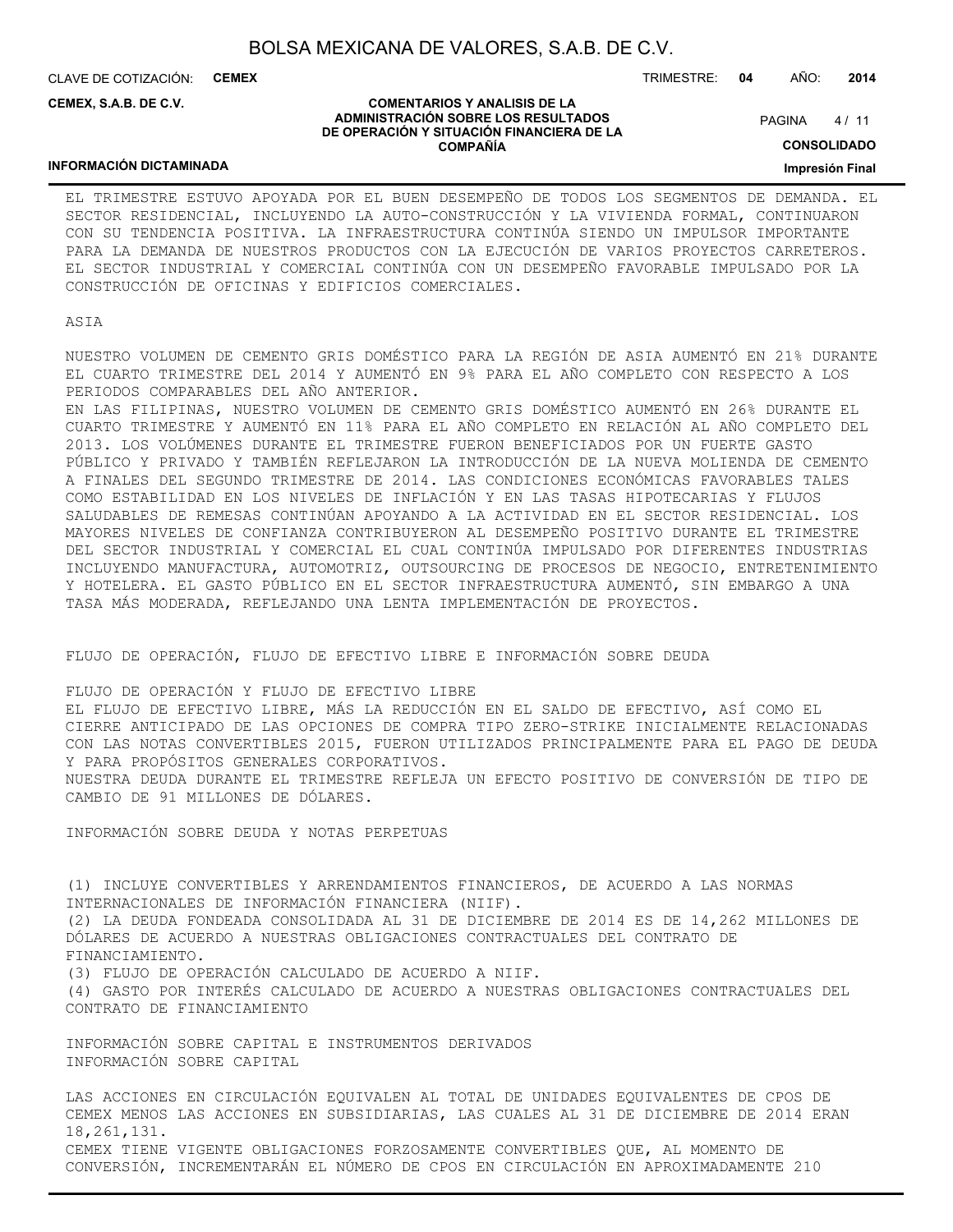CLAVE DE COTIZACIÓN: **CEMEX**

**CEMEX, S.A.B. DE C.V.**

TRIMESTRE: **04** AÑO: **2014**

#### **COMENTARIOS Y ANALISIS DE LA ADMINISTRACIÓN SOBRE LOS RESULTADOS DE OPERACIÓN Y SITUACIÓN FINANCIERA DE LA COMPAÑÍA**

 $4/11$ **PAGINA** 

**CONSOLIDADO**

**Impresión Final**

## **INFORMACIÓN DICTAMINADA**

EL TRIMESTRE ESTUVO APOYADA POR EL BUEN DESEMPEÑO DE TODOS LOS SEGMENTOS DE DEMANDA. EL SECTOR RESIDENCIAL, INCLUYENDO LA AUTO-CONSTRUCCIÓN Y LA VIVIENDA FORMAL, CONTINUARON CON SU TENDENCIA POSITIVA. LA INFRAESTRUCTURA CONTINÚA SIENDO UN IMPULSOR IMPORTANTE PARA LA DEMANDA DE NUESTROS PRODUCTOS CON LA EJECUCIÓN DE VARIOS PROYECTOS CARRETEROS. EL SECTOR INDUSTRIAL Y COMERCIAL CONTINÚA CON UN DESEMPEÑO FAVORABLE IMPULSADO POR LA CONSTRUCCIÓN DE OFICINAS Y EDIFICIOS COMERCIALES.

#### ASIA

NUESTRO VOLUMEN DE CEMENTO GRIS DOMÉSTICO PARA LA REGIÓN DE ASIA AUMENTÓ EN 21% DURANTE EL CUARTO TRIMESTRE DEL 2014 Y AUMENTÓ EN 9% PARA EL AÑO COMPLETO CON RESPECTO A LOS PERIODOS COMPARABLES DEL AÑO ANTERIOR.

EN LAS FILIPINAS, NUESTRO VOLUMEN DE CEMENTO GRIS DOMÉSTICO AUMENTÓ EN 26% DURANTE EL CUARTO TRIMESTRE Y AUMENTÓ EN 11% PARA EL AÑO COMPLETO EN RELACIÓN AL AÑO COMPLETO DEL 2013. LOS VOLÚMENES DURANTE EL TRIMESTRE FUERON BENEFICIADOS POR UN FUERTE GASTO PÚBLICO Y PRIVADO Y TAMBIÉN REFLEJARON LA INTRODUCCIÓN DE LA NUEVA MOLIENDA DE CEMENTO A FINALES DEL SEGUNDO TRIMESTRE DE 2014. LAS CONDICIONES ECONÓMICAS FAVORABLES TALES COMO ESTABILIDAD EN LOS NIVELES DE INFLACIÓN Y EN LAS TASAS HIPOTECARIAS Y FLUJOS SALUDABLES DE REMESAS CONTINÚAN APOYANDO A LA ACTIVIDAD EN EL SECTOR RESIDENCIAL. LOS MAYORES NIVELES DE CONFIANZA CONTRIBUYERON AL DESEMPEÑO POSITIVO DURANTE EL TRIMESTRE DEL SECTOR INDUSTRIAL Y COMERCIAL EL CUAL CONTINÚA IMPULSADO POR DIFERENTES INDUSTRIAS INCLUYENDO MANUFACTURA, AUTOMOTRIZ, OUTSOURCING DE PROCESOS DE NEGOCIO, ENTRETENIMIENTO Y HOTELERA. EL GASTO PÚBLICO EN EL SECTOR INFRAESTRUCTURA AUMENTÓ, SIN EMBARGO A UNA TASA MÁS MODERADA, REFLEJANDO UNA LENTA IMPLEMENTACIÓN DE PROYECTOS.

FLUJO DE OPERACIÓN, FLUJO DE EFECTIVO LIBRE E INFORMACIÓN SOBRE DEUDA

FLUJO DE OPERACIÓN Y FLUJO DE EFECTIVO LIBRE EL FLUJO DE EFECTIVO LIBRE, MÁS LA REDUCCIÓN EN EL SALDO DE EFECTIVO, ASÍ COMO EL CIERRE ANTICIPADO DE LAS OPCIONES DE COMPRA TIPO ZERO-STRIKE INICIALMENTE RELACIONADAS CON LAS NOTAS CONVERTIBLES 2015, FUERON UTILIZADOS PRINCIPALMENTE PARA EL PAGO DE DEUDA Y PARA PROPÓSITOS GENERALES CORPORATIVOS. NUESTRA DEUDA DURANTE EL TRIMESTRE REFLEJA UN EFECTO POSITIVO DE CONVERSIÓN DE TIPO DE CAMBIO DE 91 MILLONES DE DÓLARES.

INFORMACIÓN SOBRE DEUDA Y NOTAS PERPETUAS

(1) INCLUYE CONVERTIBLES Y ARRENDAMIENTOS FINANCIEROS, DE ACUERDO A LAS NORMAS INTERNACIONALES DE INFORMACIÓN FINANCIERA (NIIF). (2) LA DEUDA FONDEADA CONSOLIDADA AL 31 DE DICIEMBRE DE 2014 ES DE 14,262 MILLONES DE DÓLARES DE ACUERDO A NUESTRAS OBLIGACIONES CONTRACTUALES DEL CONTRATO DE FINANCIAMIENTO. (3) FLUJO DE OPERACIÓN CALCULADO DE ACUERDO A NIIF. (4) GASTO POR INTERÉS CALCULADO DE ACUERDO A NUESTRAS OBLIGACIONES CONTRACTUALES DEL CONTRATO DE FINANCIAMIENTO

INFORMACIÓN SOBRE CAPITAL E INSTRUMENTOS DERIVADOS INFORMACIÓN SOBRE CAPITAL

LAS ACCIONES EN CIRCULACIÓN EQUIVALEN AL TOTAL DE UNIDADES EQUIVALENTES DE CPOS DE CEMEX MENOS LAS ACCIONES EN SUBSIDIARIAS, LAS CUALES AL 31 DE DICIEMBRE DE 2014 ERAN 18,261,131. CEMEX TIENE VIGENTE OBLIGACIONES FORZOSAMENTE CONVERTIBLES QUE, AL MOMENTO DE CONVERSIÓN, INCREMENTARÁN EL NÚMERO DE CPOS EN CIRCULACIÓN EN APROXIMADAMENTE 210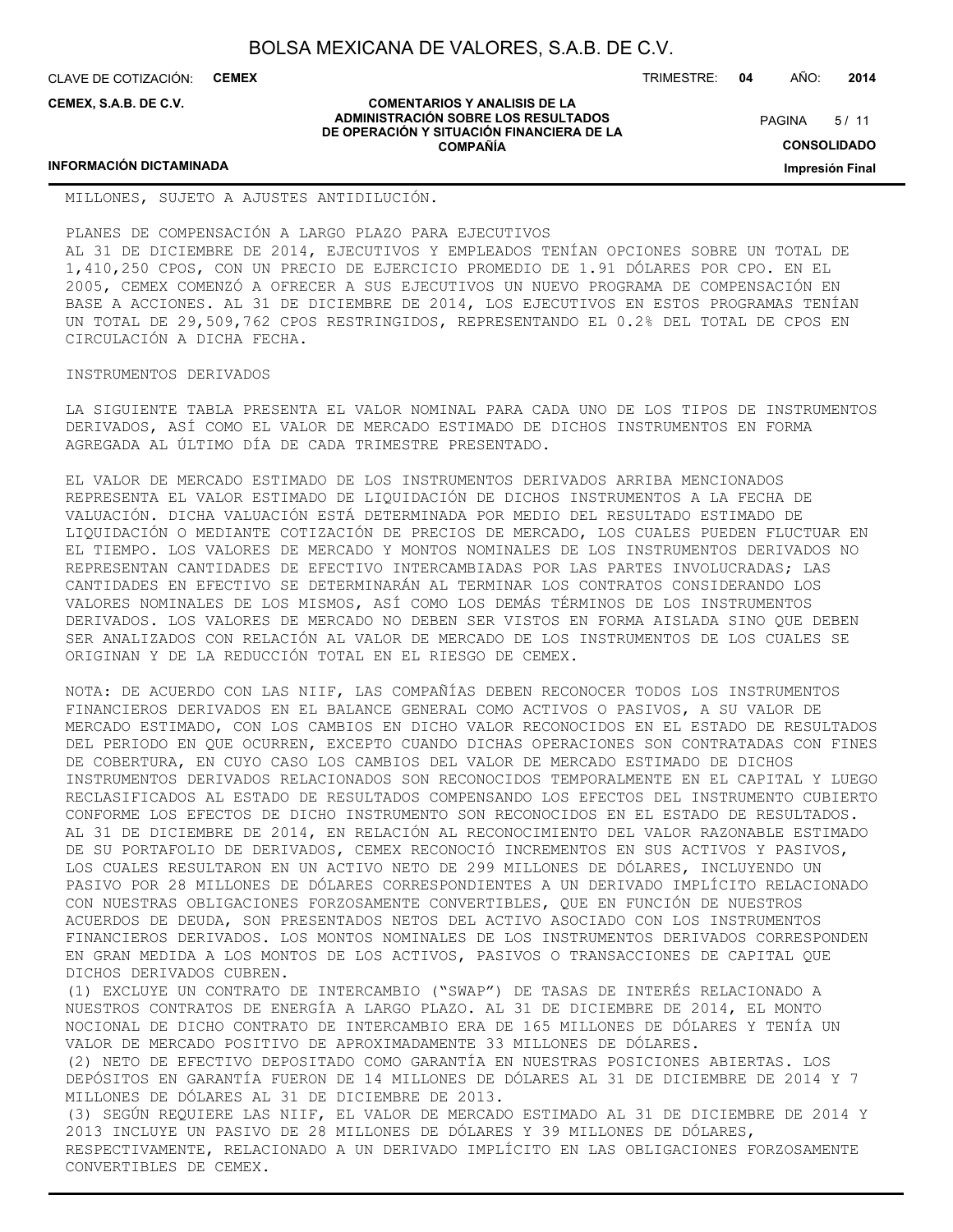CLAVE DE COTIZACIÓN: **CEMEX**

**CEMEX, S.A.B. DE C.V.**

TRIMESTRE: **04** AÑO: **2014**

 $5/11$ **PAGINA** 

**DE OPERACIÓN Y SITUACIÓN FINANCIERA DE LA COMPAÑÍA**

**COMENTARIOS Y ANALISIS DE LA ADMINISTRACIÓN SOBRE LOS RESULTADOS**

> **CONSOLIDADO Impresión Final**

### **INFORMACIÓN DICTAMINADA**

MILLONES, SUJETO A AJUSTES ANTIDILUCIÓN.

PLANES DE COMPENSACIÓN A LARGO PLAZO PARA EJECUTIVOS AL 31 DE DICIEMBRE DE 2014, EJECUTIVOS Y EMPLEADOS TENÍAN OPCIONES SOBRE UN TOTAL DE 1,410,250 CPOS, CON UN PRECIO DE EJERCICIO PROMEDIO DE 1.91 DÓLARES POR CPO. EN EL 2005, CEMEX COMENZÓ A OFRECER A SUS EJECUTIVOS UN NUEVO PROGRAMA DE COMPENSACIÓN EN BASE A ACCIONES. AL 31 DE DICIEMBRE DE 2014, LOS EJECUTIVOS EN ESTOS PROGRAMAS TENÍAN UN TOTAL DE 29,509,762 CPOS RESTRINGIDOS, REPRESENTANDO EL 0.2% DEL TOTAL DE CPOS EN CIRCULACIÓN A DICHA FECHA.

#### INSTRUMENTOS DERIVADOS

LA SIGUIENTE TABLA PRESENTA EL VALOR NOMINAL PARA CADA UNO DE LOS TIPOS DE INSTRUMENTOS DERIVADOS, ASÍ COMO EL VALOR DE MERCADO ESTIMADO DE DICHOS INSTRUMENTOS EN FORMA AGREGADA AL ÚLTIMO DÍA DE CADA TRIMESTRE PRESENTADO.

EL VALOR DE MERCADO ESTIMADO DE LOS INSTRUMENTOS DERIVADOS ARRIBA MENCIONADOS REPRESENTA EL VALOR ESTIMADO DE LIQUIDACIÓN DE DICHOS INSTRUMENTOS A LA FECHA DE VALUACIÓN. DICHA VALUACIÓN ESTÁ DETERMINADA POR MEDIO DEL RESULTADO ESTIMADO DE LIQUIDACIÓN O MEDIANTE COTIZACIÓN DE PRECIOS DE MERCADO, LOS CUALES PUEDEN FLUCTUAR EN EL TIEMPO. LOS VALORES DE MERCADO Y MONTOS NOMINALES DE LOS INSTRUMENTOS DERIVADOS NO REPRESENTAN CANTIDADES DE EFECTIVO INTERCAMBIADAS POR LAS PARTES INVOLUCRADAS; LAS CANTIDADES EN EFECTIVO SE DETERMINARÁN AL TERMINAR LOS CONTRATOS CONSIDERANDO LOS VALORES NOMINALES DE LOS MISMOS, ASÍ COMO LOS DEMÁS TÉRMINOS DE LOS INSTRUMENTOS DERIVADOS. LOS VALORES DE MERCADO NO DEBEN SER VISTOS EN FORMA AISLADA SINO QUE DEBEN SER ANALIZADOS CON RELACIÓN AL VALOR DE MERCADO DE LOS INSTRUMENTOS DE LOS CUALES SE ORIGINAN Y DE LA REDUCCIÓN TOTAL EN EL RIESGO DE CEMEX.

NOTA: DE ACUERDO CON LAS NIIF, LAS COMPAÑÍAS DEBEN RECONOCER TODOS LOS INSTRUMENTOS FINANCIEROS DERIVADOS EN EL BALANCE GENERAL COMO ACTIVOS O PASIVOS, A SU VALOR DE MERCADO ESTIMADO, CON LOS CAMBIOS EN DICHO VALOR RECONOCIDOS EN EL ESTADO DE RESULTADOS DEL PERIODO EN QUE OCURREN, EXCEPTO CUANDO DICHAS OPERACIONES SON CONTRATADAS CON FINES DE COBERTURA, EN CUYO CASO LOS CAMBIOS DEL VALOR DE MERCADO ESTIMADO DE DICHOS INSTRUMENTOS DERIVADOS RELACIONADOS SON RECONOCIDOS TEMPORALMENTE EN EL CAPITAL Y LUEGO RECLASIFICADOS AL ESTADO DE RESULTADOS COMPENSANDO LOS EFECTOS DEL INSTRUMENTO CUBIERTO CONFORME LOS EFECTOS DE DICHO INSTRUMENTO SON RECONOCIDOS EN EL ESTADO DE RESULTADOS. AL 31 DE DICIEMBRE DE 2014, EN RELACIÓN AL RECONOCIMIENTO DEL VALOR RAZONABLE ESTIMADO DE SU PORTAFOLIO DE DERIVADOS, CEMEX RECONOCIÓ INCREMENTOS EN SUS ACTIVOS Y PASIVOS, LOS CUALES RESULTARON EN UN ACTIVO NETO DE 299 MILLONES DE DÓLARES, INCLUYENDO UN PASIVO POR 28 MILLONES DE DÓLARES CORRESPONDIENTES A UN DERIVADO IMPLÍCITO RELACIONADO CON NUESTRAS OBLIGACIONES FORZOSAMENTE CONVERTIBLES, QUE EN FUNCIÓN DE NUESTROS ACUERDOS DE DEUDA, SON PRESENTADOS NETOS DEL ACTIVO ASOCIADO CON LOS INSTRUMENTOS FINANCIEROS DERIVADOS. LOS MONTOS NOMINALES DE LOS INSTRUMENTOS DERIVADOS CORRESPONDEN EN GRAN MEDIDA A LOS MONTOS DE LOS ACTIVOS, PASIVOS O TRANSACCIONES DE CAPITAL QUE DICHOS DERIVADOS CUBREN.

(1) EXCLUYE UN CONTRATO DE INTERCAMBIO ("SWAP") DE TASAS DE INTERÉS RELACIONADO A NUESTROS CONTRATOS DE ENERGÍA A LARGO PLAZO. AL 31 DE DICIEMBRE DE 2014, EL MONTO NOCIONAL DE DICHO CONTRATO DE INTERCAMBIO ERA DE 165 MILLONES DE DÓLARES Y TENÍA UN VALOR DE MERCADO POSITIVO DE APROXIMADAMENTE 33 MILLONES DE DÓLARES. (2) NETO DE EFECTIVO DEPOSITADO COMO GARANTÍA EN NUESTRAS POSICIONES ABIERTAS. LOS DEPÓSITOS EN GARANTÍA FUERON DE 14 MILLONES DE DÓLARES AL 31 DE DICIEMBRE DE 2014 Y 7 MILLONES DE DÓLARES AL 31 DE DICIEMBRE DE 2013. (3) SEGÚN REQUIERE LAS NIIF, EL VALOR DE MERCADO ESTIMADO AL 31 DE DICIEMBRE DE 2014 Y 2013 INCLUYE UN PASIVO DE 28 MILLONES DE DÓLARES Y 39 MILLONES DE DÓLARES, RESPECTIVAMENTE, RELACIONADO A UN DERIVADO IMPLÍCITO EN LAS OBLIGACIONES FORZOSAMENTE CONVERTIBLES DE CEMEX.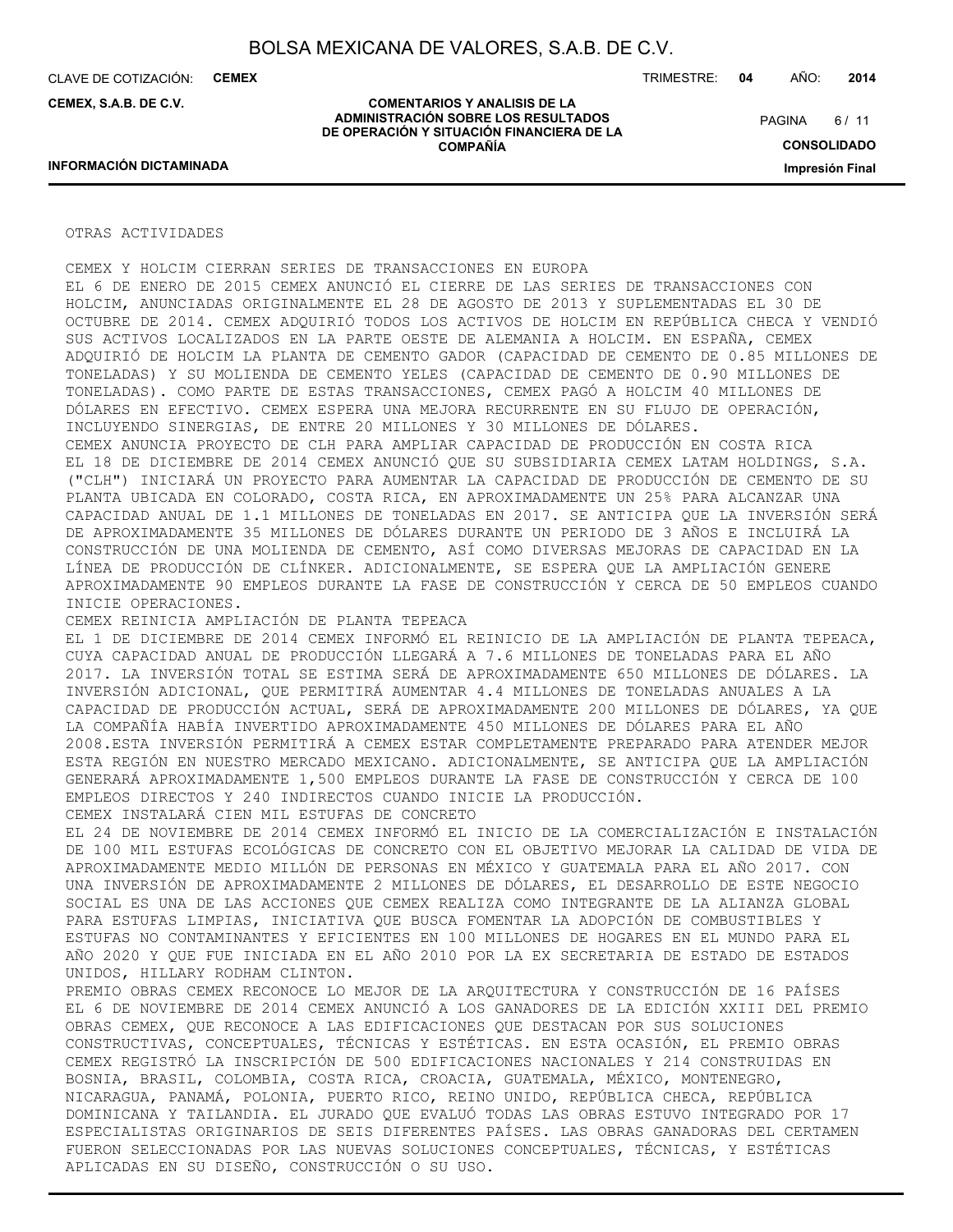CLAVE DE COTIZACIÓN: **CEMEX**

**CEMEX, S.A.B. DE C.V.**

TRIMESTRE: **04** AÑO: **2014**

 $6/11$ **PAGINA** 

**ADMINISTRACIÓN SOBRE LOS RESULTADOS DE OPERACIÓN Y SITUACIÓN FINANCIERA DE LA COMPAÑÍA**

**COMENTARIOS Y ANALISIS DE LA**

**INFORMACIÓN DICTAMINADA**

**CONSOLIDADO**

**Impresión Final**

#### OTRAS ACTIVIDADES

CEMEX Y HOLCIM CIERRAN SERIES DE TRANSACCIONES EN EUROPA EL 6 DE ENERO DE 2015 CEMEX ANUNCIÓ EL CIERRE DE LAS SERIES DE TRANSACCIONES CON HOLCIM, ANUNCIADAS ORIGINALMENTE EL 28 DE AGOSTO DE 2013 Y SUPLEMENTADAS EL 30 DE OCTUBRE DE 2014. CEMEX ADQUIRIÓ TODOS LOS ACTIVOS DE HOLCIM EN REPÚBLICA CHECA Y VENDIÓ SUS ACTIVOS LOCALIZADOS EN LA PARTE OESTE DE ALEMANIA A HOLCIM. EN ESPAÑA, CEMEX ADQUIRIÓ DE HOLCIM LA PLANTA DE CEMENTO GADOR (CAPACIDAD DE CEMENTO DE 0.85 MILLONES DE TONELADAS) Y SU MOLIENDA DE CEMENTO YELES (CAPACIDAD DE CEMENTO DE 0.90 MILLONES DE TONELADAS). COMO PARTE DE ESTAS TRANSACCIONES, CEMEX PAGÓ A HOLCIM 40 MILLONES DE DÓLARES EN EFECTIVO. CEMEX ESPERA UNA MEJORA RECURRENTE EN SU FLUJO DE OPERACIÓN, INCLUYENDO SINERGIAS, DE ENTRE 20 MILLONES Y 30 MILLONES DE DÓLARES. CEMEX ANUNCIA PROYECTO DE CLH PARA AMPLIAR CAPACIDAD DE PRODUCCIÓN EN COSTA RICA EL 18 DE DICIEMBRE DE 2014 CEMEX ANUNCIÓ QUE SU SUBSIDIARIA CEMEX LATAM HOLDINGS, S.A. ("CLH") INICIARÁ UN PROYECTO PARA AUMENTAR LA CAPACIDAD DE PRODUCCIÓN DE CEMENTO DE SU PLANTA UBICADA EN COLORADO, COSTA RICA, EN APROXIMADAMENTE UN 25% PARA ALCANZAR UNA CAPACIDAD ANUAL DE 1.1 MILLONES DE TONELADAS EN 2017. SE ANTICIPA QUE LA INVERSIÓN SERÁ DE APROXIMADAMENTE 35 MILLONES DE DÓLARES DURANTE UN PERIODO DE 3 AÑOS E INCLUIRÁ LA CONSTRUCCIÓN DE UNA MOLIENDA DE CEMENTO, ASÍ COMO DIVERSAS MEJORAS DE CAPACIDAD EN LA LÍNEA DE PRODUCCIÓN DE CLÍNKER. ADICIONALMENTE, SE ESPERA QUE LA AMPLIACIÓN GENERE APROXIMADAMENTE 90 EMPLEOS DURANTE LA FASE DE CONSTRUCCIÓN Y CERCA DE 50 EMPLEOS CUANDO INICIE OPERACIONES. CEMEX REINICIA AMPLIACIÓN DE PLANTA TEPEACA EL 1 DE DICIEMBRE DE 2014 CEMEX INFORMÓ EL REINICIO DE LA AMPLIACIÓN DE PLANTA TEPEACA, CUYA CAPACIDAD ANUAL DE PRODUCCIÓN LLEGARÁ A 7.6 MILLONES DE TONELADAS PARA EL AÑO 2017. LA INVERSIÓN TOTAL SE ESTIMA SERÁ DE APROXIMADAMENTE 650 MILLONES DE DÓLARES. LA INVERSIÓN ADICIONAL, QUE PERMITIRÁ AUMENTAR 4.4 MILLONES DE TONELADAS ANUALES A LA CAPACIDAD DE PRODUCCIÓN ACTUAL, SERÁ DE APROXIMADAMENTE 200 MILLONES DE DÓLARES, YA QUE LA COMPAÑÍA HABÍA INVERTIDO APROXIMADAMENTE 450 MILLONES DE DÓLARES PARA EL AÑO 2008.ESTA INVERSIÓN PERMITIRÁ A CEMEX ESTAR COMPLETAMENTE PREPARADO PARA ATENDER MEJOR ESTA REGIÓN EN NUESTRO MERCADO MEXICANO. ADICIONALMENTE, SE ANTICIPA QUE LA AMPLIACIÓN GENERARÁ APROXIMADAMENTE 1,500 EMPLEOS DURANTE LA FASE DE CONSTRUCCIÓN Y CERCA DE 100 EMPLEOS DIRECTOS Y 240 INDIRECTOS CUANDO INICIE LA PRODUCCIÓN. CEMEX INSTALARÁ CIEN MIL ESTUFAS DE CONCRETO EL 24 DE NOVIEMBRE DE 2014 CEMEX INFORMÓ EL INICIO DE LA COMERCIALIZACIÓN E INSTALACIÓN DE 100 MIL ESTUFAS ECOLÓGICAS DE CONCRETO CON EL OBJETIVO MEJORAR LA CALIDAD DE VIDA DE APROXIMADAMENTE MEDIO MILLÓN DE PERSONAS EN MÉXICO Y GUATEMALA PARA EL AÑO 2017. CON UNA INVERSIÓN DE APROXIMADAMENTE 2 MILLONES DE DÓLARES, EL DESARROLLO DE ESTE NEGOCIO SOCIAL ES UNA DE LAS ACCIONES QUE CEMEX REALIZA COMO INTEGRANTE DE LA ALIANZA GLOBAL PARA ESTUFAS LIMPIAS, INICIATIVA QUE BUSCA FOMENTAR LA ADOPCIÓN DE COMBUSTIBLES Y ESTUFAS NO CONTAMINANTES Y EFICIENTES EN 100 MILLONES DE HOGARES EN EL MUNDO PARA EL AÑO 2020 Y QUE FUE INICIADA EN EL AÑO 2010 POR LA EX SECRETARIA DE ESTADO DE ESTADOS UNIDOS, HILLARY RODHAM CLINTON. PREMIO OBRAS CEMEX RECONOCE LO MEJOR DE LA ARQUITECTURA Y CONSTRUCCIÓN DE 16 PAÍSES EL 6 DE NOVIEMBRE DE 2014 CEMEX ANUNCIÓ A LOS GANADORES DE LA EDICIÓN XXIII DEL PREMIO OBRAS CEMEX, QUE RECONOCE A LAS EDIFICACIONES QUE DESTACAN POR SUS SOLUCIONES CONSTRUCTIVAS, CONCEPTUALES, TÉCNICAS Y ESTÉTICAS. EN ESTA OCASIÓN, EL PREMIO OBRAS CEMEX REGISTRÓ LA INSCRIPCIÓN DE 500 EDIFICACIONES NACIONALES Y 214 CONSTRUIDAS EN BOSNIA, BRASIL, COLOMBIA, COSTA RICA, CROACIA, GUATEMALA, MÉXICO, MONTENEGRO, NICARAGUA, PANAMÁ, POLONIA, PUERTO RICO, REINO UNIDO, REPÚBLICA CHECA, REPÚBLICA DOMINICANA Y TAILANDIA. EL JURADO QUE EVALUÓ TODAS LAS OBRAS ESTUVO INTEGRADO POR 17 ESPECIALISTAS ORIGINARIOS DE SEIS DIFERENTES PAÍSES. LAS OBRAS GANADORAS DEL CERTAMEN FUERON SELECCIONADAS POR LAS NUEVAS SOLUCIONES CONCEPTUALES, TÉCNICAS, Y ESTÉTICAS APLICADAS EN SU DISEÑO, CONSTRUCCIÓN O SU USO.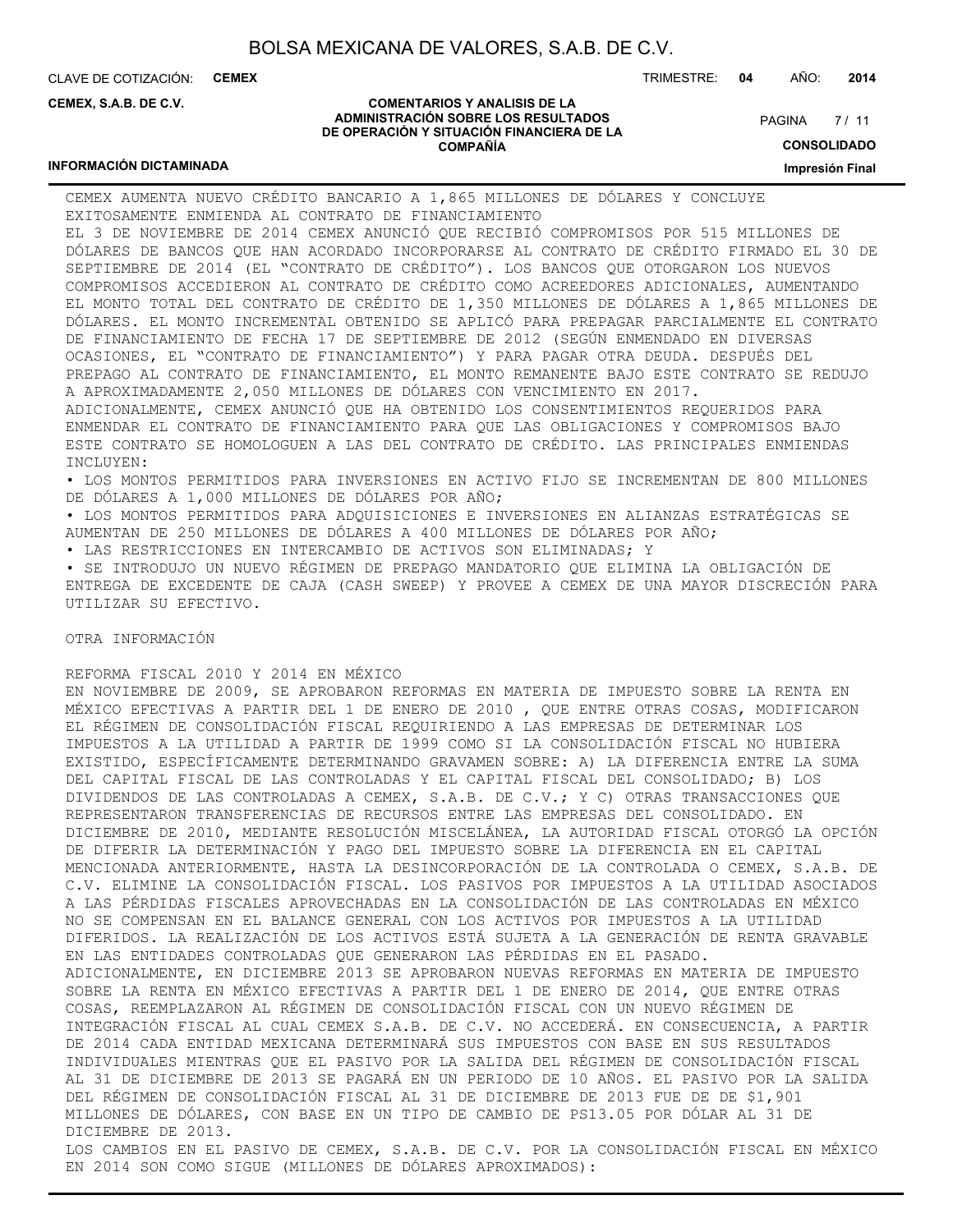**COMENTARIOS Y ANALISIS DE LA ADMINISTRACIÓN SOBRE LOS RESULTADOS DE OPERACIÓN Y SITUACIÓN FINANCIERA DE LA COMPAÑÍA**

CLAVE DE COTIZACIÓN: **CEMEX**

**CEMEX, S.A.B. DE C.V.**

 $7/11$ **PAGINA** 

#### **CONSOLIDADO**

**Impresión Final**

### **INFORMACIÓN DICTAMINADA**

CEMEX AUMENTA NUEVO CRÉDITO BANCARIO A 1,865 MILLONES DE DÓLARES Y CONCLUYE EXITOSAMENTE ENMIENDA AL CONTRATO DE FINANCIAMIENTO EL 3 DE NOVIEMBRE DE 2014 CEMEX ANUNCIÓ QUE RECIBIÓ COMPROMISOS POR 515 MILLONES DE DÓLARES DE BANCOS QUE HAN ACORDADO INCORPORARSE AL CONTRATO DE CRÉDITO FIRMADO EL 30 DE SEPTIEMBRE DE 2014 (EL "CONTRATO DE CRÉDITO"). LOS BANCOS QUE OTORGARON LOS NUEVOS COMPROMISOS ACCEDIERON AL CONTRATO DE CRÉDITO COMO ACREEDORES ADICIONALES, AUMENTANDO EL MONTO TOTAL DEL CONTRATO DE CRÉDITO DE 1,350 MILLONES DE DÓLARES A 1,865 MILLONES DE DÓLARES. EL MONTO INCREMENTAL OBTENIDO SE APLICÓ PARA PREPAGAR PARCIALMENTE EL CONTRATO DE FINANCIAMIENTO DE FECHA 17 DE SEPTIEMBRE DE 2012 (SEGÚN ENMENDADO EN DIVERSAS OCASIONES, EL "CONTRATO DE FINANCIAMIENTO") Y PARA PAGAR OTRA DEUDA. DESPUÉS DEL PREPAGO AL CONTRATO DE FINANCIAMIENTO, EL MONTO REMANENTE BAJO ESTE CONTRATO SE REDUJO A APROXIMADAMENTE 2,050 MILLONES DE DÓLARES CON VENCIMIENTO EN 2017. ADICIONALMENTE, CEMEX ANUNCIÓ QUE HA OBTENIDO LOS CONSENTIMIENTOS REQUERIDOS PARA ENMENDAR EL CONTRATO DE FINANCIAMIENTO PARA QUE LAS OBLIGACIONES Y COMPROMISOS BAJO ESTE CONTRATO SE HOMOLOGUEN A LAS DEL CONTRATO DE CRÉDITO. LAS PRINCIPALES ENMIENDAS INCLUYEN: • LOS MONTOS PERMITIDOS PARA INVERSIONES EN ACTIVO FIJO SE INCREMENTAN DE 800 MILLONES

DE DÓLARES A 1,000 MILLONES DE DÓLARES POR AÑO;

• LOS MONTOS PERMITIDOS PARA ADQUISICIONES E INVERSIONES EN ALIANZAS ESTRATÉGICAS SE AUMENTAN DE 250 MILLONES DE DÓLARES A 400 MILLONES DE DÓLARES POR AÑO;

• LAS RESTRICCIONES EN INTERCAMBIO DE ACTIVOS SON ELIMINADAS; Y

• SE INTRODUJO UN NUEVO RÉGIMEN DE PREPAGO MANDATORIO QUE ELIMINA LA OBLIGACIÓN DE ENTREGA DE EXCEDENTE DE CAJA (CASH SWEEP) Y PROVEE A CEMEX DE UNA MAYOR DISCRECIÓN PARA UTILIZAR SU EFECTIVO.

OTRA INFORMACIÓN

REFORMA FISCAL 2010 Y 2014 EN MÉXICO

EN NOVIEMBRE DE 2009, SE APROBARON REFORMAS EN MATERIA DE IMPUESTO SOBRE LA RENTA EN MÉXICO EFECTIVAS A PARTIR DEL 1 DE ENERO DE 2010 , QUE ENTRE OTRAS COSAS, MODIFICARON EL RÉGIMEN DE CONSOLIDACIÓN FISCAL REQUIRIENDO A LAS EMPRESAS DE DETERMINAR LOS IMPUESTOS A LA UTILIDAD A PARTIR DE 1999 COMO SI LA CONSOLIDACIÓN FISCAL NO HUBIERA EXISTIDO, ESPECÍFICAMENTE DETERMINANDO GRAVAMEN SOBRE: A) LA DIFERENCIA ENTRE LA SUMA DEL CAPITAL FISCAL DE LAS CONTROLADAS Y EL CAPITAL FISCAL DEL CONSOLIDADO; B) LOS DIVIDENDOS DE LAS CONTROLADAS A CEMEX, S.A.B. DE C.V.; Y C) OTRAS TRANSACCIONES QUE REPRESENTARON TRANSFERENCIAS DE RECURSOS ENTRE LAS EMPRESAS DEL CONSOLIDADO. EN DICIEMBRE DE 2010, MEDIANTE RESOLUCIÓN MISCELÁNEA, LA AUTORIDAD FISCAL OTORGÓ LA OPCIÓN DE DIFERIR LA DETERMINACIÓN Y PAGO DEL IMPUESTO SOBRE LA DIFERENCIA EN EL CAPITAL MENCIONADA ANTERIORMENTE, HASTA LA DESINCORPORACIÓN DE LA CONTROLADA O CEMEX, S.A.B. DE C.V. ELIMINE LA CONSOLIDACIÓN FISCAL. LOS PASIVOS POR IMPUESTOS A LA UTILIDAD ASOCIADOS A LAS PÉRDIDAS FISCALES APROVECHADAS EN LA CONSOLIDACIÓN DE LAS CONTROLADAS EN MÉXICO NO SE COMPENSAN EN EL BALANCE GENERAL CON LOS ACTIVOS POR IMPUESTOS A LA UTILIDAD DIFERIDOS. LA REALIZACIÓN DE LOS ACTIVOS ESTÁ SUJETA A LA GENERACIÓN DE RENTA GRAVABLE EN LAS ENTIDADES CONTROLADAS QUE GENERARON LAS PÉRDIDAS EN EL PASADO. ADICIONALMENTE, EN DICIEMBRE 2013 SE APROBARON NUEVAS REFORMAS EN MATERIA DE IMPUESTO SOBRE LA RENTA EN MÉXICO EFECTIVAS A PARTIR DEL 1 DE ENERO DE 2014, QUE ENTRE OTRAS COSAS, REEMPLAZARON AL RÉGIMEN DE CONSOLIDACIÓN FISCAL CON UN NUEVO RÉGIMEN DE INTEGRACIÓN FISCAL AL CUAL CEMEX S.A.B. DE C.V. NO ACCEDERÁ. EN CONSECUENCIA, A PARTIR DE 2014 CADA ENTIDAD MEXICANA DETERMINARÁ SUS IMPUESTOS CON BASE EN SUS RESULTADOS INDIVIDUALES MIENTRAS QUE EL PASIVO POR LA SALIDA DEL RÉGIMEN DE CONSOLIDACIÓN FISCAL AL 31 DE DICIEMBRE DE 2013 SE PAGARÁ EN UN PERIODO DE 10 AÑOS. EL PASIVO POR LA SALIDA DEL RÉGIMEN DE CONSOLIDACIÓN FISCAL AL 31 DE DICIEMBRE DE 2013 FUE DE DE \$1,901 MILLONES DE DÓLARES, CON BASE EN UN TIPO DE CAMBIO DE PS13.05 POR DÓLAR AL 31 DE DICIEMBRE DE 2013. LOS CAMBIOS EN EL PASIVO DE CEMEX, S.A.B. DE C.V. POR LA CONSOLIDACIÓN FISCAL EN MÉXICO EN 2014 SON COMO SIGUE (MILLONES DE DÓLARES APROXIMADOS):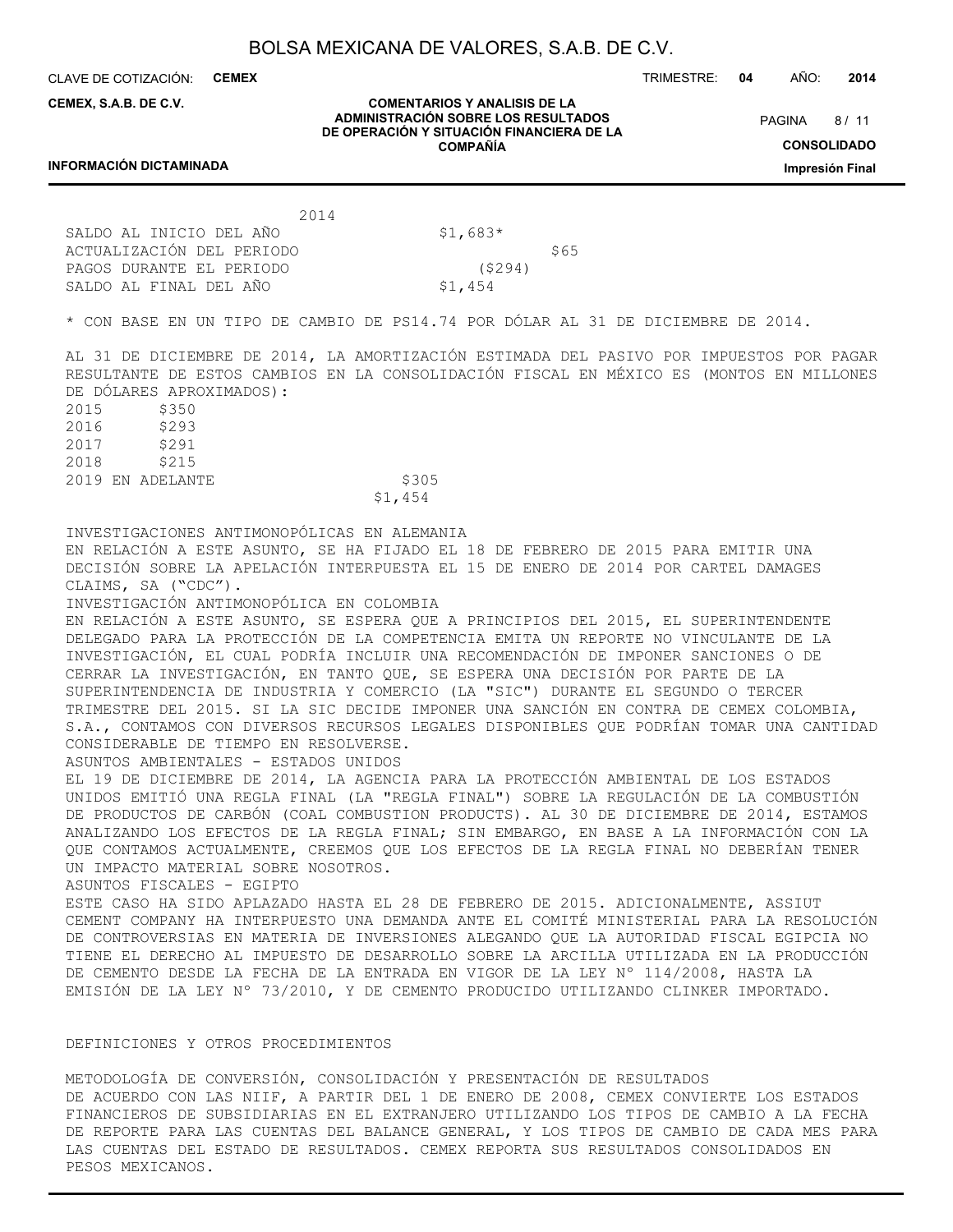CLAVE DE COTIZACIÓN: **CEMEX**

**INFORMACIÓN DICTAMINADA**

**CEMEX, S.A.B. DE C.V.**

### **COMENTARIOS Y ANALISIS DE LA ADMINISTRACIÓN SOBRE LOS RESULTADOS DE OPERACIÓN Y SITUACIÓN FINANCIERA DE LA COMPAÑÍA**

 $8/11$ **PAGINA** 

TRIMESTRE: **04** AÑO: **2014**

**CONSOLIDADO**

**Impresión Final**

| 2014                      |          |      |
|---------------------------|----------|------|
| SALDO AL INICIO DEL AÑO   | \$1,683* |      |
| ACTUALIZACIÓN DEL PERIODO |          | \$65 |

PAGOS DURANTE EL PERIODO (\$294) SALDO AL FINAL DEL AÑO  $$1,454$ 

\* CON BASE EN UN TIPO DE CAMBIO DE PS14.74 POR DÓLAR AL 31 DE DICIEMBRE DE 2014.

\$1,454

AL 31 DE DICIEMBRE DE 2014, LA AMORTIZACIÓN ESTIMADA DEL PASIVO POR IMPUESTOS POR PAGAR RESULTANTE DE ESTOS CAMBIOS EN LA CONSOLIDACIÓN FISCAL EN MÉXICO ES (MONTOS EN MILLONES DE DÓLARES APROXIMADOS):<br>2015 — \$350

| 2015 | \$350            |    |                       |
|------|------------------|----|-----------------------|
| 2016 | \$293            |    |                       |
| 2017 | \$291            |    |                       |
| 2018 | \$215            |    |                       |
|      | 2019 EN ADELANTE |    | \$305                 |
|      |                  | C1 | $\Lambda$ 5 $\Lambda$ |

INVESTIGACIONES ANTIMONOPÓLICAS EN ALEMANIA EN RELACIÓN A ESTE ASUNTO, SE HA FIJADO EL 18 DE FEBRERO DE 2015 PARA EMITIR UNA DECISIÓN SOBRE LA APELACIÓN INTERPUESTA EL 15 DE ENERO DE 2014 POR CARTEL DAMAGES CLAIMS, SA ("CDC"). INVESTIGACIÓN ANTIMONOPÓLICA EN COLOMBIA EN RELACIÓN A ESTE ASUNTO, SE ESPERA QUE A PRINCIPIOS DEL 2015, EL SUPERINTENDENTE DELEGADO PARA LA PROTECCIÓN DE LA COMPETENCIA EMITA UN REPORTE NO VINCULANTE DE LA INVESTIGACIÓN, EL CUAL PODRÍA INCLUIR UNA RECOMENDACIÓN DE IMPONER SANCIONES O DE CERRAR LA INVESTIGACIÓN, EN TANTO QUE, SE ESPERA UNA DECISIÓN POR PARTE DE LA SUPERINTENDENCIA DE INDUSTRIA Y COMERCIO (LA "SIC") DURANTE EL SEGUNDO O TERCER TRIMESTRE DEL 2015. SI LA SIC DECIDE IMPONER UNA SANCIÓN EN CONTRA DE CEMEX COLOMBIA,

S.A., CONTAMOS CON DIVERSOS RECURSOS LEGALES DISPONIBLES QUE PODRÍAN TOMAR UNA CANTIDAD CONSIDERABLE DE TIEMPO EN RESOLVERSE.

ASUNTOS AMBIENTALES - ESTADOS UNIDOS

EL 19 DE DICIEMBRE DE 2014, LA AGENCIA PARA LA PROTECCIÓN AMBIENTAL DE LOS ESTADOS UNIDOS EMITIÓ UNA REGLA FINAL (LA "REGLA FINAL") SOBRE LA REGULACIÓN DE LA COMBUSTIÓN DE PRODUCTOS DE CARBÓN (COAL COMBUSTION PRODUCTS). AL 30 DE DICIEMBRE DE 2014, ESTAMOS ANALIZANDO LOS EFECTOS DE LA REGLA FINAL; SIN EMBARGO, EN BASE A LA INFORMACIÓN CON LA QUE CONTAMOS ACTUALMENTE, CREEMOS QUE LOS EFECTOS DE LA REGLA FINAL NO DEBERÍAN TENER UN IMPACTO MATERIAL SOBRE NOSOTROS.

ASUNTOS FISCALES - EGIPTO

ESTE CASO HA SIDO APLAZADO HASTA EL 28 DE FEBRERO DE 2015. ADICIONALMENTE, ASSIUT CEMENT COMPANY HA INTERPUESTO UNA DEMANDA ANTE EL COMITÉ MINISTERIAL PARA LA RESOLUCIÓN DE CONTROVERSIAS EN MATERIA DE INVERSIONES ALEGANDO QUE LA AUTORIDAD FISCAL EGIPCIA NO TIENE EL DERECHO AL IMPUESTO DE DESARROLLO SOBRE LA ARCILLA UTILIZADA EN LA PRODUCCIÓN DE CEMENTO DESDE LA FECHA DE LA ENTRADA EN VIGOR DE LA LEY Nº 114/2008, HASTA LA EMISIÓN DE LA LEY Nº 73/2010, Y DE CEMENTO PRODUCIDO UTILIZANDO CLINKER IMPORTADO.

### DEFINICIONES Y OTROS PROCEDIMIENTOS

METODOLOGÍA DE CONVERSIÓN, CONSOLIDACIÓN Y PRESENTACIÓN DE RESULTADOS DE ACUERDO CON LAS NIIF, A PARTIR DEL 1 DE ENERO DE 2008, CEMEX CONVIERTE LOS ESTADOS FINANCIEROS DE SUBSIDIARIAS EN EL EXTRANJERO UTILIZANDO LOS TIPOS DE CAMBIO A LA FECHA DE REPORTE PARA LAS CUENTAS DEL BALANCE GENERAL, Y LOS TIPOS DE CAMBIO DE CADA MES PARA LAS CUENTAS DEL ESTADO DE RESULTADOS. CEMEX REPORTA SUS RESULTADOS CONSOLIDADOS EN PESOS MEXICANOS.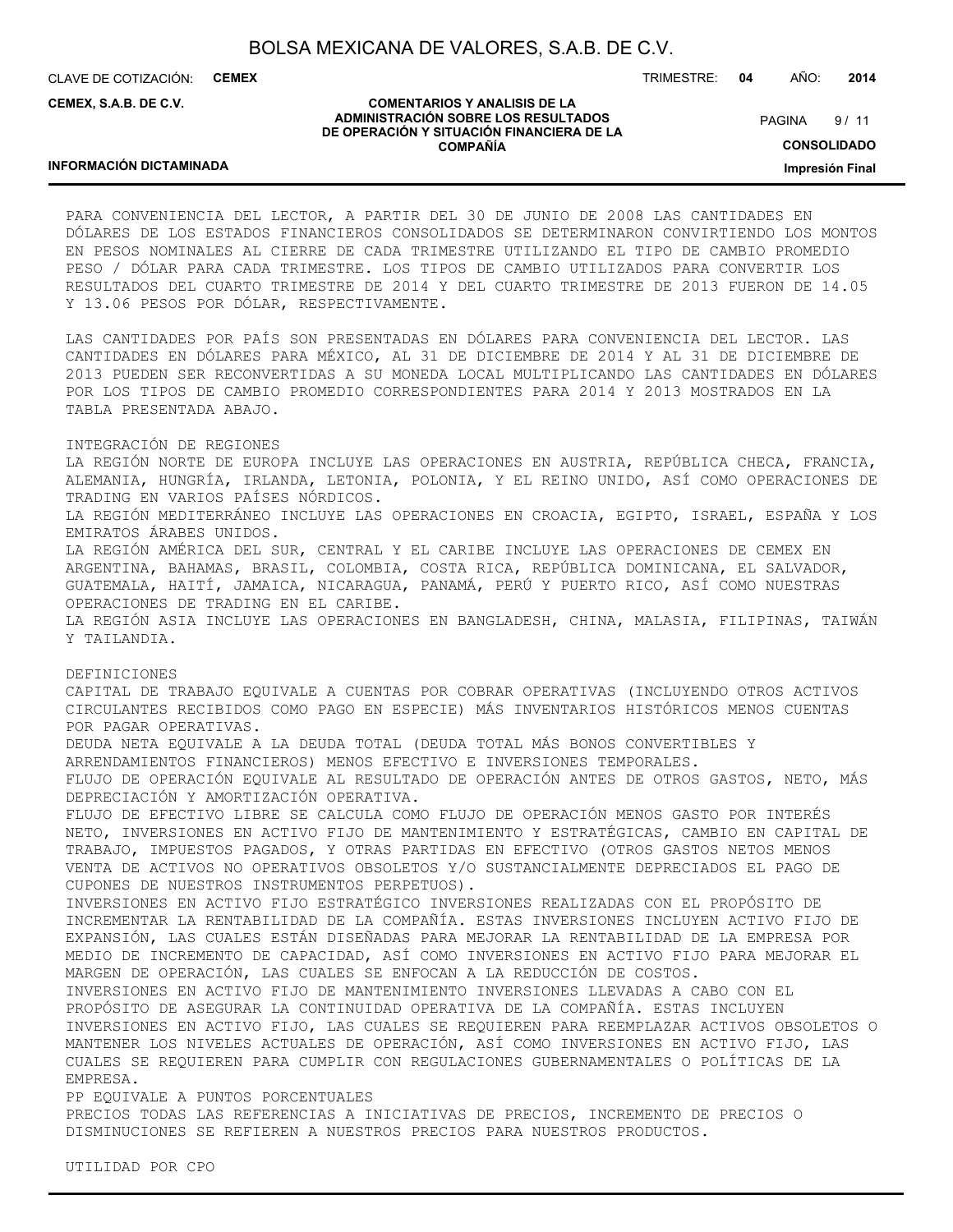CLAVE DE COTIZACIÓN: **CEMEX**

**INFORMACIÓN DICTAMINADA**

**CEMEX, S.A.B. DE C.V.**

TRIMESTRE: **04** AÑO: **2014**

 $9/11$ **PAGINA** 

#### **ADMINISTRACIÓN SOBRE LOS RESULTADOS DE OPERACIÓN Y SITUACIÓN FINANCIERA DE LA COMPAÑÍA**

**COMENTARIOS Y ANALISIS DE LA**

**CONSOLIDADO**

**Impresión Final**

## PARA CONVENIENCIA DEL LECTOR, A PARTIR DEL 30 DE JUNIO DE 2008 LAS CANTIDADES EN DÓLARES DE LOS ESTADOS FINANCIEROS CONSOLIDADOS SE DETERMINARON CONVIRTIENDO LOS MONTOS EN PESOS NOMINALES AL CIERRE DE CADA TRIMESTRE UTILIZANDO EL TIPO DE CAMBIO PROMEDIO PESO / DÓLAR PARA CADA TRIMESTRE. LOS TIPOS DE CAMBIO UTILIZADOS PARA CONVERTIR LOS RESULTADOS DEL CUARTO TRIMESTRE DE 2014 Y DEL CUARTO TRIMESTRE DE 2013 FUERON DE 14.05 Y 13.06 PESOS POR DÓLAR, RESPECTIVAMENTE.

LAS CANTIDADES POR PAÍS SON PRESENTADAS EN DÓLARES PARA CONVENIENCIA DEL LECTOR. LAS CANTIDADES EN DÓLARES PARA MÉXICO, AL 31 DE DICIEMBRE DE 2014 Y AL 31 DE DICIEMBRE DE 2013 PUEDEN SER RECONVERTIDAS A SU MONEDA LOCAL MULTIPLICANDO LAS CANTIDADES EN DÓLARES POR LOS TIPOS DE CAMBIO PROMEDIO CORRESPONDIENTES PARA 2014 Y 2013 MOSTRADOS EN LA TABLA PRESENTADA ABAJO.

### INTEGRACIÓN DE REGIONES

LA REGIÓN NORTE DE EUROPA INCLUYE LAS OPERACIONES EN AUSTRIA, REPÚBLICA CHECA, FRANCIA, ALEMANIA, HUNGRÍA, IRLANDA, LETONIA, POLONIA, Y EL REINO UNIDO, ASÍ COMO OPERACIONES DE TRADING EN VARIOS PAÍSES NÓRDICOS.

LA REGIÓN MEDITERRÁNEO INCLUYE LAS OPERACIONES EN CROACIA, EGIPTO, ISRAEL, ESPAÑA Y LOS EMIRATOS ÁRABES UNIDOS.

LA REGIÓN AMÉRICA DEL SUR, CENTRAL Y EL CARIBE INCLUYE LAS OPERACIONES DE CEMEX EN ARGENTINA, BAHAMAS, BRASIL, COLOMBIA, COSTA RICA, REPÚBLICA DOMINICANA, EL SALVADOR, GUATEMALA, HAITÍ, JAMAICA, NICARAGUA, PANAMÁ, PERÚ Y PUERTO RICO, ASÍ COMO NUESTRAS OPERACIONES DE TRADING EN EL CARIBE.

LA REGIÓN ASIA INCLUYE LAS OPERACIONES EN BANGLADESH, CHINA, MALASIA, FILIPINAS, TAIWÁN Y TAILANDIA.

## DEFINICIONES CAPITAL DE TRABAJO EQUIVALE A CUENTAS POR COBRAR OPERATIVAS (INCLUYENDO OTROS ACTIVOS CIRCULANTES RECIBIDOS COMO PAGO EN ESPECIE) MÁS INVENTARIOS HISTÓRICOS MENOS CUENTAS POR PAGAR OPERATIVAS. DEUDA NETA EQUIVALE A LA DEUDA TOTAL (DEUDA TOTAL MÁS BONOS CONVERTIBLES Y ARRENDAMIENTOS FINANCIEROS) MENOS EFECTIVO E INVERSIONES TEMPORALES. FLUJO DE OPERACIÓN EQUIVALE AL RESULTADO DE OPERACIÓN ANTES DE OTROS GASTOS, NETO, MÁS DEPRECIACIÓN Y AMORTIZACIÓN OPERATIVA. FLUJO DE EFECTIVO LIBRE SE CALCULA COMO FLUJO DE OPERACIÓN MENOS GASTO POR INTERÉS NETO, INVERSIONES EN ACTIVO FIJO DE MANTENIMIENTO Y ESTRATÉGICAS, CAMBIO EN CAPITAL DE TRABAJO, IMPUESTOS PAGADOS, Y OTRAS PARTIDAS EN EFECTIVO (OTROS GASTOS NETOS MENOS VENTA DE ACTIVOS NO OPERATIVOS OBSOLETOS Y/O SUSTANCIALMENTE DEPRECIADOS EL PAGO DE CUPONES DE NUESTROS INSTRUMENTOS PERPETUOS). INVERSIONES EN ACTIVO FIJO ESTRATÉGICO INVERSIONES REALIZADAS CON EL PROPÓSITO DE INCREMENTAR LA RENTABILIDAD DE LA COMPAÑÍA. ESTAS INVERSIONES INCLUYEN ACTIVO FIJO DE EXPANSIÓN, LAS CUALES ESTÁN DISEÑADAS PARA MEJORAR LA RENTABILIDAD DE LA EMPRESA POR MEDIO DE INCREMENTO DE CAPACIDAD, ASÍ COMO INVERSIONES EN ACTIVO FIJO PARA MEJORAR EL MARGEN DE OPERACIÓN, LAS CUALES SE ENFOCAN A LA REDUCCIÓN DE COSTOS. INVERSIONES EN ACTIVO FIJO DE MANTENIMIENTO INVERSIONES LLEVADAS A CABO CON EL PROPÓSITO DE ASEGURAR LA CONTINUIDAD OPERATIVA DE LA COMPAÑÍA. ESTAS INCLUYEN INVERSIONES EN ACTIVO FIJO, LAS CUALES SE REQUIEREN PARA REEMPLAZAR ACTIVOS OBSOLETOS O MANTENER LOS NIVELES ACTUALES DE OPERACIÓN, ASÍ COMO INVERSIONES EN ACTIVO FIJO, LAS CUALES SE REQUIEREN PARA CUMPLIR CON REGULACIONES GUBERNAMENTALES O POLÍTICAS DE LA EMPRESA.

PP EQUIVALE A PUNTOS PORCENTUALES PRECIOS TODAS LAS REFERENCIAS A INICIATIVAS DE PRECIOS, INCREMENTO DE PRECIOS O DISMINUCIONES SE REFIEREN A NUESTROS PRECIOS PARA NUESTROS PRODUCTOS.

UTILIDAD POR CPO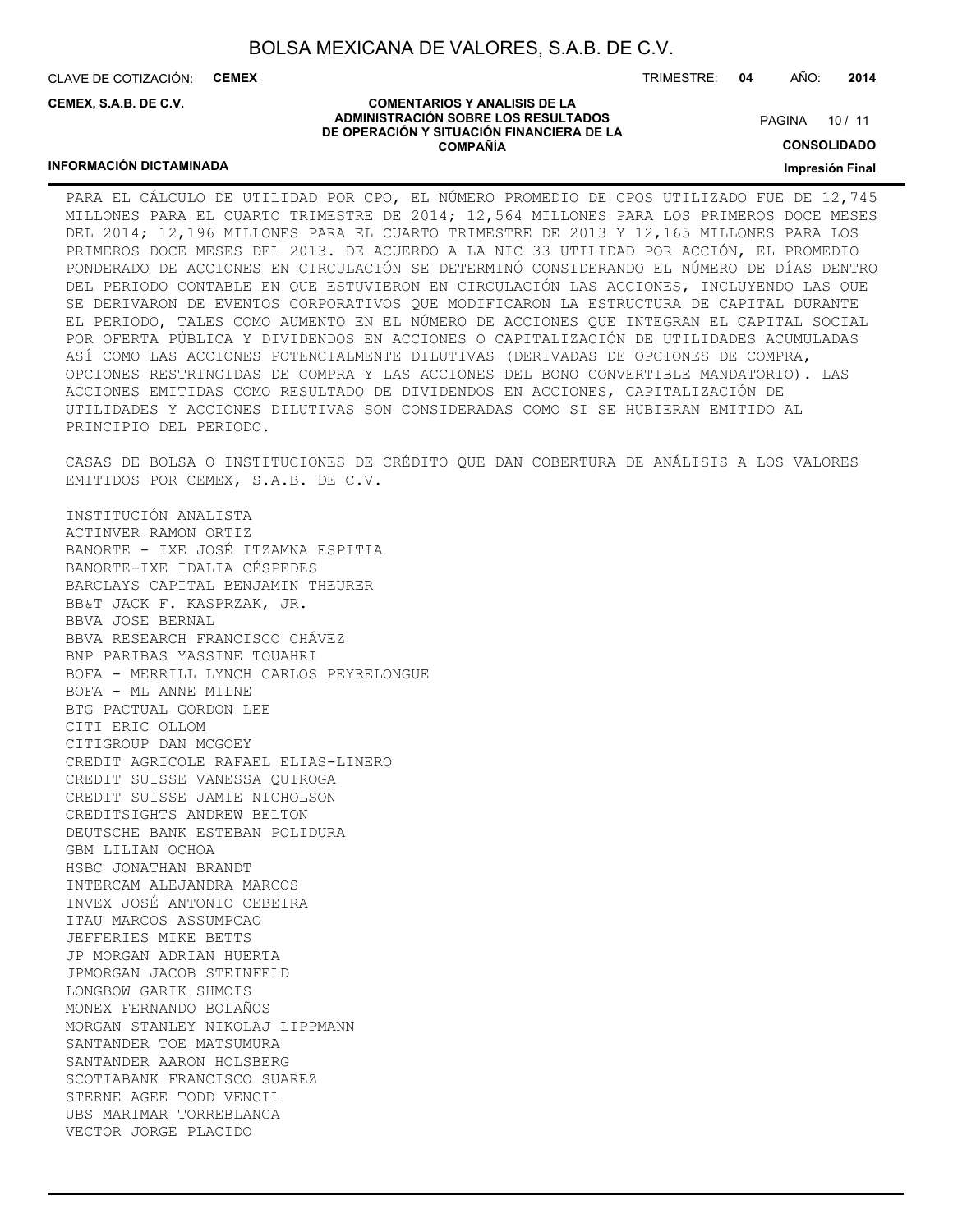CLAVE DE COTIZACIÓN: **CEMEX**

**INFORMACIÓN DICTAMINADA**

**CEMEX, S.A.B. DE C.V.**

TRIMESTRE: **04** AÑO: **2014**

#### **COMENTARIOS Y ANALISIS DE LA ADMINISTRACIÓN SOBRE LOS RESULTADOS DE OPERACIÓN Y SITUACIÓN FINANCIERA DE LA COMPAÑÍA**

PAGINA 10 / 11

**CONSOLIDADO**

### **Impresión Final**

PARA EL CÁLCULO DE UTILIDAD POR CPO, EL NÚMERO PROMEDIO DE CPOS UTILIZADO FUE DE 12,745 MILLONES PARA EL CUARTO TRIMESTRE DE 2014; 12,564 MILLONES PARA LOS PRIMEROS DOCE MESES DEL 2014; 12,196 MILLONES PARA EL CUARTO TRIMESTRE DE 2013 Y 12,165 MILLONES PARA LOS PRIMEROS DOCE MESES DEL 2013. DE ACUERDO A LA NIC 33 UTILIDAD POR ACCIÓN, EL PROMEDIO PONDERADO DE ACCIONES EN CIRCULACIÓN SE DETERMINÓ CONSIDERANDO EL NÚMERO DE DÍAS DENTRO DEL PERIODO CONTABLE EN QUE ESTUVIERON EN CIRCULACIÓN LAS ACCIONES, INCLUYENDO LAS QUE SE DERIVARON DE EVENTOS CORPORATIVOS QUE MODIFICARON LA ESTRUCTURA DE CAPITAL DURANTE EL PERIODO, TALES COMO AUMENTO EN EL NÚMERO DE ACCIONES QUE INTEGRAN EL CAPITAL SOCIAL POR OFERTA PÚBLICA Y DIVIDENDOS EN ACCIONES O CAPITALIZACIÓN DE UTILIDADES ACUMULADAS ASÍ COMO LAS ACCIONES POTENCIALMENTE DILUTIVAS (DERIVADAS DE OPCIONES DE COMPRA, OPCIONES RESTRINGIDAS DE COMPRA Y LAS ACCIONES DEL BONO CONVERTIBLE MANDATORIO). LAS ACCIONES EMITIDAS COMO RESULTADO DE DIVIDENDOS EN ACCIONES, CAPITALIZACIÓN DE UTILIDADES Y ACCIONES DILUTIVAS SON CONSIDERADAS COMO SI SE HUBIERAN EMITIDO AL PRINCIPIO DEL PERIODO.

CASAS DE BOLSA O INSTITUCIONES DE CRÉDITO QUE DAN COBERTURA DE ANÁLISIS A LOS VALORES EMITIDOS POR CEMEX, S.A.B. DE C.V.

INSTITUCIÓN ANALISTA ACTINVER RAMON ORTIZ BANORTE - IXE JOSÉ ITZAMNA ESPITIA BANORTE-IXE IDALIA CÉSPEDES BARCLAYS CAPITAL BENJAMIN THEURER BB&T JACK F. KASPRZAK, JR. BBVA JOSE BERNAL BBVA RESEARCH FRANCISCO CHÁVEZ BNP PARIBAS YASSINE TOUAHRI BOFA - MERRILL LYNCH CARLOS PEYRELONGUE BOFA - ML ANNE MILNE BTG PACTUAL GORDON LEE CITI ERIC OLLOM CITIGROUP DAN MCGOEY CREDIT AGRICOLE RAFAEL ELIAS-LINERO CREDIT SUISSE VANESSA QUIROGA CREDIT SUISSE JAMIE NICHOLSON CREDITSIGHTS ANDREW BELTON DEUTSCHE BANK ESTEBAN POLIDURA GBM LILIAN OCHOA HSBC JONATHAN BRANDT INTERCAM ALEJANDRA MARCOS INVEX JOSÉ ANTONIO CEBEIRA ITAU MARCOS ASSUMPCAO JEFFERIES MIKE BETTS JP MORGAN ADRIAN HUERTA JPMORGAN JACOB STEINFELD LONGBOW GARIK SHMOIS MONEX FERNANDO BOLAÑOS MORGAN STANLEY NIKOLAJ LIPPMANN SANTANDER TOE MATSUMURA SANTANDER AARON HOLSBERG SCOTIABANK FRANCISCO SUAREZ STERNE AGEE TODD VENCIL UBS MARIMAR TORREBLANCA VECTOR JORGE PLACIDO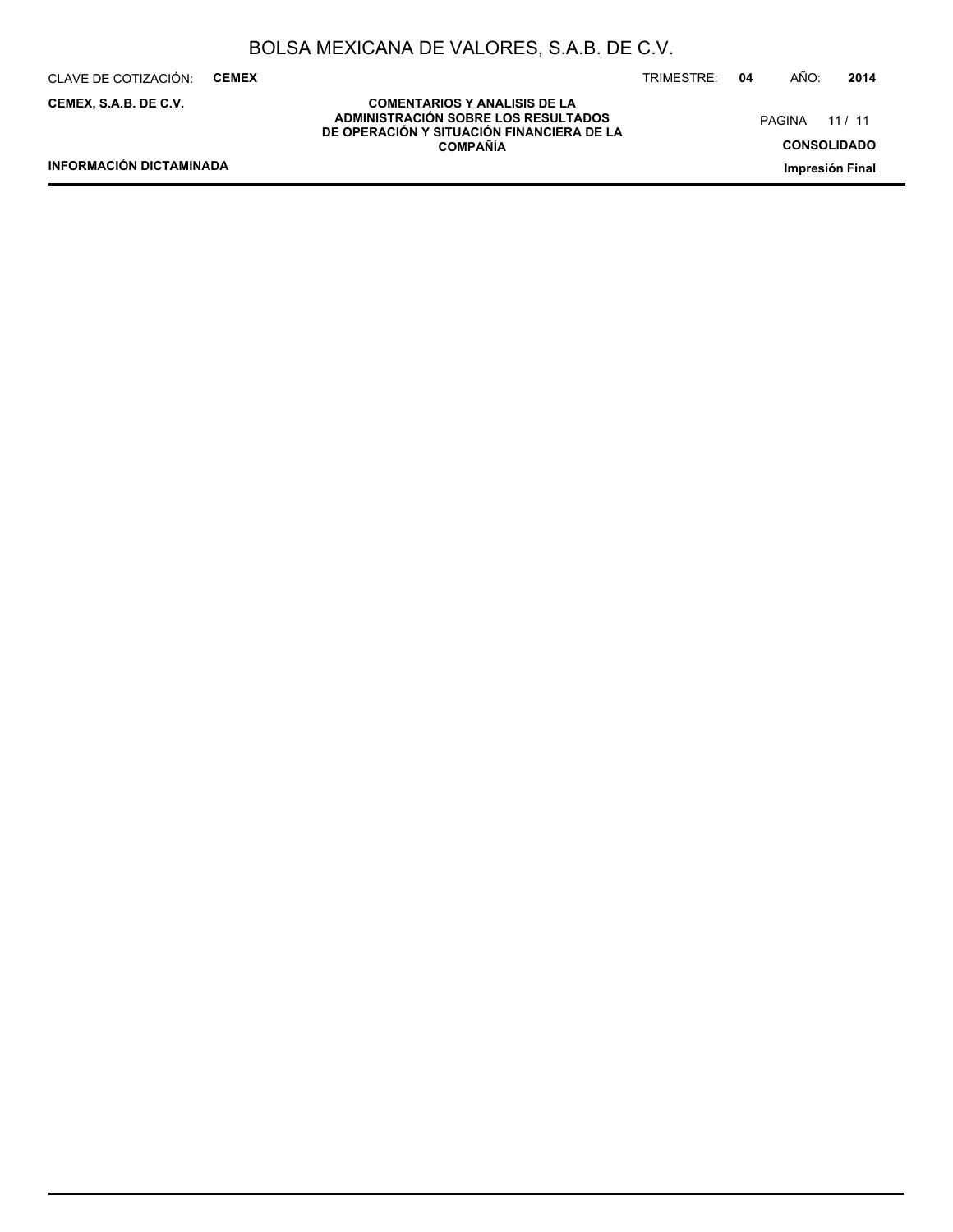CLAVE DE COTIZACIÓN: **CEMEX**

**CEMEX, S.A.B. DE C.V.**

TRIMESTRE: **04** AÑO: **2014**

PAGINA 11 / 11

**CONSOLIDADO**

**Impresión Final**

**COMENTARIOS Y ANALISIS DE LA ADMINISTRACIÓN SOBRE LOS RESULTADOS DE OPERACIÓN Y SITUACIÓN FINANCIERA DE LA COMPAÑÍA**

**INFORMACIÓN DICTAMINADA**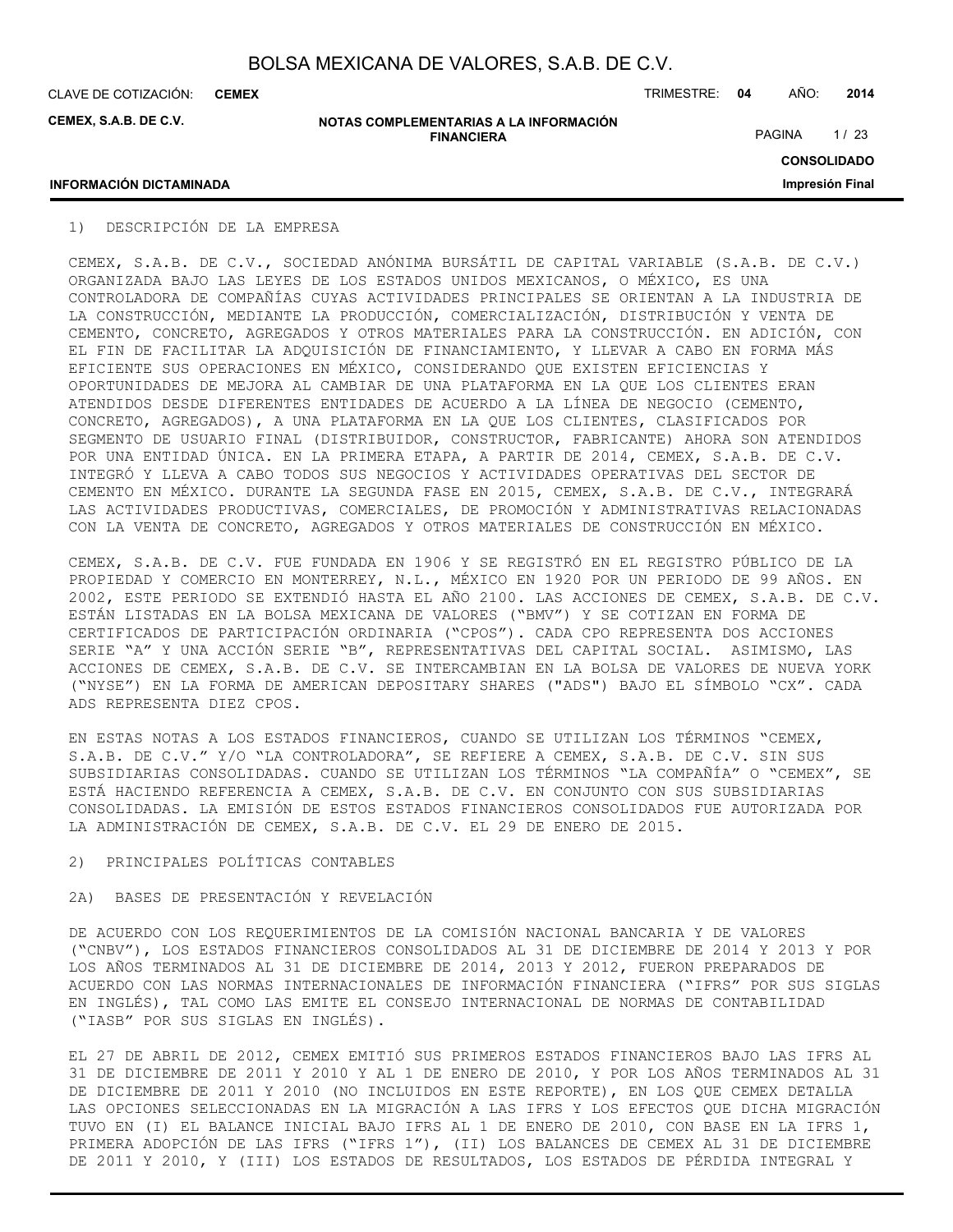CLAVE DE COTIZACIÓN: TRIMESTRE: **04** AÑO: **2014 CEMEX**

**CEMEX, S.A.B. DE C.V.**

**NOTAS COMPLEMENTARIAS A LA INFORMACIÓN FINANCIERA**

PAGINA 1/23

#### **CONSOLIDADO**

**Impresión Final**

# **INFORMACIÓN DICTAMINADA**

### 1) DESCRIPCIÓN DE LA EMPRESA

CEMEX, S.A.B. DE C.V., SOCIEDAD ANÓNIMA BURSÁTIL DE CAPITAL VARIABLE (S.A.B. DE C.V.) ORGANIZADA BAJO LAS LEYES DE LOS ESTADOS UNIDOS MEXICANOS, O MÉXICO, ES UNA CONTROLADORA DE COMPAÑÍAS CUYAS ACTIVIDADES PRINCIPALES SE ORIENTAN A LA INDUSTRIA DE LA CONSTRUCCIÓN, MEDIANTE LA PRODUCCIÓN, COMERCIALIZACIÓN, DISTRIBUCIÓN Y VENTA DE CEMENTO, CONCRETO, AGREGADOS Y OTROS MATERIALES PARA LA CONSTRUCCIÓN. EN ADICIÓN, CON EL FIN DE FACILITAR LA ADQUISICIÓN DE FINANCIAMIENTO, Y LLEVAR A CABO EN FORMA MÁS EFICIENTE SUS OPERACIONES EN MÉXICO, CONSIDERANDO QUE EXISTEN EFICIENCIAS Y OPORTUNIDADES DE MEJORA AL CAMBIAR DE UNA PLATAFORMA EN LA QUE LOS CLIENTES ERAN ATENDIDOS DESDE DIFERENTES ENTIDADES DE ACUERDO A LA LÍNEA DE NEGOCIO (CEMENTO, CONCRETO, AGREGADOS), A UNA PLATAFORMA EN LA QUE LOS CLIENTES, CLASIFICADOS POR SEGMENTO DE USUARIO FINAL (DISTRIBUIDOR, CONSTRUCTOR, FABRICANTE) AHORA SON ATENDIDOS POR UNA ENTIDAD ÚNICA. EN LA PRIMERA ETAPA, A PARTIR DE 2014, CEMEX, S.A.B. DE C.V. INTEGRÓ Y LLEVA A CABO TODOS SUS NEGOCIOS Y ACTIVIDADES OPERATIVAS DEL SECTOR DE CEMENTO EN MÉXICO. DURANTE LA SEGUNDA FASE EN 2015, CEMEX, S.A.B. DE C.V., INTEGRARÁ LAS ACTIVIDADES PRODUCTIVAS, COMERCIALES, DE PROMOCIÓN Y ADMINISTRATIVAS RELACIONADAS CON LA VENTA DE CONCRETO, AGREGADOS Y OTROS MATERIALES DE CONSTRUCCIÓN EN MÉXICO.

CEMEX, S.A.B. DE C.V. FUE FUNDADA EN 1906 Y SE REGISTRÓ EN EL REGISTRO PÚBLICO DE LA PROPIEDAD Y COMERCIO EN MONTERREY, N.L., MÉXICO EN 1920 POR UN PERIODO DE 99 AÑOS. EN 2002, ESTE PERIODO SE EXTENDIÓ HASTA EL AÑO 2100. LAS ACCIONES DE CEMEX, S.A.B. DE C.V. ESTÁN LISTADAS EN LA BOLSA MEXICANA DE VALORES ("BMV") Y SE COTIZAN EN FORMA DE CERTIFICADOS DE PARTICIPACIÓN ORDINARIA ("CPOS"). CADA CPO REPRESENTA DOS ACCIONES SERIE "A" Y UNA ACCIÓN SERIE "B", REPRESENTATIVAS DEL CAPITAL SOCIAL. ASIMISMO, LAS ACCIONES DE CEMEX, S.A.B. DE C.V. SE INTERCAMBIAN EN LA BOLSA DE VALORES DE NUEVA YORK ("NYSE") EN LA FORMA DE AMERICAN DEPOSITARY SHARES ("ADS") BAJO EL SÍMBOLO "CX". CADA ADS REPRESENTA DIEZ CPOS.

EN ESTAS NOTAS A LOS ESTADOS FINANCIEROS, CUANDO SE UTILIZAN LOS TÉRMINOS "CEMEX, S.A.B. DE C.V." Y/O "LA CONTROLADORA", SE REFIERE A CEMEX, S.A.B. DE C.V. SIN SUS SUBSIDIARIAS CONSOLIDADAS. CUANDO SE UTILIZAN LOS TÉRMINOS "LA COMPAÑÍA" O "CEMEX", SE ESTÁ HACIENDO REFERENCIA A CEMEX, S.A.B. DE C.V. EN CONJUNTO CON SUS SUBSIDIARIAS CONSOLIDADAS. LA EMISIÓN DE ESTOS ESTADOS FINANCIEROS CONSOLIDADOS FUE AUTORIZADA POR LA ADMINISTRACIÓN DE CEMEX, S.A.B. DE C.V. EL 29 DE ENERO DE 2015.

#### 2) PRINCIPALES POLÍTICAS CONTABLES

### 2A) BASES DE PRESENTACIÓN Y REVELACIÓN

DE ACUERDO CON LOS REQUERIMIENTOS DE LA COMISIÓN NACIONAL BANCARIA Y DE VALORES ("CNBV"), LOS ESTADOS FINANCIEROS CONSOLIDADOS AL 31 DE DICIEMBRE DE 2014 Y 2013 Y POR LOS AÑOS TERMINADOS AL 31 DE DICIEMBRE DE 2014, 2013 Y 2012, FUERON PREPARADOS DE ACUERDO CON LAS NORMAS INTERNACIONALES DE INFORMACIÓN FINANCIERA ("IFRS" POR SUS SIGLAS EN INGLÉS), TAL COMO LAS EMITE EL CONSEJO INTERNACIONAL DE NORMAS DE CONTABILIDAD ("IASB" POR SUS SIGLAS EN INGLÉS).

EL 27 DE ABRIL DE 2012, CEMEX EMITIÓ SUS PRIMEROS ESTADOS FINANCIEROS BAJO LAS IFRS AL 31 DE DICIEMBRE DE 2011 Y 2010 Y AL 1 DE ENERO DE 2010, Y POR LOS AÑOS TERMINADOS AL 31 DE DICIEMBRE DE 2011 Y 2010 (NO INCLUIDOS EN ESTE REPORTE), EN LOS QUE CEMEX DETALLA LAS OPCIONES SELECCIONADAS EN LA MIGRACIÓN A LAS IFRS Y LOS EFECTOS QUE DICHA MIGRACIÓN TUVO EN (I) EL BALANCE INICIAL BAJO IFRS AL 1 DE ENERO DE 2010, CON BASE EN LA IFRS 1, PRIMERA ADOPCIÓN DE LAS IFRS ("IFRS 1"), (II) LOS BALANCES DE CEMEX AL 31 DE DICIEMBRE DE 2011 Y 2010, Y (III) LOS ESTADOS DE RESULTADOS, LOS ESTADOS DE PÉRDIDA INTEGRAL Y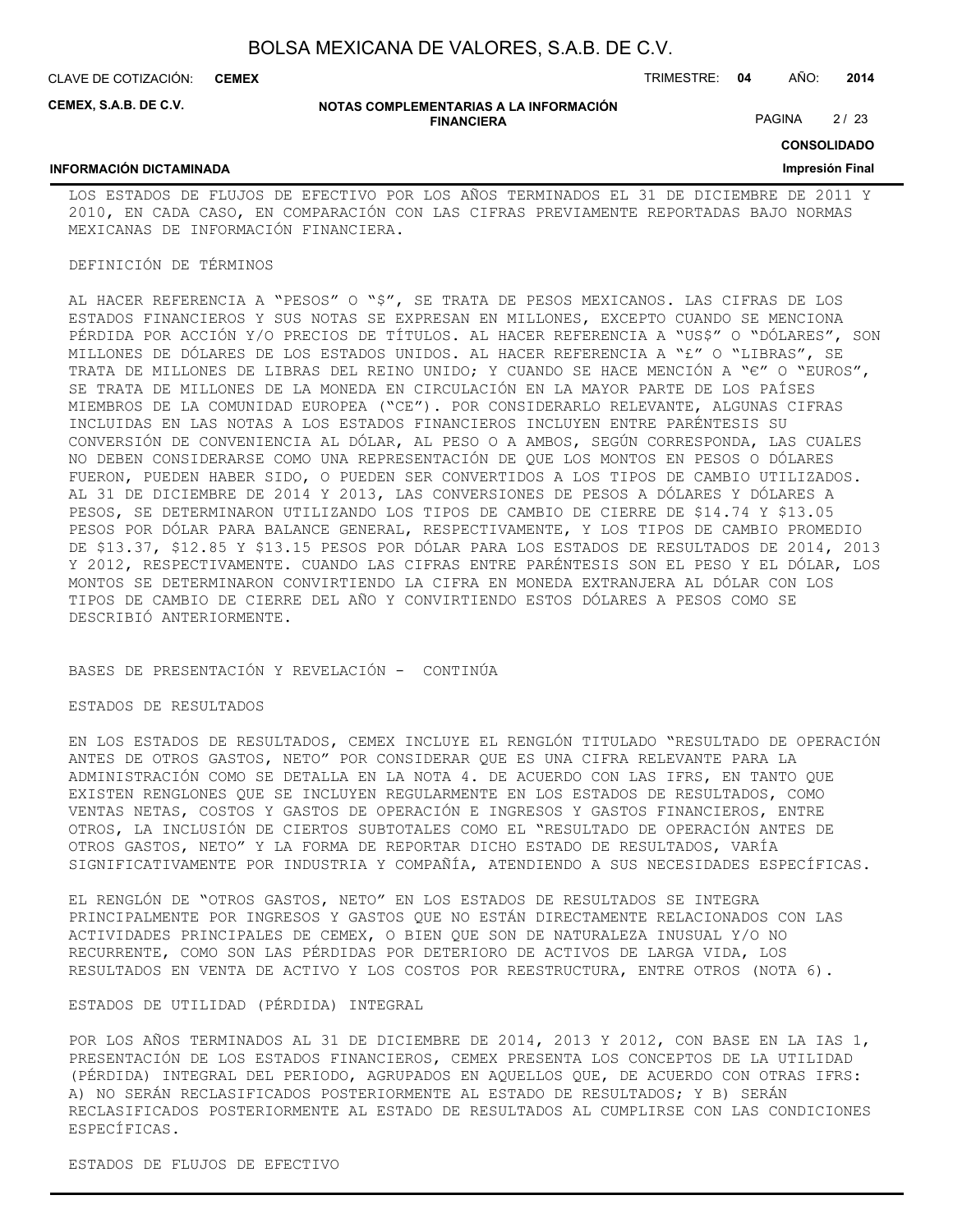**INFORMACIÓN DICTAMINADA**

CLAVE DE COTIZACIÓN: TRIMESTRE: **04** AÑO: **2014 CEMEX**

**CEMEX, S.A.B. DE C.V.**

#### **NOTAS COMPLEMENTARIAS A LA INFORMACIÓN FINANCIERA**

PAGINA 2/23

### **CONSOLIDADO**

#### **Impresión Final**

LOS ESTADOS DE FLUJOS DE EFECTIVO POR LOS AÑOS TERMINADOS EL 31 DE DICIEMBRE DE 2011 Y 2010, EN CADA CASO, EN COMPARACIÓN CON LAS CIFRAS PREVIAMENTE REPORTADAS BAJO NORMAS MEXICANAS DE INFORMACIÓN FINANCIERA.

#### DEFINICIÓN DE TÉRMINOS

AL HACER REFERENCIA A "PESOS" O "\$", SE TRATA DE PESOS MEXICANOS. LAS CIFRAS DE LOS ESTADOS FINANCIEROS Y SUS NOTAS SE EXPRESAN EN MILLONES, EXCEPTO CUANDO SE MENCIONA PÉRDIDA POR ACCIÓN Y/O PRECIOS DE TÍTULOS. AL HACER REFERENCIA A "US\$" O "DÓLARES", SON MILLONES DE DÓLARES DE LOS ESTADOS UNIDOS. AL HACER REFERENCIA A "£" O "LIBRAS", SE TRATA DE MILLONES DE LIBRAS DEL REINO UNIDO; Y CUANDO SE HACE MENCIÓN A "€" O "EUROS", SE TRATA DE MILLONES DE LA MONEDA EN CIRCULACIÓN EN LA MAYOR PARTE DE LOS PAÍSES MIEMBROS DE LA COMUNIDAD EUROPEA ("CE"). POR CONSIDERARLO RELEVANTE, ALGUNAS CIFRAS INCLUIDAS EN LAS NOTAS A LOS ESTADOS FINANCIEROS INCLUYEN ENTRE PARÉNTESIS SU CONVERSIÓN DE CONVENIENCIA AL DÓLAR, AL PESO O A AMBOS, SEGÚN CORRESPONDA, LAS CUALES NO DEBEN CONSIDERARSE COMO UNA REPRESENTACIÓN DE QUE LOS MONTOS EN PESOS O DÓLARES FUERON, PUEDEN HABER SIDO, O PUEDEN SER CONVERTIDOS A LOS TIPOS DE CAMBIO UTILIZADOS. AL 31 DE DICIEMBRE DE 2014 Y 2013, LAS CONVERSIONES DE PESOS A DÓLARES Y DÓLARES A PESOS, SE DETERMINARON UTILIZANDO LOS TIPOS DE CAMBIO DE CIERRE DE \$14.74 Y \$13.05 PESOS POR DÓLAR PARA BALANCE GENERAL, RESPECTIVAMENTE, Y LOS TIPOS DE CAMBIO PROMEDIO DE \$13.37, \$12.85 Y \$13.15 PESOS POR DÓLAR PARA LOS ESTADOS DE RESULTADOS DE 2014, 2013 Y 2012, RESPECTIVAMENTE. CUANDO LAS CIFRAS ENTRE PARÉNTESIS SON EL PESO Y EL DÓLAR, LOS MONTOS SE DETERMINARON CONVIRTIENDO LA CIFRA EN MONEDA EXTRANJERA AL DÓLAR CON LOS TIPOS DE CAMBIO DE CIERRE DEL AÑO Y CONVIRTIENDO ESTOS DÓLARES A PESOS COMO SE DESCRIBIÓ ANTERIORMENTE.

#### BASES DE PRESENTACIÓN Y REVELACIÓN - CONTINÚA

#### ESTADOS DE RESULTADOS

EN LOS ESTADOS DE RESULTADOS, CEMEX INCLUYE EL RENGLÓN TITULADO "RESULTADO DE OPERACIÓN ANTES DE OTROS GASTOS, NETO" POR CONSIDERAR QUE ES UNA CIFRA RELEVANTE PARA LA ADMINISTRACIÓN COMO SE DETALLA EN LA NOTA 4. DE ACUERDO CON LAS IFRS, EN TANTO QUE EXISTEN RENGLONES QUE SE INCLUYEN REGULARMENTE EN LOS ESTADOS DE RESULTADOS, COMO VENTAS NETAS, COSTOS Y GASTOS DE OPERACIÓN E INGRESOS Y GASTOS FINANCIEROS, ENTRE OTROS, LA INCLUSIÓN DE CIERTOS SUBTOTALES COMO EL "RESULTADO DE OPERACIÓN ANTES DE OTROS GASTOS, NETO" Y LA FORMA DE REPORTAR DICHO ESTADO DE RESULTADOS, VARÍA SIGNIFICATIVAMENTE POR INDUSTRIA Y COMPAÑÍA, ATENDIENDO A SUS NECESIDADES ESPECÍFICAS.

EL RENGLÓN DE "OTROS GASTOS, NETO" EN LOS ESTADOS DE RESULTADOS SE INTEGRA PRINCIPALMENTE POR INGRESOS Y GASTOS QUE NO ESTÁN DIRECTAMENTE RELACIONADOS CON LAS ACTIVIDADES PRINCIPALES DE CEMEX, O BIEN QUE SON DE NATURALEZA INUSUAL Y/O NO RECURRENTE, COMO SON LAS PÉRDIDAS POR DETERIORO DE ACTIVOS DE LARGA VIDA, LOS RESULTADOS EN VENTA DE ACTIVO Y LOS COSTOS POR REESTRUCTURA, ENTRE OTROS (NOTA 6).

#### ESTADOS DE UTILIDAD (PÉRDIDA) INTEGRAL

POR LOS AÑOS TERMINADOS AL 31 DE DICIEMBRE DE 2014, 2013 Y 2012, CON BASE EN LA IAS 1, PRESENTACIÓN DE LOS ESTADOS FINANCIEROS, CEMEX PRESENTA LOS CONCEPTOS DE LA UTILIDAD (PÉRDIDA) INTEGRAL DEL PERIODO, AGRUPADOS EN AQUELLOS QUE, DE ACUERDO CON OTRAS IFRS: A) NO SERÁN RECLASIFICADOS POSTERIORMENTE AL ESTADO DE RESULTADOS; Y B) SERÁN RECLASIFICADOS POSTERIORMENTE AL ESTADO DE RESULTADOS AL CUMPLIRSE CON LAS CONDICIONES ESPECÍFICAS.

### ESTADOS DE FLUJOS DE EFECTIVO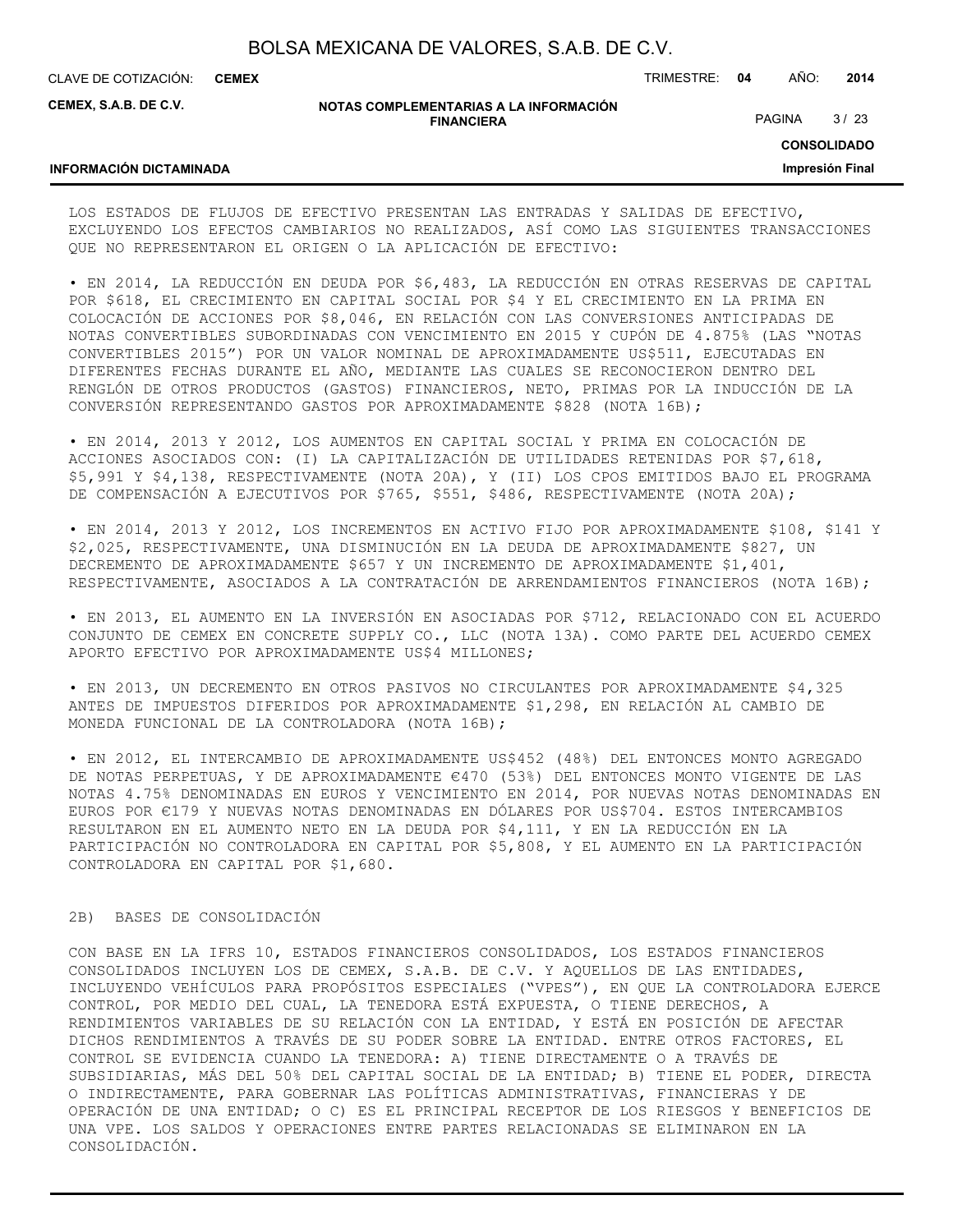**CEMEX**

**INFORMACIÓN DICTAMINADA**

CLAVE DE COTIZACIÓN: TRIMESTRE: **04** AÑO: **2014**

**CEMEX, S.A.B. DE C.V.**

#### **NOTAS COMPLEMENTARIAS A LA INFORMACIÓN FINANCIERA**

PAGINA 3/23

**CONSOLIDADO**

#### **Impresión Final**

LOS ESTADOS DE FLUJOS DE EFECTIVO PRESENTAN LAS ENTRADAS Y SALIDAS DE EFECTIVO, EXCLUYENDO LOS EFECTOS CAMBIARIOS NO REALIZADOS, ASÍ COMO LAS SIGUIENTES TRANSACCIONES QUE NO REPRESENTARON EL ORIGEN O LA APLICACIÓN DE EFECTIVO:

• EN 2014, LA REDUCCIÓN EN DEUDA POR \$6,483, LA REDUCCIÓN EN OTRAS RESERVAS DE CAPITAL POR \$618, EL CRECIMIENTO EN CAPITAL SOCIAL POR \$4 Y EL CRECIMIENTO EN LA PRIMA EN COLOCACIÓN DE ACCIONES POR \$8,046, EN RELACIÓN CON LAS CONVERSIONES ANTICIPADAS DE NOTAS CONVERTIBLES SUBORDINADAS CON VENCIMIENTO EN 2015 Y CUPÓN DE 4.875% (LAS "NOTAS CONVERTIBLES 2015") POR UN VALOR NOMINAL DE APROXIMADAMENTE US\$511, EJECUTADAS EN DIFERENTES FECHAS DURANTE EL AÑO, MEDIANTE LAS CUALES SE RECONOCIERON DENTRO DEL RENGLÓN DE OTROS PRODUCTOS (GASTOS) FINANCIEROS, NETO, PRIMAS POR LA INDUCCIÓN DE LA CONVERSIÓN REPRESENTANDO GASTOS POR APROXIMADAMENTE \$828 (NOTA 16B);

• EN 2014, 2013 Y 2012, LOS AUMENTOS EN CAPITAL SOCIAL Y PRIMA EN COLOCACIÓN DE ACCIONES ASOCIADOS CON: (I) LA CAPITALIZACIÓN DE UTILIDADES RETENIDAS POR \$7,618, \$5,991 Y \$4,138, RESPECTIVAMENTE (NOTA 20A), Y (II) LOS CPOS EMITIDOS BAJO EL PROGRAMA DE COMPENSACIÓN A EJECUTIVOS POR \$765, \$551, \$486, RESPECTIVAMENTE (NOTA 20A);

• EN 2014, 2013 Y 2012, LOS INCREMENTOS EN ACTIVO FIJO POR APROXIMADAMENTE \$108, \$141 Y \$2,025, RESPECTIVAMENTE, UNA DISMINUCIÓN EN LA DEUDA DE APROXIMADAMENTE \$827, UN DECREMENTO DE APROXIMADAMENTE \$657 Y UN INCREMENTO DE APROXIMADAMENTE \$1,401, RESPECTIVAMENTE, ASOCIADOS A LA CONTRATACIÓN DE ARRENDAMIENTOS FINANCIEROS (NOTA 16B);

• EN 2013, EL AUMENTO EN LA INVERSIÓN EN ASOCIADAS POR \$712, RELACIONADO CON EL ACUERDO CONJUNTO DE CEMEX EN CONCRETE SUPPLY CO., LLC (NOTA 13A). COMO PARTE DEL ACUERDO CEMEX APORTO EFECTIVO POR APROXIMADAMENTE US\$4 MILLONES;

• EN 2013, UN DECREMENTO EN OTROS PASIVOS NO CIRCULANTES POR APROXIMADAMENTE \$4,325 ANTES DE IMPUESTOS DIFERIDOS POR APROXIMADAMENTE \$1,298, EN RELACIÓN AL CAMBIO DE MONEDA FUNCIONAL DE LA CONTROLADORA (NOTA 16B);

• EN 2012, EL INTERCAMBIO DE APROXIMADAMENTE US\$452 (48%) DEL ENTONCES MONTO AGREGADO DE NOTAS PERPETUAS, Y DE APROXIMADAMENTE €470 (53%) DEL ENTONCES MONTO VIGENTE DE LAS NOTAS 4.75% DENOMINADAS EN EUROS Y VENCIMIENTO EN 2014, POR NUEVAS NOTAS DENOMINADAS EN EUROS POR €179 Y NUEVAS NOTAS DENOMINADAS EN DÓLARES POR US\$704. ESTOS INTERCAMBIOS RESULTARON EN EL AUMENTO NETO EN LA DEUDA POR \$4,111, Y EN LA REDUCCIÓN EN LA PARTICIPACIÓN NO CONTROLADORA EN CAPITAL POR \$5,808, Y EL AUMENTO EN LA PARTICIPACIÓN CONTROLADORA EN CAPITAL POR \$1,680.

### 2B) BASES DE CONSOLIDACIÓN

CON BASE EN LA IFRS 10, ESTADOS FINANCIEROS CONSOLIDADOS, LOS ESTADOS FINANCIEROS CONSOLIDADOS INCLUYEN LOS DE CEMEX, S.A.B. DE C.V. Y AQUELLOS DE LAS ENTIDADES, INCLUYENDO VEHÍCULOS PARA PROPÓSITOS ESPECIALES ("VPES"), EN QUE LA CONTROLADORA EJERCE CONTROL, POR MEDIO DEL CUAL, LA TENEDORA ESTÁ EXPUESTA, O TIENE DERECHOS, A RENDIMIENTOS VARIABLES DE SU RELACIÓN CON LA ENTIDAD, Y ESTÁ EN POSICIÓN DE AFECTAR DICHOS RENDIMIENTOS A TRAVÉS DE SU PODER SOBRE LA ENTIDAD. ENTRE OTROS FACTORES, EL CONTROL SE EVIDENCIA CUANDO LA TENEDORA: A) TIENE DIRECTAMENTE O A TRAVÉS DE SUBSIDIARIAS, MÁS DEL 50% DEL CAPITAL SOCIAL DE LA ENTIDAD; B) TIENE EL PODER, DIRECTA O INDIRECTAMENTE, PARA GOBERNAR LAS POLÍTICAS ADMINISTRATIVAS, FINANCIERAS Y DE OPERACIÓN DE UNA ENTIDAD; O C) ES EL PRINCIPAL RECEPTOR DE LOS RIESGOS Y BENEFICIOS DE UNA VPE. LOS SALDOS Y OPERACIONES ENTRE PARTES RELACIONADAS SE ELIMINARON EN LA CONSOLIDACIÓN.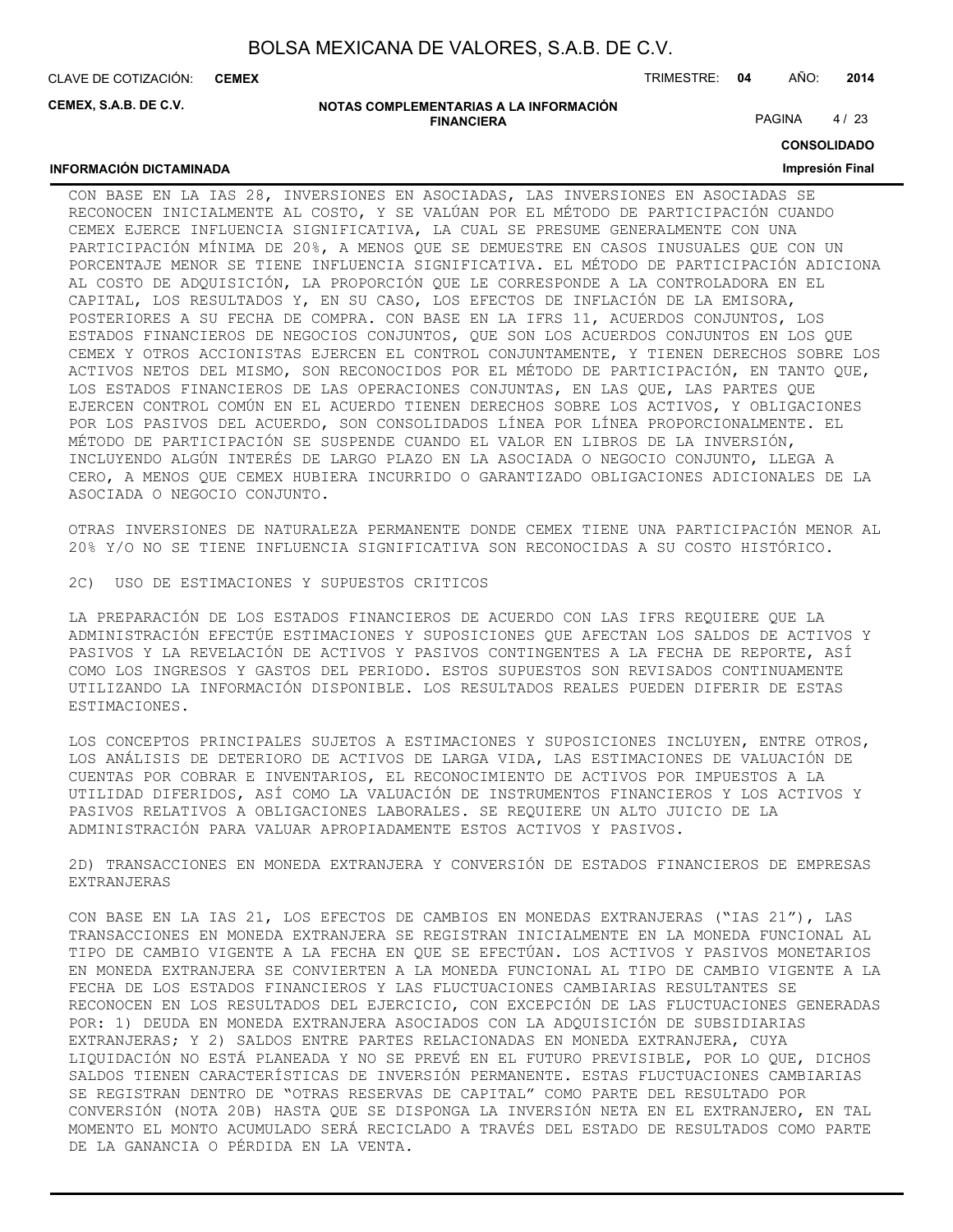**INFORMACIÓN DICTAMINADA**

CLAVE DE COTIZACIÓN: TRIMESTRE: **04** AÑO: **2014 CEMEX**

**CEMEX, S.A.B. DE C.V.**

#### **NOTAS COMPLEMENTARIAS A LA INFORMACIÓN FINANCIERA**

PAGINA 4/23

### **CONSOLIDADO**

#### **Impresión Final**

CON BASE EN LA IAS 28, INVERSIONES EN ASOCIADAS, LAS INVERSIONES EN ASOCIADAS SE RECONOCEN INICIALMENTE AL COSTO, Y SE VALÚAN POR EL MÉTODO DE PARTICIPACIÓN CUANDO CEMEX EJERCE INFLUENCIA SIGNIFICATIVA, LA CUAL SE PRESUME GENERALMENTE CON UNA PARTICIPACIÓN MÍNIMA DE 20%, A MENOS QUE SE DEMUESTRE EN CASOS INUSUALES QUE CON UN PORCENTAJE MENOR SE TIENE INFLUENCIA SIGNIFICATIVA. EL MÉTODO DE PARTICIPACIÓN ADICIONA AL COSTO DE ADQUISICIÓN, LA PROPORCIÓN QUE LE CORRESPONDE A LA CONTROLADORA EN EL CAPITAL, LOS RESULTADOS Y, EN SU CASO, LOS EFECTOS DE INFLACIÓN DE LA EMISORA, POSTERIORES A SU FECHA DE COMPRA. CON BASE EN LA IFRS 11, ACUERDOS CONJUNTOS, LOS ESTADOS FINANCIEROS DE NEGOCIOS CONJUNTOS, QUE SON LOS ACUERDOS CONJUNTOS EN LOS QUE CEMEX Y OTROS ACCIONISTAS EJERCEN EL CONTROL CONJUNTAMENTE, Y TIENEN DERECHOS SOBRE LOS ACTIVOS NETOS DEL MISMO, SON RECONOCIDOS POR EL MÉTODO DE PARTICIPACIÓN, EN TANTO QUE, LOS ESTADOS FINANCIEROS DE LAS OPERACIONES CONJUNTAS, EN LAS QUE, LAS PARTES QUE EJERCEN CONTROL COMÚN EN EL ACUERDO TIENEN DERECHOS SOBRE LOS ACTIVOS, Y OBLIGACIONES POR LOS PASIVOS DEL ACUERDO, SON CONSOLIDADOS LÍNEA POR LÍNEA PROPORCIONALMENTE. EL MÉTODO DE PARTICIPACIÓN SE SUSPENDE CUANDO EL VALOR EN LIBROS DE LA INVERSIÓN, INCLUYENDO ALGÚN INTERÉS DE LARGO PLAZO EN LA ASOCIADA O NEGOCIO CONJUNTO, LLEGA A CERO, A MENOS QUE CEMEX HUBIERA INCURRIDO O GARANTIZADO OBLIGACIONES ADICIONALES DE LA ASOCIADA O NEGOCIO CONJUNTO.

OTRAS INVERSIONES DE NATURALEZA PERMANENTE DONDE CEMEX TIENE UNA PARTICIPACIÓN MENOR AL 20% Y/O NO SE TIENE INFLUENCIA SIGNIFICATIVA SON RECONOCIDAS A SU COSTO HISTÓRICO.

2C) USO DE ESTIMACIONES Y SUPUESTOS CRITICOS

LA PREPARACIÓN DE LOS ESTADOS FINANCIEROS DE ACUERDO CON LAS IFRS REQUIERE QUE LA ADMINISTRACIÓN EFECTÚE ESTIMACIONES Y SUPOSICIONES QUE AFECTAN LOS SALDOS DE ACTIVOS Y PASIVOS Y LA REVELACIÓN DE ACTIVOS Y PASIVOS CONTINGENTES A LA FECHA DE REPORTE, ASÍ COMO LOS INGRESOS Y GASTOS DEL PERIODO. ESTOS SUPUESTOS SON REVISADOS CONTINUAMENTE UTILIZANDO LA INFORMACIÓN DISPONIBLE. LOS RESULTADOS REALES PUEDEN DIFERIR DE ESTAS ESTIMACIONES.

LOS CONCEPTOS PRINCIPALES SUJETOS A ESTIMACIONES Y SUPOSICIONES INCLUYEN, ENTRE OTROS, LOS ANÁLISIS DE DETERIORO DE ACTIVOS DE LARGA VIDA, LAS ESTIMACIONES DE VALUACIÓN DE CUENTAS POR COBRAR E INVENTARIOS, EL RECONOCIMIENTO DE ACTIVOS POR IMPUESTOS A LA UTILIDAD DIFERIDOS, ASÍ COMO LA VALUACIÓN DE INSTRUMENTOS FINANCIEROS Y LOS ACTIVOS Y PASIVOS RELATIVOS A OBLIGACIONES LABORALES. SE REQUIERE UN ALTO JUICIO DE LA ADMINISTRACIÓN PARA VALUAR APROPIADAMENTE ESTOS ACTIVOS Y PASIVOS.

2D) TRANSACCIONES EN MONEDA EXTRANJERA Y CONVERSIÓN DE ESTADOS FINANCIEROS DE EMPRESAS EXTRANJERAS

CON BASE EN LA IAS 21, LOS EFECTOS DE CAMBIOS EN MONEDAS EXTRANJERAS ("IAS 21"), LAS TRANSACCIONES EN MONEDA EXTRANJERA SE REGISTRAN INICIALMENTE EN LA MONEDA FUNCIONAL AL TIPO DE CAMBIO VIGENTE A LA FECHA EN QUE SE EFECTÚAN. LOS ACTIVOS Y PASIVOS MONETARIOS EN MONEDA EXTRANJERA SE CONVIERTEN A LA MONEDA FUNCIONAL AL TIPO DE CAMBIO VIGENTE A LA FECHA DE LOS ESTADOS FINANCIEROS Y LAS FLUCTUACIONES CAMBIARIAS RESULTANTES SE RECONOCEN EN LOS RESULTADOS DEL EJERCICIO, CON EXCEPCIÓN DE LAS FLUCTUACIONES GENERADAS POR: 1) DEUDA EN MONEDA EXTRANJERA ASOCIADOS CON LA ADQUISICIÓN DE SUBSIDIARIAS EXTRANJERAS; Y 2) SALDOS ENTRE PARTES RELACIONADAS EN MONEDA EXTRANJERA, CUYA LIQUIDACIÓN NO ESTÁ PLANEADA Y NO SE PREVÉ EN EL FUTURO PREVISIBLE, POR LO QUE, DICHOS SALDOS TIENEN CARACTERÍSTICAS DE INVERSIÓN PERMANENTE. ESTAS FLUCTUACIONES CAMBIARIAS SE REGISTRAN DENTRO DE "OTRAS RESERVAS DE CAPITAL" COMO PARTE DEL RESULTADO POR CONVERSIÓN (NOTA 20B) HASTA QUE SE DISPONGA LA INVERSIÓN NETA EN EL EXTRANJERO, EN TAL MOMENTO EL MONTO ACUMULADO SERÁ RECICLADO A TRAVÉS DEL ESTADO DE RESULTADOS COMO PARTE DE LA GANANCIA O PÉRDIDA EN LA VENTA.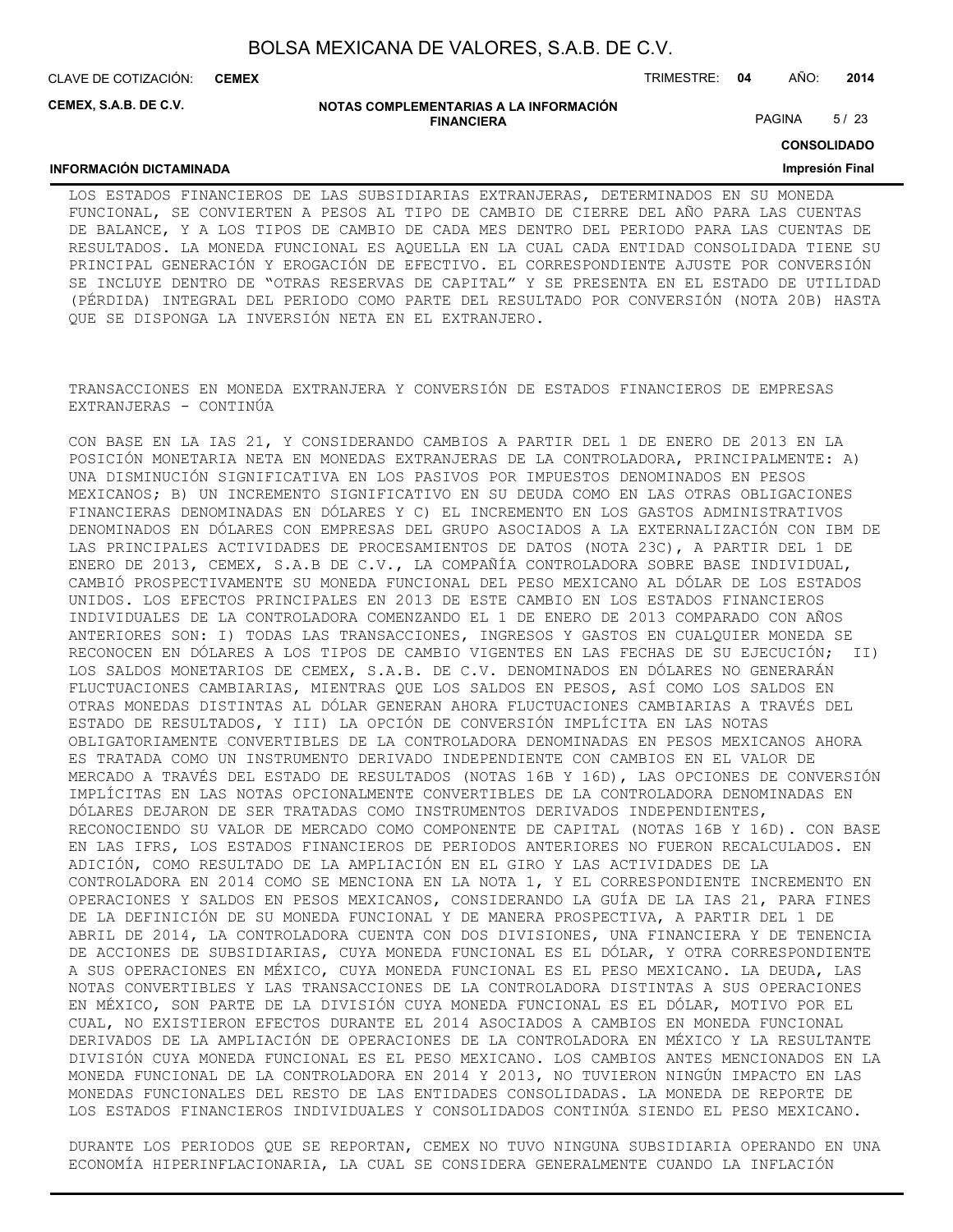CLAVE DE COTIZACIÓN: TRIMESTRE: **04** AÑO: **2014 CEMEX**

**CEMEX, S.A.B. DE C.V.**

**NOTAS COMPLEMENTARIAS A LA INFORMACIÓN**

**FINANCIERA**

PAGINA 5/23

**CONSOLIDADO**

### **INFORMACIÓN DICTAMINADA**

**Impresión Final**

LOS ESTADOS FINANCIEROS DE LAS SUBSIDIARIAS EXTRANJERAS, DETERMINADOS EN SU MONEDA FUNCIONAL, SE CONVIERTEN A PESOS AL TIPO DE CAMBIO DE CIERRE DEL AÑO PARA LAS CUENTAS DE BALANCE, Y A LOS TIPOS DE CAMBIO DE CADA MES DENTRO DEL PERIODO PARA LAS CUENTAS DE RESULTADOS. LA MONEDA FUNCIONAL ES AQUELLA EN LA CUAL CADA ENTIDAD CONSOLIDADA TIENE SU PRINCIPAL GENERACIÓN Y EROGACIÓN DE EFECTIVO. EL CORRESPONDIENTE AJUSTE POR CONVERSIÓN SE INCLUYE DENTRO DE "OTRAS RESERVAS DE CAPITAL" Y SE PRESENTA EN EL ESTADO DE UTILIDAD (PÉRDIDA) INTEGRAL DEL PERIODO COMO PARTE DEL RESULTADO POR CONVERSIÓN (NOTA 20B) HASTA QUE SE DISPONGA LA INVERSIÓN NETA EN EL EXTRANJERO.

TRANSACCIONES EN MONEDA EXTRANJERA Y CONVERSIÓN DE ESTADOS FINANCIEROS DE EMPRESAS EXTRANJERAS - CONTINÚA

CON BASE EN LA IAS 21, Y CONSIDERANDO CAMBIOS A PARTIR DEL 1 DE ENERO DE 2013 EN LA POSICIÓN MONETARIA NETA EN MONEDAS EXTRANJERAS DE LA CONTROLADORA, PRINCIPALMENTE: A) UNA DISMINUCIÓN SIGNIFICATIVA EN LOS PASIVOS POR IMPUESTOS DENOMINADOS EN PESOS MEXICANOS; B) UN INCREMENTO SIGNIFICATIVO EN SU DEUDA COMO EN LAS OTRAS OBLIGACIONES FINANCIERAS DENOMINADAS EN DÓLARES Y C) EL INCREMENTO EN LOS GASTOS ADMINISTRATIVOS DENOMINADOS EN DÓLARES CON EMPRESAS DEL GRUPO ASOCIADOS A LA EXTERNALIZACIÓN CON IBM DE LAS PRINCIPALES ACTIVIDADES DE PROCESAMIENTOS DE DATOS (NOTA 23C), A PARTIR DEL 1 DE ENERO DE 2013, CEMEX, S.A.B DE C.V., LA COMPAÑÍA CONTROLADORA SOBRE BASE INDIVIDUAL, CAMBIÓ PROSPECTIVAMENTE SU MONEDA FUNCIONAL DEL PESO MEXICANO AL DÓLAR DE LOS ESTADOS UNIDOS. LOS EFECTOS PRINCIPALES EN 2013 DE ESTE CAMBIO EN LOS ESTADOS FINANCIEROS INDIVIDUALES DE LA CONTROLADORA COMENZANDO EL 1 DE ENERO DE 2013 COMPARADO CON AÑOS ANTERIORES SON: I) TODAS LAS TRANSACCIONES, INGRESOS Y GASTOS EN CUALQUIER MONEDA SE RECONOCEN EN DÓLARES A LOS TIPOS DE CAMBIO VIGENTES EN LAS FECHAS DE SU EJECUCIÓN; II) LOS SALDOS MONETARIOS DE CEMEX, S.A.B. DE C.V. DENOMINADOS EN DÓLARES NO GENERARÁN FLUCTUACIONES CAMBIARIAS, MIENTRAS QUE LOS SALDOS EN PESOS, ASÍ COMO LOS SALDOS EN OTRAS MONEDAS DISTINTAS AL DÓLAR GENERAN AHORA FLUCTUACIONES CAMBIARIAS A TRAVÉS DEL ESTADO DE RESULTADOS, Y III) LA OPCIÓN DE CONVERSIÓN IMPLÍCITA EN LAS NOTAS OBLIGATORIAMENTE CONVERTIBLES DE LA CONTROLADORA DENOMINADAS EN PESOS MEXICANOS AHORA ES TRATADA COMO UN INSTRUMENTO DERIVADO INDEPENDIENTE CON CAMBIOS EN EL VALOR DE MERCADO A TRAVÉS DEL ESTADO DE RESULTADOS (NOTAS 16B Y 16D), LAS OPCIONES DE CONVERSIÓN IMPLÍCITAS EN LAS NOTAS OPCIONALMENTE CONVERTIBLES DE LA CONTROLADORA DENOMINADAS EN DÓLARES DEJARON DE SER TRATADAS COMO INSTRUMENTOS DERIVADOS INDEPENDIENTES, RECONOCIENDO SU VALOR DE MERCADO COMO COMPONENTE DE CAPITAL (NOTAS 16B Y 16D). CON BASE EN LAS IFRS, LOS ESTADOS FINANCIEROS DE PERIODOS ANTERIORES NO FUERON RECALCULADOS. EN ADICIÓN, COMO RESULTADO DE LA AMPLIACIÓN EN EL GIRO Y LAS ACTIVIDADES DE LA CONTROLADORA EN 2014 COMO SE MENCIONA EN LA NOTA 1, Y EL CORRESPONDIENTE INCREMENTO EN OPERACIONES Y SALDOS EN PESOS MEXICANOS, CONSIDERANDO LA GUÍA DE LA IAS 21, PARA FINES DE LA DEFINICIÓN DE SU MONEDA FUNCIONAL Y DE MANERA PROSPECTIVA, A PARTIR DEL 1 DE ABRIL DE 2014, LA CONTROLADORA CUENTA CON DOS DIVISIONES, UNA FINANCIERA Y DE TENENCIA DE ACCIONES DE SUBSIDIARIAS, CUYA MONEDA FUNCIONAL ES EL DÓLAR, Y OTRA CORRESPONDIENTE A SUS OPERACIONES EN MÉXICO, CUYA MONEDA FUNCIONAL ES EL PESO MEXICANO. LA DEUDA, LAS NOTAS CONVERTIBLES Y LAS TRANSACCIONES DE LA CONTROLADORA DISTINTAS A SUS OPERACIONES EN MÉXICO, SON PARTE DE LA DIVISIÓN CUYA MONEDA FUNCIONAL ES EL DÓLAR, MOTIVO POR EL CUAL, NO EXISTIERON EFECTOS DURANTE EL 2014 ASOCIADOS A CAMBIOS EN MONEDA FUNCIONAL DERIVADOS DE LA AMPLIACIÓN DE OPERACIONES DE LA CONTROLADORA EN MÉXICO Y LA RESULTANTE DIVISIÓN CUYA MONEDA FUNCIONAL ES EL PESO MEXICANO. LOS CAMBIOS ANTES MENCIONADOS EN LA MONEDA FUNCIONAL DE LA CONTROLADORA EN 2014 Y 2013, NO TUVIERON NINGÚN IMPACTO EN LAS MONEDAS FUNCIONALES DEL RESTO DE LAS ENTIDADES CONSOLIDADAS. LA MONEDA DE REPORTE DE LOS ESTADOS FINANCIEROS INDIVIDUALES Y CONSOLIDADOS CONTINÚA SIENDO EL PESO MEXICANO.

DURANTE LOS PERIODOS QUE SE REPORTAN, CEMEX NO TUVO NINGUNA SUBSIDIARIA OPERANDO EN UNA ECONOMÍA HIPERINFLACIONARIA, LA CUAL SE CONSIDERA GENERALMENTE CUANDO LA INFLACIÓN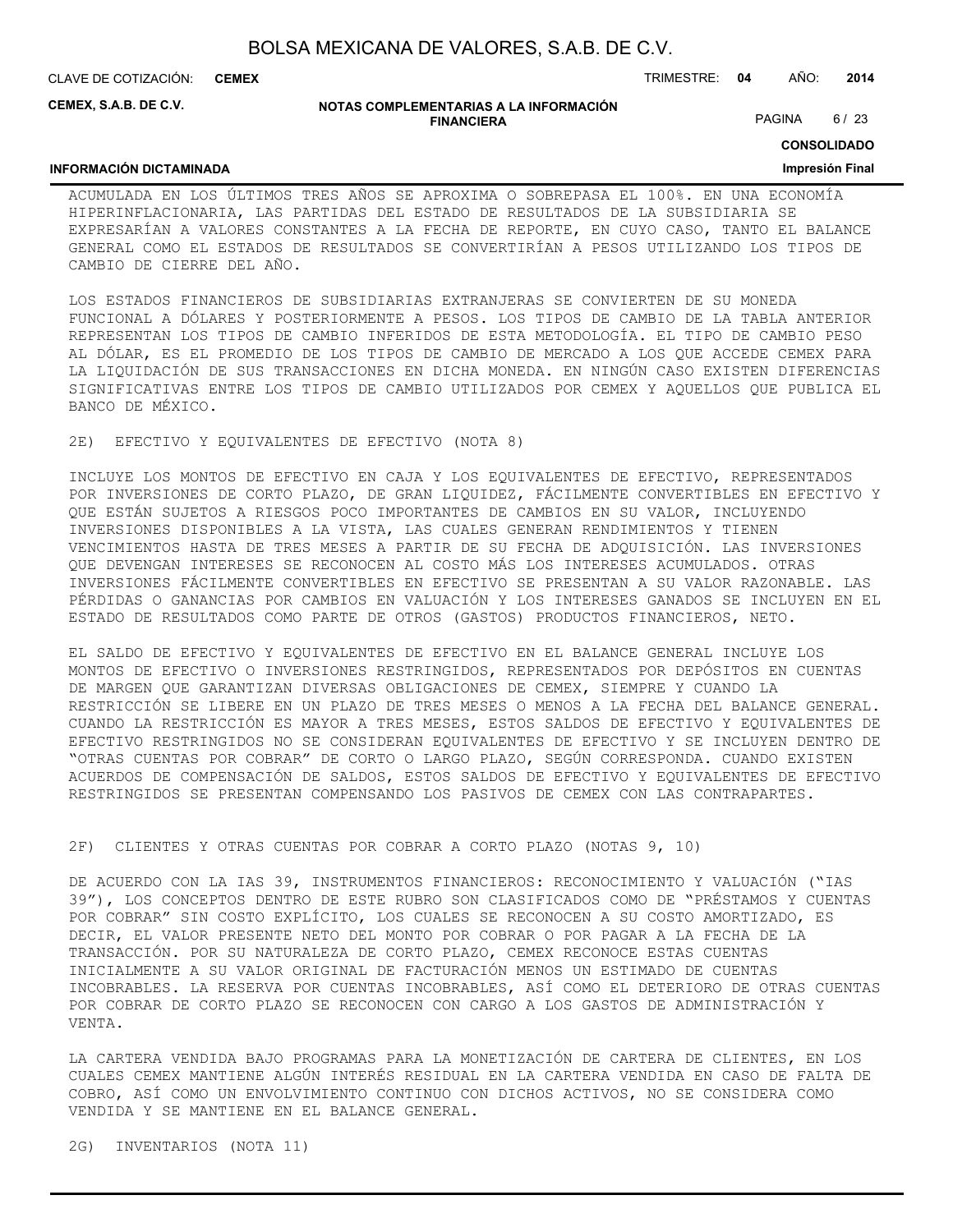**INFORMACIÓN DICTAMINADA**

CLAVE DE COTIZACIÓN: TRIMESTRE: **04** AÑO: **2014 CEMEX**

**CEMEX, S.A.B. DE C.V.**

#### **NOTAS COMPLEMENTARIAS A LA INFORMACIÓN FINANCIERA**

PAGINA 6/23

**CONSOLIDADO**

#### **Impresión Final**

ACUMULADA EN LOS ÚLTIMOS TRES AÑOS SE APROXIMA O SOBREPASA EL 100%. EN UNA ECONOMÍA HIPERINFLACIONARIA, LAS PARTIDAS DEL ESTADO DE RESULTADOS DE LA SUBSIDIARIA SE EXPRESARÍAN A VALORES CONSTANTES A LA FECHA DE REPORTE, EN CUYO CASO, TANTO EL BALANCE GENERAL COMO EL ESTADOS DE RESULTADOS SE CONVERTIRÍAN A PESOS UTILIZANDO LOS TIPOS DE CAMBIO DE CIERRE DEL AÑO.

LOS ESTADOS FINANCIEROS DE SUBSIDIARIAS EXTRANJERAS SE CONVIERTEN DE SU MONEDA FUNCIONAL A DÓLARES Y POSTERIORMENTE A PESOS. LOS TIPOS DE CAMBIO DE LA TABLA ANTERIOR REPRESENTAN LOS TIPOS DE CAMBIO INFERIDOS DE ESTA METODOLOGÍA. EL TIPO DE CAMBIO PESO AL DÓLAR, ES EL PROMEDIO DE LOS TIPOS DE CAMBIO DE MERCADO A LOS QUE ACCEDE CEMEX PARA LA LIQUIDACIÓN DE SUS TRANSACCIONES EN DICHA MONEDA. EN NINGÚN CASO EXISTEN DIFERENCIAS SIGNIFICATIVAS ENTRE LOS TIPOS DE CAMBIO UTILIZADOS POR CEMEX Y AQUELLOS QUE PUBLICA EL BANCO DE MÉXICO.

### 2E) EFECTIVO Y EQUIVALENTES DE EFECTIVO (NOTA 8)

INCLUYE LOS MONTOS DE EFECTIVO EN CAJA Y LOS EQUIVALENTES DE EFECTIVO, REPRESENTADOS POR INVERSIONES DE CORTO PLAZO, DE GRAN LIQUIDEZ, FÁCILMENTE CONVERTIBLES EN EFECTIVO Y QUE ESTÁN SUJETOS A RIESGOS POCO IMPORTANTES DE CAMBIOS EN SU VALOR, INCLUYENDO INVERSIONES DISPONIBLES A LA VISTA, LAS CUALES GENERAN RENDIMIENTOS Y TIENEN VENCIMIENTOS HASTA DE TRES MESES A PARTIR DE SU FECHA DE ADQUISICIÓN. LAS INVERSIONES QUE DEVENGAN INTERESES SE RECONOCEN AL COSTO MÁS LOS INTERESES ACUMULADOS. OTRAS INVERSIONES FÁCILMENTE CONVERTIBLES EN EFECTIVO SE PRESENTAN A SU VALOR RAZONABLE. LAS PÉRDIDAS O GANANCIAS POR CAMBIOS EN VALUACIÓN Y LOS INTERESES GANADOS SE INCLUYEN EN EL ESTADO DE RESULTADOS COMO PARTE DE OTROS (GASTOS) PRODUCTOS FINANCIEROS, NETO.

EL SALDO DE EFECTIVO Y EQUIVALENTES DE EFECTIVO EN EL BALANCE GENERAL INCLUYE LOS MONTOS DE EFECTIVO O INVERSIONES RESTRINGIDOS, REPRESENTADOS POR DEPÓSITOS EN CUENTAS DE MARGEN QUE GARANTIZAN DIVERSAS OBLIGACIONES DE CEMEX, SIEMPRE Y CUANDO LA RESTRICCIÓN SE LIBERE EN UN PLAZO DE TRES MESES O MENOS A LA FECHA DEL BALANCE GENERAL. CUANDO LA RESTRICCIÓN ES MAYOR A TRES MESES, ESTOS SALDOS DE EFECTIVO Y EQUIVALENTES DE EFECTIVO RESTRINGIDOS NO SE CONSIDERAN EQUIVALENTES DE EFECTIVO Y SE INCLUYEN DENTRO DE "OTRAS CUENTAS POR COBRAR" DE CORTO O LARGO PLAZO, SEGÚN CORRESPONDA. CUANDO EXISTEN ACUERDOS DE COMPENSACIÓN DE SALDOS, ESTOS SALDOS DE EFECTIVO Y EQUIVALENTES DE EFECTIVO RESTRINGIDOS SE PRESENTAN COMPENSANDO LOS PASIVOS DE CEMEX CON LAS CONTRAPARTES.

## 2F) CLIENTES Y OTRAS CUENTAS POR COBRAR A CORTO PLAZO (NOTAS 9, 10)

DE ACUERDO CON LA IAS 39, INSTRUMENTOS FINANCIEROS: RECONOCIMIENTO Y VALUACIÓN ("IAS 39"), LOS CONCEPTOS DENTRO DE ESTE RUBRO SON CLASIFICADOS COMO DE "PRÉSTAMOS Y CUENTAS POR COBRAR" SIN COSTO EXPLÍCITO, LOS CUALES SE RECONOCEN A SU COSTO AMORTIZADO, ES DECIR, EL VALOR PRESENTE NETO DEL MONTO POR COBRAR O POR PAGAR A LA FECHA DE LA TRANSACCIÓN. POR SU NATURALEZA DE CORTO PLAZO, CEMEX RECONOCE ESTAS CUENTAS INICIALMENTE A SU VALOR ORIGINAL DE FACTURACIÓN MENOS UN ESTIMADO DE CUENTAS INCOBRABLES. LA RESERVA POR CUENTAS INCOBRABLES, ASÍ COMO EL DETERIORO DE OTRAS CUENTAS POR COBRAR DE CORTO PLAZO SE RECONOCEN CON CARGO A LOS GASTOS DE ADMINISTRACIÓN Y VENTA.

LA CARTERA VENDIDA BAJO PROGRAMAS PARA LA MONETIZACIÓN DE CARTERA DE CLIENTES, EN LOS CUALES CEMEX MANTIENE ALGÚN INTERÉS RESIDUAL EN LA CARTERA VENDIDA EN CASO DE FALTA DE COBRO, ASÍ COMO UN ENVOLVIMIENTO CONTINUO CON DICHOS ACTIVOS, NO SE CONSIDERA COMO VENDIDA Y SE MANTIENE EN EL BALANCE GENERAL.

2G) INVENTARIOS (NOTA 11)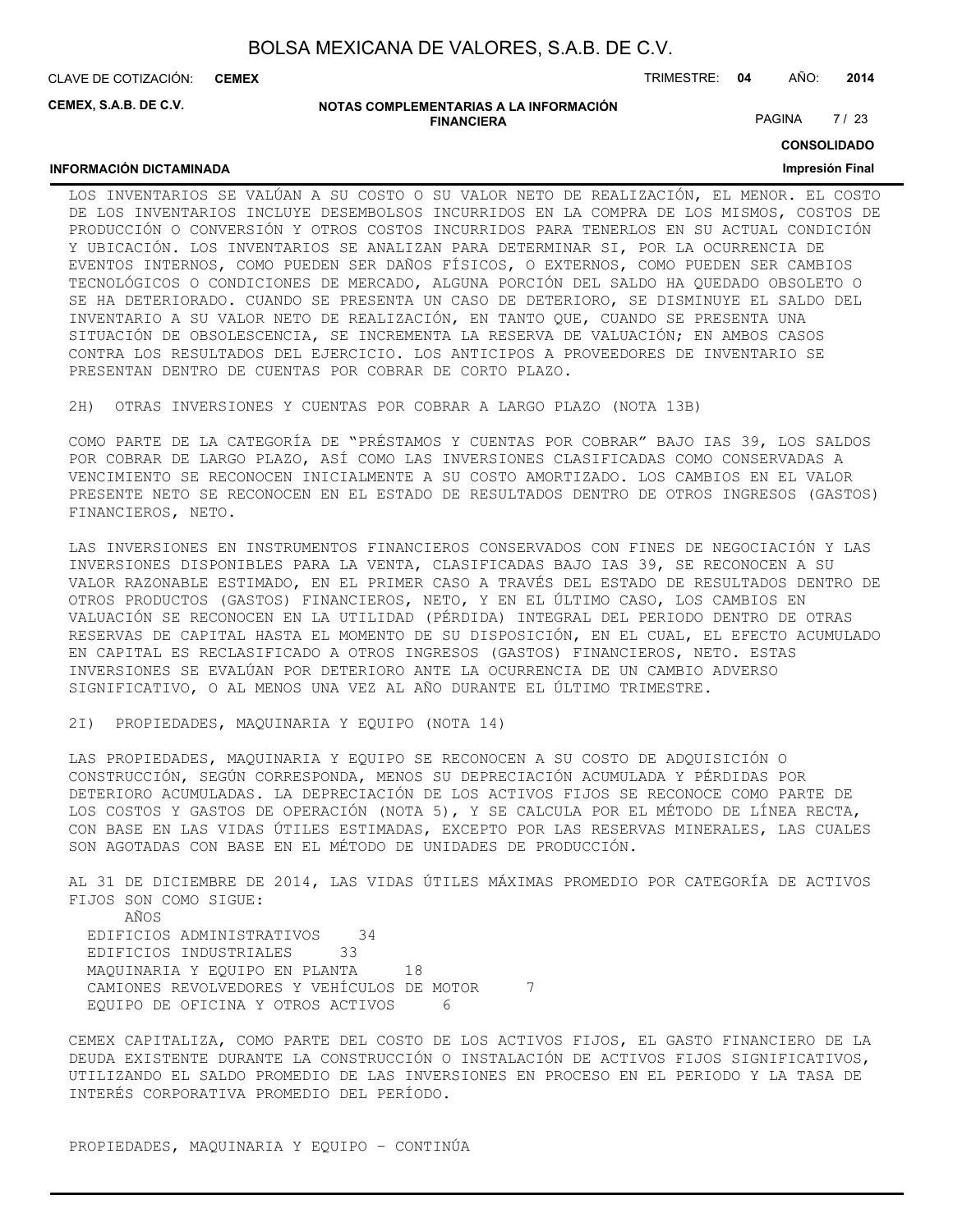**INFORMACIÓN DICTAMINADA**

CLAVE DE COTIZACIÓN: TRIMESTRE: **04** AÑO: **2014 CEMEX**

**CEMEX, S.A.B. DE C.V.**

#### **NOTAS COMPLEMENTARIAS A LA INFORMACIÓN FINANCIERA**

PAGINA 7/23

## **CONSOLIDADO**

### **Impresión Final**

LOS INVENTARIOS SE VALÚAN A SU COSTO O SU VALOR NETO DE REALIZACIÓN, EL MENOR. EL COSTO DE LOS INVENTARIOS INCLUYE DESEMBOLSOS INCURRIDOS EN LA COMPRA DE LOS MISMOS, COSTOS DE PRODUCCIÓN O CONVERSIÓN Y OTROS COSTOS INCURRIDOS PARA TENERLOS EN SU ACTUAL CONDICIÓN Y UBICACIÓN. LOS INVENTARIOS SE ANALIZAN PARA DETERMINAR SI, POR LA OCURRENCIA DE EVENTOS INTERNOS, COMO PUEDEN SER DAÑOS FÍSICOS, O EXTERNOS, COMO PUEDEN SER CAMBIOS TECNOLÓGICOS O CONDICIONES DE MERCADO, ALGUNA PORCIÓN DEL SALDO HA QUEDADO OBSOLETO O SE HA DETERIORADO. CUANDO SE PRESENTA UN CASO DE DETERIORO, SE DISMINUYE EL SALDO DEL INVENTARIO A SU VALOR NETO DE REALIZACIÓN, EN TANTO QUE, CUANDO SE PRESENTA UNA SITUACIÓN DE OBSOLESCENCIA, SE INCREMENTA LA RESERVA DE VALUACIÓN; EN AMBOS CASOS CONTRA LOS RESULTADOS DEL EJERCICIO. LOS ANTICIPOS A PROVEEDORES DE INVENTARIO SE PRESENTAN DENTRO DE CUENTAS POR COBRAR DE CORTO PLAZO.

2H) OTRAS INVERSIONES Y CUENTAS POR COBRAR A LARGO PLAZO (NOTA 13B)

COMO PARTE DE LA CATEGORÍA DE "PRÉSTAMOS Y CUENTAS POR COBRAR" BAJO IAS 39, LOS SALDOS POR COBRAR DE LARGO PLAZO, ASÍ COMO LAS INVERSIONES CLASIFICADAS COMO CONSERVADAS A VENCIMIENTO SE RECONOCEN INICIALMENTE A SU COSTO AMORTIZADO. LOS CAMBIOS EN EL VALOR PRESENTE NETO SE RECONOCEN EN EL ESTADO DE RESULTADOS DENTRO DE OTROS INGRESOS (GASTOS) FINANCIEROS, NETO.

LAS INVERSIONES EN INSTRUMENTOS FINANCIEROS CONSERVADOS CON FINES DE NEGOCIACIÓN Y LAS INVERSIONES DISPONIBLES PARA LA VENTA, CLASIFICADAS BAJO IAS 39, SE RECONOCEN A SU VALOR RAZONABLE ESTIMADO, EN EL PRIMER CASO A TRAVÉS DEL ESTADO DE RESULTADOS DENTRO DE OTROS PRODUCTOS (GASTOS) FINANCIEROS, NETO, Y EN EL ÚLTIMO CASO, LOS CAMBIOS EN VALUACIÓN SE RECONOCEN EN LA UTILIDAD (PÉRDIDA) INTEGRAL DEL PERIODO DENTRO DE OTRAS RESERVAS DE CAPITAL HASTA EL MOMENTO DE SU DISPOSICIÓN, EN EL CUAL, EL EFECTO ACUMULADO EN CAPITAL ES RECLASIFICADO A OTROS INGRESOS (GASTOS) FINANCIEROS, NETO. ESTAS INVERSIONES SE EVALÚAN POR DETERIORO ANTE LA OCURRENCIA DE UN CAMBIO ADVERSO SIGNIFICATIVO, O AL MENOS UNA VEZ AL AÑO DURANTE EL ÚLTIMO TRIMESTRE.

2I) PROPIEDADES, MAQUINARIA Y EQUIPO (NOTA 14)

LAS PROPIEDADES, MAQUINARIA Y EQUIPO SE RECONOCEN A SU COSTO DE ADQUISICIÓN O CONSTRUCCIÓN, SEGÚN CORRESPONDA, MENOS SU DEPRECIACIÓN ACUMULADA Y PÉRDIDAS POR DETERIORO ACUMULADAS. LA DEPRECIACIÓN DE LOS ACTIVOS FIJOS SE RECONOCE COMO PARTE DE LOS COSTOS Y GASTOS DE OPERACIÓN (NOTA 5), Y SE CALCULA POR EL MÉTODO DE LÍNEA RECTA, CON BASE EN LAS VIDAS ÚTILES ESTIMADAS, EXCEPTO POR LAS RESERVAS MINERALES, LAS CUALES SON AGOTADAS CON BASE EN EL MÉTODO DE UNIDADES DE PRODUCCIÓN.

AL 31 DE DICIEMBRE DE 2014, LAS VIDAS ÚTILES MÁXIMAS PROMEDIO POR CATEGORÍA DE ACTIVOS FIJOS SON COMO SIGUE: AÑOS EDIFICIOS ADMINISTRATIVOS 34 EDIFICIOS INDUSTRIALES 33 MAQUINARIA Y EQUIPO EN PLANTA 18 CAMIONES REVOLVEDORES Y VEHÍCULOS DE MOTOR 7 EQUIPO DE OFICINA Y OTROS ACTIVOS 6

CEMEX CAPITALIZA, COMO PARTE DEL COSTO DE LOS ACTIVOS FIJOS, EL GASTO FINANCIERO DE LA DEUDA EXISTENTE DURANTE LA CONSTRUCCIÓN O INSTALACIÓN DE ACTIVOS FIJOS SIGNIFICATIVOS, UTILIZANDO EL SALDO PROMEDIO DE LAS INVERSIONES EN PROCESO EN EL PERIODO Y LA TASA DE INTERÉS CORPORATIVA PROMEDIO DEL PERÍODO.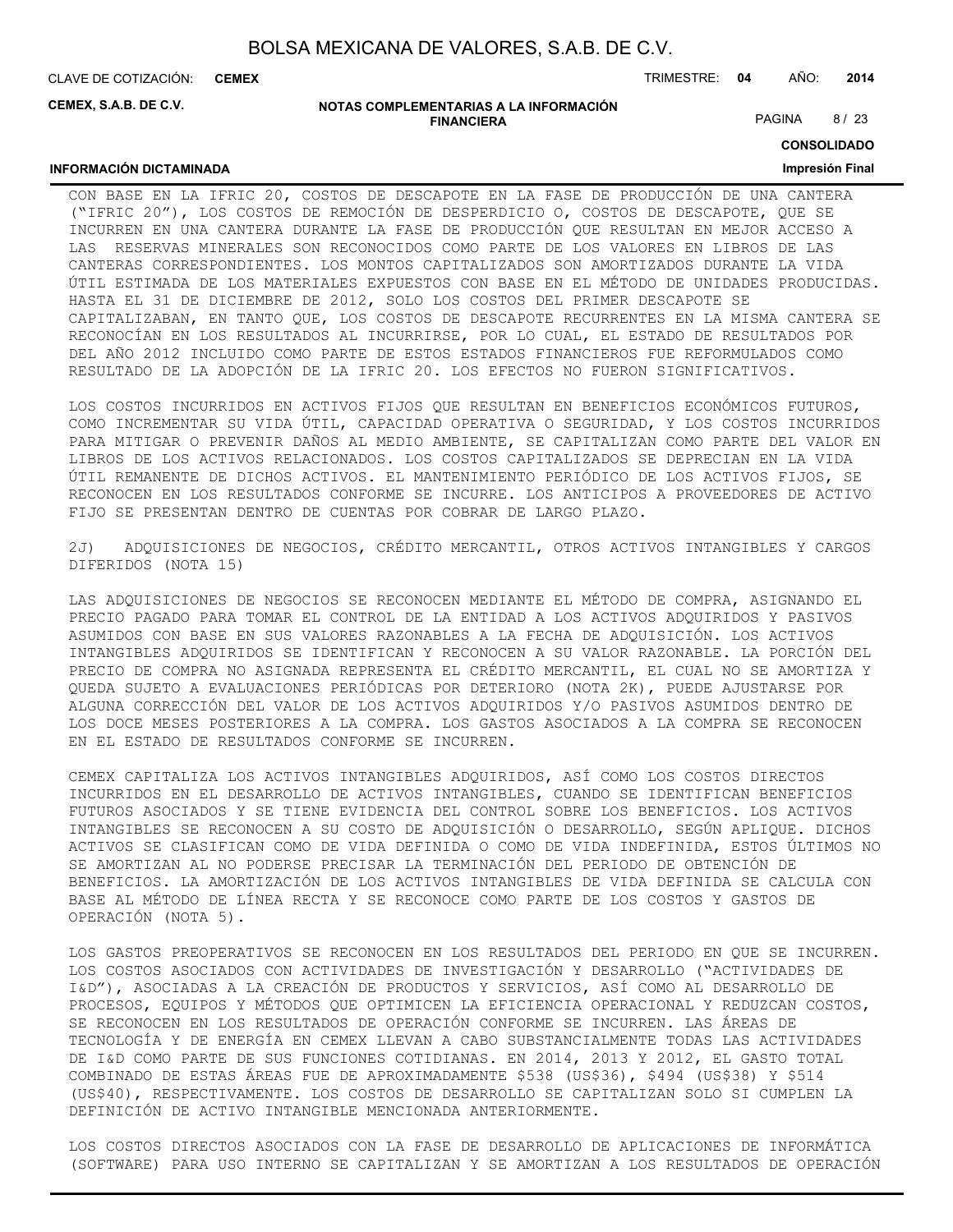**INFORMACIÓN DICTAMINADA**

CLAVE DE COTIZACIÓN: TRIMESTRE: **04** AÑO: **2014 CEMEX**

**CEMEX, S.A.B. DE C.V.**

#### **NOTAS COMPLEMENTARIAS A LA INFORMACIÓN FINANCIERA**

PAGINA 8/23

**CONSOLIDADO**

#### **Impresión Final**

CON BASE EN LA IFRIC 20, COSTOS DE DESCAPOTE EN LA FASE DE PRODUCCIÓN DE UNA CANTERA ("IFRIC 20"), LOS COSTOS DE REMOCIÓN DE DESPERDICIO O, COSTOS DE DESCAPOTE, QUE SE INCURREN EN UNA CANTERA DURANTE LA FASE DE PRODUCCIÓN QUE RESULTAN EN MEJOR ACCESO A LAS RESERVAS MINERALES SON RECONOCIDOS COMO PARTE DE LOS VALORES EN LIBROS DE LAS CANTERAS CORRESPONDIENTES. LOS MONTOS CAPITALIZADOS SON AMORTIZADOS DURANTE LA VIDA ÚTIL ESTIMADA DE LOS MATERIALES EXPUESTOS CON BASE EN EL MÉTODO DE UNIDADES PRODUCIDAS. HASTA EL 31 DE DICIEMBRE DE 2012, SOLO LOS COSTOS DEL PRIMER DESCAPOTE SE CAPITALIZABAN, EN TANTO QUE, LOS COSTOS DE DESCAPOTE RECURRENTES EN LA MISMA CANTERA SE RECONOCÍAN EN LOS RESULTADOS AL INCURRIRSE, POR LO CUAL, EL ESTADO DE RESULTADOS POR DEL AÑO 2012 INCLUIDO COMO PARTE DE ESTOS ESTADOS FINANCIEROS FUE REFORMULADOS COMO RESULTADO DE LA ADOPCIÓN DE LA IFRIC 20. LOS EFECTOS NO FUERON SIGNIFICATIVOS.

LOS COSTOS INCURRIDOS EN ACTIVOS FIJOS QUE RESULTAN EN BENEFICIOS ECONÓMICOS FUTUROS, COMO INCREMENTAR SU VIDA ÚTIL, CAPACIDAD OPERATIVA O SEGURIDAD, Y LOS COSTOS INCURRIDOS PARA MITIGAR O PREVENIR DAÑOS AL MEDIO AMBIENTE, SE CAPITALIZAN COMO PARTE DEL VALOR EN LIBROS DE LOS ACTIVOS RELACIONADOS. LOS COSTOS CAPITALIZADOS SE DEPRECIAN EN LA VIDA ÚTIL REMANENTE DE DICHOS ACTIVOS. EL MANTENIMIENTO PERIÓDICO DE LOS ACTIVOS FIJOS, SE RECONOCEN EN LOS RESULTADOS CONFORME SE INCURRE. LOS ANTICIPOS A PROVEEDORES DE ACTIVO FIJO SE PRESENTAN DENTRO DE CUENTAS POR COBRAR DE LARGO PLAZO.

2J) ADQUISICIONES DE NEGOCIOS, CRÉDITO MERCANTIL, OTROS ACTIVOS INTANGIBLES Y CARGOS DIFERIDOS (NOTA 15)

LAS ADQUISICIONES DE NEGOCIOS SE RECONOCEN MEDIANTE EL MÉTODO DE COMPRA, ASIGNANDO EL PRECIO PAGADO PARA TOMAR EL CONTROL DE LA ENTIDAD A LOS ACTIVOS ADQUIRIDOS Y PASIVOS ASUMIDOS CON BASE EN SUS VALORES RAZONABLES A LA FECHA DE ADQUISICIÓN. LOS ACTIVOS INTANGIBLES ADQUIRIDOS SE IDENTIFICAN Y RECONOCEN A SU VALOR RAZONABLE. LA PORCIÓN DEL PRECIO DE COMPRA NO ASIGNADA REPRESENTA EL CRÉDITO MERCANTIL, EL CUAL NO SE AMORTIZA Y QUEDA SUJETO A EVALUACIONES PERIÓDICAS POR DETERIORO (NOTA 2K), PUEDE AJUSTARSE POR ALGUNA CORRECCIÓN DEL VALOR DE LOS ACTIVOS ADQUIRIDOS Y/O PASIVOS ASUMIDOS DENTRO DE LOS DOCE MESES POSTERIORES A LA COMPRA. LOS GASTOS ASOCIADOS A LA COMPRA SE RECONOCEN EN EL ESTADO DE RESULTADOS CONFORME SE INCURREN.

CEMEX CAPITALIZA LOS ACTIVOS INTANGIBLES ADQUIRIDOS, ASÍ COMO LOS COSTOS DIRECTOS INCURRIDOS EN EL DESARROLLO DE ACTIVOS INTANGIBLES, CUANDO SE IDENTIFICAN BENEFICIOS FUTUROS ASOCIADOS Y SE TIENE EVIDENCIA DEL CONTROL SOBRE LOS BENEFICIOS. LOS ACTIVOS INTANGIBLES SE RECONOCEN A SU COSTO DE ADQUISICIÓN O DESARROLLO, SEGÚN APLIQUE. DICHOS ACTIVOS SE CLASIFICAN COMO DE VIDA DEFINIDA O COMO DE VIDA INDEFINIDA, ESTOS ÚLTIMOS NO SE AMORTIZAN AL NO PODERSE PRECISAR LA TERMINACIÓN DEL PERIODO DE OBTENCIÓN DE BENEFICIOS. LA AMORTIZACIÓN DE LOS ACTIVOS INTANGIBLES DE VIDA DEFINIDA SE CALCULA CON BASE AL MÉTODO DE LÍNEA RECTA Y SE RECONOCE COMO PARTE DE LOS COSTOS Y GASTOS DE OPERACIÓN (NOTA 5).

LOS GASTOS PREOPERATIVOS SE RECONOCEN EN LOS RESULTADOS DEL PERIODO EN QUE SE INCURREN. LOS COSTOS ASOCIADOS CON ACTIVIDADES DE INVESTIGACIÓN Y DESARROLLO ("ACTIVIDADES DE I&D"), ASOCIADAS A LA CREACIÓN DE PRODUCTOS Y SERVICIOS, ASÍ COMO AL DESARROLLO DE PROCESOS, EQUIPOS Y MÉTODOS QUE OPTIMICEN LA EFICIENCIA OPERACIONAL Y REDUZCAN COSTOS, SE RECONOCEN EN LOS RESULTADOS DE OPERACIÓN CONFORME SE INCURREN. LAS ÁREAS DE TECNOLOGÍA Y DE ENERGÍA EN CEMEX LLEVAN A CABO SUBSTANCIALMENTE TODAS LAS ACTIVIDADES DE I&D COMO PARTE DE SUS FUNCIONES COTIDIANAS. EN 2014, 2013 Y 2012, EL GASTO TOTAL COMBINADO DE ESTAS ÁREAS FUE DE APROXIMADAMENTE \$538 (US\$36), \$494 (US\$38) Y \$514 (US\$40), RESPECTIVAMENTE. LOS COSTOS DE DESARROLLO SE CAPITALIZAN SOLO SI CUMPLEN LA DEFINICIÓN DE ACTIVO INTANGIBLE MENCIONADA ANTERIORMENTE.

LOS COSTOS DIRECTOS ASOCIADOS CON LA FASE DE DESARROLLO DE APLICACIONES DE INFORMÁTICA (SOFTWARE) PARA USO INTERNO SE CAPITALIZAN Y SE AMORTIZAN A LOS RESULTADOS DE OPERACIÓN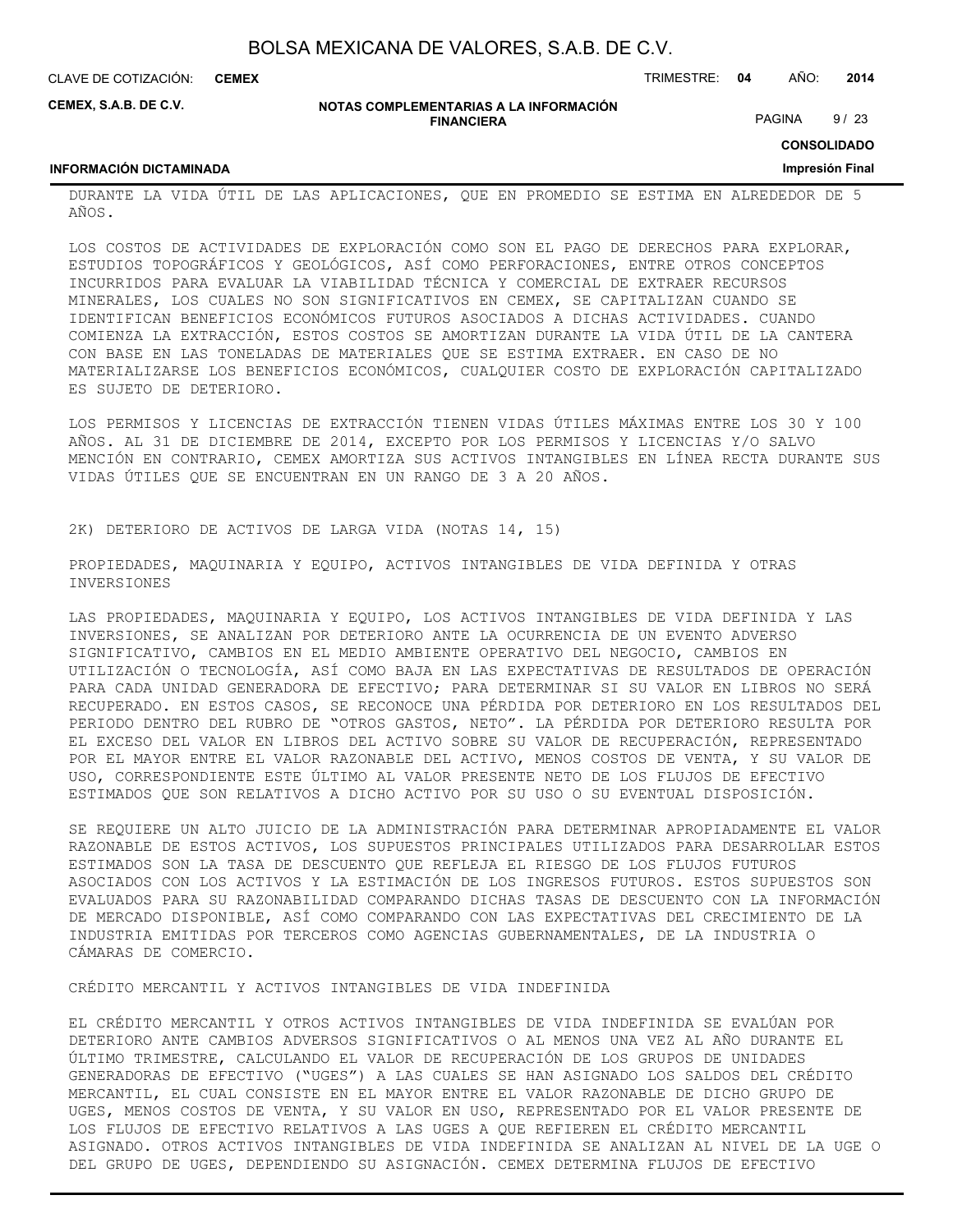**CEMEX**

CLAVE DE COTIZACIÓN: TRIMESTRE: **04** AÑO: **2014**

**CEMEX, S.A.B. DE C.V.**

**NOTAS COMPLEMENTARIAS A LA INFORMACIÓN FINANCIERA**

PAGINA 9/23

**CONSOLIDADO Impresión Final**

### **INFORMACIÓN DICTAMINADA**

DURANTE LA VIDA ÚTIL DE LAS APLICACIONES, QUE EN PROMEDIO SE ESTIMA EN ALREDEDOR DE 5 AÑOS.

LOS COSTOS DE ACTIVIDADES DE EXPLORACIÓN COMO SON EL PAGO DE DERECHOS PARA EXPLORAR, ESTUDIOS TOPOGRÁFICOS Y GEOLÓGICOS, ASÍ COMO PERFORACIONES, ENTRE OTROS CONCEPTOS INCURRIDOS PARA EVALUAR LA VIABILIDAD TÉCNICA Y COMERCIAL DE EXTRAER RECURSOS MINERALES, LOS CUALES NO SON SIGNIFICATIVOS EN CEMEX, SE CAPITALIZAN CUANDO SE IDENTIFICAN BENEFICIOS ECONÓMICOS FUTUROS ASOCIADOS A DICHAS ACTIVIDADES. CUANDO COMIENZA LA EXTRACCIÓN, ESTOS COSTOS SE AMORTIZAN DURANTE LA VIDA ÚTIL DE LA CANTERA CON BASE EN LAS TONELADAS DE MATERIALES QUE SE ESTIMA EXTRAER. EN CASO DE NO MATERIALIZARSE LOS BENEFICIOS ECONÓMICOS, CUALQUIER COSTO DE EXPLORACIÓN CAPITALIZADO ES SUJETO DE DETERIORO.

LOS PERMISOS Y LICENCIAS DE EXTRACCIÓN TIENEN VIDAS ÚTILES MÁXIMAS ENTRE LOS 30 Y 100 AÑOS. AL 31 DE DICIEMBRE DE 2014, EXCEPTO POR LOS PERMISOS Y LICENCIAS Y/O SALVO MENCIÓN EN CONTRARIO, CEMEX AMORTIZA SUS ACTIVOS INTANGIBLES EN LÍNEA RECTA DURANTE SUS VIDAS ÚTILES QUE SE ENCUENTRAN EN UN RANGO DE 3 A 20 AÑOS.

2K) DETERIORO DE ACTIVOS DE LARGA VIDA (NOTAS 14, 15)

PROPIEDADES, MAQUINARIA Y EQUIPO, ACTIVOS INTANGIBLES DE VIDA DEFINIDA Y OTRAS INVERSIONES

LAS PROPIEDADES, MAQUINARIA Y EQUIPO, LOS ACTIVOS INTANGIBLES DE VIDA DEFINIDA Y LAS INVERSIONES, SE ANALIZAN POR DETERIORO ANTE LA OCURRENCIA DE UN EVENTO ADVERSO SIGNIFICATIVO, CAMBIOS EN EL MEDIO AMBIENTE OPERATIVO DEL NEGOCIO, CAMBIOS EN UTILIZACIÓN O TECNOLOGÍA, ASÍ COMO BAJA EN LAS EXPECTATIVAS DE RESULTADOS DE OPERACIÓN PARA CADA UNIDAD GENERADORA DE EFECTIVO; PARA DETERMINAR SI SU VALOR EN LIBROS NO SERÁ RECUPERADO. EN ESTOS CASOS, SE RECONOCE UNA PÉRDIDA POR DETERIORO EN LOS RESULTADOS DEL PERIODO DENTRO DEL RUBRO DE "OTROS GASTOS, NETO". LA PÉRDIDA POR DETERIORO RESULTA POR EL EXCESO DEL VALOR EN LIBROS DEL ACTIVO SOBRE SU VALOR DE RECUPERACIÓN, REPRESENTADO POR EL MAYOR ENTRE EL VALOR RAZONABLE DEL ACTIVO, MENOS COSTOS DE VENTA, Y SU VALOR DE USO, CORRESPONDIENTE ESTE ÚLTIMO AL VALOR PRESENTE NETO DE LOS FLUJOS DE EFECTIVO ESTIMADOS QUE SON RELATIVOS A DICHO ACTIVO POR SU USO O SU EVENTUAL DISPOSICIÓN.

SE REQUIERE UN ALTO JUICIO DE LA ADMINISTRACIÓN PARA DETERMINAR APROPIADAMENTE EL VALOR RAZONABLE DE ESTOS ACTIVOS, LOS SUPUESTOS PRINCIPALES UTILIZADOS PARA DESARROLLAR ESTOS ESTIMADOS SON LA TASA DE DESCUENTO QUE REFLEJA EL RIESGO DE LOS FLUJOS FUTUROS ASOCIADOS CON LOS ACTIVOS Y LA ESTIMACIÓN DE LOS INGRESOS FUTUROS. ESTOS SUPUESTOS SON EVALUADOS PARA SU RAZONABILIDAD COMPARANDO DICHAS TASAS DE DESCUENTO CON LA INFORMACIÓN DE MERCADO DISPONIBLE, ASÍ COMO COMPARANDO CON LAS EXPECTATIVAS DEL CRECIMIENTO DE LA INDUSTRIA EMITIDAS POR TERCEROS COMO AGENCIAS GUBERNAMENTALES, DE LA INDUSTRIA O CÁMARAS DE COMERCIO.

#### CRÉDITO MERCANTIL Y ACTIVOS INTANGIBLES DE VIDA INDEFINIDA

EL CRÉDITO MERCANTIL Y OTROS ACTIVOS INTANGIBLES DE VIDA INDEFINIDA SE EVALÚAN POR DETERIORO ANTE CAMBIOS ADVERSOS SIGNIFICATIVOS O AL MENOS UNA VEZ AL AÑO DURANTE EL ÚLTIMO TRIMESTRE, CALCULANDO EL VALOR DE RECUPERACIÓN DE LOS GRUPOS DE UNIDADES GENERADORAS DE EFECTIVO ("UGES") A LAS CUALES SE HAN ASIGNADO LOS SALDOS DEL CRÉDITO MERCANTIL, EL CUAL CONSISTE EN EL MAYOR ENTRE EL VALOR RAZONABLE DE DICHO GRUPO DE UGES, MENOS COSTOS DE VENTA, Y SU VALOR EN USO, REPRESENTADO POR EL VALOR PRESENTE DE LOS FLUJOS DE EFECTIVO RELATIVOS A LAS UGES A QUE REFIEREN EL CRÉDITO MERCANTIL ASIGNADO. OTROS ACTIVOS INTANGIBLES DE VIDA INDEFINIDA SE ANALIZAN AL NIVEL DE LA UGE O DEL GRUPO DE UGES, DEPENDIENDO SU ASIGNACIÓN. CEMEX DETERMINA FLUJOS DE EFECTIVO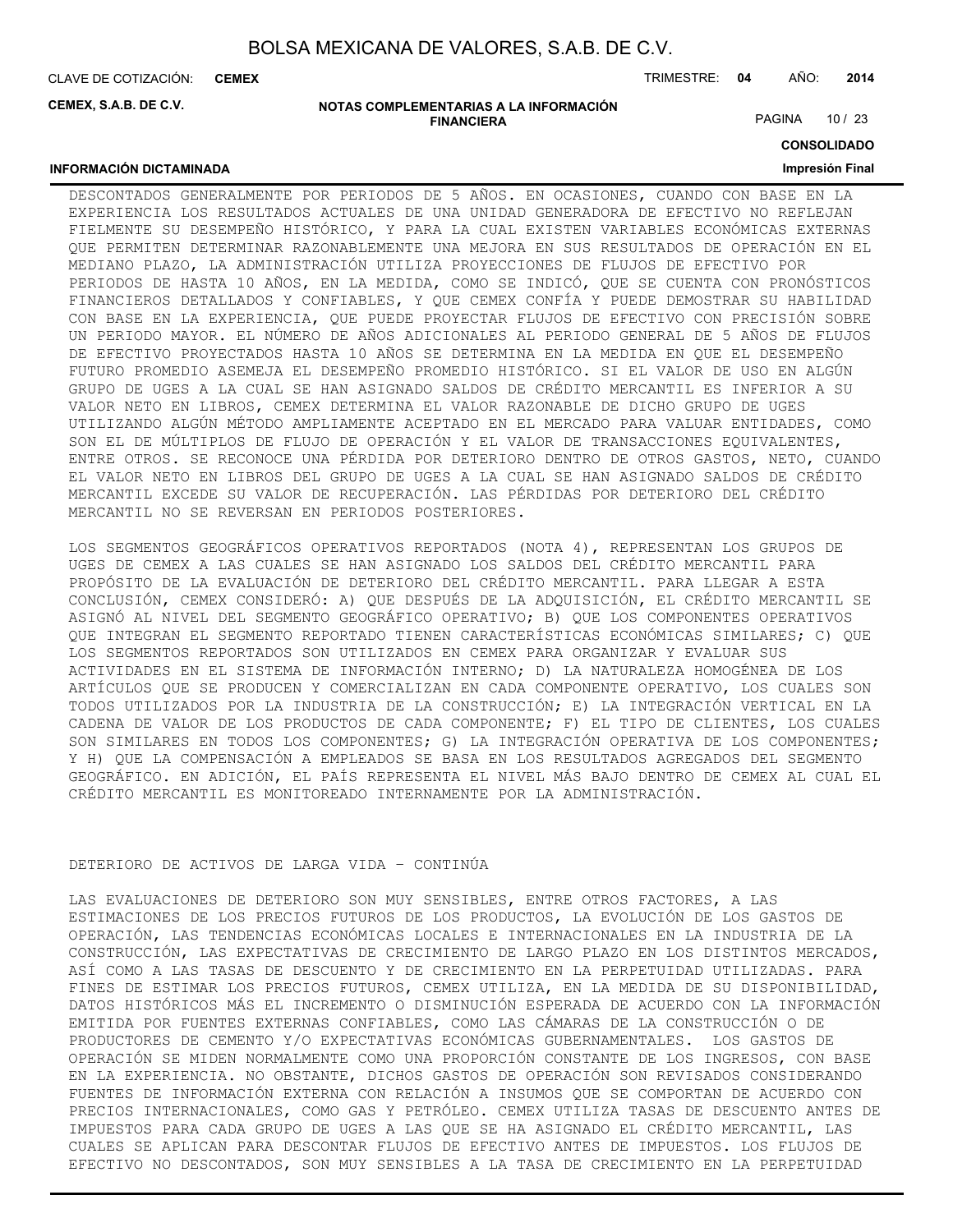**INFORMACIÓN DICTAMINADA**

CLAVE DE COTIZACIÓN: TRIMESTRE: **04** AÑO: **2014 CEMEX**

**CEMEX, S.A.B. DE C.V.**

#### **NOTAS COMPLEMENTARIAS A LA INFORMACIÓN FINANCIERA**

PAGINA 10 / 23

## **CONSOLIDADO**

### **Impresión Final**

DESCONTADOS GENERALMENTE POR PERIODOS DE 5 AÑOS. EN OCASIONES, CUANDO CON BASE EN LA EXPERIENCIA LOS RESULTADOS ACTUALES DE UNA UNIDAD GENERADORA DE EFECTIVO NO REFLEJAN FIELMENTE SU DESEMPEÑO HISTÓRICO, Y PARA LA CUAL EXISTEN VARIABLES ECONÓMICAS EXTERNAS QUE PERMITEN DETERMINAR RAZONABLEMENTE UNA MEJORA EN SUS RESULTADOS DE OPERACIÓN EN EL MEDIANO PLAZO, LA ADMINISTRACIÓN UTILIZA PROYECCIONES DE FLUJOS DE EFECTIVO POR PERIODOS DE HASTA 10 AÑOS, EN LA MEDIDA, COMO SE INDICÓ, QUE SE CUENTA CON PRONÓSTICOS FINANCIEROS DETALLADOS Y CONFIABLES, Y QUE CEMEX CONFÍA Y PUEDE DEMOSTRAR SU HABILIDAD CON BASE EN LA EXPERIENCIA, QUE PUEDE PROYECTAR FLUJOS DE EFECTIVO CON PRECISIÓN SOBRE UN PERIODO MAYOR. EL NÚMERO DE AÑOS ADICIONALES AL PERIODO GENERAL DE 5 AÑOS DE FLUJOS DE EFECTIVO PROYECTADOS HASTA 10 AÑOS SE DETERMINA EN LA MEDIDA EN QUE EL DESEMPEÑO FUTURO PROMEDIO ASEMEJA EL DESEMPEÑO PROMEDIO HISTÓRICO. SI EL VALOR DE USO EN ALGÚN GRUPO DE UGES A LA CUAL SE HAN ASIGNADO SALDOS DE CRÉDITO MERCANTIL ES INFERIOR A SU VALOR NETO EN LIBROS, CEMEX DETERMINA EL VALOR RAZONABLE DE DICHO GRUPO DE UGES UTILIZANDO ALGÚN MÉTODO AMPLIAMENTE ACEPTADO EN EL MERCADO PARA VALUAR ENTIDADES, COMO SON EL DE MÚLTIPLOS DE FLUJO DE OPERACIÓN Y EL VALOR DE TRANSACCIONES EQUIVALENTES, ENTRE OTROS. SE RECONOCE UNA PÉRDIDA POR DETERIORO DENTRO DE OTROS GASTOS, NETO, CUANDO EL VALOR NETO EN LIBROS DEL GRUPO DE UGES A LA CUAL SE HAN ASIGNADO SALDOS DE CRÉDITO MERCANTIL EXCEDE SU VALOR DE RECUPERACIÓN. LAS PÉRDIDAS POR DETERIORO DEL CRÉDITO MERCANTIL NO SE REVERSAN EN PERIODOS POSTERIORES.

LOS SEGMENTOS GEOGRÁFICOS OPERATIVOS REPORTADOS (NOTA 4), REPRESENTAN LOS GRUPOS DE UGES DE CEMEX A LAS CUALES SE HAN ASIGNADO LOS SALDOS DEL CRÉDITO MERCANTIL PARA PROPÓSITO DE LA EVALUACIÓN DE DETERIORO DEL CRÉDITO MERCANTIL. PARA LLEGAR A ESTA CONCLUSIÓN, CEMEX CONSIDERÓ: A) QUE DESPUÉS DE LA ADQUISICIÓN, EL CRÉDITO MERCANTIL SE ASIGNÓ AL NIVEL DEL SEGMENTO GEOGRÁFICO OPERATIVO; B) QUE LOS COMPONENTES OPERATIVOS QUE INTEGRAN EL SEGMENTO REPORTADO TIENEN CARACTERÍSTICAS ECONÓMICAS SIMILARES; C) QUE LOS SEGMENTOS REPORTADOS SON UTILIZADOS EN CEMEX PARA ORGANIZAR Y EVALUAR SUS ACTIVIDADES EN EL SISTEMA DE INFORMACIÓN INTERNO; D) LA NATURALEZA HOMOGÉNEA DE LOS ARTÍCULOS QUE SE PRODUCEN Y COMERCIALIZAN EN CADA COMPONENTE OPERATIVO, LOS CUALES SON TODOS UTILIZADOS POR LA INDUSTRIA DE LA CONSTRUCCIÓN; E) LA INTEGRACIÓN VERTICAL EN LA CADENA DE VALOR DE LOS PRODUCTOS DE CADA COMPONENTE; F) EL TIPO DE CLIENTES, LOS CUALES SON SIMILARES EN TODOS LOS COMPONENTES; G) LA INTEGRACIÓN OPERATIVA DE LOS COMPONENTES; Y H) QUE LA COMPENSACIÓN A EMPLEADOS SE BASA EN LOS RESULTADOS AGREGADOS DEL SEGMENTO GEOGRÁFICO. EN ADICIÓN, EL PAÍS REPRESENTA EL NIVEL MÁS BAJO DENTRO DE CEMEX AL CUAL EL CRÉDITO MERCANTIL ES MONITOREADO INTERNAMENTE POR LA ADMINISTRACIÓN.

## DETERIORO DE ACTIVOS DE LARGA VIDA – CONTINÚA

LAS EVALUACIONES DE DETERIORO SON MUY SENSIBLES, ENTRE OTROS FACTORES, A LAS ESTIMACIONES DE LOS PRECIOS FUTUROS DE LOS PRODUCTOS, LA EVOLUCIÓN DE LOS GASTOS DE OPERACIÓN, LAS TENDENCIAS ECONÓMICAS LOCALES E INTERNACIONALES EN LA INDUSTRIA DE LA CONSTRUCCIÓN, LAS EXPECTATIVAS DE CRECIMIENTO DE LARGO PLAZO EN LOS DISTINTOS MERCADOS, ASÍ COMO A LAS TASAS DE DESCUENTO Y DE CRECIMIENTO EN LA PERPETUIDAD UTILIZADAS. PARA FINES DE ESTIMAR LOS PRECIOS FUTUROS, CEMEX UTILIZA, EN LA MEDIDA DE SU DISPONIBILIDAD, DATOS HISTÓRICOS MÁS EL INCREMENTO O DISMINUCIÓN ESPERADA DE ACUERDO CON LA INFORMACIÓN EMITIDA POR FUENTES EXTERNAS CONFIABLES, COMO LAS CÁMARAS DE LA CONSTRUCCIÓN O DE PRODUCTORES DE CEMENTO Y/O EXPECTATIVAS ECONÓMICAS GUBERNAMENTALES. LOS GASTOS DE OPERACIÓN SE MIDEN NORMALMENTE COMO UNA PROPORCIÓN CONSTANTE DE LOS INGRESOS, CON BASE EN LA EXPERIENCIA. NO OBSTANTE, DICHOS GASTOS DE OPERACIÓN SON REVISADOS CONSIDERANDO FUENTES DE INFORMACIÓN EXTERNA CON RELACIÓN A INSUMOS QUE SE COMPORTAN DE ACUERDO CON PRECIOS INTERNACIONALES, COMO GAS Y PETRÓLEO. CEMEX UTILIZA TASAS DE DESCUENTO ANTES DE IMPUESTOS PARA CADA GRUPO DE UGES A LAS QUE SE HA ASIGNADO EL CRÉDITO MERCANTIL, LAS CUALES SE APLICAN PARA DESCONTAR FLUJOS DE EFECTIVO ANTES DE IMPUESTOS. LOS FLUJOS DE EFECTIVO NO DESCONTADOS, SON MUY SENSIBLES A LA TASA DE CRECIMIENTO EN LA PERPETUIDAD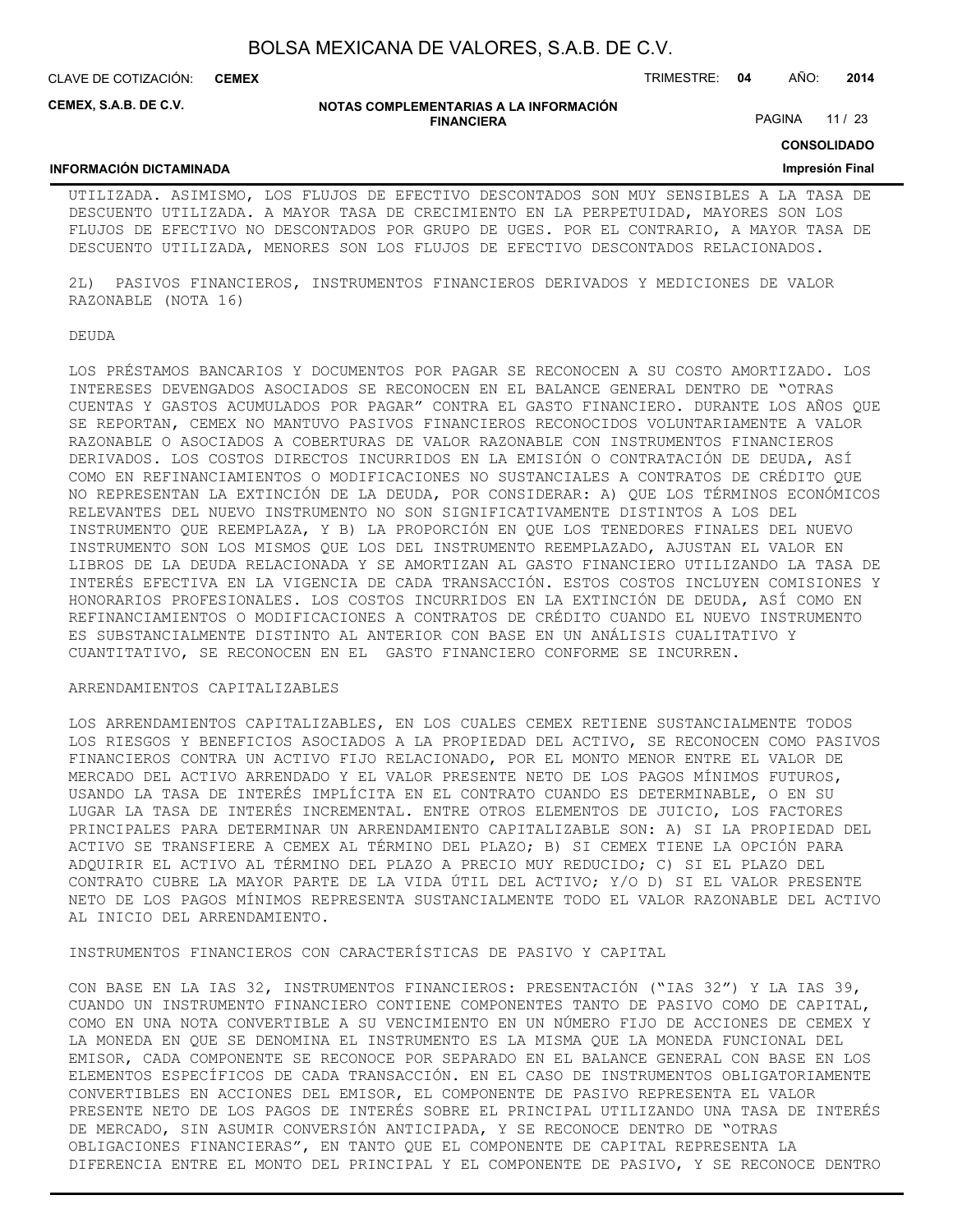**INFORMACIÓN DICTAMINADA**

CLAVE DE COTIZACIÓN: TRIMESTRE: **04** AÑO: **2014 CEMEX**

**CEMEX, S.A.B. DE C.V.**

#### **NOTAS COMPLEMENTARIAS A LA INFORMACIÓN FINANCIERA**

PAGINA 11 / 23

**CONSOLIDADO**

### **Impresión Final**

UTILIZADA. ASIMISMO, LOS FLUJOS DE EFECTIVO DESCONTADOS SON MUY SENSIBLES A LA TASA DE DESCUENTO UTILIZADA. A MAYOR TASA DE CRECIMIENTO EN LA PERPETUIDAD, MAYORES SON LOS FLUJOS DE EFECTIVO NO DESCONTADOS POR GRUPO DE UGES. POR EL CONTRARIO, A MAYOR TASA DE DESCUENTO UTILIZADA, MENORES SON LOS FLUJOS DE EFECTIVO DESCONTADOS RELACIONADOS.

2L) PASIVOS FINANCIEROS, INSTRUMENTOS FINANCIEROS DERIVADOS Y MEDICIONES DE VALOR RAZONABLE (NOTA 16)

#### DEUDA

LOS PRÉSTAMOS BANCARIOS Y DOCUMENTOS POR PAGAR SE RECONOCEN A SU COSTO AMORTIZADO. LOS INTERESES DEVENGADOS ASOCIADOS SE RECONOCEN EN EL BALANCE GENERAL DENTRO DE "OTRAS CUENTAS Y GASTOS ACUMULADOS POR PAGAR" CONTRA EL GASTO FINANCIERO. DURANTE LOS AÑOS QUE SE REPORTAN, CEMEX NO MANTUVO PASIVOS FINANCIEROS RECONOCIDOS VOLUNTARIAMENTE A VALOR RAZONABLE O ASOCIADOS A COBERTURAS DE VALOR RAZONABLE CON INSTRUMENTOS FINANCIEROS DERIVADOS. LOS COSTOS DIRECTOS INCURRIDOS EN LA EMISIÓN O CONTRATACIÓN DE DEUDA, ASÍ COMO EN REFINANCIAMIENTOS O MODIFICACIONES NO SUSTANCIALES A CONTRATOS DE CRÉDITO QUE NO REPRESENTAN LA EXTINCIÓN DE LA DEUDA, POR CONSIDERAR: A) QUE LOS TÉRMINOS ECONÓMICOS RELEVANTES DEL NUEVO INSTRUMENTO NO SON SIGNIFICATIVAMENTE DISTINTOS A LOS DEL INSTRUMENTO QUE REEMPLAZA, Y B) LA PROPORCIÓN EN QUE LOS TENEDORES FINALES DEL NUEVO INSTRUMENTO SON LOS MISMOS QUE LOS DEL INSTRUMENTO REEMPLAZADO, AJUSTAN EL VALOR EN LIBROS DE LA DEUDA RELACIONADA Y SE AMORTIZAN AL GASTO FINANCIERO UTILIZANDO LA TASA DE INTERÉS EFECTIVA EN LA VIGENCIA DE CADA TRANSACCIÓN. ESTOS COSTOS INCLUYEN COMISIONES Y HONORARIOS PROFESIONALES. LOS COSTOS INCURRIDOS EN LA EXTINCIÓN DE DEUDA, ASÍ COMO EN REFINANCIAMIENTOS O MODIFICACIONES A CONTRATOS DE CRÉDITO CUANDO EL NUEVO INSTRUMENTO ES SUBSTANCIALMENTE DISTINTO AL ANTERIOR CON BASE EN UN ANÁLISIS CUALITATIVO Y CUANTITATIVO, SE RECONOCEN EN EL GASTO FINANCIERO CONFORME SE INCURREN.

#### ARRENDAMIENTOS CAPITALIZABLES

LOS ARRENDAMIENTOS CAPITALIZABLES, EN LOS CUALES CEMEX RETIENE SUSTANCIALMENTE TODOS LOS RIESGOS Y BENEFICIOS ASOCIADOS A LA PROPIEDAD DEL ACTIVO, SE RECONOCEN COMO PASIVOS FINANCIEROS CONTRA UN ACTIVO FIJO RELACIONADO, POR EL MONTO MENOR ENTRE EL VALOR DE MERCADO DEL ACTIVO ARRENDADO Y EL VALOR PRESENTE NETO DE LOS PAGOS MÍNIMOS FUTUROS, USANDO LA TASA DE INTERÉS IMPLÍCITA EN EL CONTRATO CUANDO ES DETERMINABLE, O EN SU LUGAR LA TASA DE INTERÉS INCREMENTAL. ENTRE OTROS ELEMENTOS DE JUICIO, LOS FACTORES PRINCIPALES PARA DETERMINAR UN ARRENDAMIENTO CAPITALIZABLE SON: A) SI LA PROPIEDAD DEL ACTIVO SE TRANSFIERE A CEMEX AL TÉRMINO DEL PLAZO; B) SI CEMEX TIENE LA OPCIÓN PARA ADQUIRIR EL ACTIVO AL TÉRMINO DEL PLAZO A PRECIO MUY REDUCIDO; C) SI EL PLAZO DEL CONTRATO CUBRE LA MAYOR PARTE DE LA VIDA ÚTIL DEL ACTIVO; Y/O D) SI EL VALOR PRESENTE NETO DE LOS PAGOS MÍNIMOS REPRESENTA SUSTANCIALMENTE TODO EL VALOR RAZONABLE DEL ACTIVO AL INICIO DEL ARRENDAMIENTO.

#### INSTRUMENTOS FINANCIEROS CON CARACTERÍSTICAS DE PASIVO Y CAPITAL

CON BASE EN LA IAS 32, INSTRUMENTOS FINANCIEROS: PRESENTACIÓN ("IAS 32") Y LA IAS 39, CUANDO UN INSTRUMENTO FINANCIERO CONTIENE COMPONENTES TANTO DE PASIVO COMO DE CAPITAL, COMO EN UNA NOTA CONVERTIBLE A SU VENCIMIENTO EN UN NÚMERO FIJO DE ACCIONES DE CEMEX Y LA MONEDA EN QUE SE DENOMINA EL INSTRUMENTO ES LA MISMA QUE LA MONEDA FUNCIONAL DEL EMISOR, CADA COMPONENTE SE RECONOCE POR SEPARADO EN EL BALANCE GENERAL CON BASE EN LOS ELEMENTOS ESPECÍFICOS DE CADA TRANSACCIÓN. EN EL CASO DE INSTRUMENTOS OBLIGATORIAMENTE CONVERTIBLES EN ACCIONES DEL EMISOR, EL COMPONENTE DE PASIVO REPRESENTA EL VALOR PRESENTE NETO DE LOS PAGOS DE INTERÉS SOBRE EL PRINCIPAL UTILIZANDO UNA TASA DE INTERÉS DE MERCADO, SIN ASUMIR CONVERSIÓN ANTICIPADA, Y SE RECONOCE DENTRO DE "OTRAS OBLIGACIONES FINANCIERAS", EN TANTO QUE EL COMPONENTE DE CAPITAL REPRESENTA LA DIFERENCIA ENTRE EL MONTO DEL PRINCIPAL Y EL COMPONENTE DE PASIVO, Y SE RECONOCE DENTRO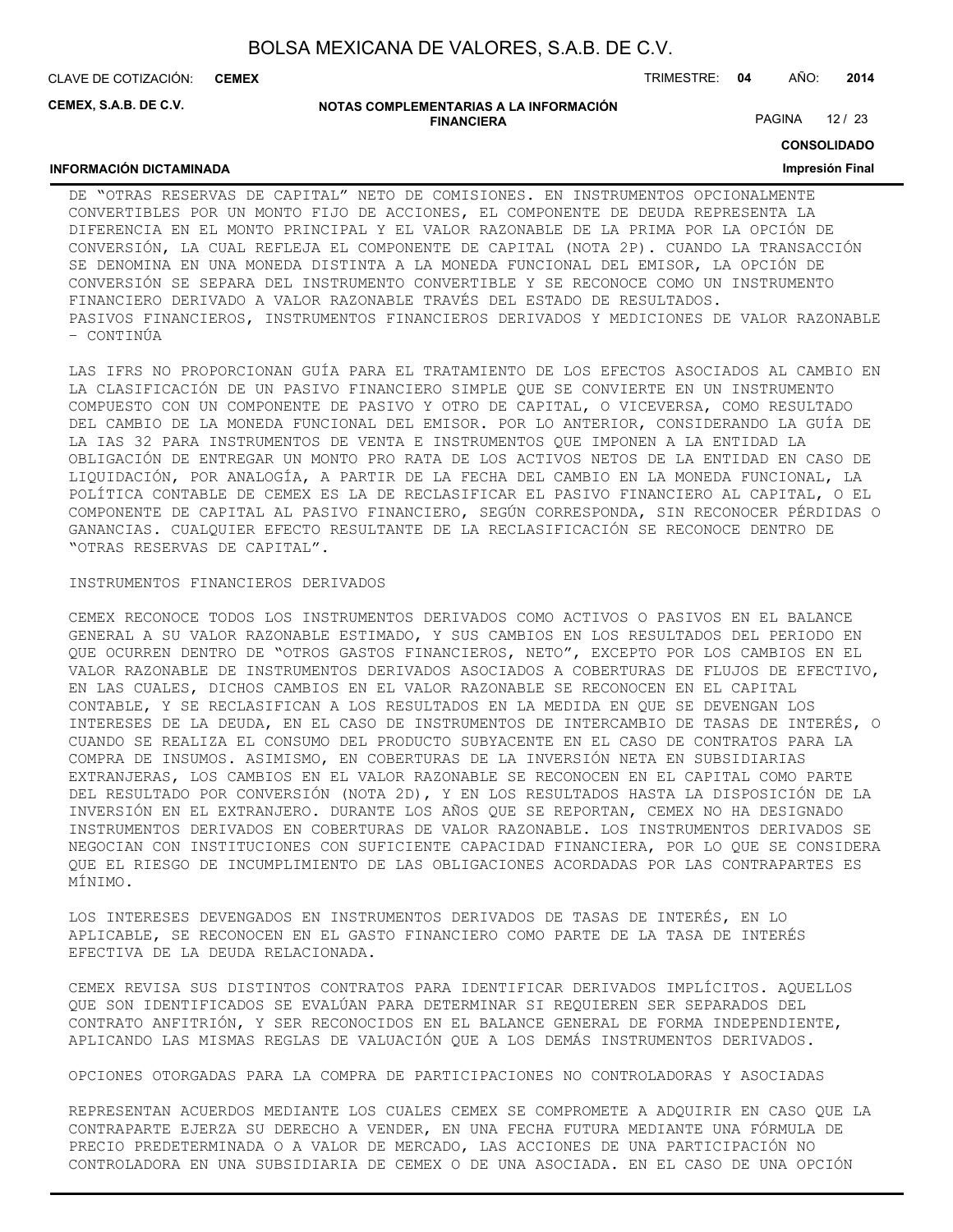CLAVE DE COTIZACIÓN: TRIMESTRE: **04** AÑO: **2014 CEMEX**

**NOTAS COMPLEMENTARIAS A LA INFORMACIÓN FINANCIERA**

PAGINA 12 / 23

#### **INFORMACIÓN DICTAMINADA**

**CEMEX, S.A.B. DE C.V.**

**CONSOLIDADO**

#### **Impresión Final**

DE "OTRAS RESERVAS DE CAPITAL" NETO DE COMISIONES. EN INSTRUMENTOS OPCIONALMENTE CONVERTIBLES POR UN MONTO FIJO DE ACCIONES, EL COMPONENTE DE DEUDA REPRESENTA LA DIFERENCIA EN EL MONTO PRINCIPAL Y EL VALOR RAZONABLE DE LA PRIMA POR LA OPCIÓN DE CONVERSIÓN, LA CUAL REFLEJA EL COMPONENTE DE CAPITAL (NOTA 2P). CUANDO LA TRANSACCIÓN SE DENOMINA EN UNA MONEDA DISTINTA A LA MONEDA FUNCIONAL DEL EMISOR, LA OPCIÓN DE CONVERSIÓN SE SEPARA DEL INSTRUMENTO CONVERTIBLE Y SE RECONOCE COMO UN INSTRUMENTO FINANCIERO DERIVADO A VALOR RAZONABLE TRAVÉS DEL ESTADO DE RESULTADOS. PASIVOS FINANCIEROS, INSTRUMENTOS FINANCIEROS DERIVADOS Y MEDICIONES DE VALOR RAZONABLE – CONTINÚA

LAS IFRS NO PROPORCIONAN GUÍA PARA EL TRATAMIENTO DE LOS EFECTOS ASOCIADOS AL CAMBIO EN LA CLASIFICACIÓN DE UN PASIVO FINANCIERO SIMPLE QUE SE CONVIERTE EN UN INSTRUMENTO COMPUESTO CON UN COMPONENTE DE PASIVO Y OTRO DE CAPITAL, O VICEVERSA, COMO RESULTADO DEL CAMBIO DE LA MONEDA FUNCIONAL DEL EMISOR. POR LO ANTERIOR, CONSIDERANDO LA GUÍA DE LA IAS 32 PARA INSTRUMENTOS DE VENTA E INSTRUMENTOS QUE IMPONEN A LA ENTIDAD LA OBLIGACIÓN DE ENTREGAR UN MONTO PRO RATA DE LOS ACTIVOS NETOS DE LA ENTIDAD EN CASO DE LIQUIDACIÓN, POR ANALOGÍA, A PARTIR DE LA FECHA DEL CAMBIO EN LA MONEDA FUNCIONAL, LA POLÍTICA CONTABLE DE CEMEX ES LA DE RECLASIFICAR EL PASIVO FINANCIERO AL CAPITAL, O EL COMPONENTE DE CAPITAL AL PASIVO FINANCIERO, SEGÚN CORRESPONDA, SIN RECONOCER PÉRDIDAS O GANANCIAS. CUALQUIER EFECTO RESULTANTE DE LA RECLASIFICACIÓN SE RECONOCE DENTRO DE "OTRAS RESERVAS DE CAPITAL".

#### INSTRUMENTOS FINANCIEROS DERIVADOS

CEMEX RECONOCE TODOS LOS INSTRUMENTOS DERIVADOS COMO ACTIVOS O PASIVOS EN EL BALANCE GENERAL A SU VALOR RAZONABLE ESTIMADO, Y SUS CAMBIOS EN LOS RESULTADOS DEL PERIODO EN QUE OCURREN DENTRO DE "OTROS GASTOS FINANCIEROS, NETO", EXCEPTO POR LOS CAMBIOS EN EL VALOR RAZONABLE DE INSTRUMENTOS DERIVADOS ASOCIADOS A COBERTURAS DE FLUJOS DE EFECTIVO, EN LAS CUALES, DICHOS CAMBIOS EN EL VALOR RAZONABLE SE RECONOCEN EN EL CAPITAL CONTABLE, Y SE RECLASIFICAN A LOS RESULTADOS EN LA MEDIDA EN QUE SE DEVENGAN LOS INTERESES DE LA DEUDA, EN EL CASO DE INSTRUMENTOS DE INTERCAMBIO DE TASAS DE INTERÉS, O CUANDO SE REALIZA EL CONSUMO DEL PRODUCTO SUBYACENTE EN EL CASO DE CONTRATOS PARA LA COMPRA DE INSUMOS. ASIMISMO, EN COBERTURAS DE LA INVERSIÓN NETA EN SUBSIDIARIAS EXTRANJERAS, LOS CAMBIOS EN EL VALOR RAZONABLE SE RECONOCEN EN EL CAPITAL COMO PARTE DEL RESULTADO POR CONVERSIÓN (NOTA 2D), Y EN LOS RESULTADOS HASTA LA DISPOSICIÓN DE LA INVERSIÓN EN EL EXTRANJERO. DURANTE LOS AÑOS QUE SE REPORTAN, CEMEX NO HA DESIGNADO INSTRUMENTOS DERIVADOS EN COBERTURAS DE VALOR RAZONABLE. LOS INSTRUMENTOS DERIVADOS SE NEGOCIAN CON INSTITUCIONES CON SUFICIENTE CAPACIDAD FINANCIERA, POR LO QUE SE CONSIDERA QUE EL RIESGO DE INCUMPLIMIENTO DE LAS OBLIGACIONES ACORDADAS POR LAS CONTRAPARTES ES MÍNIMO.

LOS INTERESES DEVENGADOS EN INSTRUMENTOS DERIVADOS DE TASAS DE INTERÉS, EN LO APLICABLE, SE RECONOCEN EN EL GASTO FINANCIERO COMO PARTE DE LA TASA DE INTERÉS EFECTIVA DE LA DEUDA RELACIONADA.

CEMEX REVISA SUS DISTINTOS CONTRATOS PARA IDENTIFICAR DERIVADOS IMPLÍCITOS. AQUELLOS QUE SON IDENTIFICADOS SE EVALÚAN PARA DETERMINAR SI REQUIEREN SER SEPARADOS DEL CONTRATO ANFITRIÓN, Y SER RECONOCIDOS EN EL BALANCE GENERAL DE FORMA INDEPENDIENTE, APLICANDO LAS MISMAS REGLAS DE VALUACIÓN QUE A LOS DEMÁS INSTRUMENTOS DERIVADOS.

OPCIONES OTORGADAS PARA LA COMPRA DE PARTICIPACIONES NO CONTROLADORAS Y ASOCIADAS

REPRESENTAN ACUERDOS MEDIANTE LOS CUALES CEMEX SE COMPROMETE A ADQUIRIR EN CASO QUE LA CONTRAPARTE EJERZA SU DERECHO A VENDER, EN UNA FECHA FUTURA MEDIANTE UNA FÓRMULA DE PRECIO PREDETERMINADA O A VALOR DE MERCADO, LAS ACCIONES DE UNA PARTICIPACIÓN NO CONTROLADORA EN UNA SUBSIDIARIA DE CEMEX O DE UNA ASOCIADA. EN EL CASO DE UNA OPCIÓN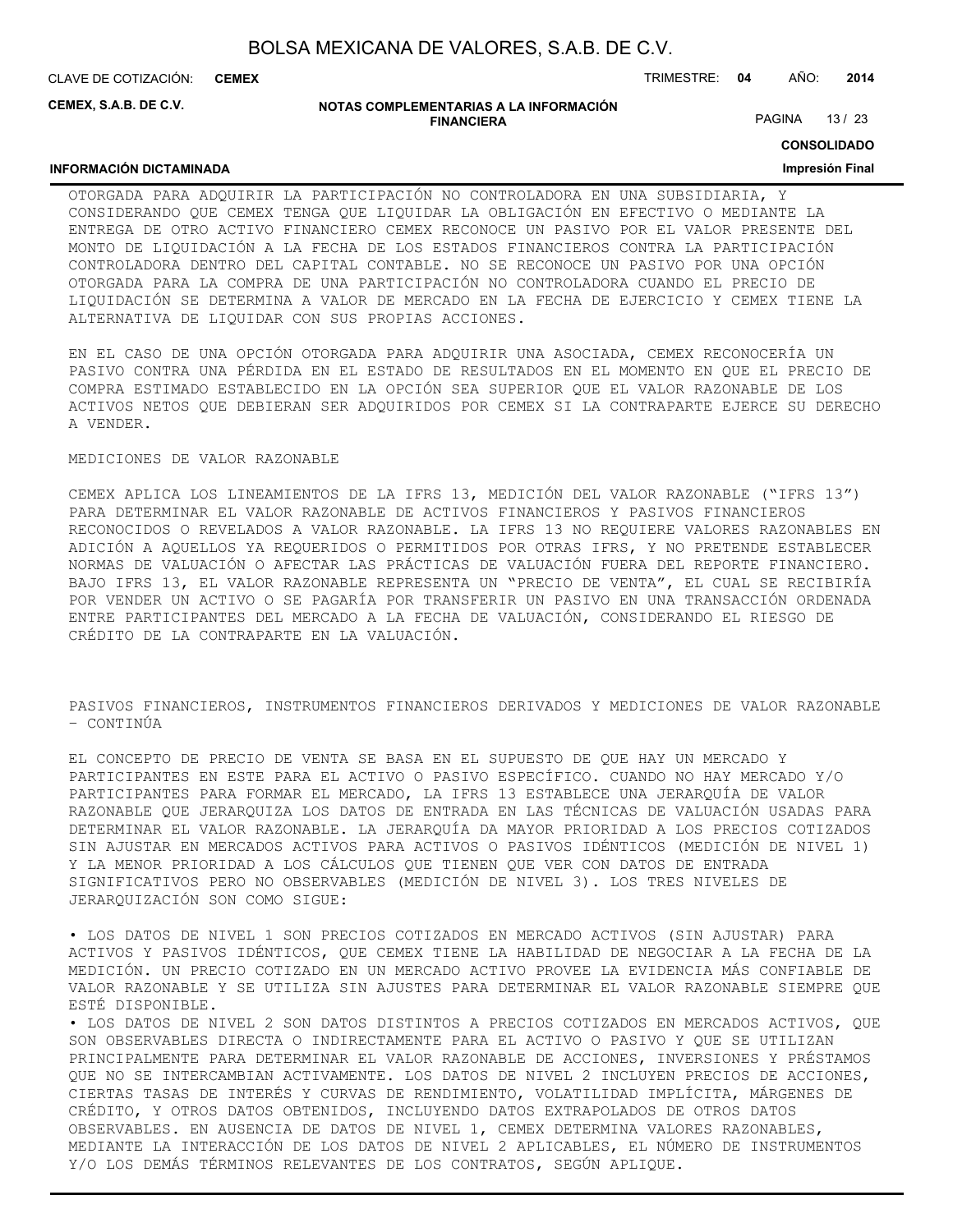**CEMEX**

CLAVE DE COTIZACIÓN: TRIMESTRE: **04** AÑO: **2014**

**CEMEX, S.A.B. DE C.V.**

#### **NOTAS COMPLEMENTARIAS A LA INFORMACIÓN FINANCIERA**

PAGINA 13 / 23

**CONSOLIDADO**

### **INFORMACIÓN DICTAMINADA**

# **Impresión Final**

OTORGADA PARA ADQUIRIR LA PARTICIPACIÓN NO CONTROLADORA EN UNA SUBSIDIARIA, Y CONSIDERANDO QUE CEMEX TENGA QUE LIQUIDAR LA OBLIGACIÓN EN EFECTIVO O MEDIANTE LA ENTREGA DE OTRO ACTIVO FINANCIERO CEMEX RECONOCE UN PASIVO POR EL VALOR PRESENTE DEL MONTO DE LIQUIDACIÓN A LA FECHA DE LOS ESTADOS FINANCIEROS CONTRA LA PARTICIPACIÓN CONTROLADORA DENTRO DEL CAPITAL CONTABLE. NO SE RECONOCE UN PASIVO POR UNA OPCIÓN OTORGADA PARA LA COMPRA DE UNA PARTICIPACIÓN NO CONTROLADORA CUANDO EL PRECIO DE LIQUIDACIÓN SE DETERMINA A VALOR DE MERCADO EN LA FECHA DE EJERCICIO Y CEMEX TIENE LA ALTERNATIVA DE LIQUIDAR CON SUS PROPIAS ACCIONES.

EN EL CASO DE UNA OPCIÓN OTORGADA PARA ADQUIRIR UNA ASOCIADA, CEMEX RECONOCERÍA UN PASIVO CONTRA UNA PÉRDIDA EN EL ESTADO DE RESULTADOS EN EL MOMENTO EN QUE EL PRECIO DE COMPRA ESTIMADO ESTABLECIDO EN LA OPCIÓN SEA SUPERIOR QUE EL VALOR RAZONABLE DE LOS ACTIVOS NETOS QUE DEBIERAN SER ADQUIRIDOS POR CEMEX SI LA CONTRAPARTE EJERCE SU DERECHO A VENDER.

### MEDICIONES DE VALOR RAZONABLE

CEMEX APLICA LOS LINEAMIENTOS DE LA IFRS 13, MEDICIÓN DEL VALOR RAZONABLE ("IFRS 13") PARA DETERMINAR EL VALOR RAZONABLE DE ACTIVOS FINANCIEROS Y PASIVOS FINANCIEROS RECONOCIDOS O REVELADOS A VALOR RAZONABLE. LA IFRS 13 NO REQUIERE VALORES RAZONABLES EN ADICIÓN A AQUELLOS YA REQUERIDOS O PERMITIDOS POR OTRAS IFRS, Y NO PRETENDE ESTABLECER NORMAS DE VALUACIÓN O AFECTAR LAS PRÁCTICAS DE VALUACIÓN FUERA DEL REPORTE FINANCIERO. BAJO IFRS 13, EL VALOR RAZONABLE REPRESENTA UN "PRECIO DE VENTA", EL CUAL SE RECIBIRÍA POR VENDER UN ACTIVO O SE PAGARÍA POR TRANSFERIR UN PASIVO EN UNA TRANSACCIÓN ORDENADA ENTRE PARTICIPANTES DEL MERCADO A LA FECHA DE VALUACIÓN, CONSIDERANDO EL RIESGO DE CRÉDITO DE LA CONTRAPARTE EN LA VALUACIÓN.

|            | PASIVOS FINANCIEROS, INSTRUMENTOS FINANCIEROS DERIVADOS Y MEDICIONES DE VALOR RAZONABLE |  |  |  |  |
|------------|-----------------------------------------------------------------------------------------|--|--|--|--|
| - CONTINÚA |                                                                                         |  |  |  |  |

EL CONCEPTO DE PRECIO DE VENTA SE BASA EN EL SUPUESTO DE QUE HAY UN MERCADO Y PARTICIPANTES EN ESTE PARA EL ACTIVO O PASIVO ESPECÍFICO. CUANDO NO HAY MERCADO Y/O PARTICIPANTES PARA FORMAR EL MERCADO, LA IFRS 13 ESTABLECE UNA JERARQUÍA DE VALOR RAZONABLE QUE JERARQUIZA LOS DATOS DE ENTRADA EN LAS TÉCNICAS DE VALUACIÓN USADAS PARA DETERMINAR EL VALOR RAZONABLE. LA JERARQUÍA DA MAYOR PRIORIDAD A LOS PRECIOS COTIZADOS SIN AJUSTAR EN MERCADOS ACTIVOS PARA ACTIVOS O PASIVOS IDÉNTICOS (MEDICIÓN DE NIVEL 1) Y LA MENOR PRIORIDAD A LOS CÁLCULOS QUE TIENEN QUE VER CON DATOS DE ENTRADA SIGNIFICATIVOS PERO NO OBSERVABLES (MEDICIÓN DE NIVEL 3). LOS TRES NIVELES DE JERARQUIZACIÓN SON COMO SIGUE:

• LOS DATOS DE NIVEL 1 SON PRECIOS COTIZADOS EN MERCADO ACTIVOS (SIN AJUSTAR) PARA ACTIVOS Y PASIVOS IDÉNTICOS, QUE CEMEX TIENE LA HABILIDAD DE NEGOCIAR A LA FECHA DE LA MEDICIÓN. UN PRECIO COTIZADO EN UN MERCADO ACTIVO PROVEE LA EVIDENCIA MÁS CONFIABLE DE VALOR RAZONABLE Y SE UTILIZA SIN AJUSTES PARA DETERMINAR EL VALOR RAZONABLE SIEMPRE QUE ESTÉ DISPONIBLE.

• LOS DATOS DE NIVEL 2 SON DATOS DISTINTOS A PRECIOS COTIZADOS EN MERCADOS ACTIVOS, QUE SON OBSERVABLES DIRECTA O INDIRECTAMENTE PARA EL ACTIVO O PASIVO Y QUE SE UTILIZAN PRINCIPALMENTE PARA DETERMINAR EL VALOR RAZONABLE DE ACCIONES, INVERSIONES Y PRÉSTAMOS QUE NO SE INTERCAMBIAN ACTIVAMENTE. LOS DATOS DE NIVEL 2 INCLUYEN PRECIOS DE ACCIONES, CIERTAS TASAS DE INTERÉS Y CURVAS DE RENDIMIENTO, VOLATILIDAD IMPLÍCITA, MÁRGENES DE CRÉDITO, Y OTROS DATOS OBTENIDOS, INCLUYENDO DATOS EXTRAPOLADOS DE OTROS DATOS OBSERVABLES. EN AUSENCIA DE DATOS DE NIVEL 1, CEMEX DETERMINA VALORES RAZONABLES, MEDIANTE LA INTERACCIÓN DE LOS DATOS DE NIVEL 2 APLICABLES, EL NÚMERO DE INSTRUMENTOS Y/O LOS DEMÁS TÉRMINOS RELEVANTES DE LOS CONTRATOS, SEGÚN APLIQUE.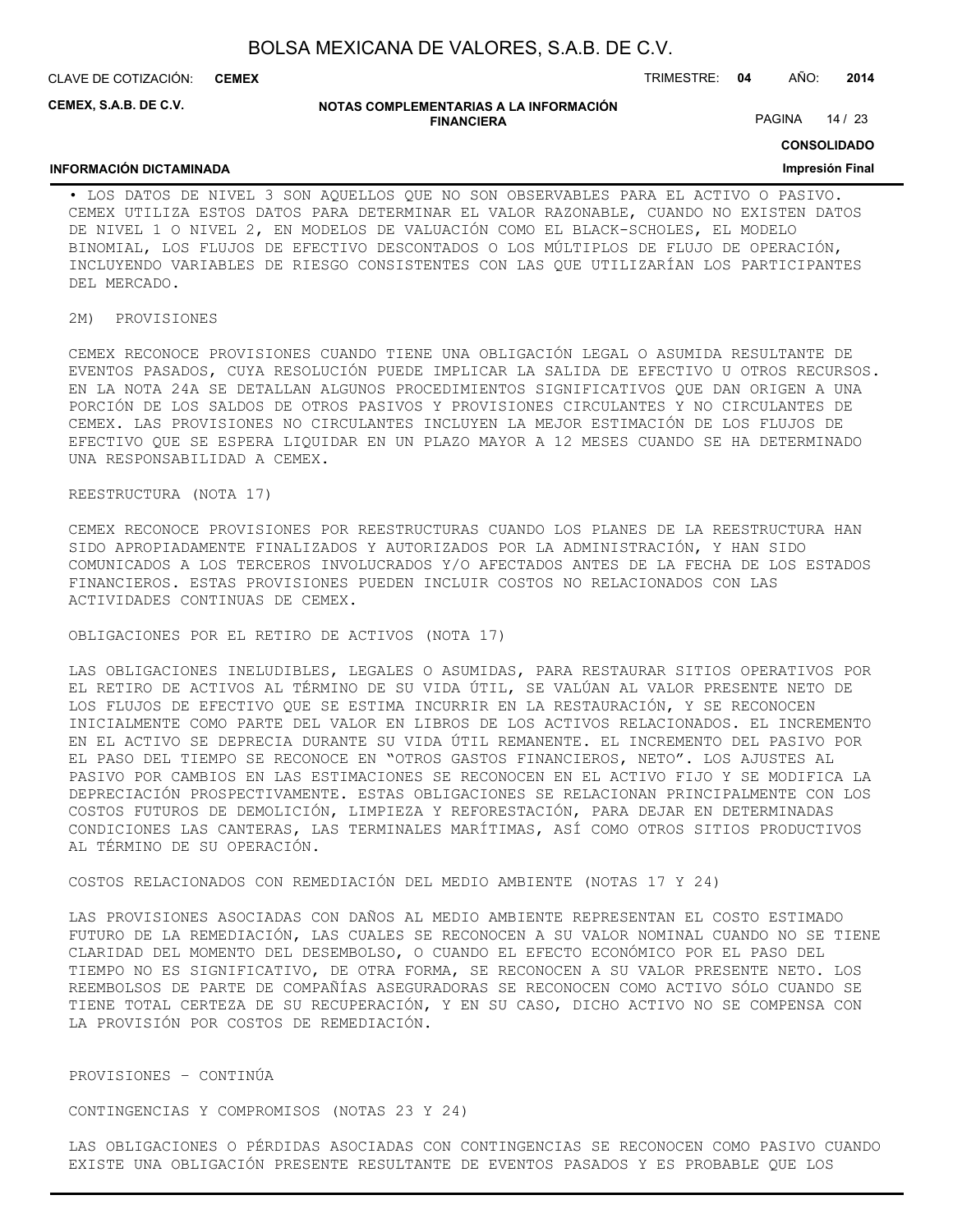| BOLSA MEXICANA DE VALORES, S.A.B. DE C.V. |  |  |
|-------------------------------------------|--|--|
|-------------------------------------------|--|--|

CLAVE DE COTIZACIÓN: TRIMESTRE: **04** AÑO: **2014 CEMEX**

**CEMEX, S.A.B. DE C.V.**

#### **NOTAS COMPLEMENTARIAS A LA INFORMACIÓN FINANCIERA**

PAGINA 14 / 23

**CONSOLIDADO**

### **INFORMACIÓN DICTAMINADA**

**Impresión Final**

• LOS DATOS DE NIVEL 3 SON AQUELLOS QUE NO SON OBSERVABLES PARA EL ACTIVO O PASIVO. CEMEX UTILIZA ESTOS DATOS PARA DETERMINAR EL VALOR RAZONABLE, CUANDO NO EXISTEN DATOS DE NIVEL 1 O NIVEL 2, EN MODELOS DE VALUACIÓN COMO EL BLACK-SCHOLES, EL MODELO BINOMIAL, LOS FLUJOS DE EFECTIVO DESCONTADOS O LOS MÚLTIPLOS DE FLUJO DE OPERACIÓN, INCLUYENDO VARIABLES DE RIESGO CONSISTENTES CON LAS QUE UTILIZARÍAN LOS PARTICIPANTES DEL MERCADO.

#### 2M) PROVISIONES

CEMEX RECONOCE PROVISIONES CUANDO TIENE UNA OBLIGACIÓN LEGAL O ASUMIDA RESULTANTE DE EVENTOS PASADOS, CUYA RESOLUCIÓN PUEDE IMPLICAR LA SALIDA DE EFECTIVO U OTROS RECURSOS. EN LA NOTA 24A SE DETALLAN ALGUNOS PROCEDIMIENTOS SIGNIFICATIVOS QUE DAN ORIGEN A UNA PORCIÓN DE LOS SALDOS DE OTROS PASIVOS Y PROVISIONES CIRCULANTES Y NO CIRCULANTES DE CEMEX. LAS PROVISIONES NO CIRCULANTES INCLUYEN LA MEJOR ESTIMACIÓN DE LOS FLUJOS DE EFECTIVO QUE SE ESPERA LIQUIDAR EN UN PLAZO MAYOR A 12 MESES CUANDO SE HA DETERMINADO UNA RESPONSABILIDAD A CEMEX.

REESTRUCTURA (NOTA 17)

CEMEX RECONOCE PROVISIONES POR REESTRUCTURAS CUANDO LOS PLANES DE LA REESTRUCTURA HAN SIDO APROPIADAMENTE FINALIZADOS Y AUTORIZADOS POR LA ADMINISTRACIÓN, Y HAN SIDO COMUNICADOS A LOS TERCEROS INVOLUCRADOS Y/O AFECTADOS ANTES DE LA FECHA DE LOS ESTADOS FINANCIEROS. ESTAS PROVISIONES PUEDEN INCLUIR COSTOS NO RELACIONADOS CON LAS ACTIVIDADES CONTINUAS DE CEMEX.

OBLIGACIONES POR EL RETIRO DE ACTIVOS (NOTA 17)

LAS OBLIGACIONES INELUDIBLES, LEGALES O ASUMIDAS, PARA RESTAURAR SITIOS OPERATIVOS POR EL RETIRO DE ACTIVOS AL TÉRMINO DE SU VIDA ÚTIL, SE VALÚAN AL VALOR PRESENTE NETO DE LOS FLUJOS DE EFECTIVO QUE SE ESTIMA INCURRIR EN LA RESTAURACIÓN, Y SE RECONOCEN INICIALMENTE COMO PARTE DEL VALOR EN LIBROS DE LOS ACTIVOS RELACIONADOS. EL INCREMENTO EN EL ACTIVO SE DEPRECIA DURANTE SU VIDA ÚTIL REMANENTE. EL INCREMENTO DEL PASIVO POR EL PASO DEL TIEMPO SE RECONOCE EN "OTROS GASTOS FINANCIEROS, NETO". LOS AJUSTES AL PASIVO POR CAMBIOS EN LAS ESTIMACIONES SE RECONOCEN EN EL ACTIVO FIJO Y SE MODIFICA LA DEPRECIACIÓN PROSPECTIVAMENTE. ESTAS OBLIGACIONES SE RELACIONAN PRINCIPALMENTE CON LOS COSTOS FUTUROS DE DEMOLICIÓN, LIMPIEZA Y REFORESTACIÓN, PARA DEJAR EN DETERMINADAS CONDICIONES LAS CANTERAS, LAS TERMINALES MARÍTIMAS, ASÍ COMO OTROS SITIOS PRODUCTIVOS AL TÉRMINO DE SU OPERACIÓN.

COSTOS RELACIONADOS CON REMEDIACIÓN DEL MEDIO AMBIENTE (NOTAS 17 Y 24)

LAS PROVISIONES ASOCIADAS CON DAÑOS AL MEDIO AMBIENTE REPRESENTAN EL COSTO ESTIMADO FUTURO DE LA REMEDIACIÓN, LAS CUALES SE RECONOCEN A SU VALOR NOMINAL CUANDO NO SE TIENE CLARIDAD DEL MOMENTO DEL DESEMBOLSO, O CUANDO EL EFECTO ECONÓMICO POR EL PASO DEL TIEMPO NO ES SIGNIFICATIVO, DE OTRA FORMA, SE RECONOCEN A SU VALOR PRESENTE NETO. LOS REEMBOLSOS DE PARTE DE COMPAÑÍAS ASEGURADORAS SE RECONOCEN COMO ACTIVO SÓLO CUANDO SE TIENE TOTAL CERTEZA DE SU RECUPERACIÓN, Y EN SU CASO, DICHO ACTIVO NO SE COMPENSA CON LA PROVISIÓN POR COSTOS DE REMEDIACIÓN.

PROVISIONES – CONTINÚA

CONTINGENCIAS Y COMPROMISOS (NOTAS 23 Y 24)

LAS OBLIGACIONES O PÉRDIDAS ASOCIADAS CON CONTINGENCIAS SE RECONOCEN COMO PASIVO CUANDO EXISTE UNA OBLIGACIÓN PRESENTE RESULTANTE DE EVENTOS PASADOS Y ES PROBABLE QUE LOS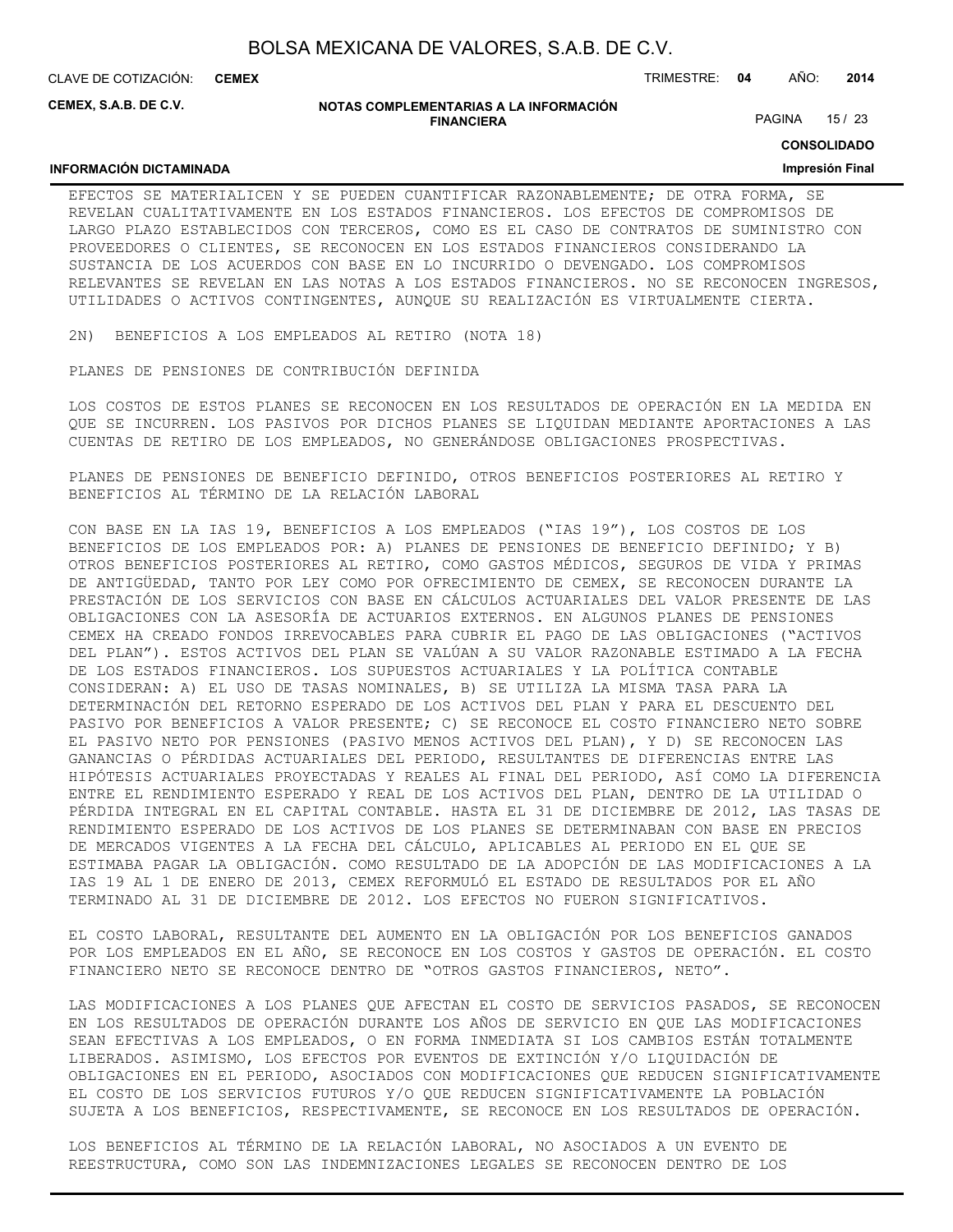**CEMEX**

**INFORMACIÓN DICTAMINADA**

CLAVE DE COTIZACIÓN: TRIMESTRE: **04** AÑO: **2014**

**CEMEX, S.A.B. DE C.V.**

#### **NOTAS COMPLEMENTARIAS A LA INFORMACIÓN FINANCIERA**

PAGINA 15 / 23

**CONSOLIDADO**

#### **Impresión Final**

EFECTOS SE MATERIALICEN Y SE PUEDEN CUANTIFICAR RAZONABLEMENTE; DE OTRA FORMA, SE REVELAN CUALITATIVAMENTE EN LOS ESTADOS FINANCIEROS. LOS EFECTOS DE COMPROMISOS DE LARGO PLAZO ESTABLECIDOS CON TERCEROS, COMO ES EL CASO DE CONTRATOS DE SUMINISTRO CON PROVEEDORES O CLIENTES, SE RECONOCEN EN LOS ESTADOS FINANCIEROS CONSIDERANDO LA SUSTANCIA DE LOS ACUERDOS CON BASE EN LO INCURRIDO O DEVENGADO. LOS COMPROMISOS RELEVANTES SE REVELAN EN LAS NOTAS A LOS ESTADOS FINANCIEROS. NO SE RECONOCEN INGRESOS, UTILIDADES O ACTIVOS CONTINGENTES, AUNQUE SU REALIZACIÓN ES VIRTUALMENTE CIERTA.

2N) BENEFICIOS A LOS EMPLEADOS AL RETIRO (NOTA 18)

PLANES DE PENSIONES DE CONTRIBUCIÓN DEFINIDA

LOS COSTOS DE ESTOS PLANES SE RECONOCEN EN LOS RESULTADOS DE OPERACIÓN EN LA MEDIDA EN QUE SE INCURREN. LOS PASIVOS POR DICHOS PLANES SE LIQUIDAN MEDIANTE APORTACIONES A LAS CUENTAS DE RETIRO DE LOS EMPLEADOS, NO GENERÁNDOSE OBLIGACIONES PROSPECTIVAS.

PLANES DE PENSIONES DE BENEFICIO DEFINIDO, OTROS BENEFICIOS POSTERIORES AL RETIRO Y BENEFICIOS AL TÉRMINO DE LA RELACIÓN LABORAL

CON BASE EN LA IAS 19, BENEFICIOS A LOS EMPLEADOS ("IAS 19"), LOS COSTOS DE LOS BENEFICIOS DE LOS EMPLEADOS POR: A) PLANES DE PENSIONES DE BENEFICIO DEFINIDO; Y B) OTROS BENEFICIOS POSTERIORES AL RETIRO, COMO GASTOS MÉDICOS, SEGUROS DE VIDA Y PRIMAS DE ANTIGÜEDAD, TANTO POR LEY COMO POR OFRECIMIENTO DE CEMEX, SE RECONOCEN DURANTE LA PRESTACIÓN DE LOS SERVICIOS CON BASE EN CÁLCULOS ACTUARIALES DEL VALOR PRESENTE DE LAS OBLIGACIONES CON LA ASESORÍA DE ACTUARIOS EXTERNOS. EN ALGUNOS PLANES DE PENSIONES CEMEX HA CREADO FONDOS IRREVOCABLES PARA CUBRIR EL PAGO DE LAS OBLIGACIONES ("ACTIVOS DEL PLAN"). ESTOS ACTIVOS DEL PLAN SE VALÚAN A SU VALOR RAZONABLE ESTIMADO A LA FECHA DE LOS ESTADOS FINANCIEROS. LOS SUPUESTOS ACTUARIALES Y LA POLÍTICA CONTABLE CONSIDERAN: A) EL USO DE TASAS NOMINALES, B) SE UTILIZA LA MISMA TASA PARA LA DETERMINACIÓN DEL RETORNO ESPERADO DE LOS ACTIVOS DEL PLAN Y PARA EL DESCUENTO DEL PASIVO POR BENEFICIOS A VALOR PRESENTE; C) SE RECONOCE EL COSTO FINANCIERO NETO SOBRE EL PASIVO NETO POR PENSIONES (PASIVO MENOS ACTIVOS DEL PLAN), Y D) SE RECONOCEN LAS GANANCIAS O PÉRDIDAS ACTUARIALES DEL PERIODO, RESULTANTES DE DIFERENCIAS ENTRE LAS HIPÓTESIS ACTUARIALES PROYECTADAS Y REALES AL FINAL DEL PERIODO, ASÍ COMO LA DIFERENCIA ENTRE EL RENDIMIENTO ESPERADO Y REAL DE LOS ACTIVOS DEL PLAN, DENTRO DE LA UTILIDAD O PÉRDIDA INTEGRAL EN EL CAPITAL CONTABLE. HASTA EL 31 DE DICIEMBRE DE 2012, LAS TASAS DE RENDIMIENTO ESPERADO DE LOS ACTIVOS DE LOS PLANES SE DETERMINABAN CON BASE EN PRECIOS DE MERCADOS VIGENTES A LA FECHA DEL CÁLCULO, APLICABLES AL PERIODO EN EL QUE SE ESTIMABA PAGAR LA OBLIGACIÓN. COMO RESULTADO DE LA ADOPCIÓN DE LAS MODIFICACIONES A LA IAS 19 AL 1 DE ENERO DE 2013, CEMEX REFORMULÓ EL ESTADO DE RESULTADOS POR EL AÑO TERMINADO AL 31 DE DICIEMBRE DE 2012. LOS EFECTOS NO FUERON SIGNIFICATIVOS.

EL COSTO LABORAL, RESULTANTE DEL AUMENTO EN LA OBLIGACIÓN POR LOS BENEFICIOS GANADOS POR LOS EMPLEADOS EN EL AÑO, SE RECONOCE EN LOS COSTOS Y GASTOS DE OPERACIÓN. EL COSTO FINANCIERO NETO SE RECONOCE DENTRO DE "OTROS GASTOS FINANCIEROS, NETO".

LAS MODIFICACIONES A LOS PLANES QUE AFECTAN EL COSTO DE SERVICIOS PASADOS, SE RECONOCEN EN LOS RESULTADOS DE OPERACIÓN DURANTE LOS AÑOS DE SERVICIO EN QUE LAS MODIFICACIONES SEAN EFECTIVAS A LOS EMPLEADOS, O EN FORMA INMEDIATA SI LOS CAMBIOS ESTÁN TOTALMENTE LIBERADOS. ASIMISMO, LOS EFECTOS POR EVENTOS DE EXTINCIÓN Y/O LIQUIDACIÓN DE OBLIGACIONES EN EL PERIODO, ASOCIADOS CON MODIFICACIONES QUE REDUCEN SIGNIFICATIVAMENTE EL COSTO DE LOS SERVICIOS FUTUROS Y/O QUE REDUCEN SIGNIFICATIVAMENTE LA POBLACIÓN SUJETA A LOS BENEFICIOS, RESPECTIVAMENTE, SE RECONOCE EN LOS RESULTADOS DE OPERACIÓN.

LOS BENEFICIOS AL TÉRMINO DE LA RELACIÓN LABORAL, NO ASOCIADOS A UN EVENTO DE REESTRUCTURA, COMO SON LAS INDEMNIZACIONES LEGALES SE RECONOCEN DENTRO DE LOS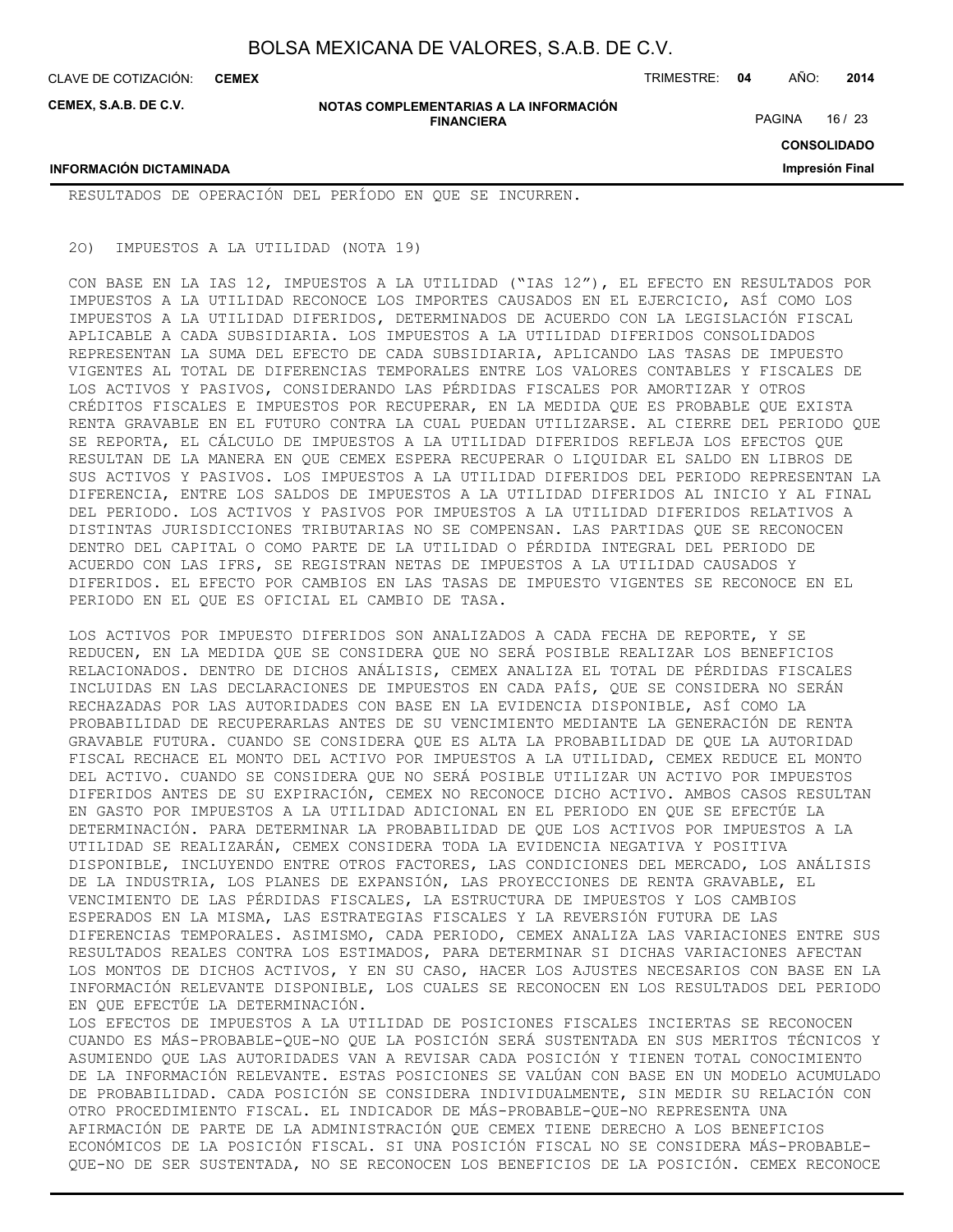**CEMEX**

**INFORMACIÓN DICTAMINADA**

CLAVE DE COTIZACIÓN: TRIMESTRE: **04** AÑO: **2014**

**CEMEX, S.A.B. DE C.V.**

**NOTAS COMPLEMENTARIAS A LA INFORMACIÓN FINANCIERA**

PAGINA 16 / 23

**CONSOLIDADO**

**Impresión Final**

RESULTADOS DE OPERACIÓN DEL PERÍODO EN QUE SE INCURREN.

2O) IMPUESTOS A LA UTILIDAD (NOTA 19)

CON BASE EN LA IAS 12, IMPUESTOS A LA UTILIDAD ("IAS 12"), EL EFECTO EN RESULTADOS POR IMPUESTOS A LA UTILIDAD RECONOCE LOS IMPORTES CAUSADOS EN EL EJERCICIO, ASÍ COMO LOS IMPUESTOS A LA UTILIDAD DIFERIDOS, DETERMINADOS DE ACUERDO CON LA LEGISLACIÓN FISCAL APLICABLE A CADA SUBSIDIARIA. LOS IMPUESTOS A LA UTILIDAD DIFERIDOS CONSOLIDADOS REPRESENTAN LA SUMA DEL EFECTO DE CADA SUBSIDIARIA, APLICANDO LAS TASAS DE IMPUESTO VIGENTES AL TOTAL DE DIFERENCIAS TEMPORALES ENTRE LOS VALORES CONTABLES Y FISCALES DE LOS ACTIVOS Y PASIVOS, CONSIDERANDO LAS PÉRDIDAS FISCALES POR AMORTIZAR Y OTROS CRÉDITOS FISCALES E IMPUESTOS POR RECUPERAR, EN LA MEDIDA QUE ES PROBABLE QUE EXISTA RENTA GRAVABLE EN EL FUTURO CONTRA LA CUAL PUEDAN UTILIZARSE. AL CIERRE DEL PERIODO QUE SE REPORTA, EL CÁLCULO DE IMPUESTOS A LA UTILIDAD DIFERIDOS REFLEJA LOS EFECTOS QUE RESULTAN DE LA MANERA EN QUE CEMEX ESPERA RECUPERAR O LIQUIDAR EL SALDO EN LIBROS DE SUS ACTIVOS Y PASIVOS. LOS IMPUESTOS A LA UTILIDAD DIFERIDOS DEL PERIODO REPRESENTAN LA DIFERENCIA, ENTRE LOS SALDOS DE IMPUESTOS A LA UTILIDAD DIFERIDOS AL INICIO Y AL FINAL DEL PERIODO. LOS ACTIVOS Y PASIVOS POR IMPUESTOS A LA UTILIDAD DIFERIDOS RELATIVOS A DISTINTAS JURISDICCIONES TRIBUTARIAS NO SE COMPENSAN. LAS PARTIDAS QUE SE RECONOCEN DENTRO DEL CAPITAL O COMO PARTE DE LA UTILIDAD O PÉRDIDA INTEGRAL DEL PERIODO DE ACUERDO CON LAS IFRS, SE REGISTRAN NETAS DE IMPUESTOS A LA UTILIDAD CAUSADOS Y DIFERIDOS. EL EFECTO POR CAMBIOS EN LAS TASAS DE IMPUESTO VIGENTES SE RECONOCE EN EL PERIODO EN EL QUE ES OFICIAL EL CAMBIO DE TASA.

LOS ACTIVOS POR IMPUESTO DIFERIDOS SON ANALIZADOS A CADA FECHA DE REPORTE, Y SE REDUCEN, EN LA MEDIDA QUE SE CONSIDERA QUE NO SERÁ POSIBLE REALIZAR LOS BENEFICIOS RELACIONADOS. DENTRO DE DICHOS ANÁLISIS, CEMEX ANALIZA EL TOTAL DE PÉRDIDAS FISCALES INCLUIDAS EN LAS DECLARACIONES DE IMPUESTOS EN CADA PAÍS, QUE SE CONSIDERA NO SERÁN RECHAZADAS POR LAS AUTORIDADES CON BASE EN LA EVIDENCIA DISPONIBLE, ASÍ COMO LA PROBABILIDAD DE RECUPERARLAS ANTES DE SU VENCIMIENTO MEDIANTE LA GENERACIÓN DE RENTA GRAVABLE FUTURA. CUANDO SE CONSIDERA QUE ES ALTA LA PROBABILIDAD DE QUE LA AUTORIDAD FISCAL RECHACE EL MONTO DEL ACTIVO POR IMPUESTOS A LA UTILIDAD, CEMEX REDUCE EL MONTO DEL ACTIVO. CUANDO SE CONSIDERA QUE NO SERÁ POSIBLE UTILIZAR UN ACTIVO POR IMPUESTOS DIFERIDOS ANTES DE SU EXPIRACIÓN, CEMEX NO RECONOCE DICHO ACTIVO. AMBOS CASOS RESULTAN EN GASTO POR IMPUESTOS A LA UTILIDAD ADICIONAL EN EL PERIODO EN QUE SE EFECTÚE LA DETERMINACIÓN. PARA DETERMINAR LA PROBABILIDAD DE QUE LOS ACTIVOS POR IMPUESTOS A LA UTILIDAD SE REALIZARÁN, CEMEX CONSIDERA TODA LA EVIDENCIA NEGATIVA Y POSITIVA DISPONIBLE, INCLUYENDO ENTRE OTROS FACTORES, LAS CONDICIONES DEL MERCADO, LOS ANÁLISIS DE LA INDUSTRIA, LOS PLANES DE EXPANSIÓN, LAS PROYECCIONES DE RENTA GRAVABLE, EL VENCIMIENTO DE LAS PÉRDIDAS FISCALES, LA ESTRUCTURA DE IMPUESTOS Y LOS CAMBIOS ESPERADOS EN LA MISMA, LAS ESTRATEGIAS FISCALES Y LA REVERSIÓN FUTURA DE LAS DIFERENCIAS TEMPORALES. ASIMISMO, CADA PERIODO, CEMEX ANALIZA LAS VARIACIONES ENTRE SUS RESULTADOS REALES CONTRA LOS ESTIMADOS, PARA DETERMINAR SI DICHAS VARIACIONES AFECTAN LOS MONTOS DE DICHOS ACTIVOS, Y EN SU CASO, HACER LOS AJUSTES NECESARIOS CON BASE EN LA INFORMACIÓN RELEVANTE DISPONIBLE, LOS CUALES SE RECONOCEN EN LOS RESULTADOS DEL PERIODO EN QUE EFECTÚE LA DETERMINACIÓN.

LOS EFECTOS DE IMPUESTOS A LA UTILIDAD DE POSICIONES FISCALES INCIERTAS SE RECONOCEN CUANDO ES MÁS-PROBABLE-QUE-NO QUE LA POSICIÓN SERÁ SUSTENTADA EN SUS MERITOS TÉCNICOS Y ASUMIENDO QUE LAS AUTORIDADES VAN A REVISAR CADA POSICIÓN Y TIENEN TOTAL CONOCIMIENTO DE LA INFORMACIÓN RELEVANTE. ESTAS POSICIONES SE VALÚAN CON BASE EN UN MODELO ACUMULADO DE PROBABILIDAD. CADA POSICIÓN SE CONSIDERA INDIVIDUALMENTE, SIN MEDIR SU RELACIÓN CON OTRO PROCEDIMIENTO FISCAL. EL INDICADOR DE MÁS-PROBABLE-QUE-NO REPRESENTA UNA AFIRMACIÓN DE PARTE DE LA ADMINISTRACIÓN QUE CEMEX TIENE DERECHO A LOS BENEFICIOS ECONÓMICOS DE LA POSICIÓN FISCAL. SI UNA POSICIÓN FISCAL NO SE CONSIDERA MÁS-PROBABLE-QUE-NO DE SER SUSTENTADA, NO SE RECONOCEN LOS BENEFICIOS DE LA POSICIÓN. CEMEX RECONOCE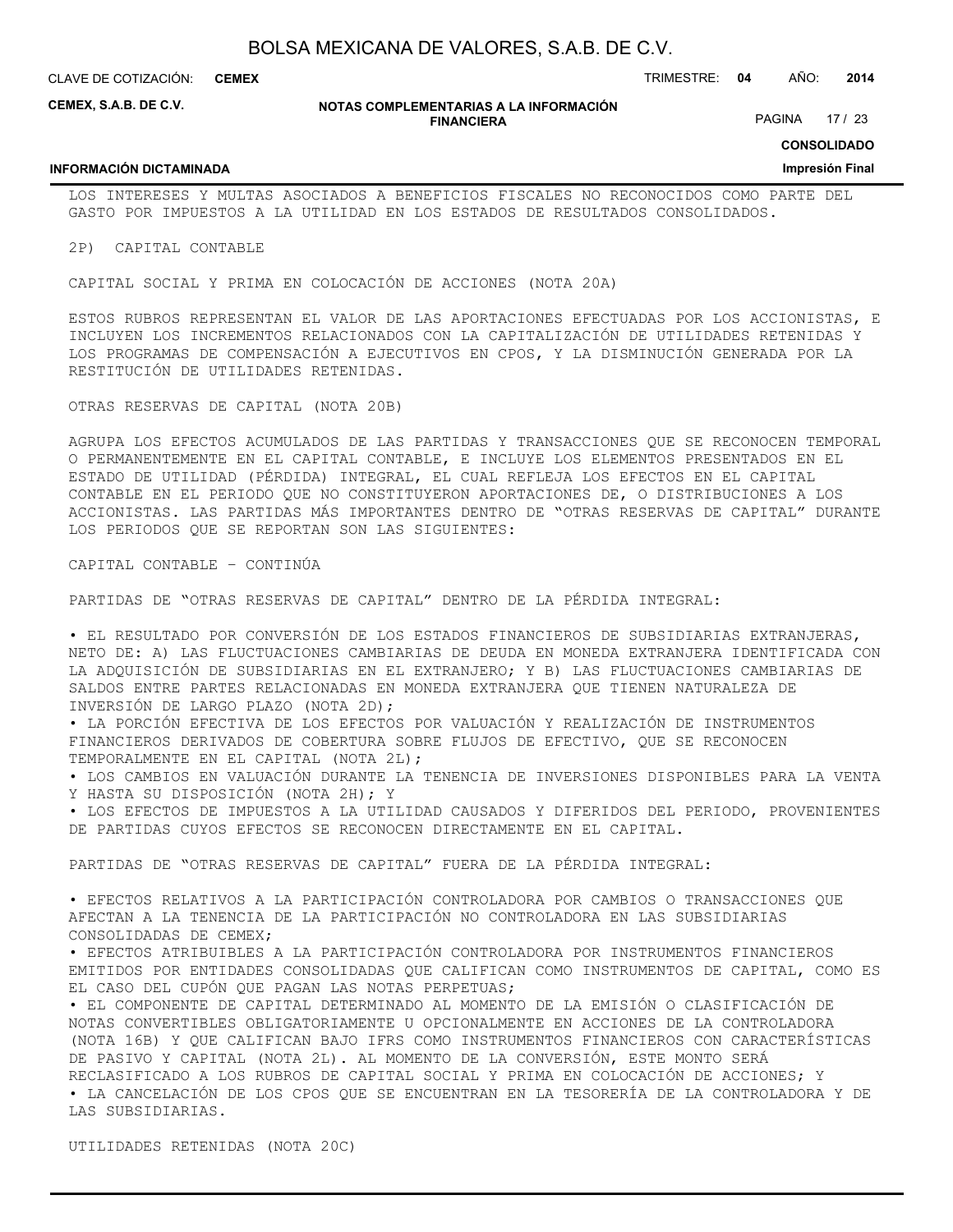**INFORMACIÓN DICTAMINADA**

CLAVE DE COTIZACIÓN: TRIMESTRE: **04** AÑO: **2014 CEMEX**

**CEMEX, S.A.B. DE C.V.**

#### **NOTAS COMPLEMENTARIAS A LA INFORMACIÓN FINANCIERA**

PAGINA 17 / 23

**CONSOLIDADO Impresión Final**

LOS INTERESES Y MULTAS ASOCIADOS A BENEFICIOS FISCALES NO RECONOCIDOS COMO PARTE DEL GASTO POR IMPUESTOS A LA UTILIDAD EN LOS ESTADOS DE RESULTADOS CONSOLIDADOS.

2P) CAPITAL CONTABLE

CAPITAL SOCIAL Y PRIMA EN COLOCACIÓN DE ACCIONES (NOTA 20A)

ESTOS RUBROS REPRESENTAN EL VALOR DE LAS APORTACIONES EFECTUADAS POR LOS ACCIONISTAS, E INCLUYEN LOS INCREMENTOS RELACIONADOS CON LA CAPITALIZACIÓN DE UTILIDADES RETENIDAS Y LOS PROGRAMAS DE COMPENSACIÓN A EJECUTIVOS EN CPOS, Y LA DISMINUCIÓN GENERADA POR LA RESTITUCIÓN DE UTILIDADES RETENIDAS.

OTRAS RESERVAS DE CAPITAL (NOTA 20B)

AGRUPA LOS EFECTOS ACUMULADOS DE LAS PARTIDAS Y TRANSACCIONES QUE SE RECONOCEN TEMPORAL O PERMANENTEMENTE EN EL CAPITAL CONTABLE, E INCLUYE LOS ELEMENTOS PRESENTADOS EN EL ESTADO DE UTILIDAD (PÉRDIDA) INTEGRAL, EL CUAL REFLEJA LOS EFECTOS EN EL CAPITAL CONTABLE EN EL PERIODO QUE NO CONSTITUYERON APORTACIONES DE, O DISTRIBUCIONES A LOS ACCIONISTAS. LAS PARTIDAS MÁS IMPORTANTES DENTRO DE "OTRAS RESERVAS DE CAPITAL" DURANTE LOS PERIODOS QUE SE REPORTAN SON LAS SIGUIENTES:

CAPITAL CONTABLE – CONTINÚA

PARTIDAS DE "OTRAS RESERVAS DE CAPITAL" DENTRO DE LA PÉRDIDA INTEGRAL:

• EL RESULTADO POR CONVERSIÓN DE LOS ESTADOS FINANCIEROS DE SUBSIDIARIAS EXTRANJERAS, NETO DE: A) LAS FLUCTUACIONES CAMBIARIAS DE DEUDA EN MONEDA EXTRANJERA IDENTIFICADA CON LA ADQUISICIÓN DE SUBSIDIARIAS EN EL EXTRANJERO; Y B) LAS FLUCTUACIONES CAMBIARIAS DE SALDOS ENTRE PARTES RELACIONADAS EN MONEDA EXTRANJERA QUE TIENEN NATURALEZA DE INVERSIÓN DE LARGO PLAZO (NOTA 2D);

• LA PORCIÓN EFECTIVA DE LOS EFECTOS POR VALUACIÓN Y REALIZACIÓN DE INSTRUMENTOS FINANCIEROS DERIVADOS DE COBERTURA SOBRE FLUJOS DE EFECTIVO, QUE SE RECONOCEN TEMPORALMENTE EN EL CAPITAL (NOTA 2L);

• LOS CAMBIOS EN VALUACIÓN DURANTE LA TENENCIA DE INVERSIONES DISPONIBLES PARA LA VENTA Y HASTA SU DISPOSICIÓN (NOTA 2H); Y

• LOS EFECTOS DE IMPUESTOS A LA UTILIDAD CAUSADOS Y DIFERIDOS DEL PERIODO, PROVENIENTES DE PARTIDAS CUYOS EFECTOS SE RECONOCEN DIRECTAMENTE EN EL CAPITAL.

PARTIDAS DE "OTRAS RESERVAS DE CAPITAL" FUERA DE LA PÉRDIDA INTEGRAL:

• EFECTOS RELATIVOS A LA PARTICIPACIÓN CONTROLADORA POR CAMBIOS O TRANSACCIONES QUE AFECTAN A LA TENENCIA DE LA PARTICIPACIÓN NO CONTROLADORA EN LAS SUBSIDIARIAS CONSOLIDADAS DE CEMEX;

• EFECTOS ATRIBUIBLES A LA PARTICIPACIÓN CONTROLADORA POR INSTRUMENTOS FINANCIEROS EMITIDOS POR ENTIDADES CONSOLIDADAS QUE CALIFICAN COMO INSTRUMENTOS DE CAPITAL, COMO ES EL CASO DEL CUPÓN QUE PAGAN LAS NOTAS PERPETUAS;

• EL COMPONENTE DE CAPITAL DETERMINADO AL MOMENTO DE LA EMISIÓN O CLASIFICACIÓN DE NOTAS CONVERTIBLES OBLIGATORIAMENTE U OPCIONALMENTE EN ACCIONES DE LA CONTROLADORA (NOTA 16B) Y QUE CALIFICAN BAJO IFRS COMO INSTRUMENTOS FINANCIEROS CON CARACTERÍSTICAS DE PASIVO Y CAPITAL (NOTA 2L). AL MOMENTO DE LA CONVERSIÓN, ESTE MONTO SERÁ RECLASIFICADO A LOS RUBROS DE CAPITAL SOCIAL Y PRIMA EN COLOCACIÓN DE ACCIONES; Y

• LA CANCELACIÓN DE LOS CPOS QUE SE ENCUENTRAN EN LA TESORERÍA DE LA CONTROLADORA Y DE LAS SUBSIDIARIAS.

UTILIDADES RETENIDAS (NOTA 20C)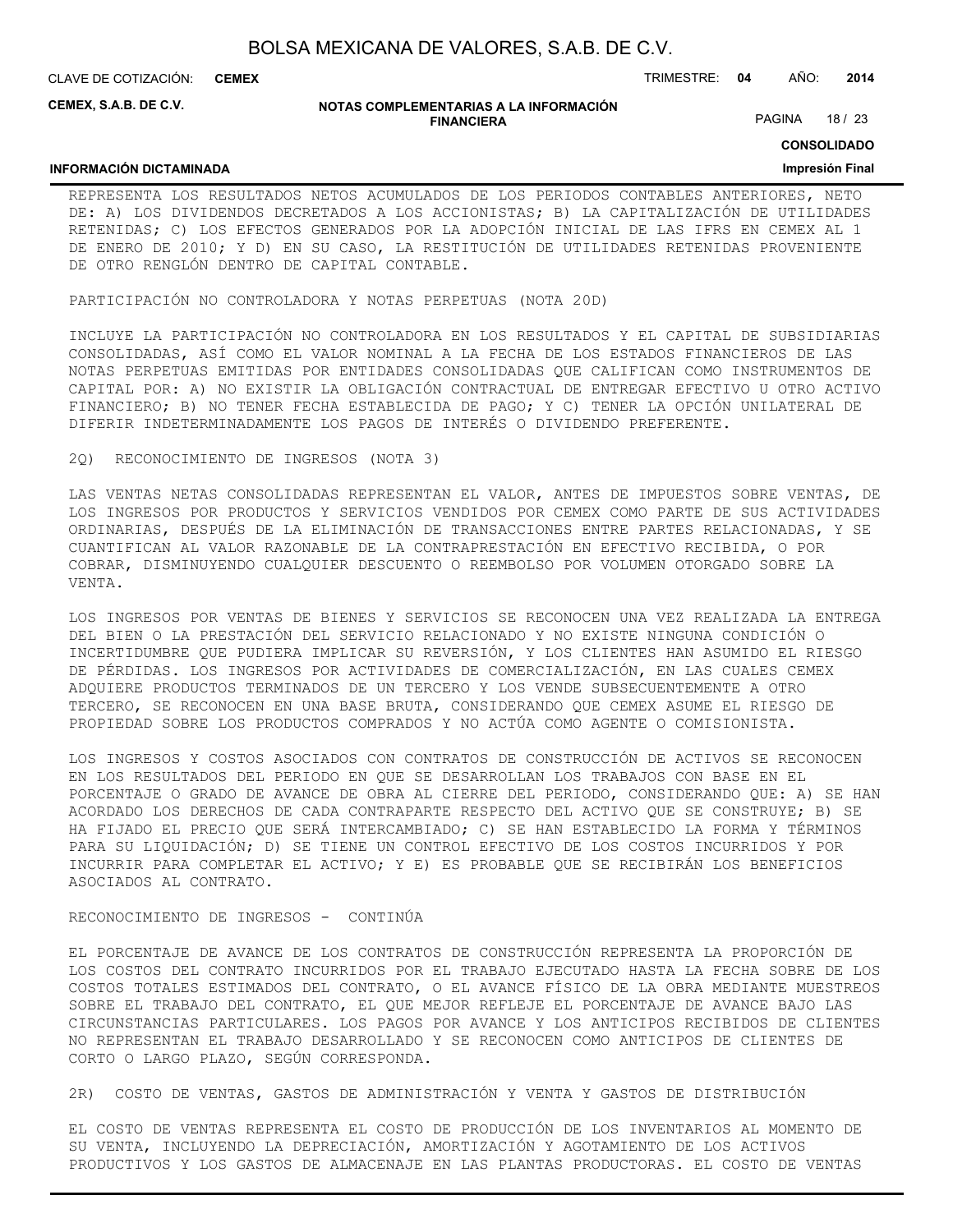**INFORMACIÓN DICTAMINADA**

CLAVE DE COTIZACIÓN: TRIMESTRE: **04** AÑO: **2014 CEMEX**

**CEMEX, S.A.B. DE C.V.**

#### **NOTAS COMPLEMENTARIAS A LA INFORMACIÓN FINANCIERA**

PAGINA 18 / 23

## **CONSOLIDADO**

### **Impresión Final**

REPRESENTA LOS RESULTADOS NETOS ACUMULADOS DE LOS PERIODOS CONTABLES ANTERIORES, NETO DE: A) LOS DIVIDENDOS DECRETADOS A LOS ACCIONISTAS; B) LA CAPITALIZACIÓN DE UTILIDADES RETENIDAS; C) LOS EFECTOS GENERADOS POR LA ADOPCIÓN INICIAL DE LAS IFRS EN CEMEX AL 1 DE ENERO DE 2010; Y D) EN SU CASO, LA RESTITUCIÓN DE UTILIDADES RETENIDAS PROVENIENTE DE OTRO RENGLÓN DENTRO DE CAPITAL CONTABLE.

PARTICIPACIÓN NO CONTROLADORA Y NOTAS PERPETUAS (NOTA 20D)

INCLUYE LA PARTICIPACIÓN NO CONTROLADORA EN LOS RESULTADOS Y EL CAPITAL DE SUBSIDIARIAS CONSOLIDADAS, ASÍ COMO EL VALOR NOMINAL A LA FECHA DE LOS ESTADOS FINANCIEROS DE LAS NOTAS PERPETUAS EMITIDAS POR ENTIDADES CONSOLIDADAS QUE CALIFICAN COMO INSTRUMENTOS DE CAPITAL POR: A) NO EXISTIR LA OBLIGACIÓN CONTRACTUAL DE ENTREGAR EFECTIVO U OTRO ACTIVO FINANCIERO; B) NO TENER FECHA ESTABLECIDA DE PAGO; Y C) TENER LA OPCIÓN UNILATERAL DE DIFERIR INDETERMINADAMENTE LOS PAGOS DE INTERÉS O DIVIDENDO PREFERENTE.

2Q) RECONOCIMIENTO DE INGRESOS (NOTA 3)

LAS VENTAS NETAS CONSOLIDADAS REPRESENTAN EL VALOR, ANTES DE IMPUESTOS SOBRE VENTAS, DE LOS INGRESOS POR PRODUCTOS Y SERVICIOS VENDIDOS POR CEMEX COMO PARTE DE SUS ACTIVIDADES ORDINARIAS, DESPUÉS DE LA ELIMINACIÓN DE TRANSACCIONES ENTRE PARTES RELACIONADAS, Y SE CUANTIFICAN AL VALOR RAZONABLE DE LA CONTRAPRESTACIÓN EN EFECTIVO RECIBIDA, O POR COBRAR, DISMINUYENDO CUALQUIER DESCUENTO O REEMBOLSO POR VOLUMEN OTORGADO SOBRE LA VENTA.

LOS INGRESOS POR VENTAS DE BIENES Y SERVICIOS SE RECONOCEN UNA VEZ REALIZADA LA ENTREGA DEL BIEN O LA PRESTACIÓN DEL SERVICIO RELACIONADO Y NO EXISTE NINGUNA CONDICIÓN O INCERTIDUMBRE QUE PUDIERA IMPLICAR SU REVERSIÓN, Y LOS CLIENTES HAN ASUMIDO EL RIESGO DE PÉRDIDAS. LOS INGRESOS POR ACTIVIDADES DE COMERCIALIZACIÓN, EN LAS CUALES CEMEX ADQUIERE PRODUCTOS TERMINADOS DE UN TERCERO Y LOS VENDE SUBSECUENTEMENTE A OTRO TERCERO, SE RECONOCEN EN UNA BASE BRUTA, CONSIDERANDO QUE CEMEX ASUME EL RIESGO DE PROPIEDAD SOBRE LOS PRODUCTOS COMPRADOS Y NO ACTÚA COMO AGENTE O COMISIONISTA.

LOS INGRESOS Y COSTOS ASOCIADOS CON CONTRATOS DE CONSTRUCCIÓN DE ACTIVOS SE RECONOCEN EN LOS RESULTADOS DEL PERIODO EN QUE SE DESARROLLAN LOS TRABAJOS CON BASE EN EL PORCENTAJE O GRADO DE AVANCE DE OBRA AL CIERRE DEL PERIODO, CONSIDERANDO QUE: A) SE HAN ACORDADO LOS DERECHOS DE CADA CONTRAPARTE RESPECTO DEL ACTIVO QUE SE CONSTRUYE; B) SE HA FIJADO EL PRECIO QUE SERÁ INTERCAMBIADO; C) SE HAN ESTABLECIDO LA FORMA Y TÉRMINOS PARA SU LIQUIDACIÓN; D) SE TIENE UN CONTROL EFECTIVO DE LOS COSTOS INCURRIDOS Y POR INCURRIR PARA COMPLETAR EL ACTIVO; Y E) ES PROBABLE QUE SE RECIBIRÁN LOS BENEFICIOS ASOCIADOS AL CONTRATO.

### RECONOCIMIENTO DE INGRESOS - CONTINÚA

EL PORCENTAJE DE AVANCE DE LOS CONTRATOS DE CONSTRUCCIÓN REPRESENTA LA PROPORCIÓN DE LOS COSTOS DEL CONTRATO INCURRIDOS POR EL TRABAJO EJECUTADO HASTA LA FECHA SOBRE DE LOS COSTOS TOTALES ESTIMADOS DEL CONTRATO, O EL AVANCE FÍSICO DE LA OBRA MEDIANTE MUESTREOS SOBRE EL TRABAJO DEL CONTRATO, EL QUE MEJOR REFLEJE EL PORCENTAJE DE AVANCE BAJO LAS CIRCUNSTANCIAS PARTICULARES. LOS PAGOS POR AVANCE Y LOS ANTICIPOS RECIBIDOS DE CLIENTES NO REPRESENTAN EL TRABAJO DESARROLLADO Y SE RECONOCEN COMO ANTICIPOS DE CLIENTES DE CORTO O LARGO PLAZO, SEGÚN CORRESPONDA.

2R) COSTO DE VENTAS, GASTOS DE ADMINISTRACIÓN Y VENTA Y GASTOS DE DISTRIBUCIÓN

EL COSTO DE VENTAS REPRESENTA EL COSTO DE PRODUCCIÓN DE LOS INVENTARIOS AL MOMENTO DE SU VENTA, INCLUYENDO LA DEPRECIACIÓN, AMORTIZACIÓN Y AGOTAMIENTO DE LOS ACTIVOS PRODUCTIVOS Y LOS GASTOS DE ALMACENAJE EN LAS PLANTAS PRODUCTORAS. EL COSTO DE VENTAS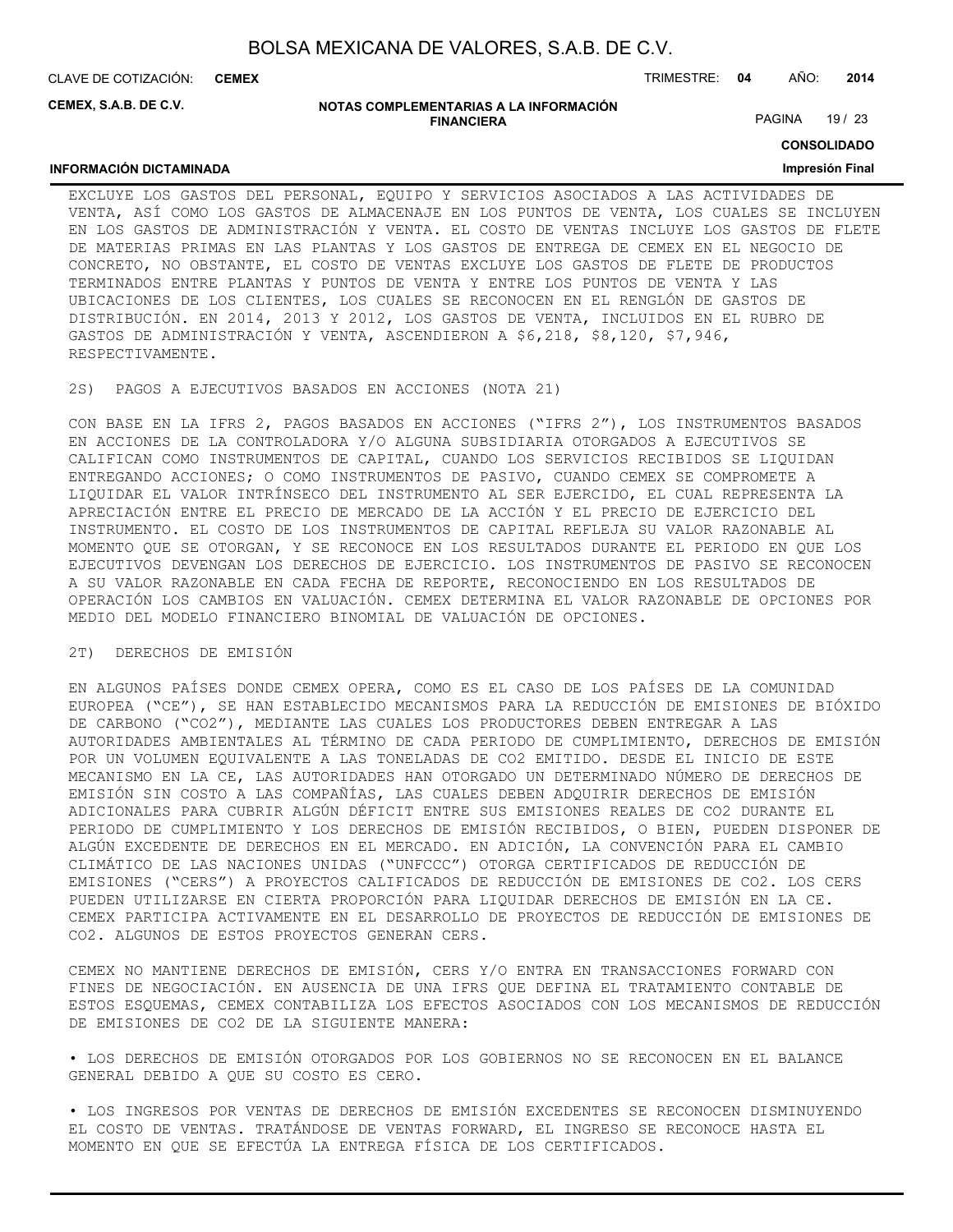**FINANCIERA**

CLAVE DE COTIZACIÓN: TRIMESTRE: **04** AÑO: **2014 CEMEX**

**CEMEX, S.A.B. DE C.V.**

**NOTAS COMPLEMENTARIAS A LA INFORMACIÓN**

PAGINA 19 / 23

### **INFORMACIÓN DICTAMINADA**

**CONSOLIDADO**

#### **Impresión Final**

EXCLUYE LOS GASTOS DEL PERSONAL, EQUIPO Y SERVICIOS ASOCIADOS A LAS ACTIVIDADES DE VENTA, ASÍ COMO LOS GASTOS DE ALMACENAJE EN LOS PUNTOS DE VENTA, LOS CUALES SE INCLUYEN EN LOS GASTOS DE ADMINISTRACIÓN Y VENTA. EL COSTO DE VENTAS INCLUYE LOS GASTOS DE FLETE DE MATERIAS PRIMAS EN LAS PLANTAS Y LOS GASTOS DE ENTREGA DE CEMEX EN EL NEGOCIO DE CONCRETO, NO OBSTANTE, EL COSTO DE VENTAS EXCLUYE LOS GASTOS DE FLETE DE PRODUCTOS TERMINADOS ENTRE PLANTAS Y PUNTOS DE VENTA Y ENTRE LOS PUNTOS DE VENTA Y LAS UBICACIONES DE LOS CLIENTES, LOS CUALES SE RECONOCEN EN EL RENGLÓN DE GASTOS DE DISTRIBUCIÓN. EN 2014, 2013 Y 2012, LOS GASTOS DE VENTA, INCLUIDOS EN EL RUBRO DE GASTOS DE ADMINISTRACIÓN Y VENTA, ASCENDIERON A \$6,218, \$8,120, \$7,946, RESPECTIVAMENTE.

2S) PAGOS A EJECUTIVOS BASADOS EN ACCIONES (NOTA 21)

CON BASE EN LA IFRS 2, PAGOS BASADOS EN ACCIONES ("IFRS 2"), LOS INSTRUMENTOS BASADOS EN ACCIONES DE LA CONTROLADORA Y/O ALGUNA SUBSIDIARIA OTORGADOS A EJECUTIVOS SE CALIFICAN COMO INSTRUMENTOS DE CAPITAL, CUANDO LOS SERVICIOS RECIBIDOS SE LIQUIDAN ENTREGANDO ACCIONES; O COMO INSTRUMENTOS DE PASIVO, CUANDO CEMEX SE COMPROMETE A LIQUIDAR EL VALOR INTRÍNSECO DEL INSTRUMENTO AL SER EJERCIDO, EL CUAL REPRESENTA LA APRECIACIÓN ENTRE EL PRECIO DE MERCADO DE LA ACCIÓN Y EL PRECIO DE EJERCICIO DEL INSTRUMENTO. EL COSTO DE LOS INSTRUMENTOS DE CAPITAL REFLEJA SU VALOR RAZONABLE AL MOMENTO QUE SE OTORGAN, Y SE RECONOCE EN LOS RESULTADOS DURANTE EL PERIODO EN QUE LOS EJECUTIVOS DEVENGAN LOS DERECHOS DE EJERCICIO. LOS INSTRUMENTOS DE PASIVO SE RECONOCEN A SU VALOR RAZONABLE EN CADA FECHA DE REPORTE, RECONOCIENDO EN LOS RESULTADOS DE OPERACIÓN LOS CAMBIOS EN VALUACIÓN. CEMEX DETERMINA EL VALOR RAZONABLE DE OPCIONES POR MEDIO DEL MODELO FINANCIERO BINOMIAL DE VALUACIÓN DE OPCIONES.

#### 2T) DERECHOS DE EMISIÓN

EN ALGUNOS PAÍSES DONDE CEMEX OPERA, COMO ES EL CASO DE LOS PAÍSES DE LA COMUNIDAD EUROPEA ("CE"), SE HAN ESTABLECIDO MECANISMOS PARA LA REDUCCIÓN DE EMISIONES DE BIÓXIDO DE CARBONO ("CO2"), MEDIANTE LAS CUALES LOS PRODUCTORES DEBEN ENTREGAR A LAS AUTORIDADES AMBIENTALES AL TÉRMINO DE CADA PERIODO DE CUMPLIMIENTO, DERECHOS DE EMISIÓN POR UN VOLUMEN EQUIVALENTE A LAS TONELADAS DE CO2 EMITIDO. DESDE EL INICIO DE ESTE MECANISMO EN LA CE, LAS AUTORIDADES HAN OTORGADO UN DETERMINADO NÚMERO DE DERECHOS DE EMISIÓN SIN COSTO A LAS COMPAÑÍAS, LAS CUALES DEBEN ADQUIRIR DERECHOS DE EMISIÓN ADICIONALES PARA CUBRIR ALGÚN DÉFICIT ENTRE SUS EMISIONES REALES DE CO2 DURANTE EL PERIODO DE CUMPLIMIENTO Y LOS DERECHOS DE EMISIÓN RECIBIDOS, O BIEN, PUEDEN DISPONER DE ALGÚN EXCEDENTE DE DERECHOS EN EL MERCADO. EN ADICIÓN, LA CONVENCIÓN PARA EL CAMBIO CLIMÁTICO DE LAS NACIONES UNIDAS ("UNFCCC") OTORGA CERTIFICADOS DE REDUCCIÓN DE EMISIONES ("CERS") A PROYECTOS CALIFICADOS DE REDUCCIÓN DE EMISIONES DE CO2. LOS CERS PUEDEN UTILIZARSE EN CIERTA PROPORCIÓN PARA LIQUIDAR DERECHOS DE EMISIÓN EN LA CE. CEMEX PARTICIPA ACTIVAMENTE EN EL DESARROLLO DE PROYECTOS DE REDUCCIÓN DE EMISIONES DE CO2. ALGUNOS DE ESTOS PROYECTOS GENERAN CERS.

CEMEX NO MANTIENE DERECHOS DE EMISIÓN, CERS Y/O ENTRA EN TRANSACCIONES FORWARD CON FINES DE NEGOCIACIÓN. EN AUSENCIA DE UNA IFRS QUE DEFINA EL TRATAMIENTO CONTABLE DE ESTOS ESQUEMAS, CEMEX CONTABILIZA LOS EFECTOS ASOCIADOS CON LOS MECANISMOS DE REDUCCIÓN DE EMISIONES DE CO2 DE LA SIGUIENTE MANERA:

• LOS DERECHOS DE EMISIÓN OTORGADOS POR LOS GOBIERNOS NO SE RECONOCEN EN EL BALANCE GENERAL DEBIDO A QUE SU COSTO ES CERO.

• LOS INGRESOS POR VENTAS DE DERECHOS DE EMISIÓN EXCEDENTES SE RECONOCEN DISMINUYENDO EL COSTO DE VENTAS. TRATÁNDOSE DE VENTAS FORWARD, EL INGRESO SE RECONOCE HASTA EL MOMENTO EN QUE SE EFECTÚA LA ENTREGA FÍSICA DE LOS CERTIFICADOS.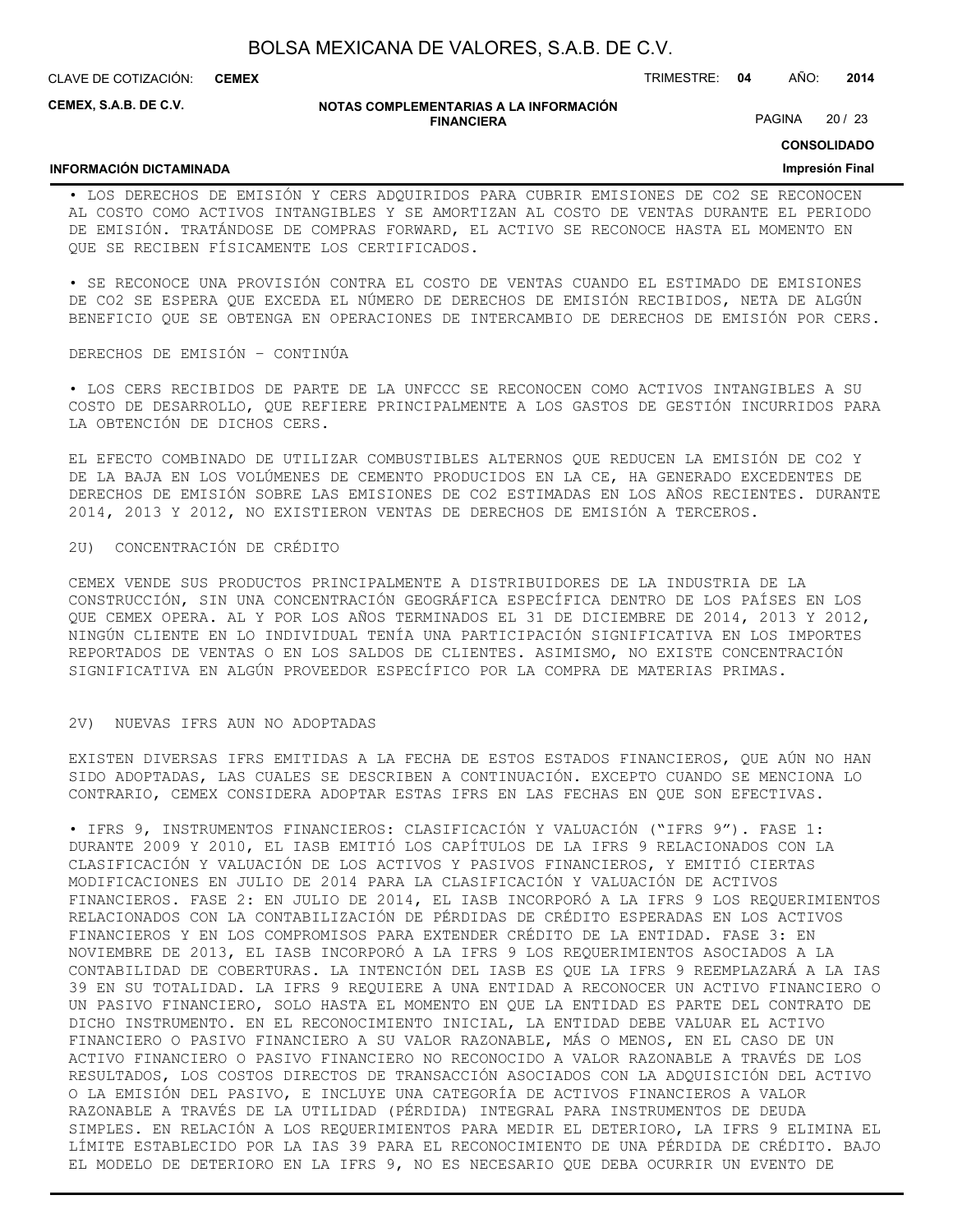CLAVE DE COTIZACIÓN: TRIMESTRE: **04** AÑO: **2014 CEMEX**

**CEMEX, S.A.B. DE C.V.**

#### **NOTAS COMPLEMENTARIAS A LA INFORMACIÓN FINANCIERA**

PAGINA 20 / 23

## **CONSOLIDADO**

## **INFORMACIÓN DICTAMINADA**

**Impresión Final**

• LOS DERECHOS DE EMISIÓN Y CERS ADQUIRIDOS PARA CUBRIR EMISIONES DE CO2 SE RECONOCEN AL COSTO COMO ACTIVOS INTANGIBLES Y SE AMORTIZAN AL COSTO DE VENTAS DURANTE EL PERIODO DE EMISIÓN. TRATÁNDOSE DE COMPRAS FORWARD, EL ACTIVO SE RECONOCE HASTA EL MOMENTO EN QUE SE RECIBEN FÍSICAMENTE LOS CERTIFICADOS.

• SE RECONOCE UNA PROVISIÓN CONTRA EL COSTO DE VENTAS CUANDO EL ESTIMADO DE EMISIONES DE CO2 SE ESPERA QUE EXCEDA EL NÚMERO DE DERECHOS DE EMISIÓN RECIBIDOS, NETA DE ALGÚN BENEFICIO QUE SE OBTENGA EN OPERACIONES DE INTERCAMBIO DE DERECHOS DE EMISIÓN POR CERS.

#### DERECHOS DE EMISIÓN – CONTINÚA

• LOS CERS RECIBIDOS DE PARTE DE LA UNFCCC SE RECONOCEN COMO ACTIVOS INTANGIBLES A SU COSTO DE DESARROLLO, QUE REFIERE PRINCIPALMENTE A LOS GASTOS DE GESTIÓN INCURRIDOS PARA LA OBTENCIÓN DE DICHOS CERS.

EL EFECTO COMBINADO DE UTILIZAR COMBUSTIBLES ALTERNOS QUE REDUCEN LA EMISIÓN DE CO2 Y DE LA BAJA EN LOS VOLÚMENES DE CEMENTO PRODUCIDOS EN LA CE, HA GENERADO EXCEDENTES DE DERECHOS DE EMISIÓN SOBRE LAS EMISIONES DE CO2 ESTIMADAS EN LOS AÑOS RECIENTES. DURANTE 2014, 2013 Y 2012, NO EXISTIERON VENTAS DE DERECHOS DE EMISIÓN A TERCEROS.

### 2U) CONCENTRACIÓN DE CRÉDITO

CEMEX VENDE SUS PRODUCTOS PRINCIPALMENTE A DISTRIBUIDORES DE LA INDUSTRIA DE LA CONSTRUCCIÓN, SIN UNA CONCENTRACIÓN GEOGRÁFICA ESPECÍFICA DENTRO DE LOS PAÍSES EN LOS QUE CEMEX OPERA. AL Y POR LOS AÑOS TERMINADOS EL 31 DE DICIEMBRE DE 2014, 2013 Y 2012, NINGÚN CLIENTE EN LO INDIVIDUAL TENÍA UNA PARTICIPACIÓN SIGNIFICATIVA EN LOS IMPORTES REPORTADOS DE VENTAS O EN LOS SALDOS DE CLIENTES. ASIMISMO, NO EXISTE CONCENTRACIÓN SIGNIFICATIVA EN ALGÚN PROVEEDOR ESPECÍFICO POR LA COMPRA DE MATERIAS PRIMAS.

### 2V) NUEVAS IFRS AUN NO ADOPTADAS

EXISTEN DIVERSAS IFRS EMITIDAS A LA FECHA DE ESTOS ESTADOS FINANCIEROS, QUE AÚN NO HAN SIDO ADOPTADAS, LAS CUALES SE DESCRIBEN A CONTINUACIÓN. EXCEPTO CUANDO SE MENCIONA LO CONTRARIO, CEMEX CONSIDERA ADOPTAR ESTAS IFRS EN LAS FECHAS EN QUE SON EFECTIVAS.

• IFRS 9, INSTRUMENTOS FINANCIEROS: CLASIFICACIÓN Y VALUACIÓN ("IFRS 9"). FASE 1: DURANTE 2009 Y 2010, EL IASB EMITIÓ LOS CAPÍTULOS DE LA IFRS 9 RELACIONADOS CON LA CLASIFICACIÓN Y VALUACIÓN DE LOS ACTIVOS Y PASIVOS FINANCIEROS, Y EMITIÓ CIERTAS MODIFICACIONES EN JULIO DE 2014 PARA LA CLASIFICACIÓN Y VALUACIÓN DE ACTIVOS FINANCIEROS. FASE 2: EN JULIO DE 2014, EL IASB INCORPORÓ A LA IFRS 9 LOS REQUERIMIENTOS RELACIONADOS CON LA CONTABILIZACIÓN DE PÉRDIDAS DE CRÉDITO ESPERADAS EN LOS ACTIVOS FINANCIEROS Y EN LOS COMPROMISOS PARA EXTENDER CRÉDITO DE LA ENTIDAD. FASE 3: EN NOVIEMBRE DE 2013, EL IASB INCORPORÓ A LA IFRS 9 LOS REQUERIMIENTOS ASOCIADOS A LA CONTABILIDAD DE COBERTURAS. LA INTENCIÓN DEL IASB ES QUE LA IFRS 9 REEMPLAZARÁ A LA IAS 39 EN SU TOTALIDAD. LA IFRS 9 REQUIERE A UNA ENTIDAD A RECONOCER UN ACTIVO FINANCIERO O UN PASIVO FINANCIERO, SOLO HASTA EL MOMENTO EN QUE LA ENTIDAD ES PARTE DEL CONTRATO DE DICHO INSTRUMENTO. EN EL RECONOCIMIENTO INICIAL, LA ENTIDAD DEBE VALUAR EL ACTIVO FINANCIERO O PASIVO FINANCIERO A SU VALOR RAZONABLE, MÁS O MENOS, EN EL CASO DE UN ACTIVO FINANCIERO O PASIVO FINANCIERO NO RECONOCIDO A VALOR RAZONABLE A TRAVÉS DE LOS RESULTADOS, LOS COSTOS DIRECTOS DE TRANSACCIÓN ASOCIADOS CON LA ADQUISICIÓN DEL ACTIVO O LA EMISIÓN DEL PASIVO, E INCLUYE UNA CATEGORÍA DE ACTIVOS FINANCIEROS A VALOR RAZONABLE A TRAVÉS DE LA UTILIDAD (PÉRDIDA) INTEGRAL PARA INSTRUMENTOS DE DEUDA SIMPLES. EN RELACIÓN A LOS REQUERIMIENTOS PARA MEDIR EL DETERIORO, LA IFRS 9 ELIMINA EL LÍMITE ESTABLECIDO POR LA IAS 39 PARA EL RECONOCIMIENTO DE UNA PÉRDIDA DE CRÉDITO. BAJO EL MODELO DE DETERIORO EN LA IFRS 9, NO ES NECESARIO QUE DEBA OCURRIR UN EVENTO DE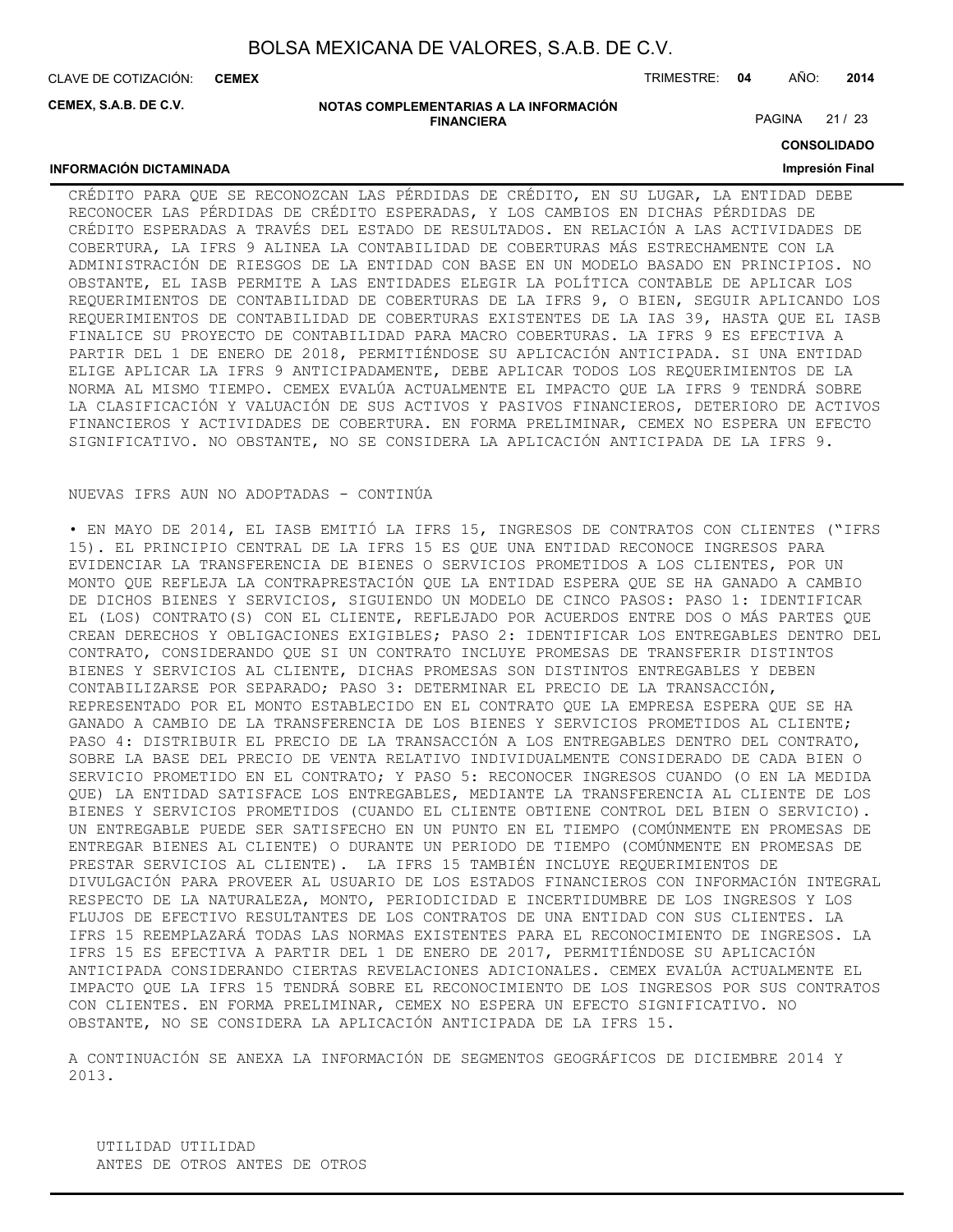**CEMEX**

**INFORMACIÓN DICTAMINADA**

CLAVE DE COTIZACIÓN: TRIMESTRE: **04** AÑO: **2014**

**CEMEX, S.A.B. DE C.V.**

#### **NOTAS COMPLEMENTARIAS A LA INFORMACIÓN FINANCIERA**

PAGINA 21 / 23

**CONSOLIDADO**

### **Impresión Final**

CRÉDITO PARA QUE SE RECONOZCAN LAS PÉRDIDAS DE CRÉDITO, EN SU LUGAR, LA ENTIDAD DEBE RECONOCER LAS PÉRDIDAS DE CRÉDITO ESPERADAS, Y LOS CAMBIOS EN DICHAS PÉRDIDAS DE CRÉDITO ESPERADAS A TRAVÉS DEL ESTADO DE RESULTADOS. EN RELACIÓN A LAS ACTIVIDADES DE COBERTURA, LA IFRS 9 ALINEA LA CONTABILIDAD DE COBERTURAS MÁS ESTRECHAMENTE CON LA ADMINISTRACIÓN DE RIESGOS DE LA ENTIDAD CON BASE EN UN MODELO BASADO EN PRINCIPIOS. NO OBSTANTE, EL IASB PERMITE A LAS ENTIDADES ELEGIR LA POLÍTICA CONTABLE DE APLICAR LOS REQUERIMIENTOS DE CONTABILIDAD DE COBERTURAS DE LA IFRS 9, O BIEN, SEGUIR APLICANDO LOS REQUERIMIENTOS DE CONTABILIDAD DE COBERTURAS EXISTENTES DE LA IAS 39, HASTA QUE EL IASB FINALICE SU PROYECTO DE CONTABILIDAD PARA MACRO COBERTURAS. LA IFRS 9 ES EFECTIVA A PARTIR DEL 1 DE ENERO DE 2018, PERMITIÉNDOSE SU APLICACIÓN ANTICIPADA. SI UNA ENTIDAD ELIGE APLICAR LA IFRS 9 ANTICIPADAMENTE, DEBE APLICAR TODOS LOS REQUERIMIENTOS DE LA NORMA AL MISMO TIEMPO. CEMEX EVALÚA ACTUALMENTE EL IMPACTO QUE LA IFRS 9 TENDRÁ SOBRE LA CLASIFICACIÓN Y VALUACIÓN DE SUS ACTIVOS Y PASIVOS FINANCIEROS, DETERIORO DE ACTIVOS FINANCIEROS Y ACTIVIDADES DE COBERTURA. EN FORMA PRELIMINAR, CEMEX NO ESPERA UN EFECTO SIGNIFICATIVO. NO OBSTANTE, NO SE CONSIDERA LA APLICACIÓN ANTICIPADA DE LA IFRS 9.

#### NUEVAS IFRS AUN NO ADOPTADAS - CONTINÚA

• EN MAYO DE 2014, EL IASB EMITIÓ LA IFRS 15, INGRESOS DE CONTRATOS CON CLIENTES ("IFRS 15). EL PRINCIPIO CENTRAL DE LA IFRS 15 ES QUE UNA ENTIDAD RECONOCE INGRESOS PARA EVIDENCIAR LA TRANSFERENCIA DE BIENES O SERVICIOS PROMETIDOS A LOS CLIENTES, POR UN MONTO QUE REFLEJA LA CONTRAPRESTACIÓN QUE LA ENTIDAD ESPERA QUE SE HA GANADO A CAMBIO DE DICHOS BIENES Y SERVICIOS, SIGUIENDO UN MODELO DE CINCO PASOS: PASO 1: IDENTIFICAR EL (LOS) CONTRATO(S) CON EL CLIENTE, REFLEJADO POR ACUERDOS ENTRE DOS O MÁS PARTES QUE CREAN DERECHOS Y OBLIGACIONES EXIGIBLES; PASO 2: IDENTIFICAR LOS ENTREGABLES DENTRO DEL CONTRATO, CONSIDERANDO QUE SI UN CONTRATO INCLUYE PROMESAS DE TRANSFERIR DISTINTOS BIENES Y SERVICIOS AL CLIENTE, DICHAS PROMESAS SON DISTINTOS ENTREGABLES Y DEBEN CONTABILIZARSE POR SEPARADO; PASO 3: DETERMINAR EL PRECIO DE LA TRANSACCIÓN, REPRESENTADO POR EL MONTO ESTABLECIDO EN EL CONTRATO QUE LA EMPRESA ESPERA QUE SE HA GANADO A CAMBIO DE LA TRANSFERENCIA DE LOS BIENES Y SERVICIOS PROMETIDOS AL CLIENTE; PASO 4: DISTRIBUIR EL PRECIO DE LA TRANSACCIÓN A LOS ENTREGABLES DENTRO DEL CONTRATO, SOBRE LA BASE DEL PRECIO DE VENTA RELATIVO INDIVIDUALMENTE CONSIDERADO DE CADA BIEN O SERVICIO PROMETIDO EN EL CONTRATO; Y PASO 5: RECONOCER INGRESOS CUANDO (O EN LA MEDIDA QUE) LA ENTIDAD SATISFACE LOS ENTREGABLES, MEDIANTE LA TRANSFERENCIA AL CLIENTE DE LOS BIENES Y SERVICIOS PROMETIDOS (CUANDO EL CLIENTE OBTIENE CONTROL DEL BIEN O SERVICIO). UN ENTREGABLE PUEDE SER SATISFECHO EN UN PUNTO EN EL TIEMPO (COMÚNMENTE EN PROMESAS DE ENTREGAR BIENES AL CLIENTE) O DURANTE UN PERIODO DE TIEMPO (COMÚNMENTE EN PROMESAS DE PRESTAR SERVICIOS AL CLIENTE). LA IFRS 15 TAMBIÉN INCLUYE REQUERIMIENTOS DE DIVULGACIÓN PARA PROVEER AL USUARIO DE LOS ESTADOS FINANCIEROS CON INFORMACIÓN INTEGRAL RESPECTO DE LA NATURALEZA, MONTO, PERIODICIDAD E INCERTIDUMBRE DE LOS INGRESOS Y LOS FLUJOS DE EFECTIVO RESULTANTES DE LOS CONTRATOS DE UNA ENTIDAD CON SUS CLIENTES. LA IFRS 15 REEMPLAZARÁ TODAS LAS NORMAS EXISTENTES PARA EL RECONOCIMIENTO DE INGRESOS. LA IFRS 15 ES EFECTIVA A PARTIR DEL 1 DE ENERO DE 2017, PERMITIÉNDOSE SU APLICACIÓN ANTICIPADA CONSIDERANDO CIERTAS REVELACIONES ADICIONALES. CEMEX EVALÚA ACTUALMENTE EL IMPACTO QUE LA IFRS 15 TENDRÁ SOBRE EL RECONOCIMIENTO DE LOS INGRESOS POR SUS CONTRATOS CON CLIENTES. EN FORMA PRELIMINAR, CEMEX NO ESPERA UN EFECTO SIGNIFICATIVO. NO OBSTANTE, NO SE CONSIDERA LA APLICACIÓN ANTICIPADA DE LA IFRS 15.

A CONTINUACIÓN SE ANEXA LA INFORMACIÓN DE SEGMENTOS GEOGRÁFICOS DE DICIEMBRE 2014 Y 2013.

 UTILIDAD UTILIDAD ANTES DE OTROS ANTES DE OTROS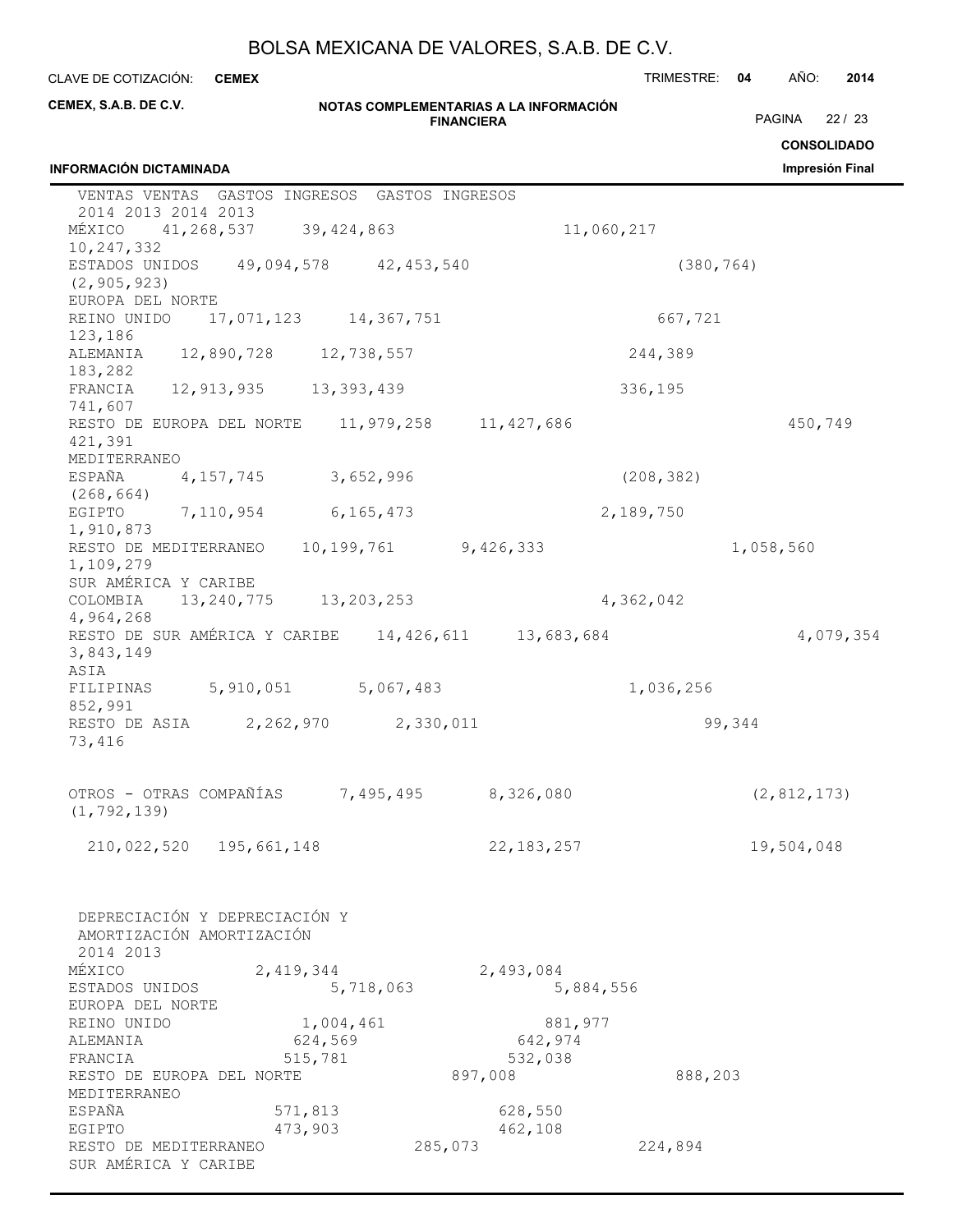| CLAVE DE COTIZACIÓN: CEMEX                                                                          |                           |                          |                   |                        | TRIMESTRE: 04 |        | AÑO:               | 2014            |
|-----------------------------------------------------------------------------------------------------|---------------------------|--------------------------|-------------------|------------------------|---------------|--------|--------------------|-----------------|
| <b>CEMEX, S.A.B. DE C.V.</b>                                                                        |                           |                          | PAGINA            | 22/23                  |               |        |                    |                 |
|                                                                                                     |                           |                          | <b>FINANCIERA</b> |                        |               |        |                    |                 |
|                                                                                                     |                           |                          |                   |                        |               |        | <b>CONSOLIDADO</b> |                 |
| INFORMACIÓN DICTAMINADA                                                                             |                           |                          |                   |                        |               |        |                    | Impresión Final |
| VENTAS VENTAS GASTOS INGRESOS GASTOS INGRESOS<br>2014 2013 2014 2013                                |                           |                          |                   |                        |               |        |                    |                 |
| MÉXICO 41, 268, 537 39, 424, 863<br>10, 247, 332                                                    |                           |                          |                   | 11,060,217             |               |        |                    |                 |
| ESTADOS UNIDOS 49,094,578 42,453,540<br>(2, 905, 923)                                               |                           |                          |                   |                        | (380, 764)    |        |                    |                 |
| EUROPA DEL NORTE                                                                                    |                           |                          |                   |                        |               |        |                    |                 |
| REINO UNIDO<br>123,186                                                                              | 17,071,123 14,367,751     |                          |                   |                        | 667,721       |        |                    |                 |
| ALEMANIA<br>183,282                                                                                 | 12,890,728 12,738,557     |                          |                   |                        | 244,389       |        |                    |                 |
| FRANCIA<br>741,607                                                                                  | 12,913,935 13,393,439     |                          |                   |                        | 336,195       |        |                    |                 |
| RESTO DE EUROPA DEL NORTE 11,979,258 11,427,686<br>421,391                                          |                           |                          |                   |                        |               |        | 450,749            |                 |
| MEDITERRANEO<br>ESPAÑA                                                                              | 4, 157, 745               | 3,652,996                |                   |                        | (208, 382)    |        |                    |                 |
| (268, 664)<br>EGIPTO                                                                                | 7,110,954                 | 6,165,473                |                   |                        | 2,189,750     |        |                    |                 |
| 1,910,873<br>RESTO DE MEDITERRANEO                                                                  |                           | 10, 199, 761 9, 426, 333 |                   |                        |               |        | 1,058,560          |                 |
| 1,109,279<br>SUR AMÉRICA Y CARIBE                                                                   |                           |                          |                   |                        |               |        |                    |                 |
| COLOMBIA<br>4,964,268                                                                               | 13, 240, 775 13, 203, 253 |                          |                   |                        | 4,362,042     |        |                    |                 |
| RESTO DE SUR AMÉRICA Y CARIBE 14,426,611 13,683,684                                                 |                           |                          |                   |                        |               |        |                    | 4,079,354       |
| 3,843,149<br>ASIA                                                                                   |                           |                          |                   |                        |               |        |                    |                 |
| FILIPINAS<br>852,991                                                                                | 5, 910, 051 5, 067, 483   |                          |                   |                        | 1,036,256     |        |                    |                 |
| RESTO DE ASIA<br>73,416                                                                             |                           | 2, 262, 970 2, 330, 011  |                   |                        |               | 99,344 |                    |                 |
| OTROS - OTRAS COMPAÑÍAS<br>(1, 792, 139)                                                            |                           | 7,495,495                |                   | 8,326,080              |               |        | (2, 812, 173)      |                 |
| 210,022,520                                                                                         | 195,661,148               |                          |                   | 22, 183, 257           |               |        | 19,504,048         |                 |
| DEPRECIACIÓN Y DEPRECIACIÓN Y<br>AMORTIZACIÓN AMORTIZACIÓN<br>2014 2013<br>MÉXICO<br>ESTADOS UNIDOS | 2,419,344                 | 5,718,063                |                   | 2,493,084<br>5,884,556 |               |        |                    |                 |
| EUROPA DEL NORTE<br>REINO UNIDO                                                                     |                           | 1,004,461                |                   | 881,977                |               |        |                    |                 |
| ALEMANIA<br>FRANCIA                                                                                 |                           | 624,569<br>515,781       |                   | 642,974<br>532,038     |               |        |                    |                 |
| RESTO DE EUROPA DEL NORTE<br>MEDITERRANEO                                                           |                           |                          | 897,008           |                        | 888,203       |        |                    |                 |
| ESPAÑA                                                                                              | 571,813                   |                          |                   | 628,550                |               |        |                    |                 |
| EGIPTO                                                                                              | 473,903                   |                          |                   | 462,108                |               |        |                    |                 |
| RESTO DE MEDITERRANEO<br>SUR AMÉRICA Y CARIBE                                                       |                           |                          | 285,073           |                        | 224,894       |        |                    |                 |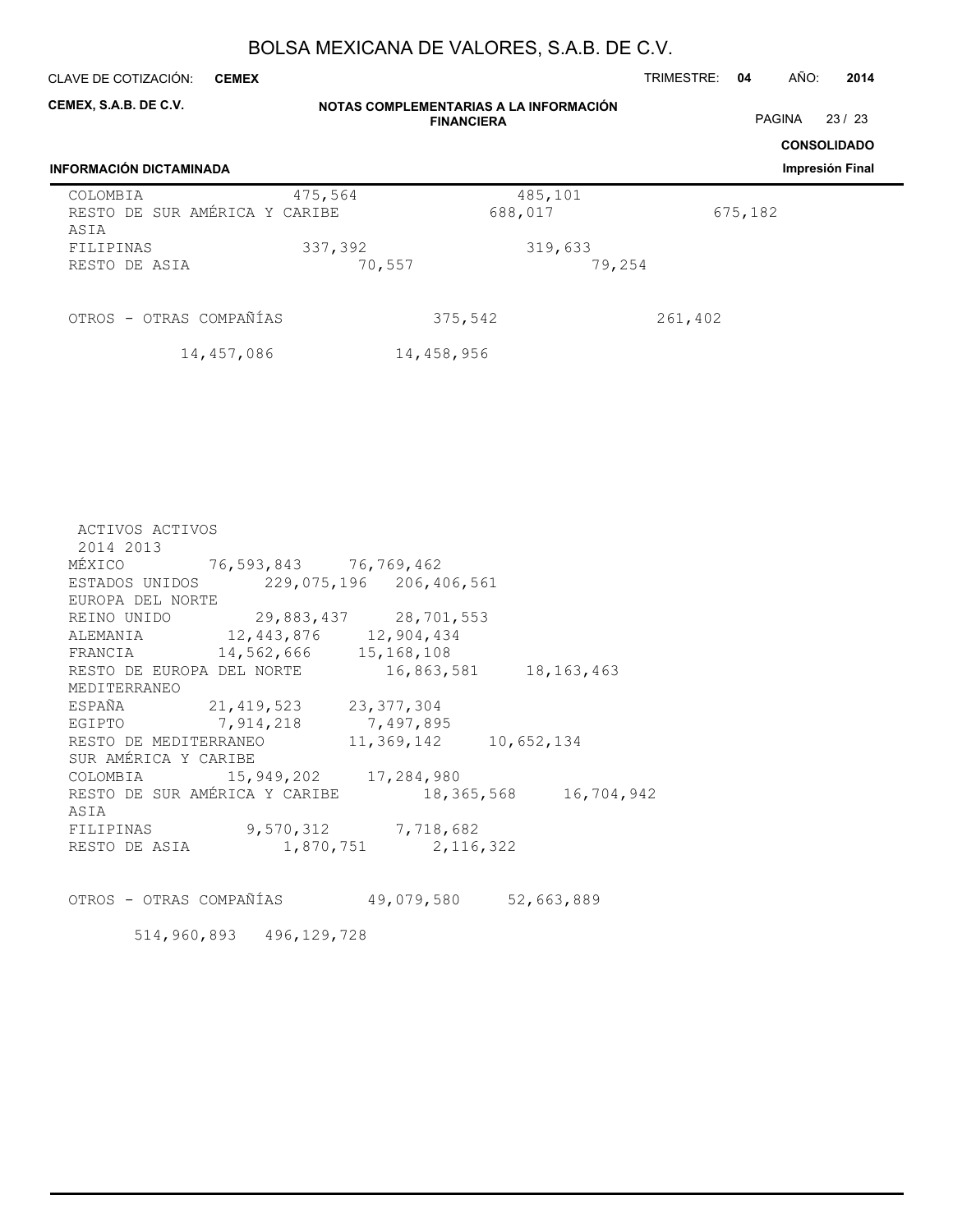| CLAVE DE COTIZACIÓN:                          | <b>CEMEX</b>                                                                    |                                     |                                        | TRIMESTRE: 04 | AÑO:<br>2014                          |
|-----------------------------------------------|---------------------------------------------------------------------------------|-------------------------------------|----------------------------------------|---------------|---------------------------------------|
| CEMEX, S.A.B. DE C.V.                         |                                                                                 | <b>FINANCIERA</b>                   | NOTAS COMPLEMENTARIAS A LA INFORMACIÓN |               | PAGINA<br>23/23<br><b>CONSOLIDADO</b> |
| <b>INFORMACIÓN DICTAMINADA</b>                |                                                                                 |                                     |                                        |               | Impresión Final                       |
| COLOMBIA                                      | 475,564<br>RESTO DE SUR AMÉRICA Y CARIBE                                        |                                     | 485,101<br>688,017                     |               | 675,182                               |
| ASIA<br>FILIPINAS<br>RESTO DE ASIA            | 337,392                                                                         | 70,557                              | 319,633                                | 79,254        |                                       |
| OTROS - OTRAS COMPAÑÍAS                       |                                                                                 | 375,542                             |                                        | 261,402       |                                       |
|                                               | 14,457,086                                                                      | 14,458,956                          |                                        |               |                                       |
| ACTIVOS ACTIVOS<br>2014 2013<br>MÉXICO        | 76,593,843 76,769,462                                                           |                                     |                                        |               |                                       |
| ESTADOS UNIDOS<br>EUROPA DEL NORTE            |                                                                                 | 229,075,196 206,406,561             |                                        |               |                                       |
| REINO UNIDO<br>ALEMANIA<br>FRANCIA            | 12, 443, 876 12, 904, 434<br>14,562,666 15,168,108<br>RESTO DE EUROPA DEL NORTE | 29,883,437 28,701,553<br>16,863,581 | 18,163,463                             |               |                                       |
| MEDITERRANEO<br>ESPAÑA<br>EGIPTO              | 21, 419, 523<br>7,914,218                                                       | 23, 377, 304<br>7,497,895           |                                        |               |                                       |
| RESTO DE MEDITERRANEO<br>SUR AMÉRICA Y CARIBE |                                                                                 | 11,369,142                          | 10,652,134                             |               |                                       |
| COLOMBIA<br>ASIA                              | 15,949,202<br>RESTO DE SUR AMÉRICA Y CARIBE                                     | 17,284,980<br>18,365,568            |                                        | 16,704,942    |                                       |
| FILIPINAS<br>RESTO DE ASIA                    | 9,570,312<br>1,870,751                                                          | 7,718,682                           | 2, 116, 322                            |               |                                       |
| OTROS - OTRAS COMPAÑÍAS                       |                                                                                 |                                     | 49,079,580 52,663,889                  |               |                                       |

514,960,893 496,129,728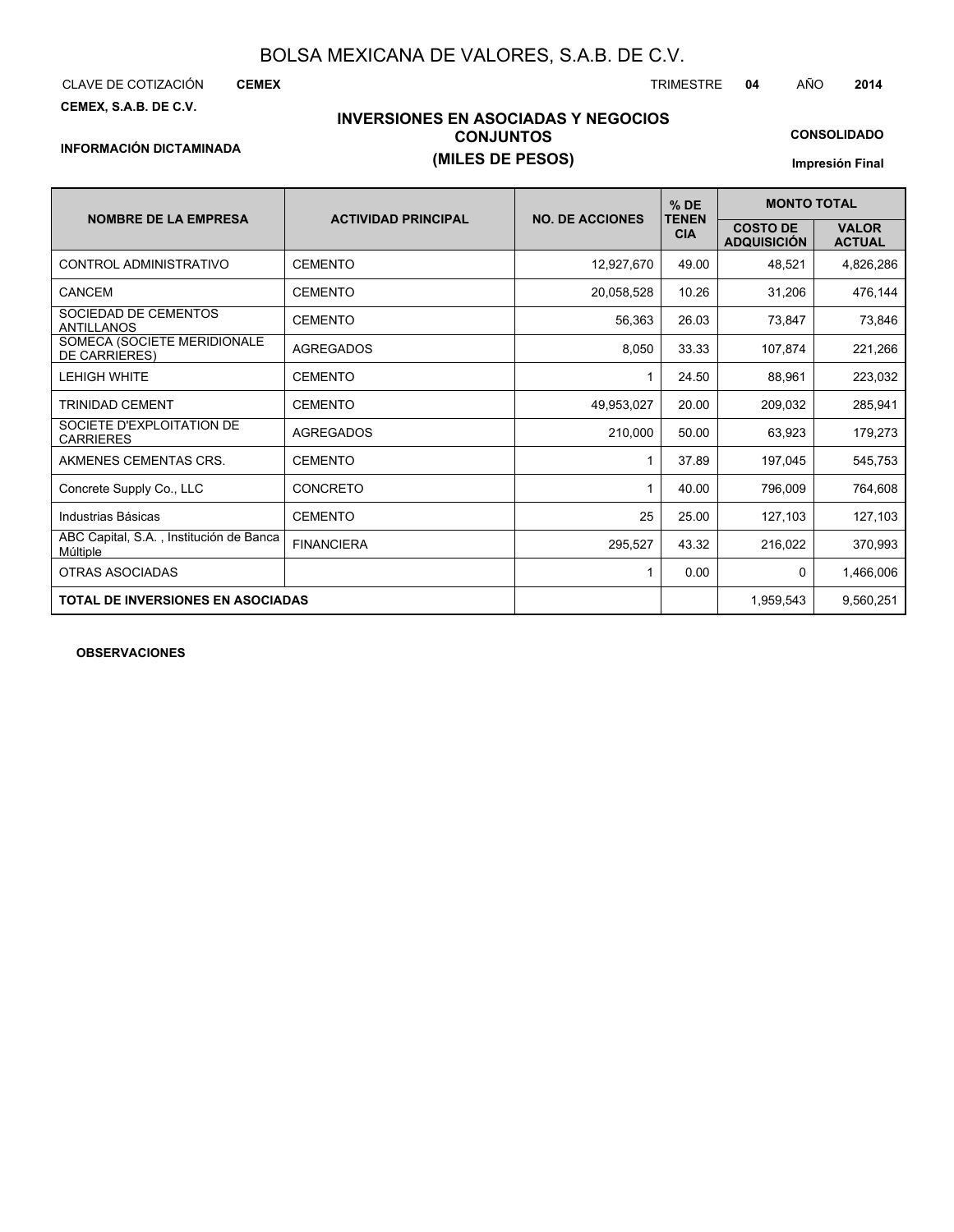**CEMEX**

**CEMEX, S.A.B. DE C.V.**

# **INVERSIONES EN ASOCIADAS Y NEGOCIOS CONJUNTOS INFORMACIÓN DICTAMINADA (MILES DE PESOS)**

**CONSOLIDADO**

**Impresión Final**

|                                                     |                            |                        | $%$ DE                     | <b>MONTO TOTAL</b>                    |                               |
|-----------------------------------------------------|----------------------------|------------------------|----------------------------|---------------------------------------|-------------------------------|
| <b>NOMBRE DE LA EMPRESA</b>                         | <b>ACTIVIDAD PRINCIPAL</b> | <b>NO. DE ACCIONES</b> | <b>TENEN</b><br><b>CIA</b> | <b>COSTO DE</b><br><b>ADQUISICIÓN</b> | <b>VALOR</b><br><b>ACTUAL</b> |
| CONTROL ADMINISTRATIVO                              | <b>CEMENTO</b>             | 12,927,670             | 49.00                      | 48,521                                | 4,826,286                     |
| <b>CANCEM</b>                                       | <b>CEMENTO</b>             | 20,058,528             | 10.26                      | 31,206                                | 476,144                       |
| SOCIEDAD DE CEMENTOS<br><b>ANTILLANOS</b>           | <b>CEMENTO</b>             | 56,363                 | 26.03                      | 73,847                                | 73,846                        |
| SOMECA (SOCIETE MERIDIONALE<br><b>DE CARRIERES)</b> | <b>AGREGADOS</b>           | 8,050                  | 33.33                      | 107,874                               | 221,266                       |
| <b>LEHIGH WHITE</b>                                 | <b>CEMENTO</b>             | 1                      | 24.50                      | 88,961                                | 223,032                       |
| TRINIDAD CEMENT                                     | <b>CEMENTO</b>             | 49,953,027             | 20.00                      | 209,032                               | 285,941                       |
| SOCIETE D'EXPLOITATION DE<br><b>CARRIERES</b>       | <b>AGREGADOS</b>           | 210.000                | 50.00                      | 63,923                                | 179,273                       |
| AKMENES CEMENTAS CRS.                               | <b>CEMENTO</b>             | 1                      | 37.89                      | 197,045                               | 545,753                       |
| Concrete Supply Co., LLC                            | <b>CONCRETO</b>            | 1                      | 40.00                      | 796,009                               | 764,608                       |
| Industrias Básicas                                  | <b>CEMENTO</b>             | 25                     | 25.00                      | 127,103                               | 127,103                       |
| ABC Capital, S.A., Institución de Banca<br>Múltiple | <b>FINANCIERA</b>          | 295,527                | 43.32                      | 216,022                               | 370,993                       |
| <b>OTRAS ASOCIADAS</b>                              |                            | 1                      | 0.00                       | 0                                     | 1,466,006                     |
| <b>TOTAL DE INVERSIONES EN ASOCIADAS</b>            |                            |                        |                            | 1,959,543                             | 9,560,251                     |

**OBSERVACIONES**

CLAVE DE COTIZACIÓN TRIMESTRE **04** AÑO **2014**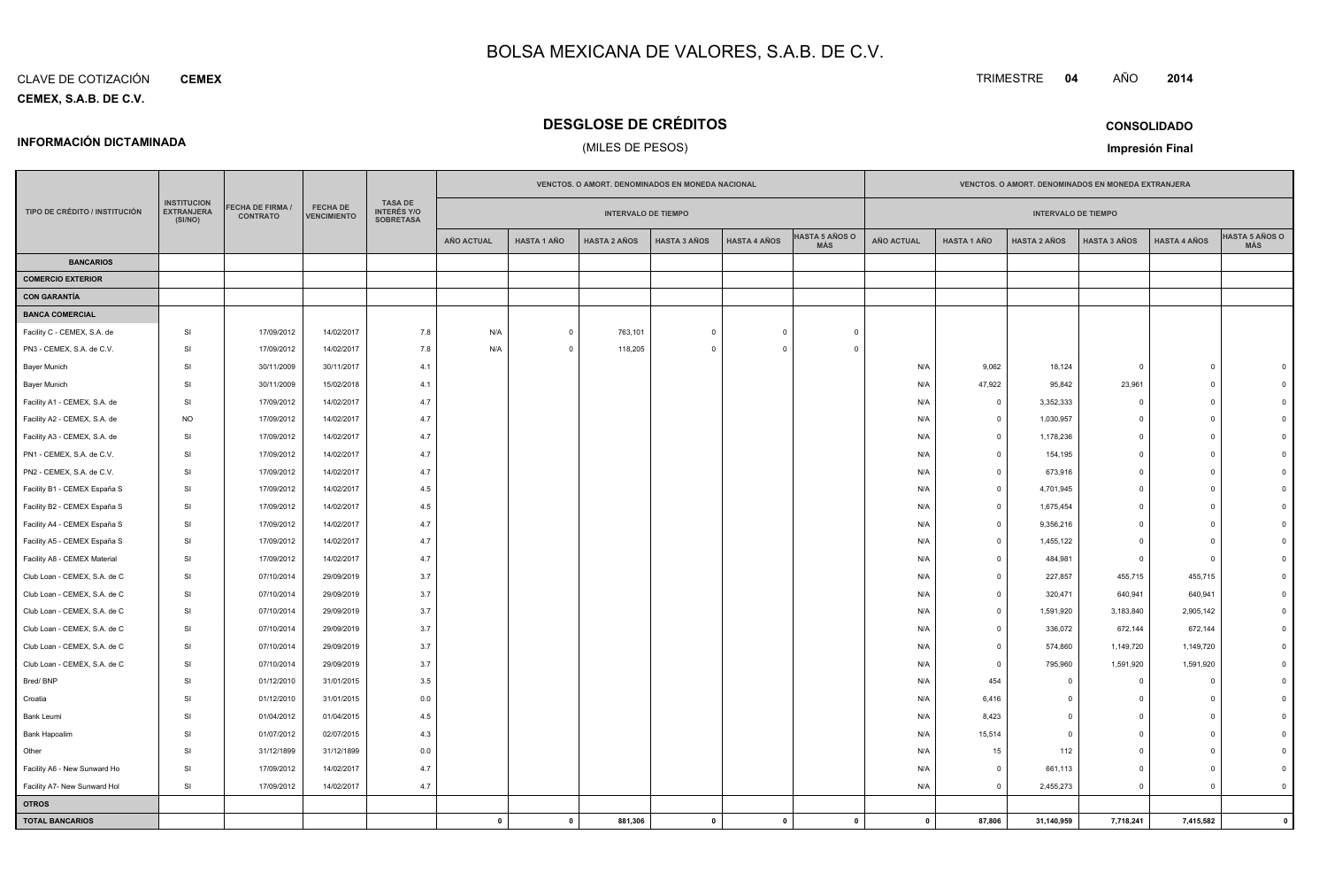# **CEMEX, S.A.B. DE C.V.** CLAVE DE COTIZACIÓN

# **DESGLOSE DE CRÉDITOS**

**CONSOLIDADO**

TRIMESTRE **<sup>04</sup>** AÑO

**INFORMACIÓN DICTAMINADA**

# (MILES DE PESOS)

**Impresión Final**

**<sup>2014</sup>**

|                               |                                                    |                                     |                                       |                                                          |                                                          |                    | VENCTOS. O AMORT. DENOMINADOS EN MONEDA NACIONAL |                     |                     |                                     | VENCTOS. O AMORT. DENOMINADOS EN MONEDA EXTRANJERA |                         |                     |                     |                     |                              |
|-------------------------------|----------------------------------------------------|-------------------------------------|---------------------------------------|----------------------------------------------------------|----------------------------------------------------------|--------------------|--------------------------------------------------|---------------------|---------------------|-------------------------------------|----------------------------------------------------|-------------------------|---------------------|---------------------|---------------------|------------------------------|
| TIPO DE CRÉDITO / INSTITUCIÓN | <b>INSTITUCION</b><br><b>EXTRANJERA</b><br>(SI/NO) | FECHA DE FIRMA /<br><b>CONTRATO</b> | <b>FECHA DE</b><br><b>VENCIMIENTO</b> | <b>TASA DE</b><br><b>INTERÉS Y/O</b><br><b>SOBRETASA</b> | <b>INTERVALO DE TIEMPO</b><br><b>INTERVALO DE TIEMPO</b> |                    |                                                  |                     |                     |                                     |                                                    |                         |                     |                     |                     |                              |
|                               |                                                    |                                     |                                       |                                                          | <b>AÑO ACTUAL</b>                                        | <b>HASTA 1 AÑO</b> | <b>HASTA 2 AÑOS</b>                              | <b>HASTA 3 AÑOS</b> | <b>HASTA 4 AÑOS</b> | <b>HASTA 5 AÑOS O</b><br><b>MÁS</b> | <b>AÑO ACTUAL</b>                                  | <b>HASTA 1 AÑO</b>      | <b>HASTA 2 AÑOS</b> | <b>HASTA 3 AÑOS</b> | <b>HASTA 4 AÑOS</b> | HASTA 5 AÑOS O<br><b>MÁS</b> |
| <b>BANCARIOS</b>              |                                                    |                                     |                                       |                                                          |                                                          |                    |                                                  |                     |                     |                                     |                                                    |                         |                     |                     |                     |                              |
| <b>COMERCIO EXTERIOR</b>      |                                                    |                                     |                                       |                                                          |                                                          |                    |                                                  |                     |                     |                                     |                                                    |                         |                     |                     |                     |                              |
| <b>CON GARANTÍA</b>           |                                                    |                                     |                                       |                                                          |                                                          |                    |                                                  |                     |                     |                                     |                                                    |                         |                     |                     |                     |                              |
| <b>BANCA COMERCIAL</b>        |                                                    |                                     |                                       |                                                          |                                                          |                    |                                                  |                     |                     |                                     |                                                    |                         |                     |                     |                     |                              |
| Facility C - CEMEX, S.A. de   | <b>SI</b>                                          | 17/09/2012                          | 14/02/2017                            | 7.8                                                      | N/A                                                      | $\mathsf 0$        | 763,101                                          | $\Omega$            | $\overline{0}$      | $\Omega$                            |                                                    |                         |                     |                     |                     |                              |
| PN3 - CEMEX, S.A. de C.V.     | <b>SI</b>                                          | 17/09/2012                          | 14/02/2017                            | 7.8                                                      | N/A                                                      | $\Omega$           | 118,205                                          | $\Omega$            | $\Omega$            | $\Omega$                            |                                                    |                         |                     |                     |                     |                              |
| <b>Bayer Munich</b>           | <b>SI</b>                                          | 30/11/2009                          | 30/11/2017                            | 4.1                                                      |                                                          |                    |                                                  |                     |                     |                                     | N/A                                                | 9,062                   | 18,124              | $\Omega$            | $\Omega$            |                              |
| Bayer Munich                  | <b>SI</b>                                          | 30/11/2009                          | 15/02/2018                            | 4.1                                                      |                                                          |                    |                                                  |                     |                     |                                     | N/A                                                | 47,922                  | 95,842              | 23,961              | $\mathbf{0}$        |                              |
| Facility A1 - CEMEX, S.A. de  | <b>SI</b>                                          | 17/09/2012                          | 14/02/2017                            | 4.7                                                      |                                                          |                    |                                                  |                     |                     |                                     | N/A                                                | $\overline{\mathbf{0}}$ | 3,352,333           | $\Omega$            | $\Omega$            |                              |
| Facility A2 - CEMEX, S.A. de  | <b>NO</b>                                          | 17/09/2012                          | 14/02/2017                            | 4.7                                                      |                                                          |                    |                                                  |                     |                     |                                     | N/A                                                | $\overline{0}$          | 1,030,957           | $\overline{0}$      | $\Omega$            |                              |
| Facility A3 - CEMEX, S.A. de  | <b>SI</b>                                          | 17/09/2012                          | 14/02/2017                            | 4.7                                                      |                                                          |                    |                                                  |                     |                     |                                     | N/A                                                | $^{\circ}$              | 1,178,236           | $\Omega$            | $\Omega$            |                              |
| PN1 - CEMEX, S.A. de C.V.     | <b>SI</b>                                          | 17/09/2012                          | 14/02/2017                            | 4.7                                                      |                                                          |                    |                                                  |                     |                     |                                     | N/A                                                | $\Omega$                | 154,195             | $\overline{0}$      | $\Omega$            |                              |
| PN2 - CEMEX, S.A. de C.V.     | <b>SI</b>                                          | 17/09/2012                          | 14/02/2017                            | 4.7                                                      |                                                          |                    |                                                  |                     |                     |                                     | N/A                                                | $\mathbf 0$             | 673,916             | $\Omega$            | $\Omega$            |                              |
| Facility B1 - CEMEX España S  | <b>SI</b>                                          | 17/09/2012                          | 14/02/2017                            | 4.5                                                      |                                                          |                    |                                                  |                     |                     |                                     | N/A                                                | $^{\circ}$              | 4,701,945           | $\overline{0}$      | $\Omega$            |                              |
| Facility B2 - CEMEX España S  | <b>SI</b>                                          | 17/09/2012                          | 14/02/2017                            | 4.5                                                      |                                                          |                    |                                                  |                     |                     |                                     | N/A                                                | $\mathbf 0$             | 1,675,454           | $\Omega$            | $\Omega$            |                              |
| Facility A4 - CEMEX España S  | <b>SI</b>                                          | 17/09/2012                          | 14/02/2017                            | 4.7                                                      |                                                          |                    |                                                  |                     |                     |                                     | N/A                                                | $^{\circ}$              | 9,356,216           | $\overline{0}$      | $\Omega$            |                              |
| Facility A5 - CEMEX España S  | <b>SI</b>                                          | 17/09/2012                          | 14/02/2017                            | 4.7                                                      |                                                          |                    |                                                  |                     |                     |                                     | N/A                                                | $\mathbf 0$             | 1,455,122           | $\overline{0}$      | $\Omega$            |                              |
| Facility A8 - CEMEX Material  | <b>SI</b>                                          | 17/09/2012                          | 14/02/2017                            | 4.7                                                      |                                                          |                    |                                                  |                     |                     |                                     | N/A                                                | $\mathbf 0$             | 484,981             | $\overline{0}$      | $\mathbf{0}$        |                              |
| Club Loan - CEMEX, S.A. de C  | <b>SI</b>                                          | 07/10/2014                          | 29/09/2019                            | 3.7                                                      |                                                          |                    |                                                  |                     |                     |                                     | N/A                                                | $\mathbf 0$             | 227,857             | 455,715             | 455,715             |                              |
| Club Loan - CEMEX, S.A. de C  | <b>SI</b>                                          | 07/10/2014                          | 29/09/2019                            | 3.7                                                      |                                                          |                    |                                                  |                     |                     |                                     | N/A                                                | $^{\circ}$              | 320,471             | 640,941             | 640,941             |                              |
| Club Loan - CEMEX, S.A. de C  | <b>SI</b>                                          | 07/10/2014                          | 29/09/2019                            | 3.7                                                      |                                                          |                    |                                                  |                     |                     |                                     | N/A                                                | $\mathbf 0$             | 1,591,920           | 3,183,840           | 2,905,142           |                              |
| Club Loan - CEMEX, S.A. de C  | <b>SI</b>                                          | 07/10/2014                          | 29/09/2019                            | 3.7                                                      |                                                          |                    |                                                  |                     |                     |                                     | N/A                                                | $\overline{0}$          | 336,072             | 672,144             | 672,144             |                              |
| Club Loan - CEMEX, S.A. de C  | <b>SI</b>                                          | 07/10/2014                          | 29/09/2019                            | 3.7                                                      |                                                          |                    |                                                  |                     |                     |                                     | N/A                                                | $^{\circ}$              | 574,860             | 1,149,720           | 1,149,720           |                              |
| Club Loan - CEMEX, S.A. de C  | <b>SI</b>                                          | 07/10/2014                          | 29/09/2019                            | 3.7                                                      |                                                          |                    |                                                  |                     |                     |                                     | N/A                                                | $\overline{\mathbf{0}}$ | 795,960             | 1,591,920           | 1,591,920           |                              |
| Bred/BNP                      | <b>SI</b>                                          | 01/12/2010                          | 31/01/2015                            | 3.5                                                      |                                                          |                    |                                                  |                     |                     |                                     | N/A                                                | 454                     | $^{\circ}$          | $\Omega$            | $\Omega$            |                              |
| Croatia                       | <b>SI</b>                                          | 01/12/2010                          | 31/01/2015                            | 0.0                                                      |                                                          |                    |                                                  |                     |                     |                                     | N/A                                                | 6,416                   | $\mathbf 0$         | $\overline{0}$      | $\Omega$            |                              |
| Bank Leumi                    | <b>SI</b>                                          | 01/04/2012                          | 01/04/2015                            | 4.5                                                      |                                                          |                    |                                                  |                     |                     |                                     | N/A                                                | 8,423                   | $\mathbf 0$         | $\overline{0}$      | $\Omega$            |                              |
| Bank Hapoalim                 | SI                                                 | 01/07/2012                          | 02/07/2015                            | 4.3                                                      |                                                          |                    |                                                  |                     |                     |                                     | N/A                                                | 15,514                  | $^{\circ}$          | $\overline{0}$      | $\Omega$            |                              |
| Other                         | <b>SI</b>                                          | 31/12/1899                          | 31/12/1899                            | 0.0                                                      |                                                          |                    |                                                  |                     |                     |                                     | N/A                                                | 15                      | 112                 | $\Omega$            | $\Omega$            |                              |
| Facility A6 - New Sunward Ho  | SI                                                 | 17/09/2012                          | 14/02/2017                            | 4.7                                                      |                                                          |                    |                                                  |                     |                     |                                     | N/A                                                | $\overline{\mathbf{0}}$ | 661,113             | $\overline{0}$      | $\Omega$            |                              |
| Facility A7- New Sunward Hol  | SI                                                 | 17/09/2012                          | 14/02/2017                            | 4.7                                                      |                                                          |                    |                                                  |                     |                     |                                     | N/A                                                | $^{\circ}$              | 2,455,273           | $\overline{0}$      | $\mathbf 0$         |                              |
| <b>OTROS</b>                  |                                                    |                                     |                                       |                                                          |                                                          |                    |                                                  |                     |                     |                                     |                                                    |                         |                     |                     |                     |                              |
| <b>TOTAL BANCARIOS</b>        |                                                    |                                     |                                       |                                                          | $\mathbf 0$                                              | $\pmb{0}$          | 881,306                                          | $\mathbf 0$         | $\mathbf 0$         | $\mathbf{0}$                        | $\mathbf 0$                                        | 87,806                  | 31,140,959          | 7,718,241           | 7,415,582           |                              |

**CEMEX**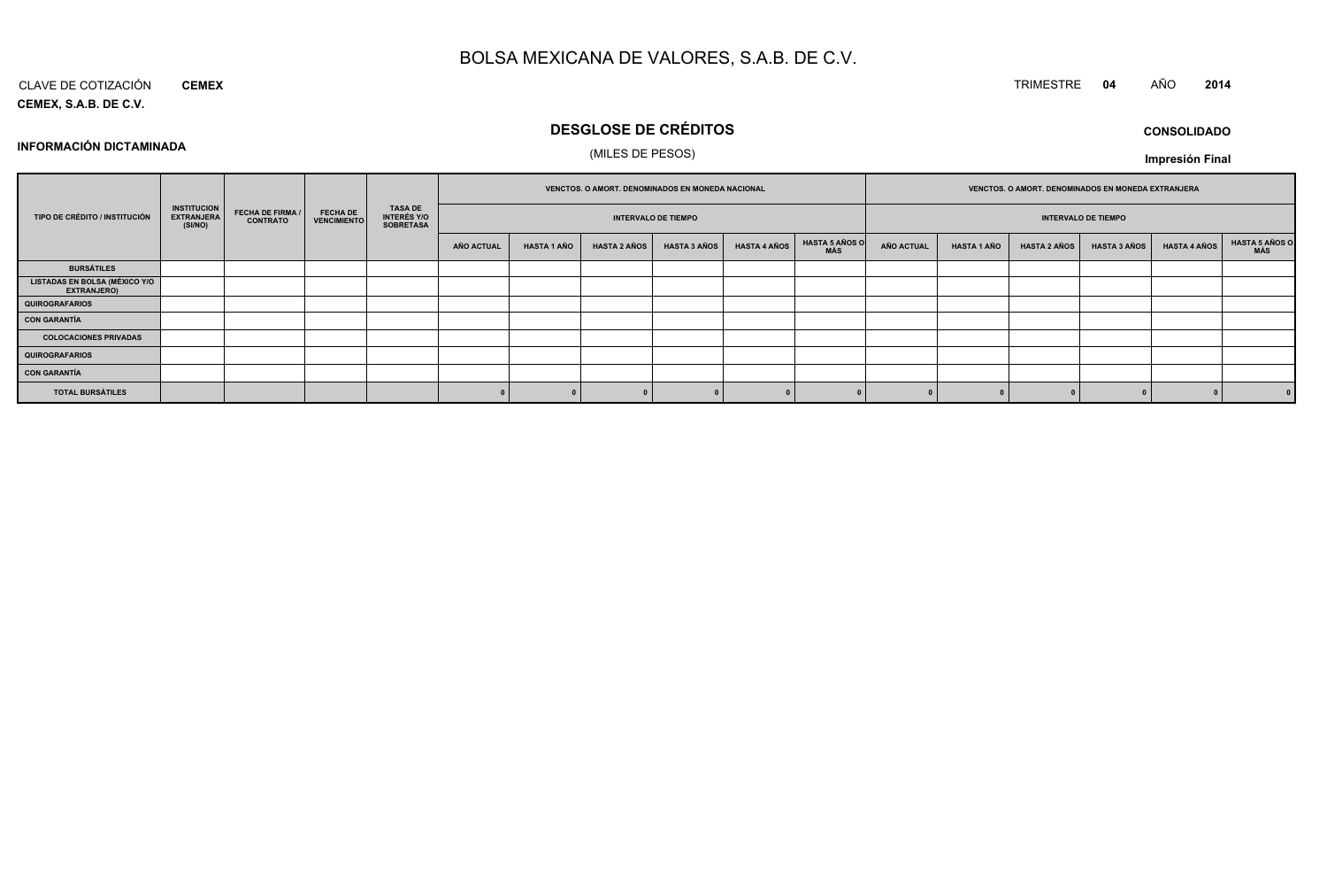#### CLAVE DE COTIZACIÓN TRIMESTRE **<sup>04</sup>** AÑO **<sup>2014</sup> CEMEX**

**INFORMACIÓN DICTAMINADA**

### **CEMEX, S.A.B. DE C.V.**

# **DESGLOSE DE CRÉDITOS**

# (MILES DE PESOS)

| <b>CONSOLIDADO</b> |  |
|--------------------|--|
|--------------------|--|

**Impresión Final**

| INSTITUCION                                                                                                                                   |  |  |  |                                                          |                            |                    | <b>VENCTOS, O AMORT, DENOMINADOS EN MONEDA NACIONAL</b> |                     |              |                              |                   |                            | <b>VENCTOS, O AMORT, DENOMINADOS EN MONEDA EXTRANJERA</b> |                     |                     |                              |
|-----------------------------------------------------------------------------------------------------------------------------------------------|--|--|--|----------------------------------------------------------|----------------------------|--------------------|---------------------------------------------------------|---------------------|--------------|------------------------------|-------------------|----------------------------|-----------------------------------------------------------|---------------------|---------------------|------------------------------|
| FECHA DE FIRMA /<br><b>FECHA DE</b><br>TIPO DE CRÉDITO / INSTITUCIÓN<br><b>EXTRANJERA</b><br><b>VENCIMIENTO</b><br><b>CONTRATO</b><br>(SI/NO) |  |  |  | <b>TASA DE</b><br><b>INTERÉS Y/O</b><br><b>SOBRETASA</b> | <b>INTERVALO DE TIEMPO</b> |                    |                                                         |                     |              |                              |                   | <b>INTERVALO DE TIEMPO</b> |                                                           |                     |                     |                              |
|                                                                                                                                               |  |  |  |                                                          | AÑO ACTUAL                 | <b>HASTA 1 AÑO</b> | <b>HASTA 2 AÑOS</b>                                     | <b>HASTA 3 AÑOS</b> | HASTA 4 AÑOS | <b>HASTA 5 AÑOS O</b><br>MÁS | <b>AÑO ACTUAL</b> | <b>HASTA 1 AÑO</b>         | <b>HASTA 2 AÑOS</b>                                       | <b>HASTA 3 AÑOS</b> | <b>HASTA 4 AÑOS</b> | <b>HASTA 5 AÑOS O</b><br>MÁS |
| <b>BURSÁTILES</b>                                                                                                                             |  |  |  |                                                          |                            |                    |                                                         |                     |              |                              |                   |                            |                                                           |                     |                     |                              |
| <b>LISTADAS EN BOLSA (MÉXICO Y/O</b><br><b>EXTRANJERO)</b>                                                                                    |  |  |  |                                                          |                            |                    |                                                         |                     |              |                              |                   |                            |                                                           |                     |                     |                              |
| <b>QUIROGRAFARIOS</b>                                                                                                                         |  |  |  |                                                          |                            |                    |                                                         |                     |              |                              |                   |                            |                                                           |                     |                     |                              |
| <b>CON GARANTÍA</b>                                                                                                                           |  |  |  |                                                          |                            |                    |                                                         |                     |              |                              |                   |                            |                                                           |                     |                     |                              |
| <b>COLOCACIONES PRIVADAS</b>                                                                                                                  |  |  |  |                                                          |                            |                    |                                                         |                     |              |                              |                   |                            |                                                           |                     |                     |                              |
| <b>QUIROGRAFARIOS</b>                                                                                                                         |  |  |  |                                                          |                            |                    |                                                         |                     |              |                              |                   |                            |                                                           |                     |                     |                              |
| <b>CON GARANTÍA</b>                                                                                                                           |  |  |  |                                                          |                            |                    |                                                         |                     |              |                              |                   |                            |                                                           |                     |                     |                              |
| <b>TOTAL BURSÁTILES</b>                                                                                                                       |  |  |  |                                                          |                            |                    |                                                         |                     |              |                              |                   |                            |                                                           |                     |                     |                              |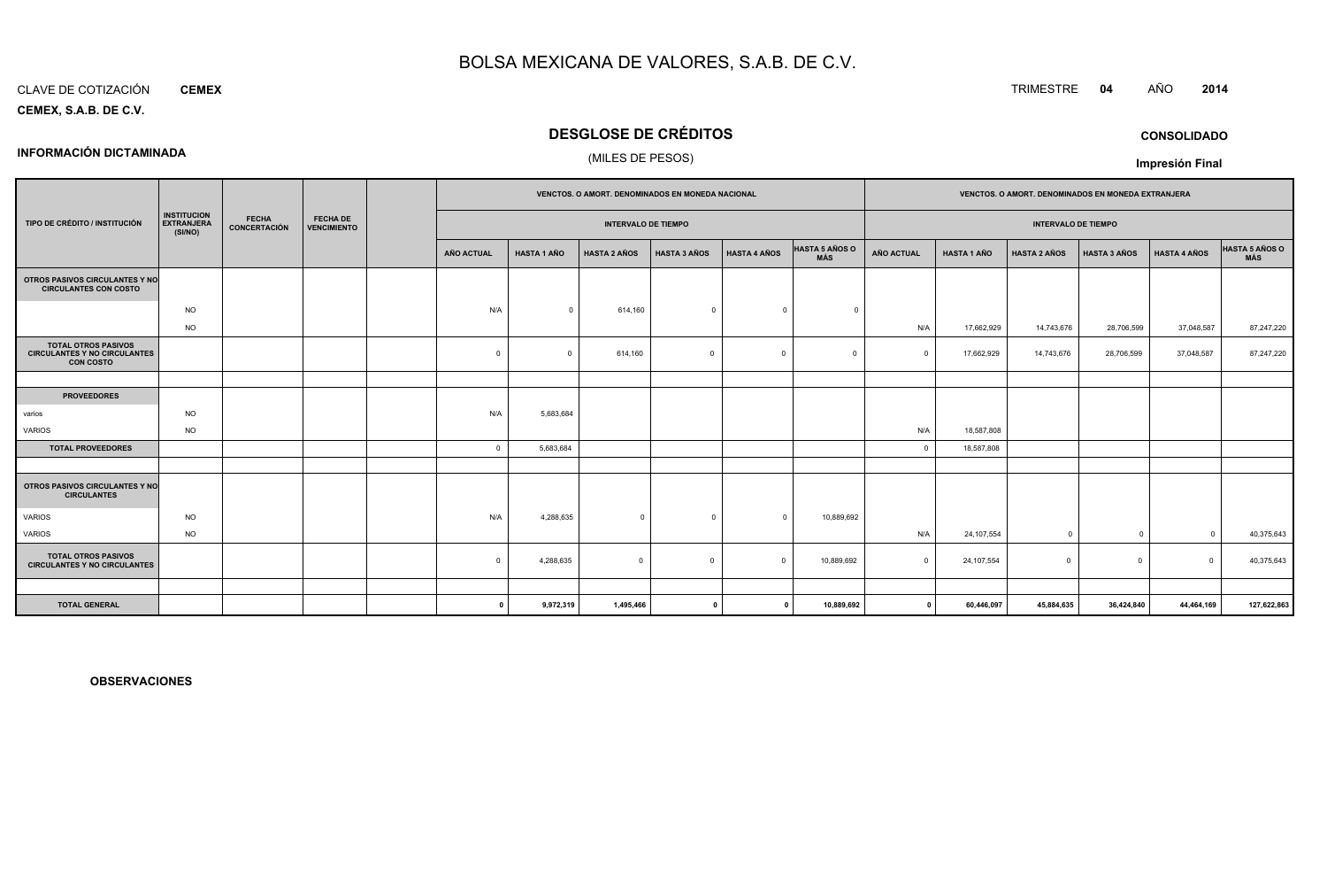#### CLAVE DE COTIZACIÓN**CEMEX**

**CEMEX, S.A.B. DE C.V.**

**INFORMACIÓN DICTAMINADA**

# **DESGLOSE DE CRÉDITOS**

# (MILES DE PESOS)

|                                                                                       |                                                    |                              |                                       |            |                    | VENCTOS. O AMORT. DENOMINADOS EN MONEDA NACIONAL |                     |                     |                              |                   |                    | VENCTOS. O AMORT. DENOMINADOS EN MONEDA EXTRANJERA |                     |                     |                |
|---------------------------------------------------------------------------------------|----------------------------------------------------|------------------------------|---------------------------------------|------------|--------------------|--------------------------------------------------|---------------------|---------------------|------------------------------|-------------------|--------------------|----------------------------------------------------|---------------------|---------------------|----------------|
| TIPO DE CRÉDITO / INSTITUCIÓN                                                         | <b>INSTITUCION</b><br><b>EXTRANJERA</b><br>(SI/NO) | <b>FECHA</b><br>CONCERTACIÓN | <b>FECHA DE</b><br><b>VENCIMIENTO</b> |            |                    | <b>INTERVALO DE TIEMPO</b>                       |                     |                     |                              |                   |                    | <b>INTERVALO DE TIEMPO</b>                         |                     |                     |                |
|                                                                                       |                                                    |                              |                                       | AÑO ACTUAL | <b>HASTA 1 AÑO</b> | <b>HASTA 2 AÑOS</b>                              | <b>HASTA 3 AÑOS</b> | <b>HASTA 4 AÑOS</b> | <b>HASTA 5 AÑOS O</b><br>MÁS | <b>AÑO ACTUAL</b> | <b>HASTA 1 AÑO</b> | <b>HASTA 2 AÑOS</b>                                | <b>HASTA 3 AÑOS</b> | <b>HASTA 4 AÑOS</b> | HASTA 5 AÑOS O |
| OTROS PASIVOS CIRCULANTES Y NO<br><b>CIRCULANTES CON COSTO</b>                        |                                                    |                              |                                       |            |                    |                                                  |                     |                     |                              |                   |                    |                                                    |                     |                     |                |
|                                                                                       | <b>NO</b>                                          |                              |                                       | N/A        | $\Omega$           | 614,160                                          | $\Omega$            | $\Omega$            | $\Omega$                     |                   |                    |                                                    |                     |                     |                |
|                                                                                       | <b>NO</b>                                          |                              |                                       |            |                    |                                                  |                     |                     |                              | N/A               | 17,662,929         | 14,743,676                                         | 28,706,599          | 37,048,587          | 87,247,220     |
| <b>TOTAL OTROS PASIVOS</b><br><b>CIRCULANTES Y NO CIRCULANTES</b><br><b>CON COSTO</b> |                                                    |                              |                                       | $\Omega$   | $\Omega$           | 614,160                                          | $\Omega$            | $^{\circ}$          | $\Omega$                     | $\Omega$          | 17,662,929         | 14,743,676                                         | 28,706,599          | 37,048,587          | 87,247,220     |
|                                                                                       |                                                    |                              |                                       |            |                    |                                                  |                     |                     |                              |                   |                    |                                                    |                     |                     |                |
| <b>PROVEEDORES</b>                                                                    |                                                    |                              |                                       |            |                    |                                                  |                     |                     |                              |                   |                    |                                                    |                     |                     |                |
| varios                                                                                | <b>NO</b>                                          |                              |                                       | N/A        | 5,683,684          |                                                  |                     |                     |                              |                   |                    |                                                    |                     |                     |                |
| VARIOS                                                                                | <b>NO</b>                                          |                              |                                       |            |                    |                                                  |                     |                     |                              | N/A               | 18,587,808         |                                                    |                     |                     |                |
| <b>TOTAL PROVEEDORES</b>                                                              |                                                    |                              |                                       | $\Omega$   | 5,683,684          |                                                  |                     |                     |                              | $\Omega$          | 18,587,808         |                                                    |                     |                     |                |
|                                                                                       |                                                    |                              |                                       |            |                    |                                                  |                     |                     |                              |                   |                    |                                                    |                     |                     |                |
| OTROS PASIVOS CIRCULANTES Y NO<br><b>CIRCULANTES</b>                                  |                                                    |                              |                                       |            |                    |                                                  |                     |                     |                              |                   |                    |                                                    |                     |                     |                |
| VARIOS                                                                                | <b>NO</b>                                          |                              |                                       | N/A        | 4,288,635          | $\Omega$                                         | $\Omega$            | $\overline{0}$      | 10,889,692                   |                   |                    |                                                    |                     |                     |                |
| VARIOS                                                                                | <b>NO</b>                                          |                              |                                       |            |                    |                                                  |                     |                     |                              | N/A               | 24, 107, 554       | $\mathbf 0$                                        | $\Omega$            | $\Omega$            | 40,375,643     |
| <b>TOTAL OTROS PASIVOS</b><br><b>CIRCULANTES Y NO CIRCULANTES</b>                     |                                                    |                              |                                       | $\Omega$   | 4,288,635          | $^{\circ}$                                       | $\Omega$            | $\Omega$            | 10,889,692                   | $\Omega$          | 24, 107, 554       | $\Omega$                                           | $\overline{0}$      | $\Omega$            | 40,375,643     |
|                                                                                       |                                                    |                              |                                       |            |                    |                                                  |                     |                     |                              |                   |                    |                                                    |                     |                     |                |
| <b>TOTAL GENERAL</b>                                                                  |                                                    |                              |                                       | n          | 9,972,319          | 1,495,466                                        | n                   |                     | 10,889,692                   | $\mathbf{0}$      | 60,446,097         | 45,884,635                                         | 36,424,840          | 44,464,169          | 127,622,863    |

**OBSERVACIONES**

TRIMESTRE **<sup>04</sup>** AÑO **<sup>2014</sup>**

**CONSOLIDADO**

**Impresión Final**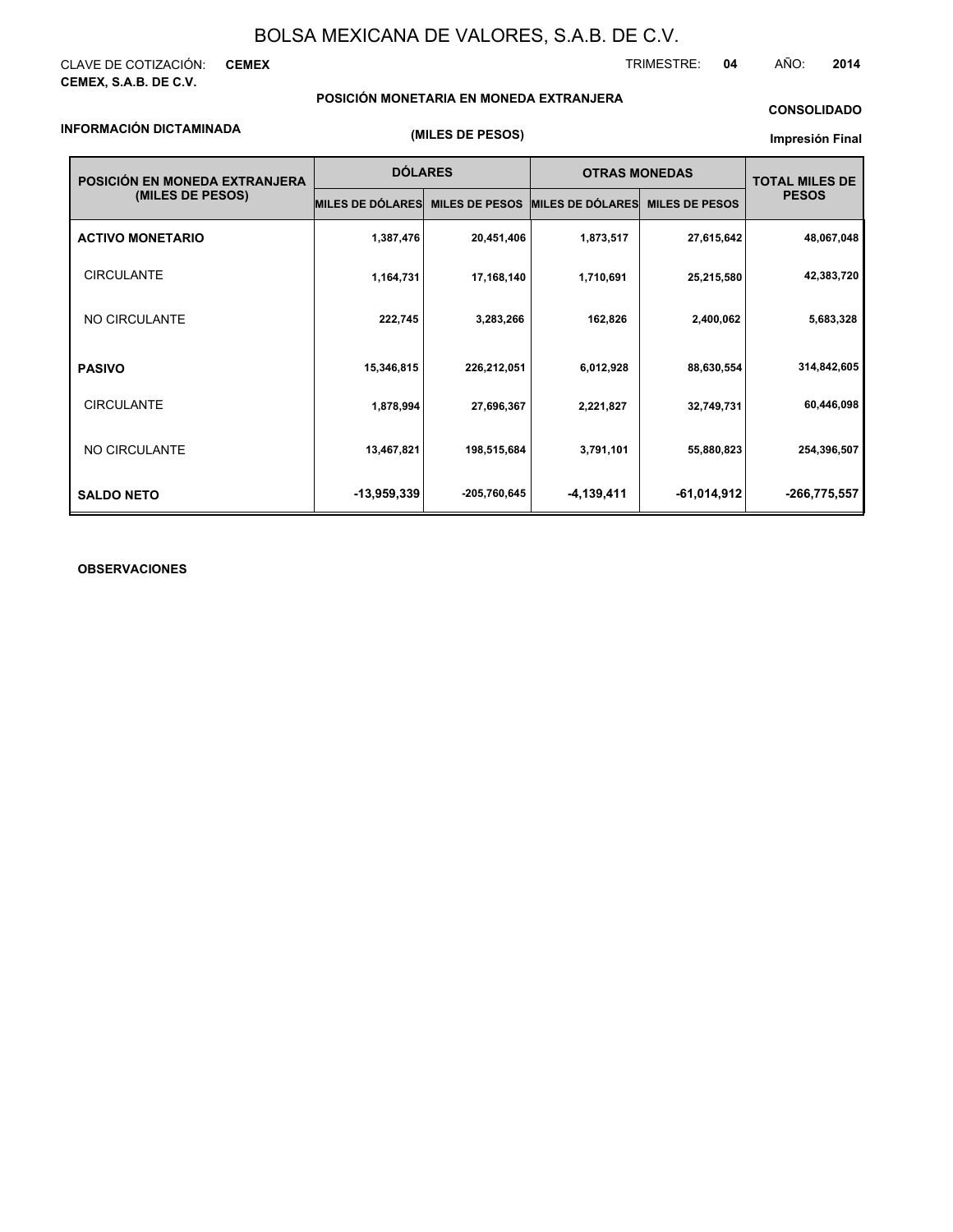CLAVE DE COTIZACIÓN: **CEMEX CEMEX, S.A.B. DE C.V.**

TRIMESTRE: **04** AÑO: **2014**

## **POSICIÓN MONETARIA EN MONEDA EXTRANJERA**

# **INFORMACIÓN DICTAMINADA**

**(MILES DE PESOS)**

# **CONSOLIDADO Impresión Final**

| POSICIÓN EN MONEDA EXTRANJERA | <b>DÓLARES</b>          |                       | <b>OTRAS MONEDAS</b>    |                       | <b>TOTAL MILES DE</b> |
|-------------------------------|-------------------------|-----------------------|-------------------------|-----------------------|-----------------------|
| (MILES DE PESOS)              | <b>MILES DE DÓLARES</b> | <b>MILES DE PESOS</b> | <b>MILES DE DÓLARES</b> | <b>MILES DE PESOS</b> | <b>PESOS</b>          |
| <b>ACTIVO MONETARIO</b>       | 1,387,476               | 20,451,406            | 1,873,517               | 27,615,642            | 48,067,048            |
| <b>CIRCULANTE</b>             | 1,164,731               | 17,168,140            | 1,710,691               | 25,215,580            | 42,383,720            |
| NO CIRCULANTE                 | 222,745                 | 3,283,266             | 162,826                 | 2,400,062             | 5,683,328             |
| <b>PASIVO</b>                 | 15,346,815              | 226,212,051           | 6,012,928               | 88,630,554            | 314,842,605           |
| <b>CIRCULANTE</b>             | 1,878,994               | 27,696,367            | 2,221,827               | 32,749,731            | 60,446,098            |
| NO CIRCULANTE                 | 13,467,821              | 198,515,684           | 3,791,101               | 55,880,823            | 254,396,507           |
| <b>SALDO NETO</b>             | $-13,959,339$           | $-205,760,645$        | $-4,139,411$            | $-61,014,912$         | $-266,775,557$        |

### **OBSERVACIONES**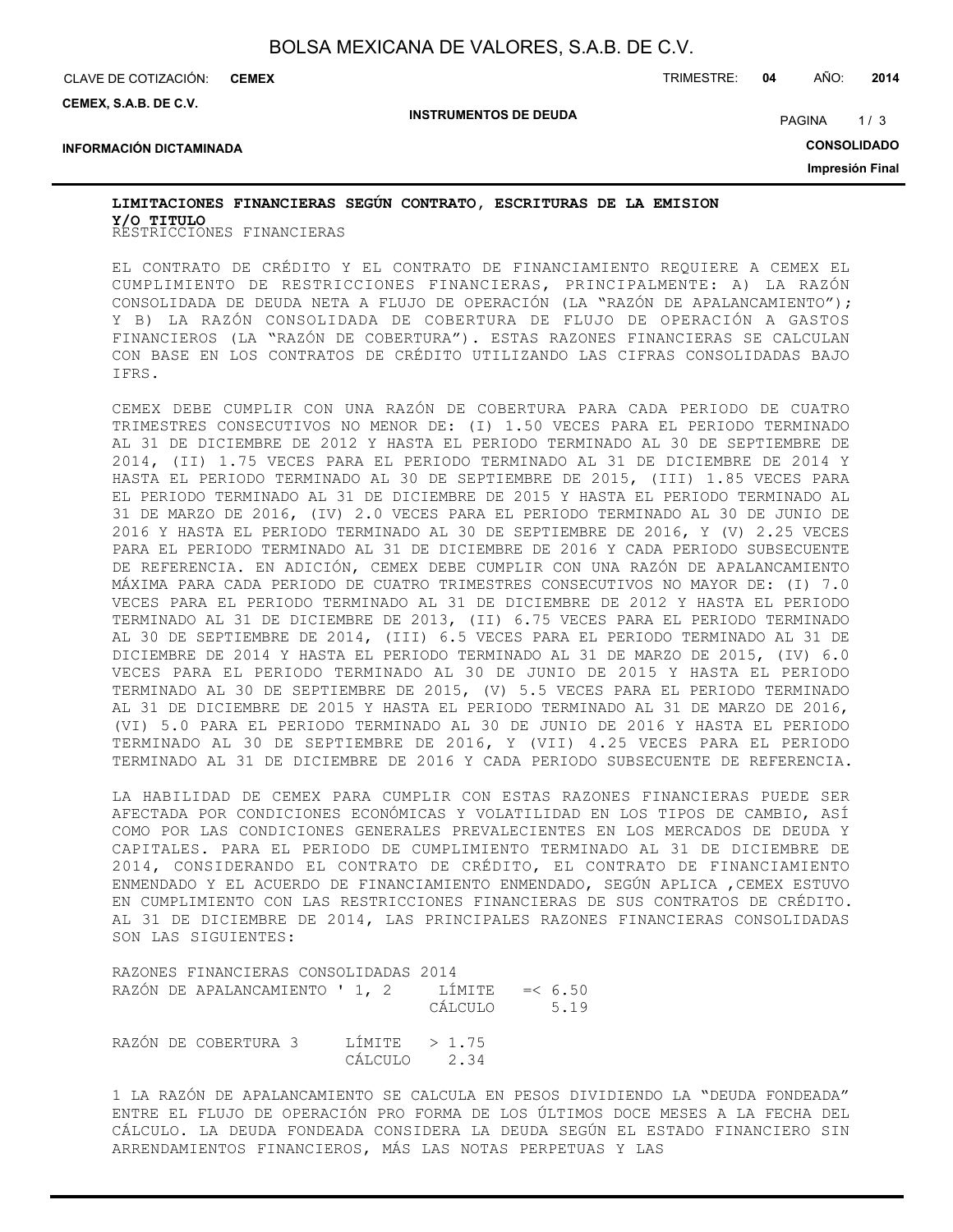| BOLSA MEXICANA DE VALORES, S.A.B. DE C.V. |  |  |  |  |  |  |
|-------------------------------------------|--|--|--|--|--|--|
|-------------------------------------------|--|--|--|--|--|--|

CLAVE DE COTIZACIÓN: TRIMESTRE: **04** AÑO: **2014 CEMEX**

**INFORMACIÓN DICTAMINADA**

**CEMEX, S.A.B. DE C.V.**

**INSTRUMENTOS DE DEUDA**

PAGINA 1/3

**CONSOLIDADO**

**Impresión Final**

# RESTRICCIONES FINANCIERAS **Y/O TITULOLIMITACIONES FINANCIERAS SEGÚN CONTRATO, ESCRITURAS DE LA EMISION**

EL CONTRATO DE CRÉDITO Y EL CONTRATO DE FINANCIAMIENTO REQUIERE A CEMEX EL CUMPLIMIENTO DE RESTRICCIONES FINANCIERAS, PRINCIPALMENTE: A) LA RAZÓN CONSOLIDADA DE DEUDA NETA A FLUJO DE OPERACIÓN (LA "RAZÓN DE APALANCAMIENTO"); Y B) LA RAZÓN CONSOLIDADA DE COBERTURA DE FLUJO DE OPERACIÓN A GASTOS FINANCIEROS (LA "RAZÓN DE COBERTURA"). ESTAS RAZONES FINANCIERAS SE CALCULAN CON BASE EN LOS CONTRATOS DE CRÉDITO UTILIZANDO LAS CIFRAS CONSOLIDADAS BAJO IFRS.

CEMEX DEBE CUMPLIR CON UNA RAZÓN DE COBERTURA PARA CADA PERIODO DE CUATRO TRIMESTRES CONSECUTIVOS NO MENOR DE: (I) 1.50 VECES PARA EL PERIODO TERMINADO AL 31 DE DICIEMBRE DE 2012 Y HASTA EL PERIODO TERMINADO AL 30 DE SEPTIEMBRE DE 2014, (II) 1.75 VECES PARA EL PERIODO TERMINADO AL 31 DE DICIEMBRE DE 2014 Y HASTA EL PERIODO TERMINADO AL 30 DE SEPTIEMBRE DE 2015, (III) 1.85 VECES PARA EL PERIODO TERMINADO AL 31 DE DICIEMBRE DE 2015 Y HASTA EL PERIODO TERMINADO AL 31 DE MARZO DE 2016, (IV) 2.0 VECES PARA EL PERIODO TERMINADO AL 30 DE JUNIO DE 2016 Y HASTA EL PERIODO TERMINADO AL 30 DE SEPTIEMBRE DE 2016, Y (V) 2.25 VECES PARA EL PERIODO TERMINADO AL 31 DE DICIEMBRE DE 2016 Y CADA PERIODO SUBSECUENTE DE REFERENCIA. EN ADICIÓN, CEMEX DEBE CUMPLIR CON UNA RAZÓN DE APALANCAMIENTO MÁXIMA PARA CADA PERIODO DE CUATRO TRIMESTRES CONSECUTIVOS NO MAYOR DE: (I) 7.0 VECES PARA EL PERIODO TERMINADO AL 31 DE DICIEMBRE DE 2012 Y HASTA EL PERIODO TERMINADO AL 31 DE DICIEMBRE DE 2013, (II) 6.75 VECES PARA EL PERIODO TERMINADO AL 30 DE SEPTIEMBRE DE 2014, (III) 6.5 VECES PARA EL PERIODO TERMINADO AL 31 DE DICIEMBRE DE 2014 Y HASTA EL PERIODO TERMINADO AL 31 DE MARZO DE 2015, (IV) 6.0 VECES PARA EL PERIODO TERMINADO AL 30 DE JUNIO DE 2015 Y HASTA EL PERIODO TERMINADO AL 30 DE SEPTIEMBRE DE 2015, (V) 5.5 VECES PARA EL PERIODO TERMINADO AL 31 DE DICIEMBRE DE 2015 Y HASTA EL PERIODO TERMINADO AL 31 DE MARZO DE 2016, (VI) 5.0 PARA EL PERIODO TERMINADO AL 30 DE JUNIO DE 2016 Y HASTA EL PERIODO TERMINADO AL 30 DE SEPTIEMBRE DE 2016, Y (VII) 4.25 VECES PARA EL PERIODO TERMINADO AL 31 DE DICIEMBRE DE 2016 Y CADA PERIODO SUBSECUENTE DE REFERENCIA.

LA HABILIDAD DE CEMEX PARA CUMPLIR CON ESTAS RAZONES FINANCIERAS PUEDE SER AFECTADA POR CONDICIONES ECONÓMICAS Y VOLATILIDAD EN LOS TIPOS DE CAMBIO, ASÍ COMO POR LAS CONDICIONES GENERALES PREVALECIENTES EN LOS MERCADOS DE DEUDA Y CAPITALES. PARA EL PERIODO DE CUMPLIMIENTO TERMINADO AL 31 DE DICIEMBRE DE 2014, CONSIDERANDO EL CONTRATO DE CRÉDITO, EL CONTRATO DE FINANCIAMIENTO ENMENDADO Y EL ACUERDO DE FINANCIAMIENTO ENMENDADO, SEGÚN APLICA ,CEMEX ESTUVO EN CUMPLIMIENTO CON LAS RESTRICCIONES FINANCIERAS DE SUS CONTRATOS DE CRÉDITO. AL 31 DE DICIEMBRE DE 2014, LAS PRINCIPALES RAZONES FINANCIERAS CONSOLIDADAS SON LAS SIGUIENTES:

|  | RAZONES FINANCIERAS CONSOLIDADAS 2014           |              |              |  |
|--|-------------------------------------------------|--------------|--------------|--|
|  | RAZÓN DE APALANCAMIENTO ' 1, 2 LÍMITE =< $6.50$ |              |              |  |
|  |                                                 |              | CÁLCULO 5.19 |  |
|  |                                                 |              |              |  |
|  | RAZÓN DE COBERTURA 3 LÍMITE $>1.75$             |              |              |  |
|  |                                                 | CÁLCULO 2.34 |              |  |
|  |                                                 |              |              |  |

1 LA RAZÓN DE APALANCAMIENTO SE CALCULA EN PESOS DIVIDIENDO LA "DEUDA FONDEADA" ENTRE EL FLUJO DE OPERACIÓN PRO FORMA DE LOS ÚLTIMOS DOCE MESES A LA FECHA DEL CÁLCULO. LA DEUDA FONDEADA CONSIDERA LA DEUDA SEGÚN EL ESTADO FINANCIERO SIN ARRENDAMIENTOS FINANCIEROS, MÁS LAS NOTAS PERPETUAS Y LAS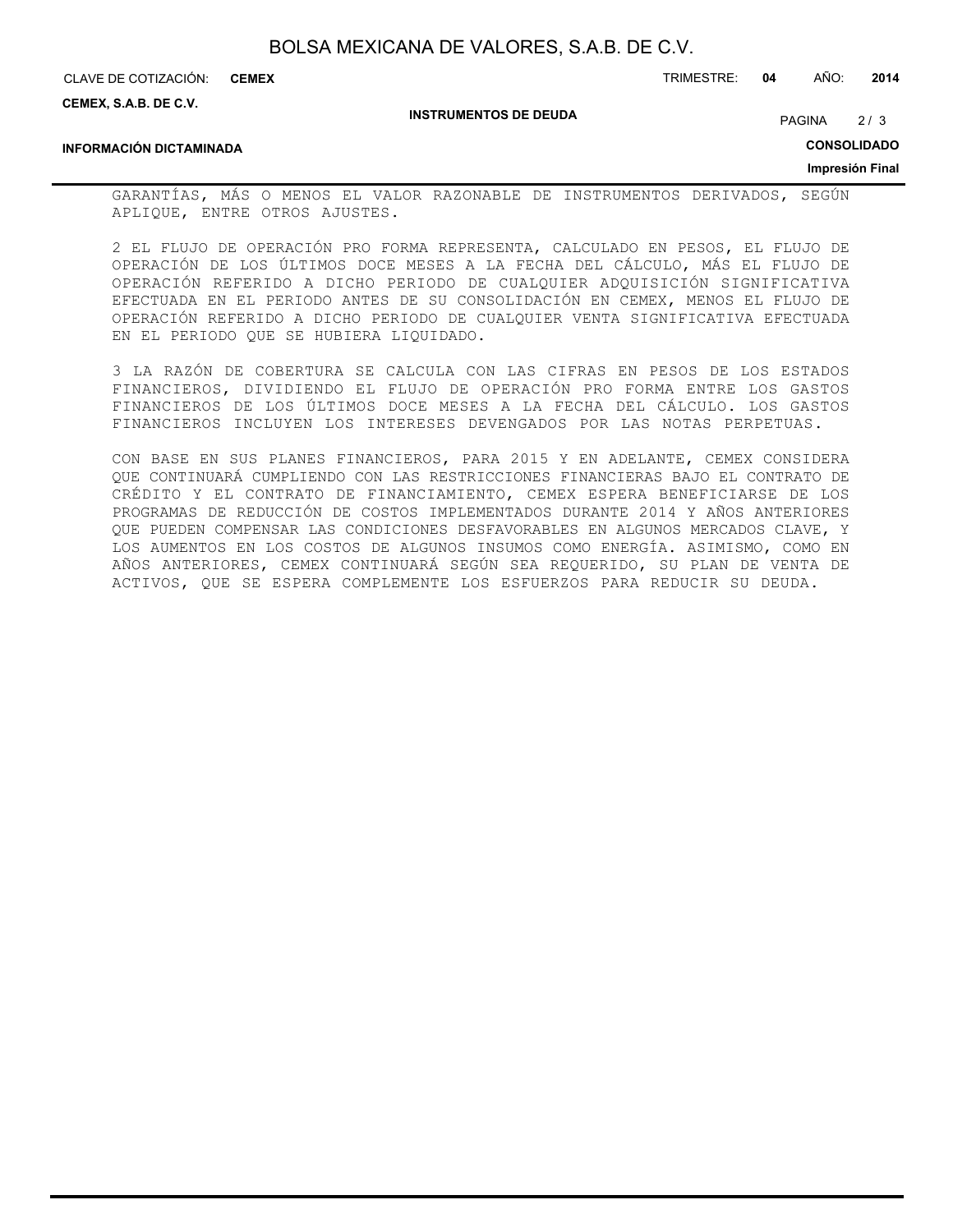CLAVE DE COTIZACIÓN: TRIMESTRE: **04** AÑO: **2014 CEMEX**

**CEMEX, S.A.B. DE C.V.**

**INSTRUMENTOS DE DEUDA**

PAGINA 2/3

## **CONSOLIDADO**

**Impresión Final**

GARANTÍAS, MÁS O MENOS EL VALOR RAZONABLE DE INSTRUMENTOS DERIVADOS, SEGÚN APLIQUE, ENTRE OTROS AJUSTES.

2 EL FLUJO DE OPERACIÓN PRO FORMA REPRESENTA, CALCULADO EN PESOS, EL FLUJO DE OPERACIÓN DE LOS ÚLTIMOS DOCE MESES A LA FECHA DEL CÁLCULO, MÁS EL FLUJO DE OPERACIÓN REFERIDO A DICHO PERIODO DE CUALQUIER ADQUISICIÓN SIGNIFICATIVA EFECTUADA EN EL PERIODO ANTES DE SU CONSOLIDACIÓN EN CEMEX, MENOS EL FLUJO DE OPERACIÓN REFERIDO A DICHO PERIODO DE CUALQUIER VENTA SIGNIFICATIVA EFECTUADA EN EL PERIODO QUE SE HUBIERA LIQUIDADO.

3 LA RAZÓN DE COBERTURA SE CALCULA CON LAS CIFRAS EN PESOS DE LOS ESTADOS FINANCIEROS, DIVIDIENDO EL FLUJO DE OPERACIÓN PRO FORMA ENTRE LOS GASTOS FINANCIEROS DE LOS ÚLTIMOS DOCE MESES A LA FECHA DEL CÁLCULO. LOS GASTOS FINANCIEROS INCLUYEN LOS INTERESES DEVENGADOS POR LAS NOTAS PERPETUAS.

CON BASE EN SUS PLANES FINANCIEROS, PARA 2015 Y EN ADELANTE, CEMEX CONSIDERA QUE CONTINUARÁ CUMPLIENDO CON LAS RESTRICCIONES FINANCIERAS BAJO EL CONTRATO DE CRÉDITO Y EL CONTRATO DE FINANCIAMIENTO, CEMEX ESPERA BENEFICIARSE DE LOS PROGRAMAS DE REDUCCIÓN DE COSTOS IMPLEMENTADOS DURANTE 2014 Y AÑOS ANTERIORES QUE PUEDEN COMPENSAR LAS CONDICIONES DESFAVORABLES EN ALGUNOS MERCADOS CLAVE, Y LOS AUMENTOS EN LOS COSTOS DE ALGUNOS INSUMOS COMO ENERGÍA. ASIMISMO, COMO EN AÑOS ANTERIORES, CEMEX CONTINUARÁ SEGÚN SEA REQUERIDO, SU PLAN DE VENTA DE ACTIVOS, QUE SE ESPERA COMPLEMENTE LOS ESFUERZOS PARA REDUCIR SU DEUDA.

**INFORMACIÓN DICTAMINADA**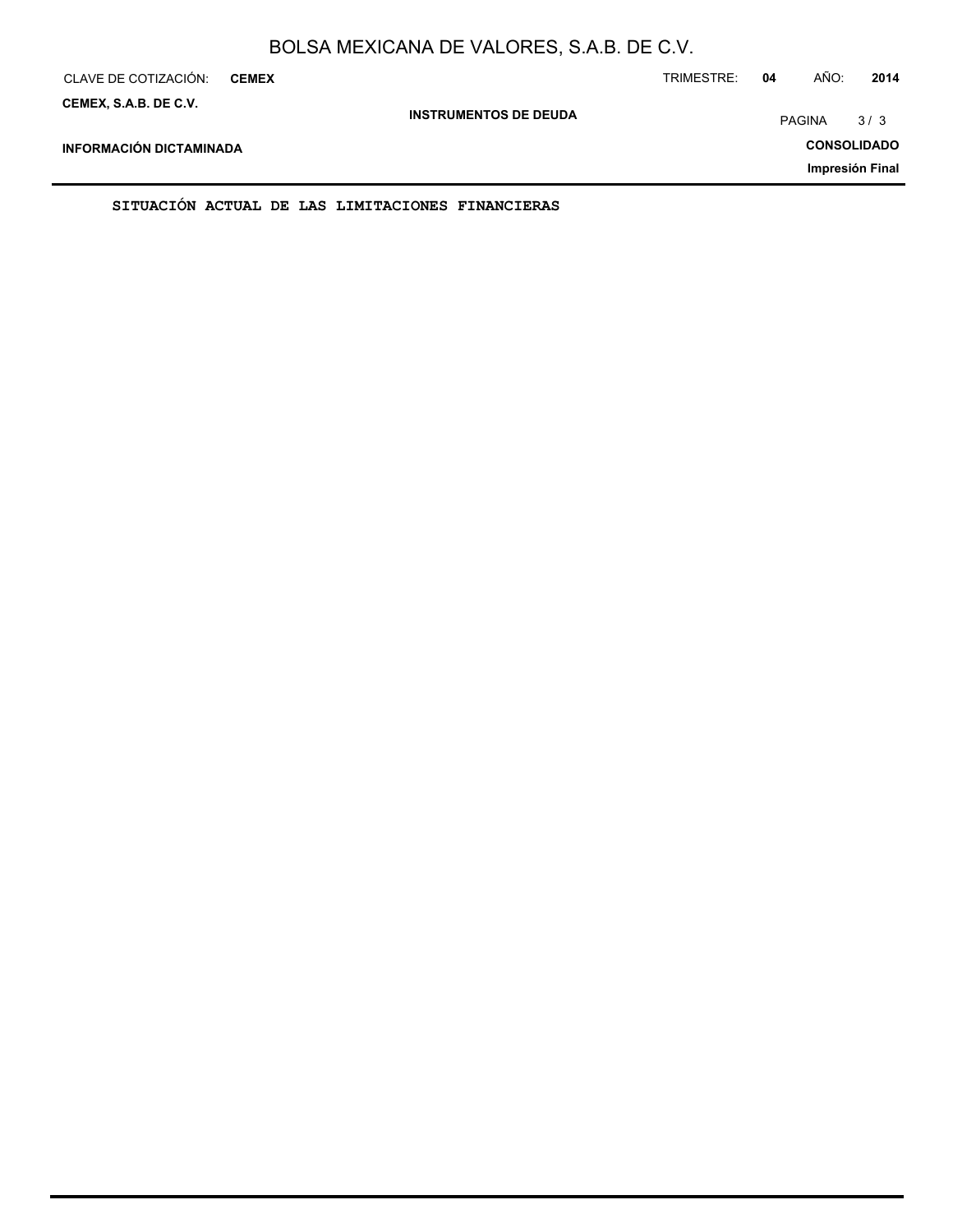| CLAVE DE COTIZACIÓN:<br><b>CEMEX</b> |                              | TRIMESTRE: | 04 | AÑO:                                | 2014            |
|--------------------------------------|------------------------------|------------|----|-------------------------------------|-----------------|
| CEMEX, S.A.B. DE C.V.                | <b>INSTRUMENTOS DE DEUDA</b> |            |    | <b>PAGINA</b><br><b>CONSOLIDADO</b> |                 |
| INFORMACIÓN DICTAMINADA              |                              |            |    |                                     | Impresión Final |

**SITUACIÓN ACTUAL DE LAS LIMITACIONES FINANCIERAS**

 $\blacksquare$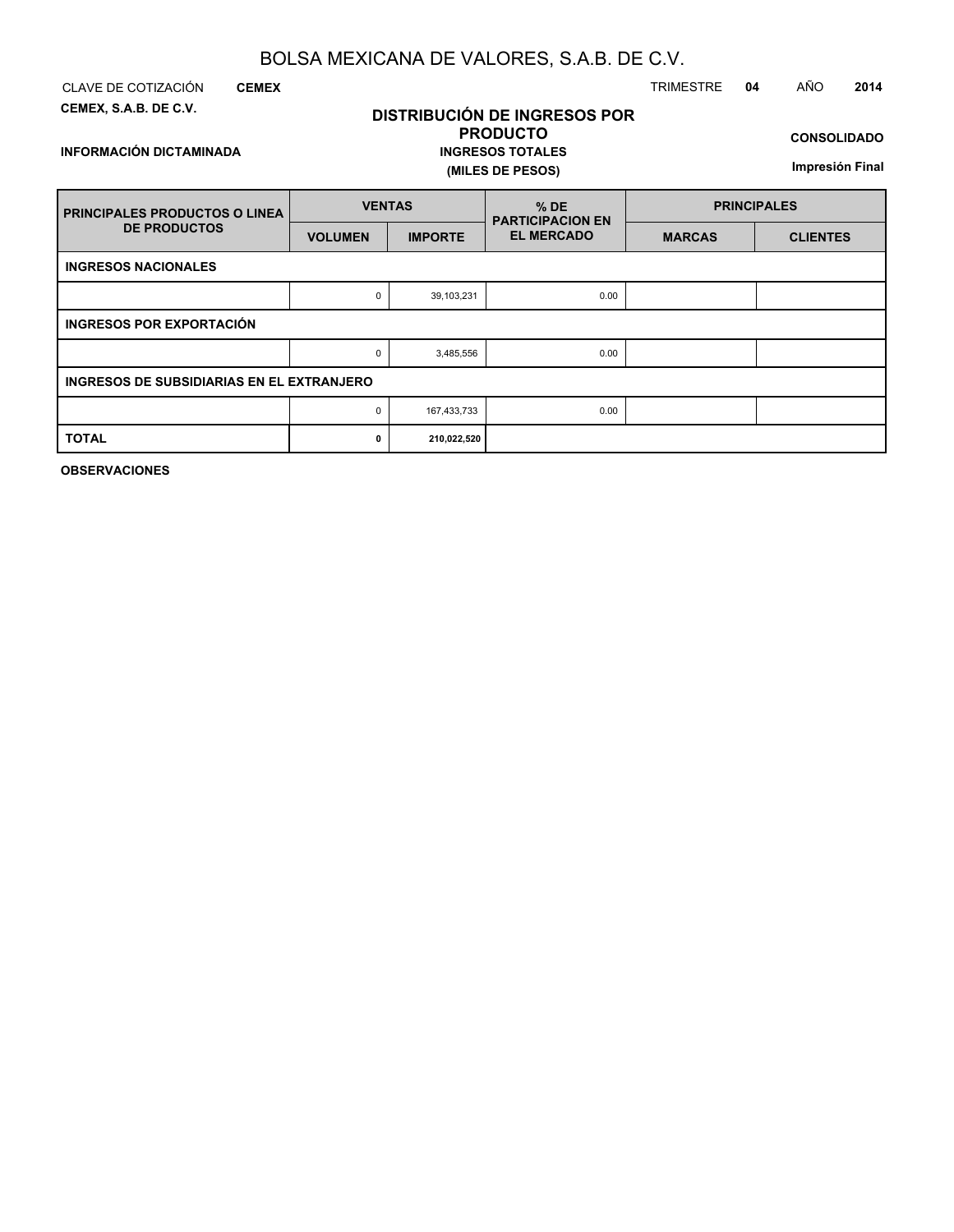**CEMEX**

**CEMEX, S.A.B. DE C.V.**

**INFORMACIÓN DICTAMINADA**

CLAVE DE COTIZACIÓN TRIMESTRE **04** AÑO **2014**

# **DISTRIBUCIÓN DE INGRESOS POR PRODUCTO INGRESOS TOTALES (MILES DE PESOS)**

**CONSOLIDADO**

**Impresión Final**

| <b>PRINCIPALES PRODUCTOS O LINEA</b>      | <b>VENTAS</b>  |                | $%$ DE<br><b>PARTICIPACION EN</b> | <b>PRINCIPALES</b> |                 |  |  |  |
|-------------------------------------------|----------------|----------------|-----------------------------------|--------------------|-----------------|--|--|--|
| <b>DE PRODUCTOS</b>                       | <b>VOLUMEN</b> | <b>IMPORTE</b> | <b>EL MERCADO</b>                 | <b>MARCAS</b>      | <b>CLIENTES</b> |  |  |  |
| <b>INGRESOS NACIONALES</b>                |                |                |                                   |                    |                 |  |  |  |
|                                           | 0              | 39,103,231     | 0.00                              |                    |                 |  |  |  |
| <b>INGRESOS POR EXPORTACIÓN</b>           |                |                |                                   |                    |                 |  |  |  |
|                                           | 0              | 3,485,556      | 0.00                              |                    |                 |  |  |  |
| INGRESOS DE SUBSIDIARIAS EN EL EXTRANJERO |                |                |                                   |                    |                 |  |  |  |
|                                           | $\Omega$       | 167,433,733    | 0.00                              |                    |                 |  |  |  |
| <b>TOTAL</b>                              | 0              | 210,022,520    |                                   |                    |                 |  |  |  |

**OBSERVACIONES**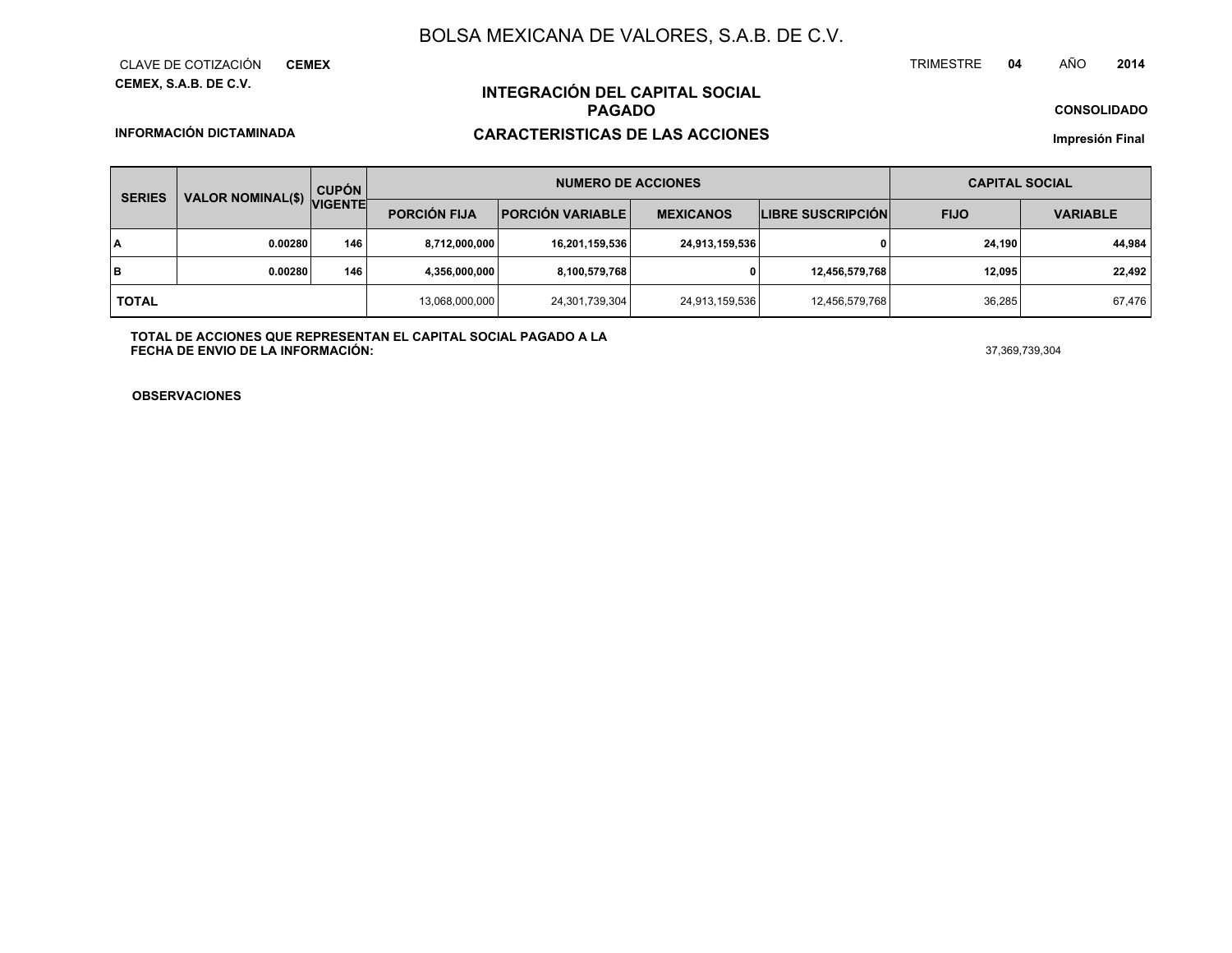**CEMEX, S.A.B. DE C.V.** CLAVE DE COTIZACIÓN**CEMEX**

#### TRIMESTRE **<sup>04</sup>** AÑO**<sup>2014</sup>**

**CONSOLIDADO**

**INFORMACIÓN DICTAMINADA**

# **PAGADOCARACTERISTICAS DE LAS ACCIONES**

**INTEGRACIÓN DEL CAPITAL SOCIAL**

**Impresión Final**

| <b>SERIES</b> | <b>CUPÓN</b><br><b>VALOR NOMINAL(\$)</b> |                | <b>NUMERO DE ACCIONES</b> |                         |                  |                          | <b>CAPITAL SOCIAL</b> |                 |  |
|---------------|------------------------------------------|----------------|---------------------------|-------------------------|------------------|--------------------------|-----------------------|-----------------|--|
|               |                                          | <b>VIGENTE</b> | <b>PORCIÓN FIJA</b>       | <b>PORCIÓN VARIABLE</b> | <b>MEXICANOS</b> | <b>LIBRE SUSCRIPCIÓN</b> | <b>FIJO</b>           | <b>VARIABLE</b> |  |
| I٨            | 0.00280                                  | 146            | 8.712.000.000             | 16,201,159,536          | 24,913,159,536   |                          | 24.190                | 44,984          |  |
| lв            | 0.00280                                  | 146            | 4,356,000,000             | 8,100,579,768           | 0                | 12,456,579,768           | 12.095                | 22,492          |  |
| <b>TOTAL</b>  |                                          |                | 13,068,000,000            | 24,301,739,304          | 24,913,159,536   | 12,456,579,768           | 36.285                | 67,476          |  |

**TOTAL DE ACCIONES QUE REPRESENTAN EL CAPITAL SOCIAL PAGADO A LAFECHA DE ENVIO DE LA INFORMACIÓN:**ения в советании с производит в советании с производит в советании с производит в советании и за советании за <br>В советании с производительно производит в советании с производительно производительно производительно при сов

**OBSERVACIONES**